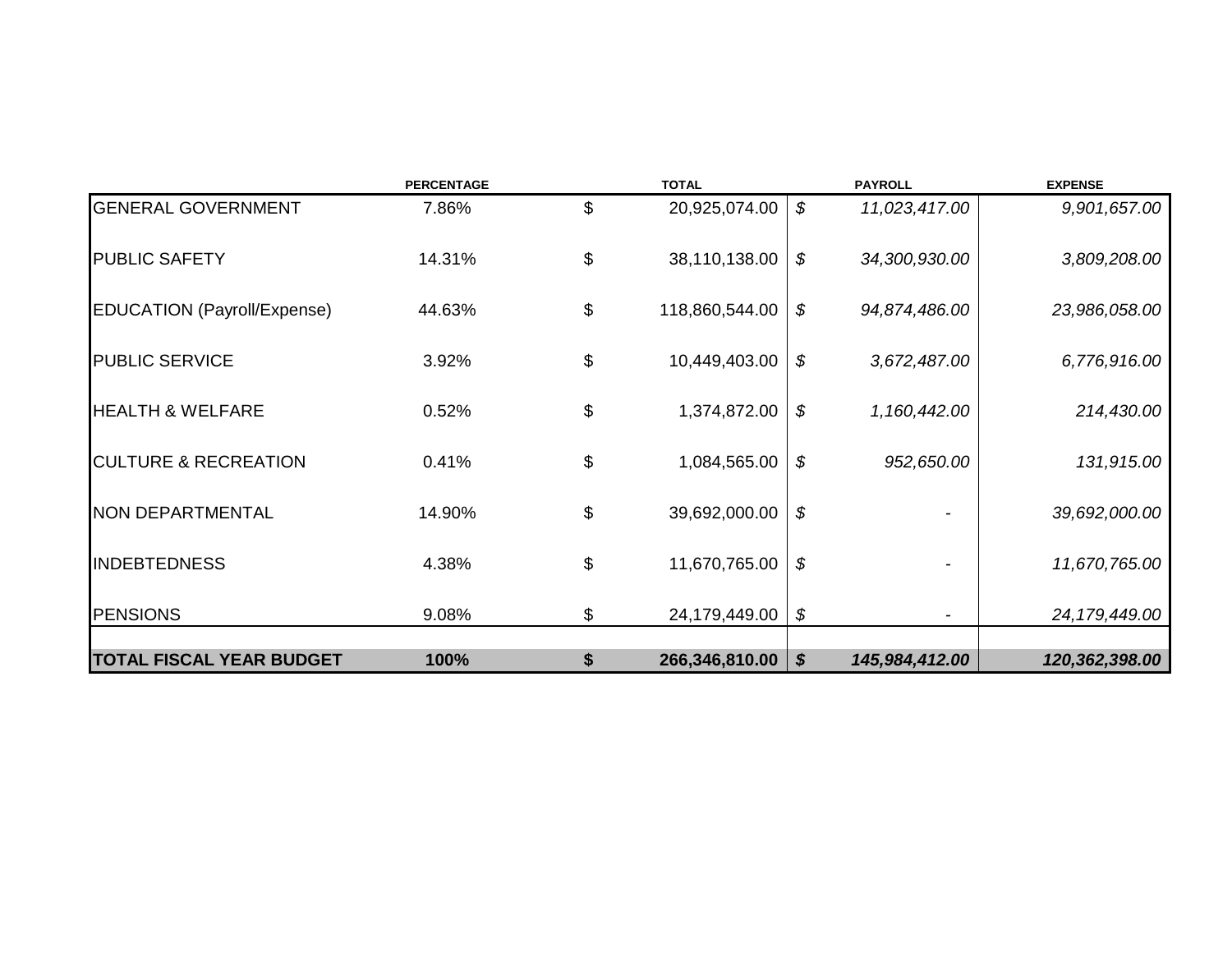|                                    | <b>PERCENTAGE</b> | <b>TOTAL</b>         |                           | <b>PAYROLL</b> | <b>EXPENSE</b>  |
|------------------------------------|-------------------|----------------------|---------------------------|----------------|-----------------|
| <b>GENERAL GOVERNMENT</b>          | 7.86%             | \$<br>20,925,074.00  | \$                        | 11,023,417.00  | 9,901,657.00    |
| <b>PUBLIC SAFETY</b>               | 14.31%            | \$<br>38,110,138.00  | \$                        | 34,300,930.00  | 3,809,208.00    |
| <b>EDUCATION (Payroll/Expense)</b> | 44.63%            | \$<br>118,860,544.00 | \$                        | 94,874,486.00  | 23,986,058.00   |
| <b>PUBLIC SERVICE</b>              | 3.92%             | \$<br>10,449,403.00  | \$                        | 3,672,487.00   | 6,776,916.00    |
| <b>HEALTH &amp; WELFARE</b>        | 0.52%             | \$<br>1,374,872.00   | \$                        | 1,160,442.00   | 214,430.00      |
| <b>CULTURE &amp; RECREATION</b>    | 0.41%             | \$<br>1,084,565.00   | \$                        | 952,650.00     | 131,915.00      |
| <b>NON DEPARTMENTAL</b>            | 14.90%            | \$<br>39,692,000.00  | \$                        |                | 39,692,000.00   |
| <b>INDEBTEDNESS</b>                | 4.38%             | \$<br>11,670,765.00  | \$                        |                | 11,670,765.00   |
| <b>PENSIONS</b>                    | 9.08%             | \$<br>24,179,449.00  | \$                        |                | 24, 179, 449.00 |
| <b>TOTAL FISCAL YEAR BUDGET</b>    | 100%              | \$<br>266,346,810.00 | $\boldsymbol{\mathsf{s}}$ | 145,984,412.00 | 120,362,398.00  |
|                                    |                   |                      |                           |                |                 |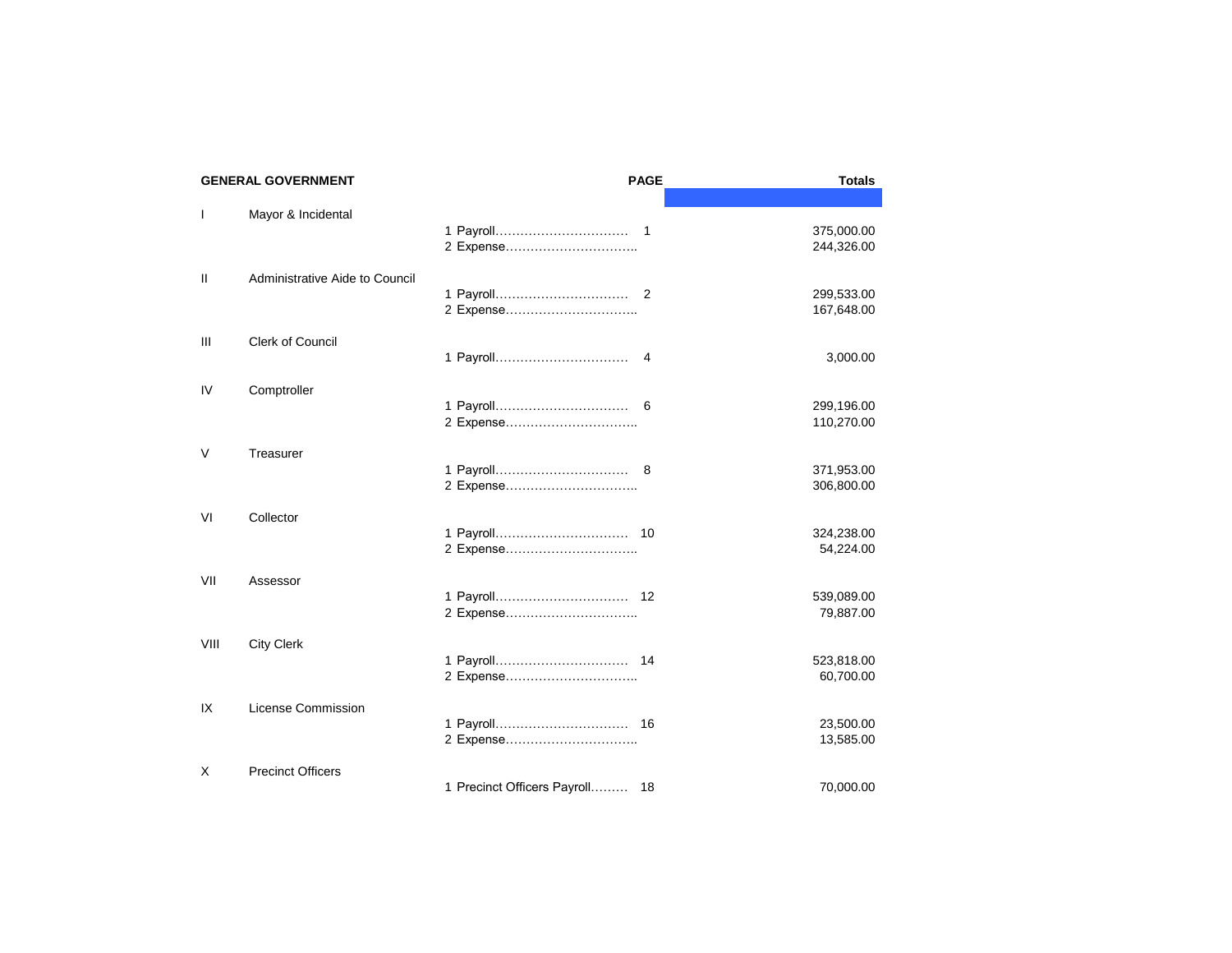|              | <b>GENERAL GOVERNMENT</b>      |                                | <b>PAGE</b>    | <b>Totals</b>            |
|--------------|--------------------------------|--------------------------------|----------------|--------------------------|
|              |                                |                                |                |                          |
| $\mathbf{I}$ | Mayor & Incidental             | 2 Expense                      |                | 375,000.00<br>244,326.00 |
| $\mathbf{H}$ | Administrative Aide to Council |                                | $\overline{2}$ | 299,533.00<br>167,648.00 |
| Ш            | Clerk of Council               |                                | 4              | 3,000.00                 |
| IV           | Comptroller                    | 2 Expense                      |                | 299,196.00<br>110,270.00 |
| V            | Treasurer                      | 2 Expense                      |                | 371,953.00<br>306,800.00 |
| VI           | Collector                      | 2 Expense                      |                | 324,238.00<br>54,224.00  |
| VII          | Assessor                       |                                |                | 539,089.00<br>79,887.00  |
| VIII         | <b>City Clerk</b>              | 2 Expense                      |                | 523,818.00<br>60,700.00  |
| IX           | License Commission             | 2 Expense                      |                | 23,500.00<br>13,585.00   |
| X            | <b>Precinct Officers</b>       | 1 Precinct Officers Payroll 18 |                | 70,000.00                |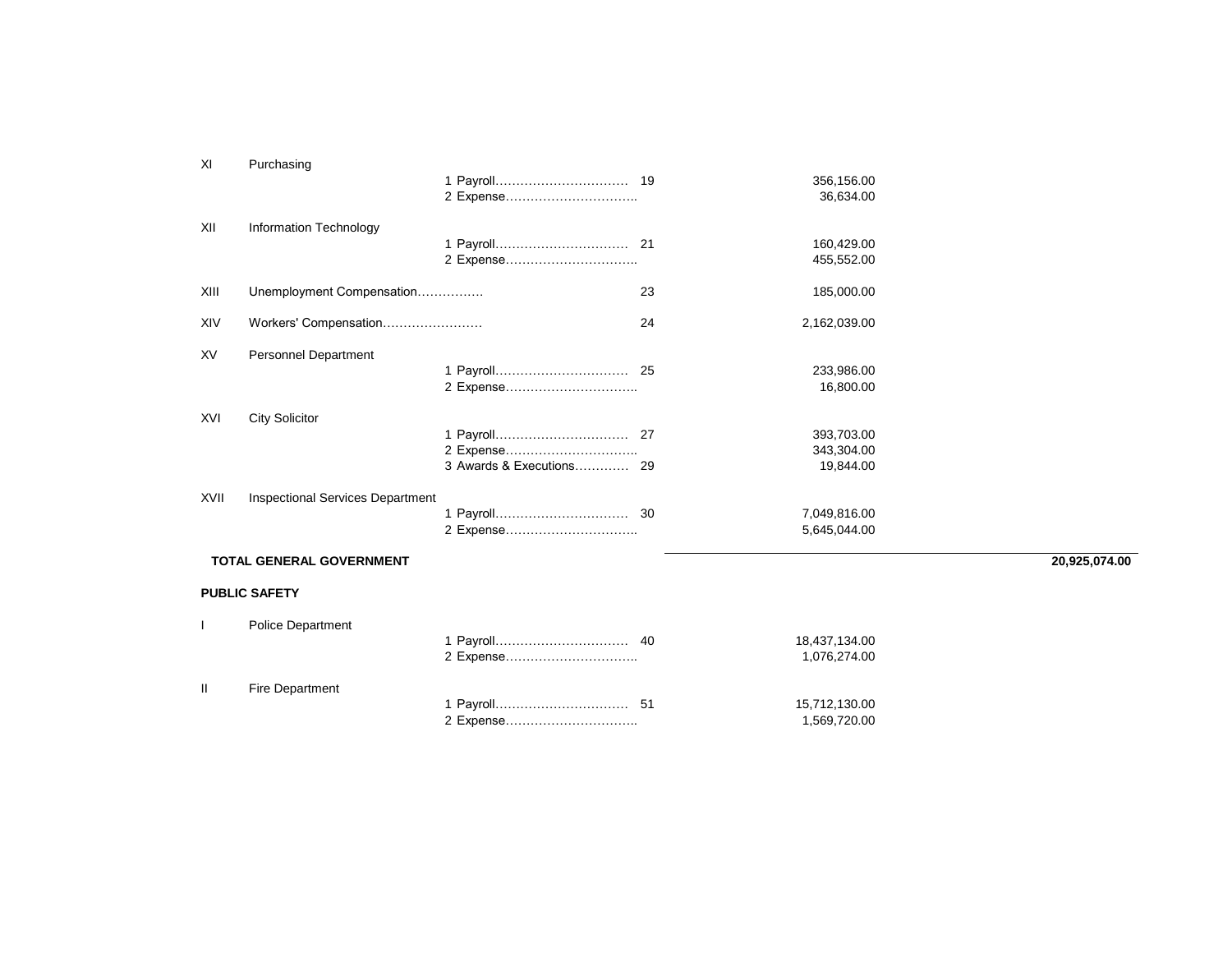| XI   | Purchasing                              |           |    |                                       |               |
|------|-----------------------------------------|-----------|----|---------------------------------------|---------------|
|      |                                         |           |    | 356,156.00<br>36,634.00               |               |
| XII  | Information Technology                  | 2 Expense |    | 160,429.00<br>455,552.00              |               |
| XIII | Unemployment Compensation               |           | 23 | 185,000.00                            |               |
| XIV  | Workers' Compensation                   |           | 24 | 2,162,039.00                          |               |
| XV   | Personnel Department                    |           |    | 233,986.00<br>16,800.00               |               |
| XVI  | <b>City Solicitor</b>                   |           |    | 393,703.00<br>343,304.00<br>19,844.00 |               |
| XVII | <b>Inspectional Services Department</b> |           |    | 7,049,816.00<br>5,645,044.00          |               |
|      | TOTAL GENERAL GOVERNMENT                |           |    |                                       | 20,925,074.00 |
|      | <b>PUBLIC SAFETY</b>                    |           |    |                                       |               |
|      | <b>Police Department</b>                |           |    |                                       |               |

|      |                        | 18,437,134.00<br>1.076.274.00 |
|------|------------------------|-------------------------------|
| - 11 | <b>Fire Department</b> |                               |
|      |                        | 15,712,130.00                 |
|      |                        | 1.569.720.00                  |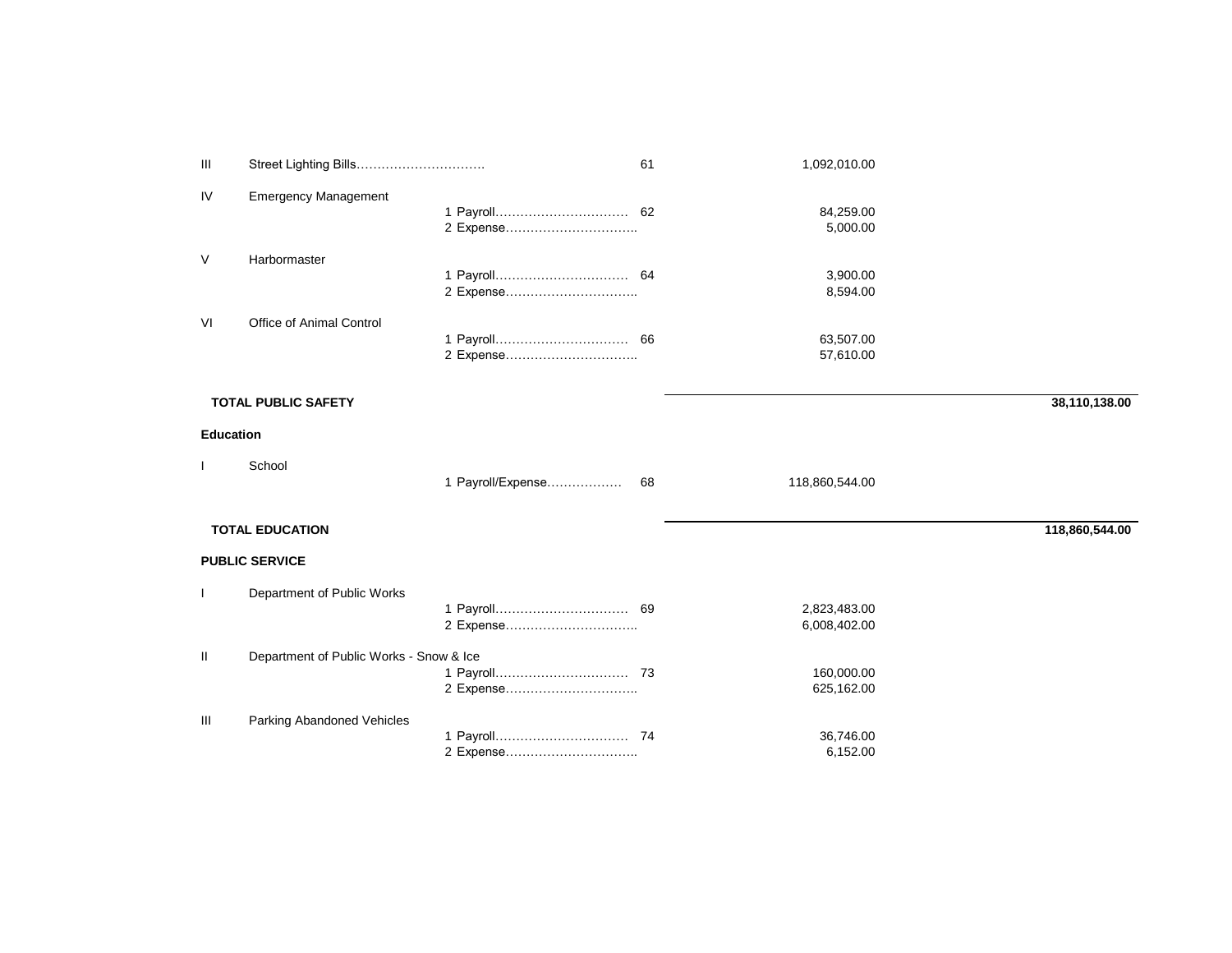| Ш                | Street Lighting Bills                   |                           | 61 | 1,092,010.00                 |                |
|------------------|-----------------------------------------|---------------------------|----|------------------------------|----------------|
| IV               | <b>Emergency Management</b>             | 2 Expense                 |    | 84,259.00<br>5,000.00        |                |
| $\vee$           | Harbormaster                            | 2 Expense                 |    | 3,900.00<br>8,594.00         |                |
| VI               | Office of Animal Control                |                           |    | 63,507.00<br>57,610.00       |                |
|                  | <b>TOTAL PUBLIC SAFETY</b>              |                           |    |                              | 38,110,138.00  |
| <b>Education</b> |                                         |                           |    |                              |                |
|                  | School                                  | 1 Payroll/Expense         | 68 | 118,860,544.00               |                |
|                  | <b>TOTAL EDUCATION</b>                  |                           |    |                              | 118,860,544.00 |
|                  | <b>PUBLIC SERVICE</b>                   |                           |    |                              |                |
| $\mathbf{I}$     | Department of Public Works              | 1 Payroll 69<br>2 Expense |    | 2,823,483.00<br>6,008,402.00 |                |
| Ш                | Department of Public Works - Snow & Ice |                           |    | 160,000.00<br>625,162.00     |                |
| Ш                | Parking Abandoned Vehicles              | 2 Expense                 |    | 36,746.00<br>6,152.00        |                |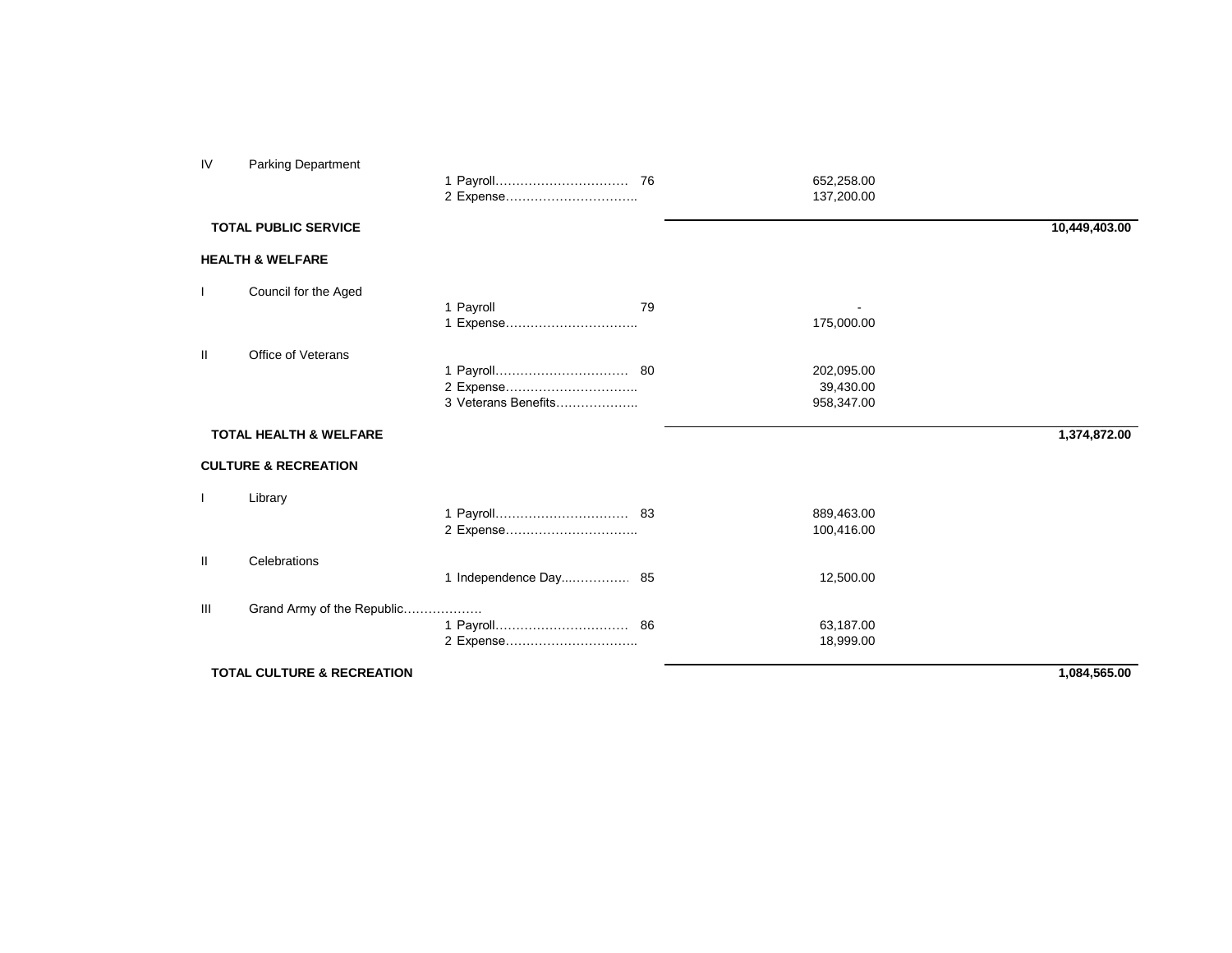| IV             | <b>Parking Department</b>             |                                  |    | 652,258.00<br>137,200.00              |               |
|----------------|---------------------------------------|----------------------------------|----|---------------------------------------|---------------|
|                | <b>TOTAL PUBLIC SERVICE</b>           |                                  |    |                                       | 10,449,403.00 |
|                | <b>HEALTH &amp; WELFARE</b>           |                                  |    |                                       |               |
|                | Council for the Aged                  | 1 Payroll<br>1 Expense           | 79 | 175,000.00                            |               |
| Ш              | Office of Veterans                    | 2 Expense<br>3 Veterans Benefits |    | 202,095.00<br>39,430.00<br>958,347.00 |               |
|                | <b>TOTAL HEALTH &amp; WELFARE</b>     |                                  |    |                                       | 1,374,872.00  |
|                | <b>CULTURE &amp; RECREATION</b>       |                                  |    |                                       |               |
|                | Library                               |                                  |    | 889,463.00<br>100,416.00              |               |
| Ш              | Celebrations                          |                                  |    | 12,500.00                             |               |
| $\mathbf{III}$ | Grand Army of the Republic            | 2 Expense                        |    | 63,187.00<br>18,999.00                |               |
|                | <b>TOTAL CULTURE &amp; RECREATION</b> |                                  |    |                                       | 1,084,565.00  |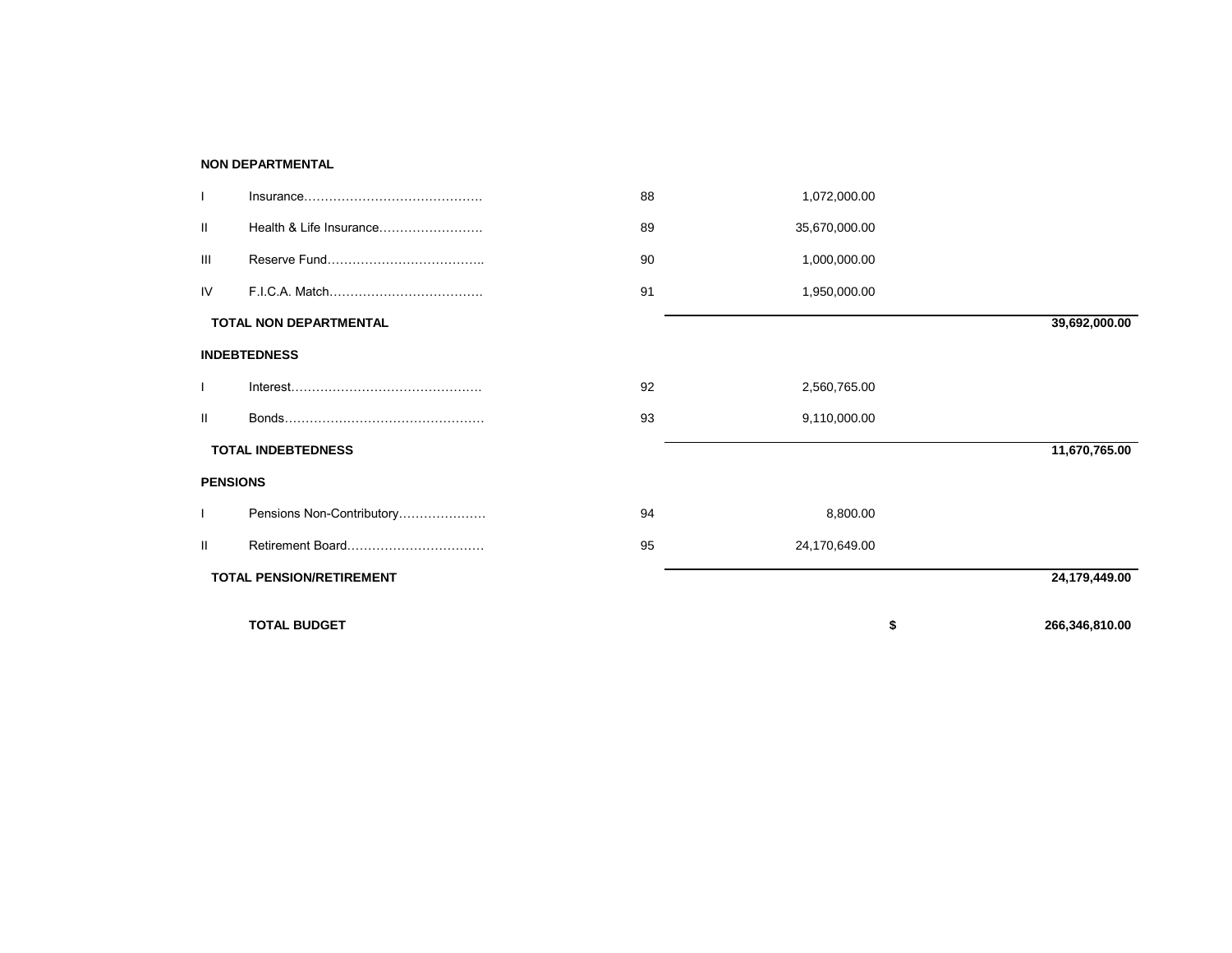### **NON DEPARTMENTAL**

|                 |                                 | 88 | 1,072,000.00  |                      |
|-----------------|---------------------------------|----|---------------|----------------------|
| П.              | Health & Life Insurance         | 89 | 35,670,000.00 |                      |
| Ш               |                                 | 90 | 1,000,000.00  |                      |
| IV              |                                 | 91 | 1,950,000.00  |                      |
|                 | <b>TOTAL NON DEPARTMENTAL</b>   |    |               | 39,692,000.00        |
|                 | <b>INDEBTEDNESS</b>             |    |               |                      |
|                 |                                 | 92 | 2,560,765.00  |                      |
| Ш               |                                 | 93 | 9,110,000.00  |                      |
|                 | <b>TOTAL INDEBTEDNESS</b>       |    |               | 11,670,765.00        |
| <b>PENSIONS</b> |                                 |    |               |                      |
|                 | Pensions Non-Contributory       | 94 | 8,800.00      |                      |
| Ш               | Retirement Board                | 95 | 24,170,649.00 |                      |
|                 | <b>TOTAL PENSION/RETIREMENT</b> |    |               | 24,179,449.00        |
|                 | <b>TOTAL BUDGET</b>             |    |               | \$<br>266,346,810.00 |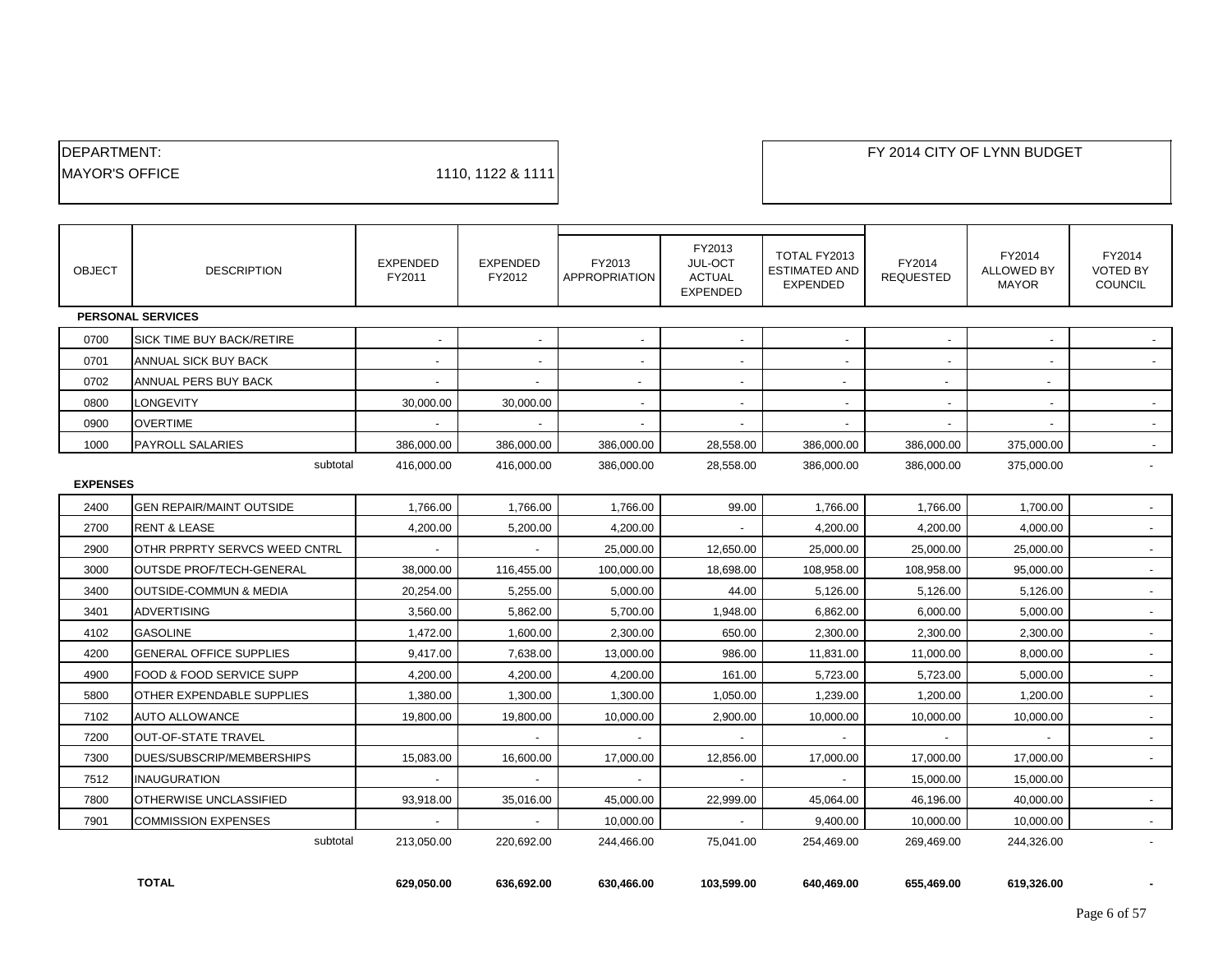| <b>IDEPARTMENT:</b>    |                   |
|------------------------|-------------------|
| <b>IMAYOR'S OFFICE</b> | 1110, 1122 & 1111 |

| <b>OBJECT</b>   | <b>DESCRIPTION</b>             | <b>EXPENDED</b><br>FY2011 | <b>EXPENDED</b><br>FY2012 | FY2013<br><b>APPROPRIATION</b> | FY2013<br>JUL-OCT<br><b>ACTUAL</b><br><b>EXPENDED</b> | TOTAL FY2013<br><b>ESTIMATED AND</b><br><b>EXPENDED</b> | FY2014<br><b>REQUESTED</b> | FY2014<br><b>ALLOWED BY</b><br><b>MAYOR</b> | FY2014<br><b>VOTED BY</b><br>COUNCIL |
|-----------------|--------------------------------|---------------------------|---------------------------|--------------------------------|-------------------------------------------------------|---------------------------------------------------------|----------------------------|---------------------------------------------|--------------------------------------|
|                 | <b>PERSONAL SERVICES</b>       |                           |                           |                                |                                                       |                                                         |                            |                                             |                                      |
| 0700            | SICK TIME BUY BACK/RETIRE      |                           | $\overline{\phantom{a}}$  | $\overline{a}$                 | $\overline{\phantom{a}}$                              |                                                         |                            |                                             |                                      |
| 0701            | ANNUAL SICK BUY BACK           |                           | $\blacksquare$            | $\sim$                         | $\overline{\phantom{a}}$                              |                                                         | $\overline{\phantom{a}}$   | $\blacksquare$                              |                                      |
| 0702            | ANNUAL PERS BUY BACK           | $\overline{\phantom{a}}$  | $\overline{\phantom{a}}$  | $\sim$                         | $\overline{\phantom{a}}$                              | $\overline{\phantom{a}}$                                | $\overline{\phantom{a}}$   | $\overline{\phantom{a}}$                    |                                      |
| 0800            | LONGEVITY                      | 30.000.00                 | 30.000.00                 | $\overline{\phantom{a}}$       |                                                       |                                                         |                            |                                             |                                      |
| 0900            | <b>OVERTIME</b>                |                           |                           |                                |                                                       |                                                         |                            |                                             |                                      |
| 1000            | <b>PAYROLL SALARIES</b>        | 386,000.00                | 386,000.00                | 386,000.00                     | 28,558.00                                             | 386,000.00                                              | 386,000.00                 | 375,000.00                                  | $\sim$                               |
|                 | subtotal                       | 416,000.00                | 416,000.00                | 386,000.00                     | 28,558.00                                             | 386,000.00                                              | 386,000.00                 | 375,000.00                                  | $\overline{a}$                       |
| <b>EXPENSES</b> |                                |                           |                           |                                |                                                       |                                                         |                            |                                             |                                      |
| 2400            | GEN REPAIR/MAINT OUTSIDE       | 1,766.00                  | 1.766.00                  | 1.766.00                       | 99.00                                                 | 1.766.00                                                | 1,766.00                   | 1.700.00                                    |                                      |
| 2700            | <b>RENT &amp; LEASE</b>        | 4,200.00                  | 5,200.00                  | 4,200.00                       |                                                       | 4,200.00                                                | 4,200.00                   | 4,000.00                                    |                                      |
| 2900            | OTHR PRPRTY SERVCS WEED CNTRL  |                           |                           | 25.000.00                      | 12.650.00                                             | 25.000.00                                               | 25,000.00                  | 25.000.00                                   | $\sim$                               |
| 3000            | OUTSDE PROF/TECH-GENERAL       | 38,000.00                 | 116,455.00                | 100,000.00                     | 18,698.00                                             | 108,958.00                                              | 108,958.00                 | 95,000.00                                   | $\overline{\phantom{a}}$             |
| 3400            | OUTSIDE-COMMUN & MEDIA         | 20,254.00                 | 5,255.00                  | 5,000.00                       | 44.00                                                 | 5,126.00                                                | 5,126.00                   | 5,126.00                                    | $\sim$                               |
| 3401            | <b>ADVERTISING</b>             | 3,560.00                  | 5,862.00                  | 5.700.00                       | 1,948.00                                              | 6.862.00                                                | 6,000.00                   | 5.000.00                                    | $\blacksquare$                       |
| 4102            | <b>GASOLINE</b>                | 1,472.00                  | 1,600.00                  | 2,300.00                       | 650.00                                                | 2,300.00                                                | 2,300.00                   | 2,300.00                                    | $\mathbf{r}$                         |
| 4200            | <b>GENERAL OFFICE SUPPLIES</b> | 9,417.00                  | 7.638.00                  | 13.000.00                      | 986.00                                                | 11.831.00                                               | 11,000.00                  | 8.000.00                                    | $\sim$                               |
| 4900            | FOOD & FOOD SERVICE SUPP       | 4,200.00                  | 4,200.00                  | 4,200.00                       | 161.00                                                | 5,723.00                                                | 5,723.00                   | 5,000.00                                    | $\overline{\phantom{a}}$             |
| 5800            | OTHER EXPENDABLE SUPPLIES      | 1,380.00                  | 1,300.00                  | 1,300.00                       | 1,050.00                                              | 1,239.00                                                | 1,200.00                   | 1,200.00                                    | $\sim$                               |
| 7102            | <b>AUTO ALLOWANCE</b>          | 19.800.00                 | 19.800.00                 | 10,000.00                      | 2.900.00                                              | 10.000.00                                               | 10,000.00                  | 10.000.00                                   | $\mathbf{r}$                         |
| 7200            | OUT-OF-STATE TRAVEL            |                           |                           |                                |                                                       |                                                         |                            |                                             |                                      |
| 7300            | DUES/SUBSCRIP/MEMBERSHIPS      | 15,083.00                 | 16,600.00                 | 17,000.00                      | 12,856.00                                             | 17,000.00                                               | 17,000.00                  | 17,000.00                                   | $\sim$                               |
| 7512            | INAUGURATION                   |                           | $\blacksquare$            | $\sim$                         | $\overline{\phantom{a}}$                              |                                                         | 15,000.00                  | 15,000.00                                   |                                      |
| 7800            | OTHERWISE UNCLASSIFIED         | 93,918.00                 | 35,016.00                 | 45,000.00                      | 22,999.00                                             | 45,064.00                                               | 46,196.00                  | 40,000.00                                   | $\sim$                               |
| 7901            | <b>COMMISSION EXPENSES</b>     |                           |                           | 10,000.00                      |                                                       | 9,400.00                                                | 10,000.00                  | 10,000.00                                   |                                      |
|                 | subtotal                       | 213,050.00                | 220,692.00                | 244,466.00                     | 75,041.00                                             | 254,469.00                                              | 269,469.00                 | 244,326.00                                  |                                      |
|                 |                                |                           |                           |                                |                                                       |                                                         |                            |                                             |                                      |

 **TOTAL 629,050.00 636,692.00 630,466.00 103,599.00 640,469.00 655,469.00 619,326.00 -**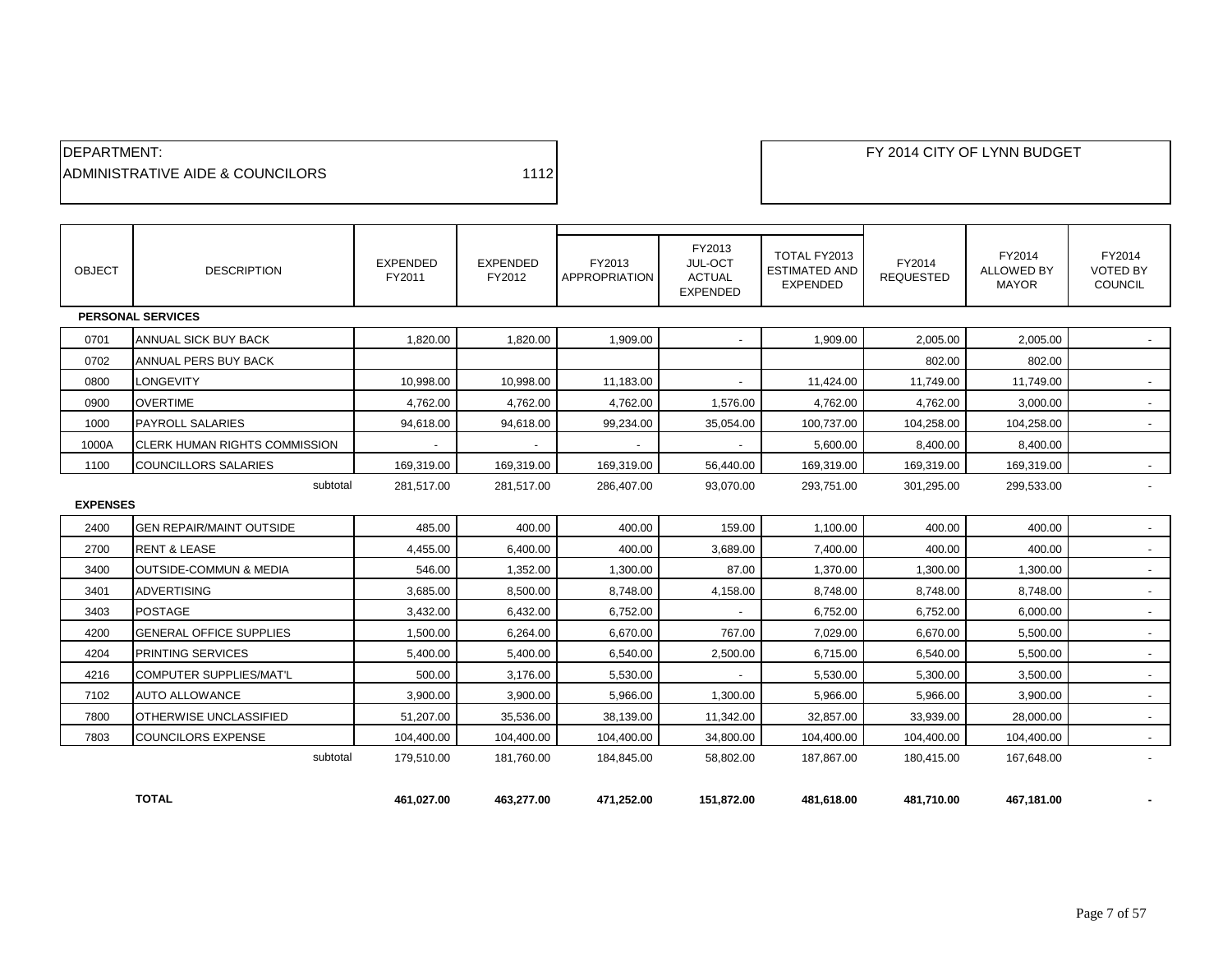| <b>IDEPARTMENT:</b>               |      |
|-----------------------------------|------|
| IADMINISTRATIVE AIDE & COUNCILORS | 1112 |

| <b>OBJECT</b>   | <b>DESCRIPTION</b>                   | <b>EXPENDED</b><br>FY2011 | <b>EXPENDED</b><br>FY2012 | FY2013<br>APPROPRIATION | FY2013<br><b>JUL-OCT</b><br><b>ACTUAL</b><br><b>EXPENDED</b> | TOTAL FY2013<br><b>ESTIMATED AND</b><br><b>EXPENDED</b> | FY2014<br><b>REQUESTED</b> | FY2014<br><b>ALLOWED BY</b><br><b>MAYOR</b> | FY2014<br><b>VOTED BY</b><br><b>COUNCIL</b> |
|-----------------|--------------------------------------|---------------------------|---------------------------|-------------------------|--------------------------------------------------------------|---------------------------------------------------------|----------------------------|---------------------------------------------|---------------------------------------------|
|                 | <b>PERSONAL SERVICES</b>             |                           |                           |                         |                                                              |                                                         |                            |                                             |                                             |
| 0701            | <b>ANNUAL SICK BUY BACK</b>          | 1.820.00                  | 1,820.00                  | 1,909.00                |                                                              | 1,909.00                                                | 2,005.00                   | 2,005.00                                    |                                             |
| 0702            | ANNUAL PERS BUY BACK                 |                           |                           |                         |                                                              |                                                         | 802.00                     | 802.00                                      |                                             |
| 0800            | LONGEVITY                            | 10,998.00                 | 10,998.00                 | 11,183.00               |                                                              | 11,424.00                                               | 11,749.00                  | 11,749.00                                   | $\overline{\phantom{a}}$                    |
| 0900            | <b>OVERTIME</b>                      | 4,762.00                  | 4,762.00                  | 4,762.00                | 1,576.00                                                     | 4,762.00                                                | 4,762.00                   | 3,000.00                                    | $\overline{\phantom{a}}$                    |
| 1000            | <b>PAYROLL SALARIES</b>              | 94,618.00                 | 94,618.00                 | 99,234.00               | 35,054.00                                                    | 100,737.00                                              | 104,258.00                 | 104,258.00                                  | $\sim$                                      |
| 1000A           | <b>CLERK HUMAN RIGHTS COMMISSION</b> | $\sim$                    | $\sim$                    | $\sim$                  | $\overline{\phantom{a}}$                                     | 5,600.00                                                | 8,400.00                   | 8,400.00                                    |                                             |
| 1100            | COUNCILLORS SALARIES                 | 169,319.00                | 169,319.00                | 169,319.00              | 56,440.00                                                    | 169.319.00                                              | 169.319.00                 | 169,319.00                                  |                                             |
|                 | subtotal                             | 281,517.00                | 281.517.00                | 286.407.00              | 93,070.00                                                    | 293.751.00                                              | 301.295.00                 | 299,533.00                                  | $\blacksquare$                              |
| <b>EXPENSES</b> |                                      |                           |                           |                         |                                                              |                                                         |                            |                                             |                                             |
| 2400            | <b>GEN REPAIR/MAINT OUTSIDE</b>      | 485.00                    | 400.00                    | 400.00                  | 159.00                                                       | 1,100.00                                                | 400.00                     | 400.00                                      | $\blacksquare$                              |
| 2700            | <b>RENT &amp; LEASE</b>              | 4,455.00                  | 6,400.00                  | 400.00                  | 3,689.00                                                     | 7,400.00                                                | 400.00                     | 400.00                                      |                                             |
| 3400            | <b>OUTSIDE-COMMUN &amp; MEDIA</b>    | 546.00                    | 1,352.00                  | 1,300.00                | 87.00                                                        | 1,370.00                                                | 1,300.00                   | 1,300.00                                    | $\sim$                                      |
| 3401            | <b>ADVERTISING</b>                   | 3,685.00                  | 8,500.00                  | 8,748.00                | 4,158.00                                                     | 8,748.00                                                | 8,748.00                   | 8,748.00                                    | $\blacksquare$                              |
| 3403            | <b>POSTAGE</b>                       | 3,432.00                  | 6,432.00                  | 6,752.00                |                                                              | 6,752.00                                                | 6,752.00                   | 6,000.00                                    | $\sim$                                      |
| 4200            | <b>GENERAL OFFICE SUPPLIES</b>       | 1,500.00                  | 6,264.00                  | 6,670.00                | 767.00                                                       | 7,029.00                                                | 6,670.00                   | 5,500.00                                    | $\overline{\phantom{a}}$                    |
| 4204            | PRINTING SERVICES                    | 5,400.00                  | 5,400.00                  | 6,540.00                | 2,500.00                                                     | 6,715.00                                                | 6,540.00                   | 5,500.00                                    | $\blacksquare$                              |
| 4216            | <b>COMPUTER SUPPLIES/MAT'L</b>       | 500.00                    | 3,176.00                  | 5,530.00                |                                                              | 5,530.00                                                | 5,300.00                   | 3,500.00                                    | $\sim$                                      |
| 7102            | AUTO ALLOWANCE                       | 3,900.00                  | 3,900.00                  | 5,966.00                | 1,300.00                                                     | 5.966.00                                                | 5,966.00                   | 3.900.00                                    | $\sim$                                      |
| 7800            | OTHERWISE UNCLASSIFIED               | 51,207.00                 | 35,536.00                 | 38,139.00               | 11,342.00                                                    | 32,857.00                                               | 33,939.00                  | 28,000.00                                   | $\sim$                                      |
| 7803            | <b>COUNCILORS EXPENSE</b>            | 104,400.00                | 104,400.00                | 104,400.00              | 34,800.00                                                    | 104,400.00                                              | 104,400.00                 | 104,400.00                                  | $\sim$                                      |
|                 | subtotal                             | 179,510.00                | 181,760.00                | 184,845.00              | 58,802.00                                                    | 187,867.00                                              | 180,415.00                 | 167,648.00                                  | $\overline{a}$                              |
|                 | <b>TOTAL</b>                         | 461.027.00                | 463.277.00                | 471.252.00              | 151.872.00                                                   | 481.618.00                                              | 481.710.00                 | 467.181.00                                  |                                             |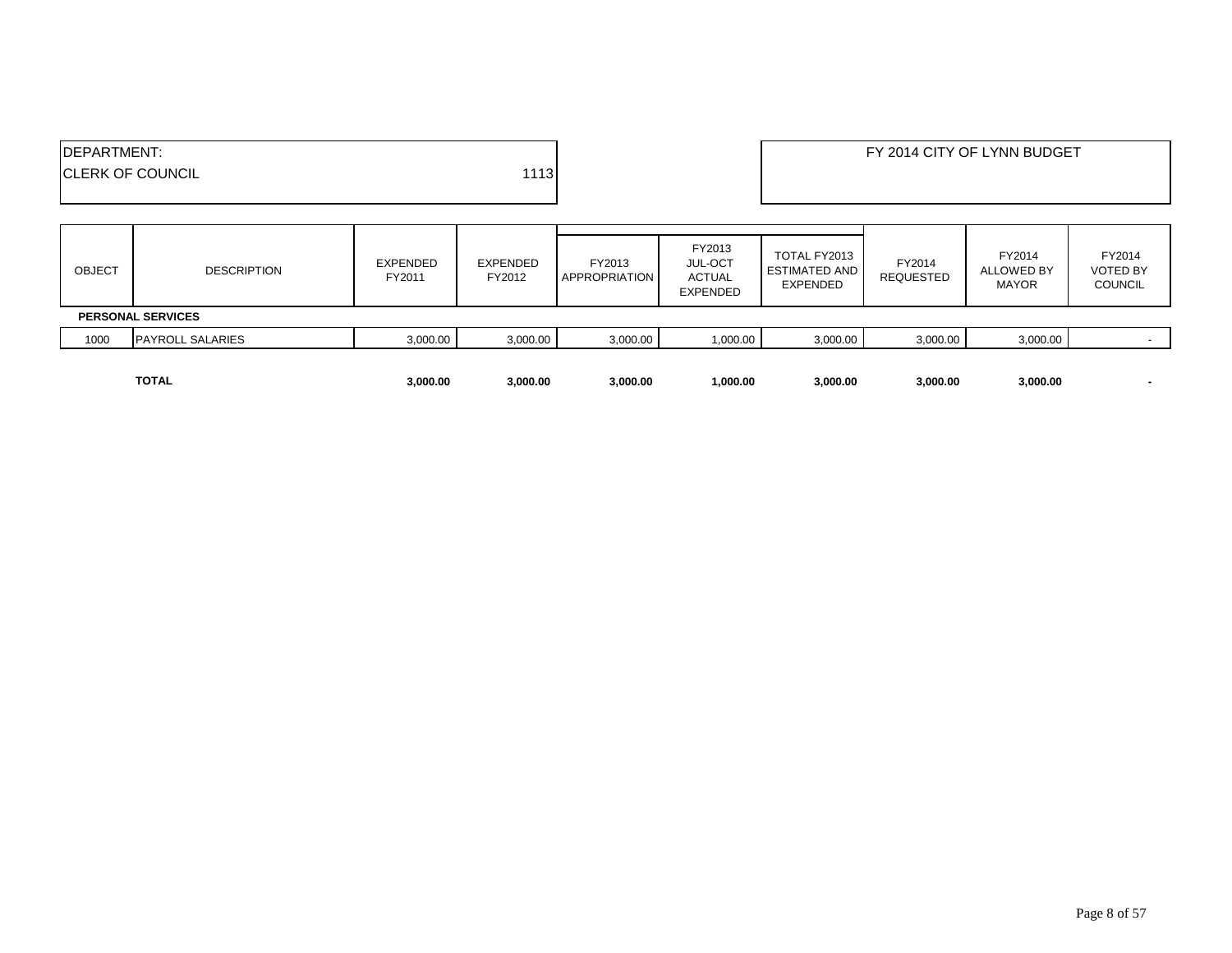|                     | <b>TOTAL</b>             | 3,000.00                  | 3,000.00                  | 3,000.00                | 1,000.00                                                     | 3,000.00                                         | 3,000.00                   | 3,000.00                                    |                                             |
|---------------------|--------------------------|---------------------------|---------------------------|-------------------------|--------------------------------------------------------------|--------------------------------------------------|----------------------------|---------------------------------------------|---------------------------------------------|
| 1000                | <b>PAYROLL SALARIES</b>  | 3,000.00                  | 3,000.00                  | 3,000.00                | 1,000.00                                                     | 3,000.00                                         | 3,000.00                   | 3,000.00                                    |                                             |
|                     | <b>PERSONAL SERVICES</b> |                           |                           |                         |                                                              |                                                  |                            |                                             |                                             |
| <b>OBJECT</b>       | <b>DESCRIPTION</b>       | <b>EXPENDED</b><br>FY2011 | <b>EXPENDED</b><br>FY2012 | FY2013<br>APPROPRIATION | FY2013<br><b>JUL-OCT</b><br><b>ACTUAL</b><br><b>EXPENDED</b> | TOTAL FY2013<br><b>ESTIMATED AND</b><br>EXPENDED | FY2014<br><b>REQUESTED</b> | FY2014<br><b>ALLOWED BY</b><br><b>MAYOR</b> | FY2014<br><b>VOTED BY</b><br><b>COUNCIL</b> |
| <b>IDEPARTMENT:</b> | <b>ICLERK OF COUNCIL</b> |                           | 1113                      |                         |                                                              |                                                  |                            | FY 2014 CITY OF LYNN BUDGET                 |                                             |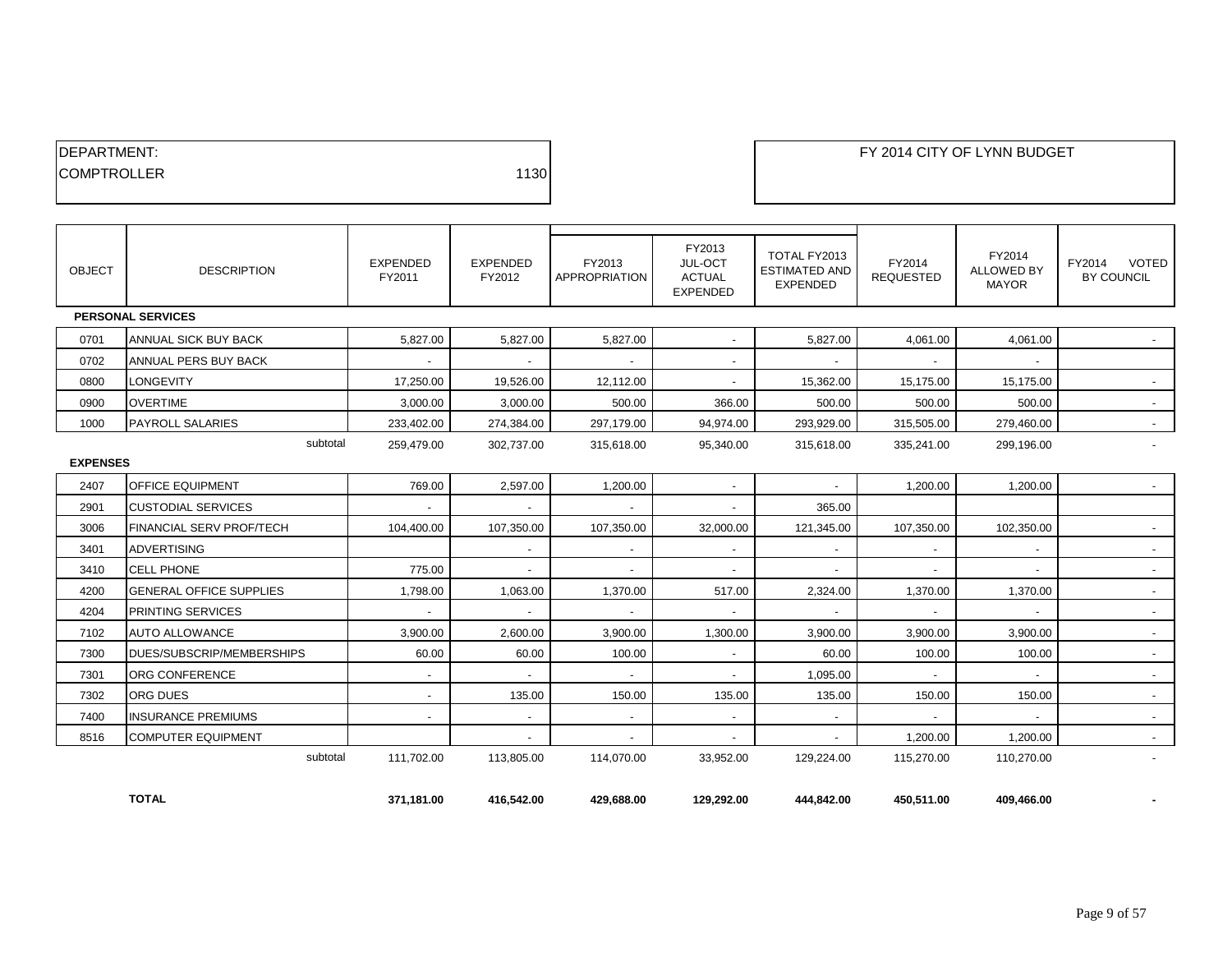| <b>IDEPARTMENT:</b> |      |
|---------------------|------|
| <b>ICOMPTROLLER</b> | 1130 |
|                     |      |

| <b>OBJECT</b>   | <b>DESCRIPTION</b>             | <b>EXPENDED</b><br>FY2011 | EXPENDED<br>FY2012 | FY2013<br><b>APPROPRIATION</b> | FY2013<br>JUL-OCT<br><b>ACTUAL</b><br><b>EXPENDED</b> | TOTAL FY2013<br><b>ESTIMATED AND</b><br><b>EXPENDED</b> | FY2014<br><b>REQUESTED</b> | FY2014<br><b>ALLOWED BY</b><br><b>MAYOR</b> | VOTED<br>FY2014<br>BY COUNCIL |
|-----------------|--------------------------------|---------------------------|--------------------|--------------------------------|-------------------------------------------------------|---------------------------------------------------------|----------------------------|---------------------------------------------|-------------------------------|
|                 | <b>PERSONAL SERVICES</b>       |                           |                    |                                |                                                       |                                                         |                            |                                             |                               |
| 0701            | ANNUAL SICK BUY BACK           | 5.827.00                  | 5,827.00           | 5,827.00                       | $\overline{\phantom{a}}$                              | 5,827.00                                                | 4,061.00                   | 4,061.00                                    |                               |
| 0702            | ANNUAL PERS BUY BACK           | $\sim$                    | $\sim$             | $\sim$                         | $\sim$                                                | $\sim$                                                  | $\sim$                     | $\sim$                                      |                               |
| 0800            | <b>LONGEVITY</b>               | 17,250.00                 | 19,526.00          | 12,112.00                      | $\overline{\phantom{a}}$                              | 15,362.00                                               | 15,175.00                  | 15,175.00                                   |                               |
| 0900            | <b>OVERTIME</b>                | 3,000.00                  | 3,000.00           | 500.00                         | 366.00                                                | 500.00                                                  | 500.00                     | 500.00                                      |                               |
| 1000            | <b>PAYROLL SALARIES</b>        | 233,402.00                | 274,384.00         | 297,179.00                     | 94,974.00                                             | 293,929.00                                              | 315,505.00                 | 279,460.00                                  |                               |
| <b>EXPENSES</b> | subtotal                       | 259,479.00                | 302,737.00         | 315,618.00                     | 95,340.00                                             | 315,618.00                                              | 335,241.00                 | 299,196.00                                  |                               |
| 2407            | OFFICE EQUIPMENT               | 769.00                    | 2,597.00           | 1,200.00                       | $\overline{a}$                                        | ۰                                                       | 1,200.00                   | 1,200.00                                    |                               |
| 2901            | <b>CUSTODIAL SERVICES</b>      | $\sim$                    |                    |                                |                                                       | 365.00                                                  |                            |                                             |                               |
| 3006            | FINANCIAL SERV PROF/TECH       | 104,400.00                | 107,350.00         | 107,350.00                     | 32,000.00                                             | 121,345.00                                              | 107,350.00                 | 102,350.00                                  |                               |
| 3401            | <b>ADVERTISING</b>             |                           | $\sim$             | $\sim$                         | $\overline{\phantom{a}}$                              | $\sim$                                                  | $\sim$                     | $\sim$                                      |                               |
| 3410            | <b>CELL PHONE</b>              | 775.00                    |                    | $\sim$                         | $\overline{\phantom{a}}$                              | $\overline{\phantom{a}}$                                | $\overline{\phantom{a}}$   |                                             |                               |
| 4200            | <b>GENERAL OFFICE SUPPLIES</b> | 1.798.00                  | 1.063.00           | 1,370.00                       | 517.00                                                | 2,324.00                                                | 1,370.00                   | 1.370.00                                    | $\sim$                        |
| 4204            | PRINTING SERVICES              | $\sim$                    |                    | $\sim$                         | $\overline{\phantom{a}}$                              | $\sim$                                                  | $\sim$                     |                                             |                               |
| 7102            | <b>AUTO ALLOWANCE</b>          | 3.900.00                  | 2.600.00           | 3.900.00                       | 1.300.00                                              | 3.900.00                                                | 3.900.00                   | 3.900.00                                    |                               |
| 7300            | DUES/SUBSCRIP/MEMBERSHIPS      | 60.00                     | 60.00              | 100.00                         | $\sim$                                                | 60.00                                                   | 100.00                     | 100.00                                      |                               |
| 7301            | ORG CONFERENCE                 | $\overline{\phantom{a}}$  |                    | $\sim$                         | $\sim$                                                | 1,095.00                                                | $\sim$                     | $\sim$                                      |                               |
| 7302            | <b>ORG DUES</b>                | $\sim$                    | 135.00             | 150.00                         | 135.00                                                | 135.00                                                  | 150.00                     | 150.00                                      |                               |
| 7400            | <b>INSURANCE PREMIUMS</b>      | $\overline{\phantom{a}}$  | $\sim$             | $\sim$                         | $\sim$                                                | $\overline{\phantom{a}}$                                | $\sim$                     | $\sim$                                      |                               |
| 8516            | <b>COMPUTER EQUIPMENT</b>      |                           | $\sim$             | $\sim$                         | $\sim$                                                | $\sim$                                                  | 1,200.00                   | 1,200.00                                    | $\sim$                        |
|                 | subtotal                       | 111,702.00                | 113,805.00         | 114,070.00                     | 33,952.00                                             | 129,224.00                                              | 115,270.00                 | 110,270.00                                  |                               |

**TOTAL 371,181.00 416,542.00 429,688.00 129,292.00 444,842.00 450,511.00 409,466.00 -**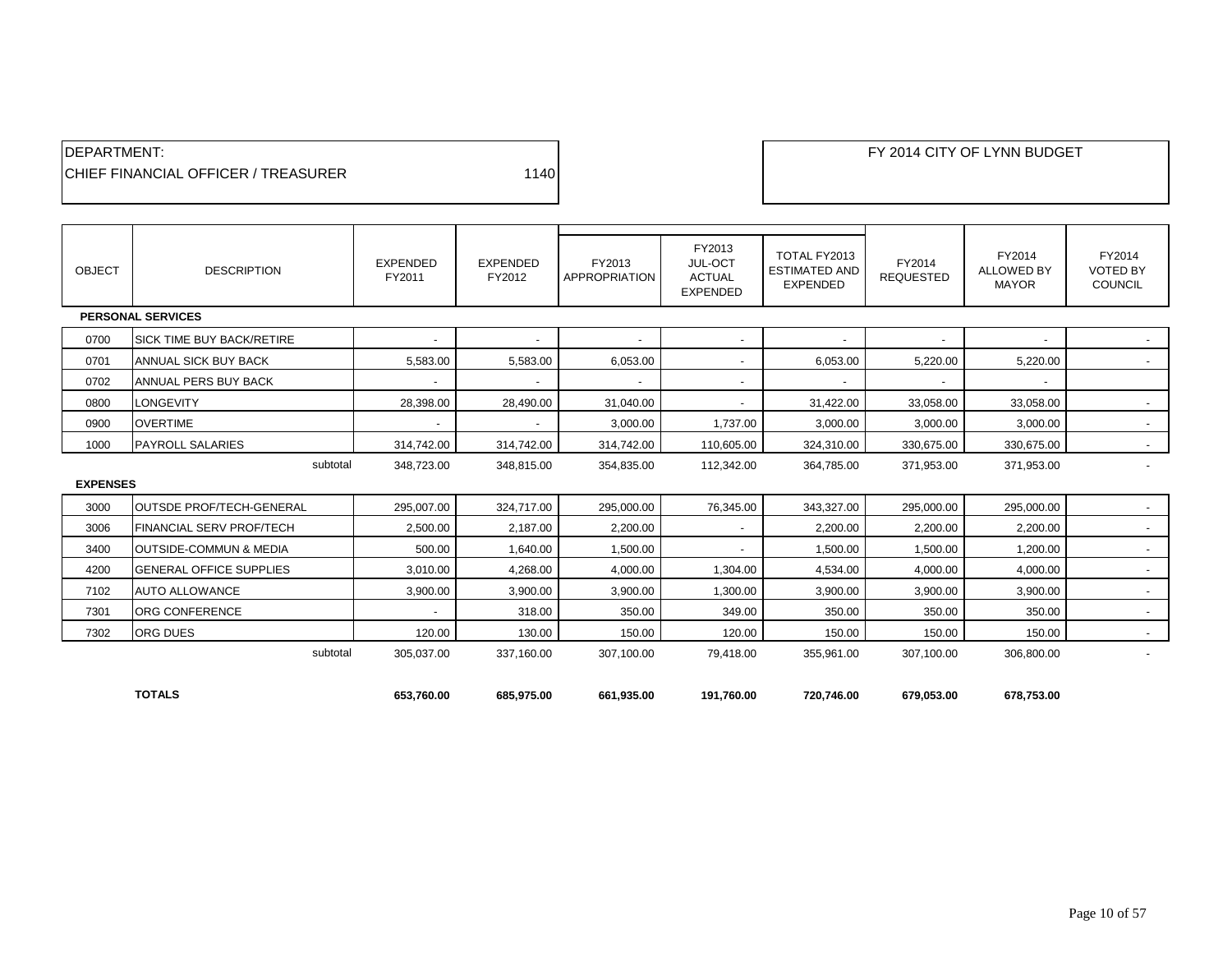| <b>IDEPARTMENT:</b>                         |      |
|---------------------------------------------|------|
| <b>ICHIEF FINANCIAL OFFICER / TREASURER</b> | 1140 |

| <b>OBJECT</b>   | <b>DESCRIPTION</b>                | <b>EXPENDED</b><br>FY2011 | <b>EXPENDED</b><br>FY2012 | FY2013<br>APPROPRIATION  | FY2013<br>JUL-OCT<br><b>ACTUAL</b><br><b>EXPENDED</b> | TOTAL FY2013<br><b>ESTIMATED AND</b><br><b>EXPENDED</b> | FY2014<br><b>REQUESTED</b> | FY2014<br><b>ALLOWED BY</b><br><b>MAYOR</b> | FY2014<br><b>VOTED BY</b><br><b>COUNCIL</b> |
|-----------------|-----------------------------------|---------------------------|---------------------------|--------------------------|-------------------------------------------------------|---------------------------------------------------------|----------------------------|---------------------------------------------|---------------------------------------------|
|                 | <b>PERSONAL SERVICES</b>          |                           |                           |                          |                                                       |                                                         |                            |                                             |                                             |
| 0700            | <b>SICK TIME BUY BACK/RETIRE</b>  | $\overline{\phantom{a}}$  | $\blacksquare$            | $\sim$                   | $\sim$                                                | $\overline{\phantom{a}}$                                | $\overline{\phantom{a}}$   | $\overline{\phantom{a}}$                    | $\sim$                                      |
| 0701            | ANNUAL SICK BUY BACK              | 5,583.00                  | 5,583.00                  | 6,053.00                 | $\sim$                                                | 6,053.00                                                | 5,220.00                   | 5,220.00                                    |                                             |
| 0702            | <b>ANNUAL PERS BUY BACK</b>       |                           |                           | $\overline{\phantom{a}}$ | $\sim$                                                |                                                         |                            |                                             |                                             |
| 0800            | <b>LONGEVITY</b>                  | 28,398.00                 | 28,490.00                 | 31,040.00                | $\sim$                                                | 31,422.00                                               | 33,058.00                  | 33,058.00                                   | $\overline{\phantom{a}}$                    |
| 0900            | <b>OVERTIME</b>                   |                           | $\overline{\phantom{a}}$  | 3,000.00                 | 1,737.00                                              | 3,000.00                                                | 3,000.00                   | 3,000.00                                    | $\sim$                                      |
| 1000            | <b>PAYROLL SALARIES</b>           | 314,742.00                | 314,742.00                | 314,742.00               | 110,605.00                                            | 324,310.00                                              | 330,675.00                 | 330,675.00                                  | $\sim$                                      |
|                 | subtotal                          | 348,723.00                | 348,815.00                | 354,835.00               | 112,342.00                                            | 364,785.00                                              | 371,953.00                 | 371,953.00                                  |                                             |
| <b>EXPENSES</b> |                                   |                           |                           |                          |                                                       |                                                         |                            |                                             |                                             |
| 3000            | <b>OUTSDE PROF/TECH-GENERAL</b>   | 295,007.00                | 324,717.00                | 295,000.00               | 76,345.00                                             | 343,327.00                                              | 295,000.00                 | 295,000.00                                  | $\sim$                                      |
| 3006            | <b>FINANCIAL SERV PROF/TECH</b>   | 2.500.00                  | 2,187.00                  | 2.200.00                 | $\sim$                                                | 2,200.00                                                | 2,200.00                   | 2.200.00                                    | $\sim$                                      |
| 3400            | <b>OUTSIDE-COMMUN &amp; MEDIA</b> | 500.00                    | 1,640.00                  | 1,500.00                 |                                                       | 1,500.00                                                | 1,500.00                   | 1,200.00                                    | $\overline{\phantom{a}}$                    |
| 4200            | <b>GENERAL OFFICE SUPPLIES</b>    | 3,010.00                  | 4,268.00                  | 4,000.00                 | 1,304.00                                              | 4,534.00                                                | 4,000.00                   | 4,000.00                                    | $\overline{\phantom{a}}$                    |
| 7102            | <b>AUTO ALLOWANCE</b>             | 3,900.00                  | 3,900.00                  | 3,900.00                 | 1,300.00                                              | 3,900.00                                                | 3,900.00                   | 3,900.00                                    | $\sim$                                      |
| 7301            | <b>ORG CONFERENCE</b>             |                           | 318.00                    | 350.00                   | 349.00                                                | 350.00                                                  | 350.00                     | 350.00                                      | $\sim$                                      |
| 7302            | <b>ORG DUES</b>                   | 120.00                    | 130.00                    | 150.00                   | 120.00                                                | 150.00                                                  | 150.00                     | 150.00                                      | $\sim$                                      |
|                 | subtotal                          | 305,037.00                | 337,160.00                | 307,100.00               | 79,418.00                                             | 355,961.00                                              | 307,100.00                 | 306,800.00                                  |                                             |
|                 |                                   |                           |                           |                          |                                                       |                                                         |                            |                                             |                                             |
|                 | <b>TOTALS</b>                     | 653.760.00                | 685.975.00                | 661.935.00               | 191.760.00                                            | 720,746.00                                              | 679.053.00                 | 678.753.00                                  |                                             |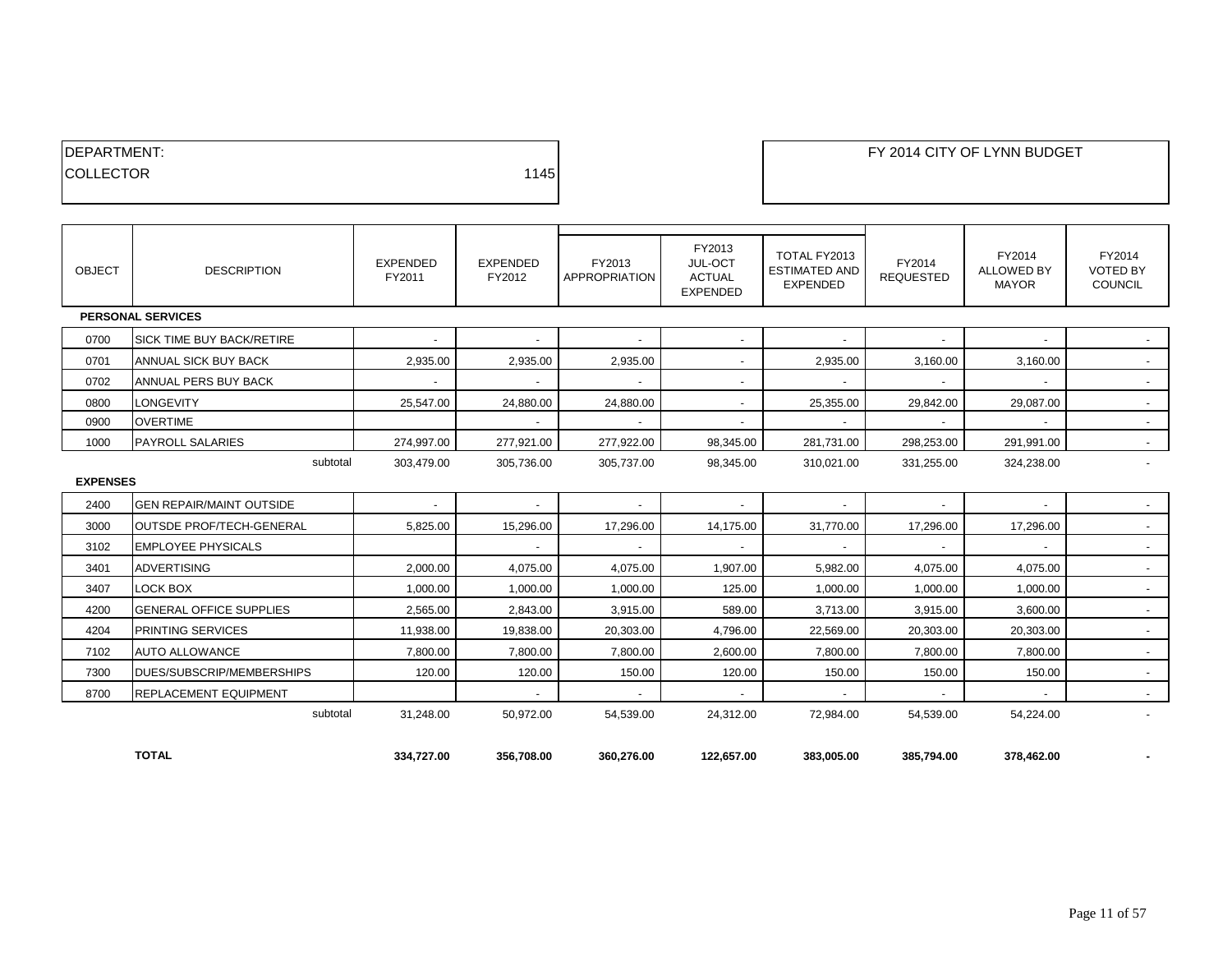| <b>IDEPARTMENT:</b> |      |
|---------------------|------|
| <b>COLLECTOR</b>    | 1145 |
|                     |      |

**DEPARTMENT: FY 2014 CITY OF LYNN BUDGET** 

| <b>OBJECT</b>   | <b>DESCRIPTION</b>               | EXPENDED<br>FY2011 | <b>EXPENDED</b><br>FY2012 | FY2013<br>APPROPRIATION  | FY2013<br>JUL-OCT<br><b>ACTUAL</b><br><b>EXPENDED</b> | TOTAL FY2013<br><b>ESTIMATED AND</b><br><b>EXPENDED</b> | FY2014<br><b>REQUESTED</b> | FY2014<br><b>ALLOWED BY</b><br><b>MAYOR</b> | FY2014<br><b>VOTED BY</b><br><b>COUNCIL</b> |
|-----------------|----------------------------------|--------------------|---------------------------|--------------------------|-------------------------------------------------------|---------------------------------------------------------|----------------------------|---------------------------------------------|---------------------------------------------|
|                 | <b>PERSONAL SERVICES</b>         |                    |                           |                          |                                                       |                                                         |                            |                                             |                                             |
| 0700            | <b>SICK TIME BUY BACK/RETIRE</b> |                    | $\sim$                    | $\sim$                   | $\overline{\phantom{a}}$                              | $\sim$                                                  |                            | $\overline{\phantom{a}}$                    |                                             |
| 0701            | ANNUAL SICK BUY BACK             | 2,935.00           | 2,935.00                  | 2,935.00                 | $\sim$                                                | 2,935.00                                                | 3,160.00                   | 3,160.00                                    | $\sim$                                      |
| 0702            | ANNUAL PERS BUY BACK             |                    |                           |                          | $\overline{\phantom{a}}$                              |                                                         |                            |                                             | $\sim$                                      |
| 0800            | <b>LONGEVITY</b>                 | 25,547.00          | 24,880.00                 | 24,880.00                | $\sim$                                                | 25,355.00                                               | 29,842.00                  | 29,087.00                                   | $\sim$                                      |
| 0900            | <b>OVERTIME</b>                  |                    | $\sim$                    | $\sim$                   | $\sim$                                                | $\overline{a}$                                          |                            |                                             | $\sim$                                      |
| 1000            | <b>PAYROLL SALARIES</b>          | 274,997.00         | 277,921.00                | 277,922.00               | 98,345.00                                             | 281,731.00                                              | 298,253.00                 | 291,991.00                                  | $\sim$                                      |
|                 | subtotal                         | 303,479.00         | 305,736.00                | 305,737.00               | 98,345.00                                             | 310,021.00                                              | 331,255.00                 | 324,238.00                                  | $\overline{\phantom{a}}$                    |
| <b>EXPENSES</b> |                                  |                    |                           |                          |                                                       |                                                         |                            |                                             |                                             |
| 2400            | <b>GEN REPAIR/MAINT OUTSIDE</b>  |                    |                           | $\overline{\phantom{a}}$ | $\overline{\phantom{a}}$                              |                                                         |                            |                                             | $\sim$                                      |
| 3000            | <b>OUTSDE PROF/TECH-GENERAL</b>  | 5,825.00           | 15,296.00                 | 17,296.00                | 14,175.00                                             | 31,770.00                                               | 17,296.00                  | 17,296.00                                   | $\sim$                                      |
| 3102            | <b>EMPLOYEE PHYSICALS</b>        |                    |                           | $\overline{\phantom{a}}$ | $\overline{\phantom{a}}$                              |                                                         |                            |                                             | $\sim$                                      |
| 3401            | <b>ADVERTISING</b>               | 2,000.00           | 4,075.00                  | 4,075.00                 | 1,907.00                                              | 5,982.00                                                | 4,075.00                   | 4,075.00                                    | $\sim$                                      |
| 3407            | LOCK BOX                         | 1,000.00           | 1,000.00                  | 1,000.00                 | 125.00                                                | 1,000.00                                                | 1,000.00                   | 1,000.00                                    | $\sim$                                      |
| 4200            | <b>GENERAL OFFICE SUPPLIES</b>   | 2,565.00           | 2,843.00                  | 3,915.00                 | 589.00                                                | 3,713.00                                                | 3,915.00                   | 3,600.00                                    | $\sim$                                      |
| 4204            | <b>PRINTING SERVICES</b>         | 11,938.00          | 19,838.00                 | 20,303.00                | 4,796.00                                              | 22,569.00                                               | 20,303.00                  | 20,303.00                                   | $\sim$                                      |
| 7102            | <b>AUTO ALLOWANCE</b>            | 7.800.00           | 7.800.00                  | 7.800.00                 | 2,600.00                                              | 7,800.00                                                | 7,800.00                   | 7,800.00                                    | $\sim$                                      |
| 7300            | DUES/SUBSCRIP/MEMBERSHIPS        | 120.00             | 120.00                    | 150.00                   | 120.00                                                | 150.00                                                  | 150.00                     | 150.00                                      | $\sim$                                      |
| 8700            | <b>REPLACEMENT EQUIPMENT</b>     |                    |                           | $\blacksquare$           |                                                       |                                                         |                            |                                             | $\sim$                                      |
|                 | subtotal                         | 31,248.00          | 50,972.00                 | 54,539.00                | 24,312.00                                             | 72,984.00                                               | 54,539.00                  | 54,224.00                                   | $\overline{\phantom{a}}$                    |
|                 |                                  |                    |                           |                          |                                                       |                                                         |                            |                                             |                                             |
|                 | <b>TOTAL</b>                     | 334.727.00         | 356.708.00                | 360.276.00               | 122,657.00                                            | 383.005.00                                              | 385.794.00                 | 378.462.00                                  |                                             |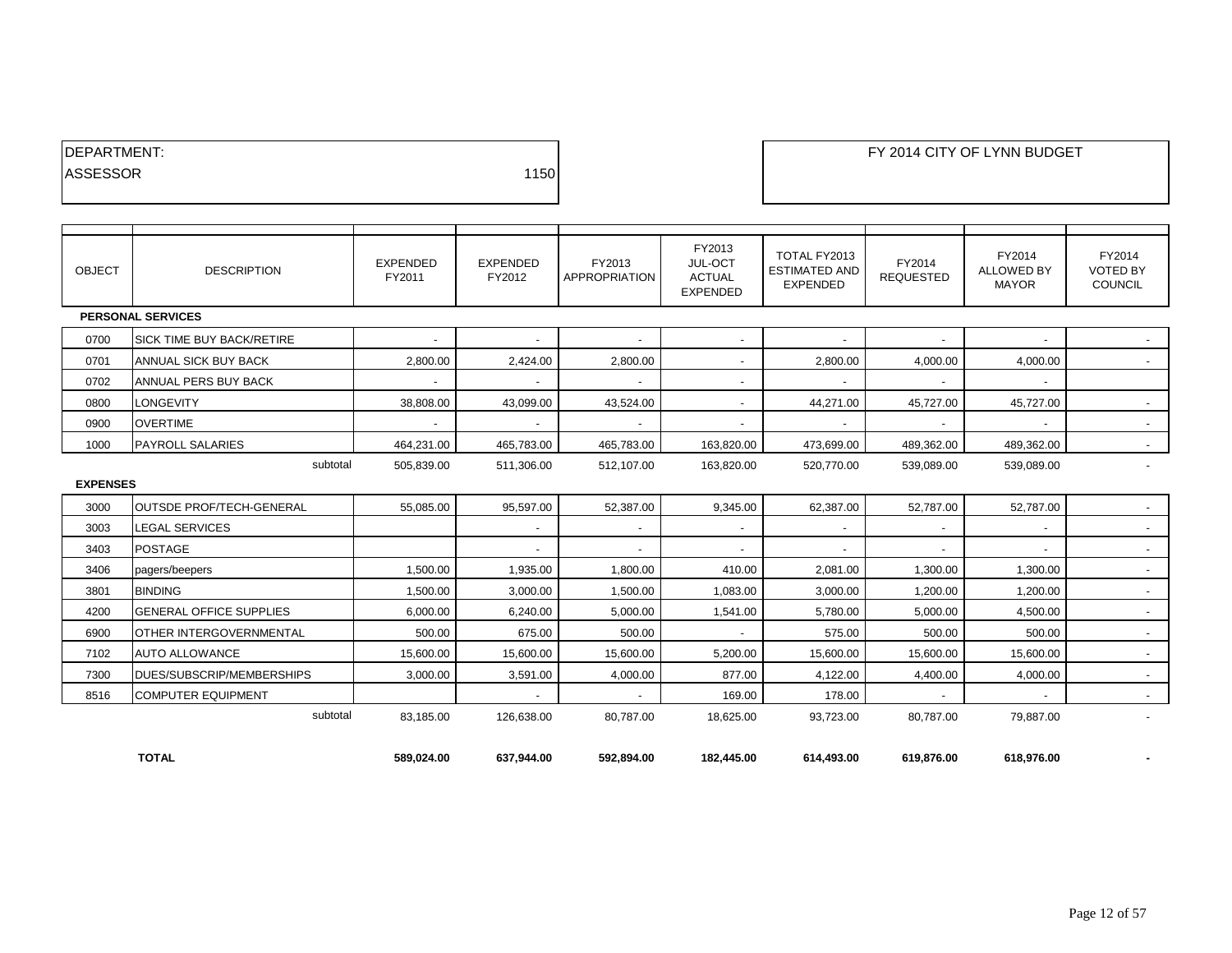| <b>IDEPARTMENT:</b> |      |
|---------------------|------|
| <b>ASSESSOR</b>     | 1150 |
|                     |      |

# EXAMPLE THE REPORT OF LYNN BUDGET

| <b>OBJECT</b>   | <b>DESCRIPTION</b>               | <b>EXPENDED</b><br>FY2011 | <b>EXPENDED</b><br>FY2012 | FY2013<br><b>APPROPRIATION</b> | FY2013<br>JUL-OCT<br><b>ACTUAL</b><br><b>EXPENDED</b> | TOTAL FY2013<br><b>ESTIMATED AND</b><br><b>EXPENDED</b> | FY2014<br><b>REQUESTED</b> | FY2014<br><b>ALLOWED BY</b><br><b>MAYOR</b> | FY2014<br><b>VOTED BY</b><br>COUNCIL |
|-----------------|----------------------------------|---------------------------|---------------------------|--------------------------------|-------------------------------------------------------|---------------------------------------------------------|----------------------------|---------------------------------------------|--------------------------------------|
|                 | <b>PERSONAL SERVICES</b>         |                           |                           |                                |                                                       |                                                         |                            |                                             |                                      |
| 0700            | <b>SICK TIME BUY BACK/RETIRE</b> | $\sim$                    | $\sim$                    | $\sim$                         | $\sim$                                                | $\sim$                                                  | $\overline{\phantom{a}}$   | $\overline{\phantom{a}}$                    |                                      |
| 0701            | ANNUAL SICK BUY BACK             | 2,800.00                  | 2,424.00                  | 2,800.00                       | $\sim$                                                | 2,800.00                                                | 4,000.00                   | 4,000.00                                    | $\sim$                               |
| 0702            | ANNUAL PERS BUY BACK             | $\sim$                    | $\sim$                    | $\overline{\phantom{a}}$       | $\overline{\phantom{a}}$                              |                                                         | $\sim$                     | $\overline{\phantom{a}}$                    |                                      |
| 0800            | <b>LONGEVITY</b>                 | 38,808.00                 | 43,099.00                 | 43,524.00                      | $\overline{\phantom{0}}$                              | 44,271.00                                               | 45,727.00                  | 45,727.00                                   |                                      |
| 0900            | <b>OVERTIME</b>                  |                           | $\sim$                    |                                | $\overline{\phantom{0}}$                              |                                                         |                            | $\overline{\phantom{a}}$                    | $\sim$                               |
| 1000            | <b>PAYROLL SALARIES</b>          | 464,231.00                | 465,783.00                | 465,783.00                     | 163,820.00                                            | 473,699.00                                              | 489,362.00                 | 489,362.00                                  | $\sim$                               |
|                 | subtotal                         | 505,839.00                | 511,306.00                | 512,107.00                     | 163,820.00                                            | 520,770.00                                              | 539,089.00                 | 539,089.00                                  | $\sim$                               |
| <b>EXPENSES</b> |                                  |                           |                           |                                |                                                       |                                                         |                            |                                             |                                      |
| 3000            | <b>OUTSDE PROF/TECH-GENERAL</b>  | 55.085.00                 | 95,597.00                 | 52,387.00                      | 9,345.00                                              | 62,387.00                                               | 52,787.00                  | 52,787.00                                   | $\sim$                               |
| 3003            | <b>LEGAL SERVICES</b>            |                           | $\sim$                    | $\overline{\phantom{a}}$       | $\sim$                                                | $\overline{\phantom{a}}$                                | $\overline{\phantom{a}}$   | $\overline{\phantom{a}}$                    | $\overline{\phantom{a}}$             |
| 3403            | <b>POSTAGE</b>                   |                           | $\sim$                    | $\overline{\phantom{a}}$       | $\sim$                                                |                                                         | $\overline{\phantom{a}}$   | $\overline{\phantom{a}}$                    | $\sim$                               |
| 3406            | pagers/beepers                   | 1,500.00                  | 1,935.00                  | 1,800.00                       | 410.00                                                | 2,081.00                                                | 1,300.00                   | 1,300.00                                    | $\sim$                               |
| 3801            | <b>BINDING</b>                   | 1,500.00                  | 3,000.00                  | 1,500.00                       | 1,083.00                                              | 3,000.00                                                | 1,200.00                   | 1.200.00                                    | $\overline{\phantom{a}}$             |
| 4200            | <b>GENERAL OFFICE SUPPLIES</b>   | 6,000.00                  | 6,240.00                  | 5,000.00                       | 1,541.00                                              | 5,780.00                                                | 5,000.00                   | 4,500.00                                    | $\sim$                               |
| 6900            | <b>OTHER INTERGOVERNMENTAL</b>   | 500.00                    | 675.00                    | 500.00                         | $\sim$                                                | 575.00                                                  | 500.00                     | 500.00                                      | $\sim$                               |
| 7102            | AUTO ALLOWANCE                   | 15,600.00                 | 15,600.00                 | 15,600.00                      | 5,200.00                                              | 15,600.00                                               | 15,600.00                  | 15,600.00                                   | $\sim$                               |
| 7300            | DUES/SUBSCRIP/MEMBERSHIPS        | 3,000.00                  | 3,591.00                  | 4,000.00                       | 877.00                                                | 4,122.00                                                | 4,400.00                   | 4,000.00                                    | $\sim$                               |
| 8516            | <b>COMPUTER EQUIPMENT</b>        |                           |                           |                                | 169.00                                                | 178.00                                                  |                            |                                             | $\sim$                               |
|                 | subtotal                         | 83,185.00                 | 126,638.00                | 80,787.00                      | 18,625.00                                             | 93,723.00                                               | 80,787.00                  | 79,887.00                                   |                                      |
|                 |                                  |                           |                           |                                |                                                       |                                                         |                            |                                             |                                      |
|                 | <b>TOTAL</b>                     | 589.024.00                | 637,944.00                | 592,894.00                     | 182,445.00                                            | 614,493.00                                              | 619.876.00                 | 618.976.00                                  |                                      |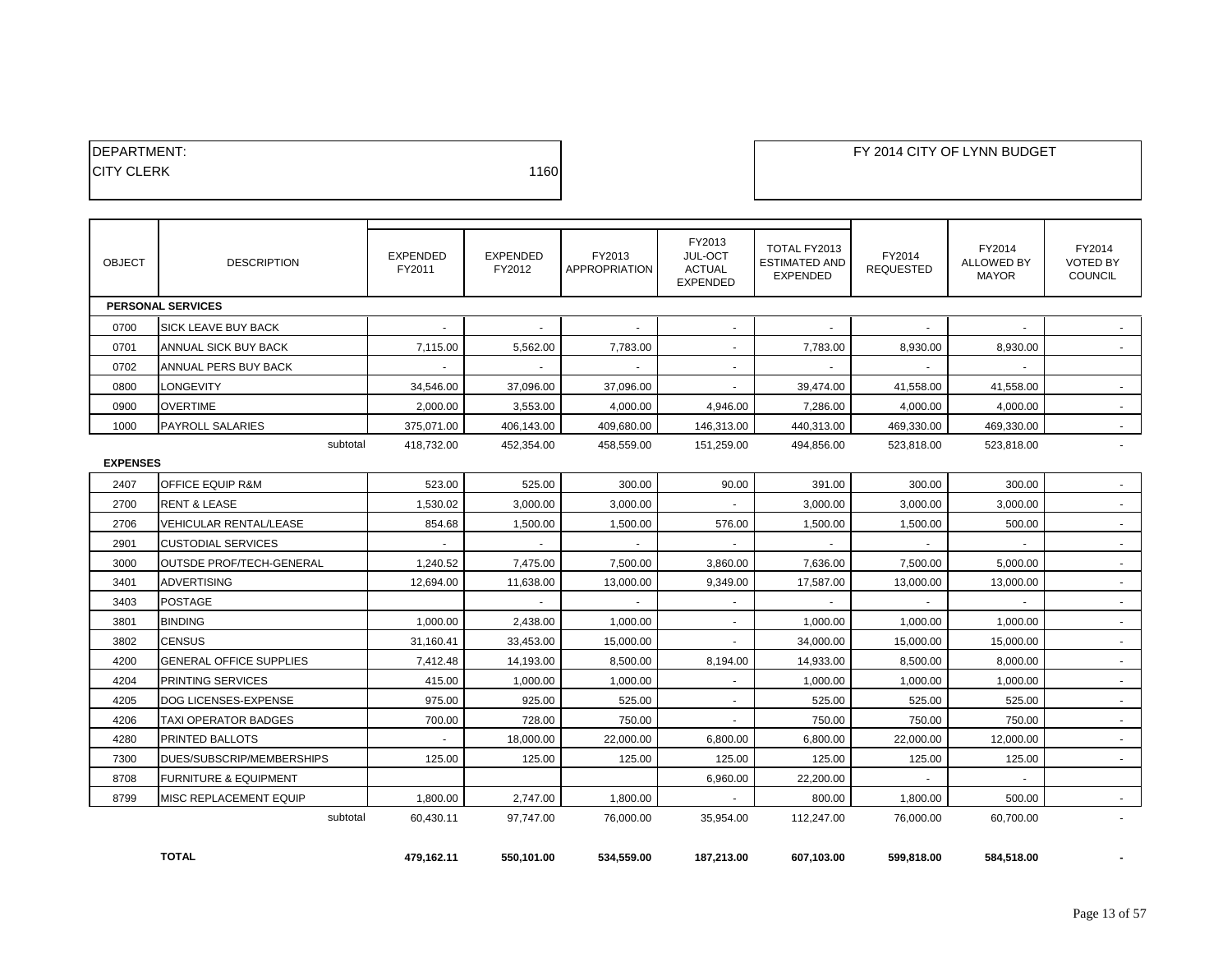| <b>IDEPARTMENT:</b> |      |
|---------------------|------|
| <b>ICITY CLERK</b>  | 1160 |
|                     |      |

| <b>OBJECT</b>   | <b>DESCRIPTION</b>               | <b>EXPENDED</b><br>FY2011 | <b>EXPENDED</b><br>FY2012 | FY2013<br>APPROPRIATION | FY2013<br>JUL-OCT<br><b>ACTUAL</b><br><b>EXPENDED</b> | TOTAL FY2013<br><b>ESTIMATED AND</b><br><b>EXPENDED</b> | FY2014<br><b>REQUESTED</b> | FY2014<br><b>ALLOWED BY</b><br><b>MAYOR</b> | FY2014<br><b>VOTED BY</b><br>COUNCIL |
|-----------------|----------------------------------|---------------------------|---------------------------|-------------------------|-------------------------------------------------------|---------------------------------------------------------|----------------------------|---------------------------------------------|--------------------------------------|
|                 | <b>PERSONAL SERVICES</b>         |                           |                           |                         |                                                       |                                                         |                            |                                             |                                      |
| 0700            | SICK LEAVE BUY BACK              | $\blacksquare$            | $\sim$                    | $\sim$                  | $\sim$                                                | $\sim$                                                  |                            |                                             |                                      |
| 0701            | ANNUAL SICK BUY BACK             | 7,115.00                  | 5,562.00                  | 7,783.00                | $\sim$                                                | 7,783.00                                                | 8,930.00                   | 8,930.00                                    |                                      |
| 0702            | ANNUAL PERS BUY BACK             |                           |                           |                         |                                                       |                                                         |                            |                                             |                                      |
| 0800            | LONGEVITY                        | 34,546.00                 | 37,096.00                 | 37,096.00               | $\sim$                                                | 39,474.00                                               | 41,558.00                  | 41,558.00                                   | $\sim$                               |
| 0900            | <b>OVERTIME</b>                  | 2,000.00                  | 3,553.00                  | 4,000.00                | 4,946.00                                              | 7,286.00                                                | 4,000.00                   | 4,000.00                                    |                                      |
| 1000            | <b>PAYROLL SALARIES</b>          | 375,071.00                | 406,143.00                | 409,680.00              | 146,313.00                                            | 440,313.00                                              | 469,330.00                 | 469,330.00                                  | ÷.                                   |
|                 | subtotal                         | 418,732.00                | 452,354.00                | 458,559.00              | 151,259.00                                            | 494,856.00                                              | 523,818.00                 | 523,818.00                                  | ÷.                                   |
| <b>EXPENSES</b> |                                  |                           |                           |                         |                                                       |                                                         |                            |                                             |                                      |
| 2407            | <b>OFFICE EQUIP R&amp;M</b>      | 523.00                    | 525.00                    | 300.00                  | 90.00                                                 | 391.00                                                  | 300.00                     | 300.00                                      |                                      |
| 2700            | <b>RENT &amp; LEASE</b>          | 1,530.02                  | 3,000.00                  | 3,000.00                |                                                       | 3,000.00                                                | 3,000.00                   | 3,000.00                                    |                                      |
| 2706            | <b>VEHICULAR RENTAL/LEASE</b>    | 854.68                    | 1,500.00                  | 1,500.00                | 576.00                                                | 1,500.00                                                | 1,500.00                   | 500.00                                      | $\sim$                               |
| 2901            | <b>CUSTODIAL SERVICES</b>        |                           |                           |                         |                                                       |                                                         |                            |                                             |                                      |
| 3000            | OUTSDE PROF/TECH-GENERAL         | 1,240.52                  | 7,475.00                  | 7,500.00                | 3,860.00                                              | 7,636.00                                                | 7,500.00                   | 5,000.00                                    | $\sim$                               |
| 3401            | ADVERTISING                      | 12,694.00                 | 11,638.00                 | 13,000.00               | 9,349.00                                              | 17,587.00                                               | 13,000.00                  | 13,000.00                                   | $\blacksquare$                       |
| 3403            | <b>POSTAGE</b>                   |                           | $\sim$                    | $\sim$                  | $\sim$                                                | $\sim$                                                  | $\mathbf{r}$               | $\sim$                                      | $\sim$                               |
| 3801            | <b>BINDING</b>                   | 1,000.00                  | 2,438.00                  | 1,000.00                |                                                       | 1,000.00                                                | 1,000.00                   | 1,000.00                                    |                                      |
| 3802            | <b>CENSUS</b>                    | 31,160.41                 | 33,453.00                 | 15,000.00               |                                                       | 34,000.00                                               | 15,000.00                  | 15,000.00                                   |                                      |
| 4200            | <b>GENERAL OFFICE SUPPLIES</b>   | 7,412.48                  | 14,193.00                 | 8,500.00                | 8,194.00                                              | 14,933.00                                               | 8,500.00                   | 8,000.00                                    | $\sim$                               |
| 4204            | PRINTING SERVICES                | 415.00                    | 1,000.00                  | 1,000.00                | $\sim$                                                | 1,000.00                                                | 1,000.00                   | 1,000.00                                    | ÷.                                   |
| 4205            | DOG LICENSES-EXPENSE             | 975.00                    | 925.00                    | 525.00                  | $\sim$                                                | 525.00                                                  | 525.00                     | 525.00                                      | $\sim$                               |
| 4206            | TAXI OPERATOR BADGES             | 700.00                    | 728.00                    | 750.00                  | $\sim$                                                | 750.00                                                  | 750.00                     | 750.00                                      | $\sim$                               |
| 4280            | <b>PRINTED BALLOTS</b>           | $\overline{\phantom{a}}$  | 18,000.00                 | 22,000.00               | 6,800.00                                              | 6,800.00                                                | 22,000.00                  | 12,000.00                                   | $\sim$                               |
| 7300            | DUES/SUBSCRIP/MEMBERSHIPS        | 125.00                    | 125.00                    | 125.00                  | 125.00                                                | 125.00                                                  | 125.00                     | 125.00                                      |                                      |
| 8708            | <b>FURNITURE &amp; EQUIPMENT</b> |                           |                           |                         | 6,960.00                                              | 22.200.00                                               |                            |                                             |                                      |
| 8799            | MISC REPLACEMENT EQUIP           | 1,800.00                  | 2,747.00                  | 1,800.00                |                                                       | 800.00                                                  | 1,800.00                   | 500.00                                      |                                      |
|                 | subtotal                         | 60,430.11                 | 97,747.00                 | 76,000.00               | 35,954.00                                             | 112,247.00                                              | 76,000.00                  | 60,700.00                                   |                                      |
|                 |                                  |                           |                           |                         |                                                       |                                                         |                            |                                             |                                      |
|                 | <b>TOTAL</b>                     | 479,162.11                | 550,101.00                | 534,559.00              | 187,213.00                                            | 607,103.00                                              | 599,818.00                 | 584,518.00                                  |                                      |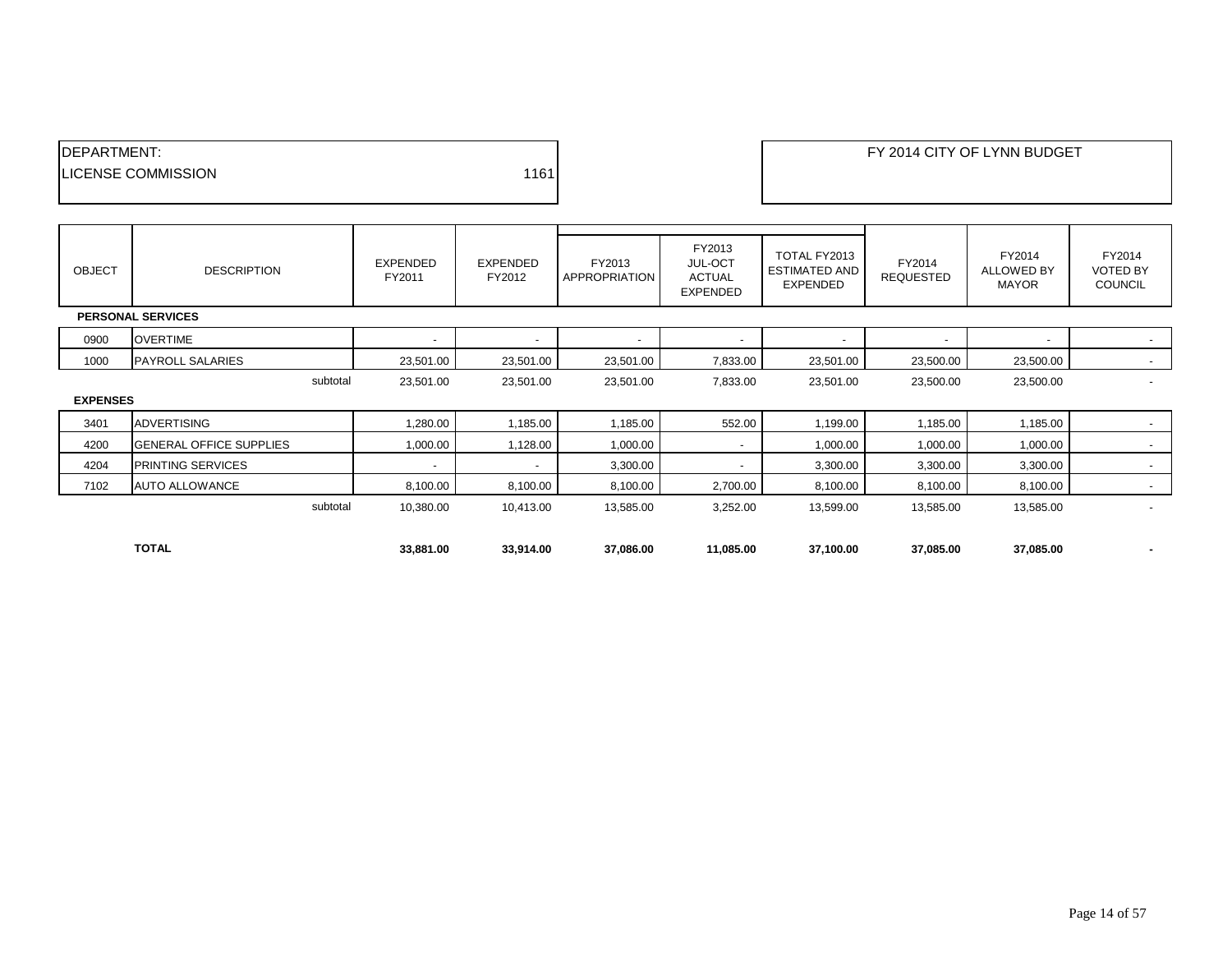| <b>IDEPARTMENT:</b>        |      |
|----------------------------|------|
| <b>ILICENSE COMMISSION</b> | 1161 |
|                            |      |

| <b>OBJECT</b>   | <b>DESCRIPTION</b>             | <b>EXPENDED</b><br>FY2011 | <b>EXPENDED</b><br>FY2012 | FY2013<br>APPROPRIATION  | FY2013<br><b>JUL-OCT</b><br><b>ACTUAL</b><br><b>EXPENDED</b> | TOTAL FY2013<br><b>ESTIMATED AND</b><br>EXPENDED | FY2014<br><b>REQUESTED</b> | FY2014<br><b>ALLOWED BY</b><br><b>MAYOR</b> | FY2014<br><b>VOTED BY</b><br><b>COUNCIL</b> |
|-----------------|--------------------------------|---------------------------|---------------------------|--------------------------|--------------------------------------------------------------|--------------------------------------------------|----------------------------|---------------------------------------------|---------------------------------------------|
|                 | <b>PERSONAL SERVICES</b>       |                           |                           |                          |                                                              |                                                  |                            |                                             |                                             |
| 0900            | <b>OVERTIME</b>                | $\overline{\phantom{a}}$  | $\overline{\phantom{a}}$  | $\overline{\phantom{a}}$ | $\overline{\phantom{a}}$                                     | $\overline{\phantom{a}}$                         |                            | $\overline{\phantom{a}}$                    |                                             |
| 1000            | <b>PAYROLL SALARIES</b>        | 23,501.00                 | 23,501.00                 | 23,501.00                | 7,833.00                                                     | 23,501.00                                        | 23,500.00                  | 23,500.00                                   | $\sim$                                      |
|                 | subtotal                       | 23,501.00                 | 23,501.00                 | 23,501.00                | 7,833.00                                                     | 23,501.00                                        | 23,500.00                  | 23,500.00                                   |                                             |
| <b>EXPENSES</b> |                                |                           |                           |                          |                                                              |                                                  |                            |                                             |                                             |
| 3401            | <b>ADVERTISING</b>             | 1,280.00                  | 1,185.00                  | 1,185.00                 | 552.00                                                       | 1,199.00                                         | 1,185.00                   | 1,185.00                                    |                                             |
| 4200            | <b>GENERAL OFFICE SUPPLIES</b> | 1,000.00                  | 1,128.00                  | 1,000.00                 | $\sim$                                                       | 1,000.00                                         | 1,000.00                   | 1,000.00                                    |                                             |
| 4204            | PRINTING SERVICES              | $\overline{\phantom{a}}$  | $\overline{\phantom{a}}$  | 3,300.00                 | $\overline{\phantom{a}}$                                     | 3,300.00                                         | 3,300.00                   | 3,300.00                                    |                                             |
| 7102            | <b>AUTO ALLOWANCE</b>          | 8,100.00                  | 8,100.00                  | 8,100.00                 | 2,700.00                                                     | 8,100.00                                         | 8,100.00                   | 8,100.00                                    | $\overline{\phantom{a}}$                    |
|                 | subtotal                       | 10,380.00                 | 10,413.00                 | 13,585.00                | 3,252.00                                                     | 13,599.00                                        | 13,585.00                  | 13,585.00                                   | $\overline{\phantom{a}}$                    |
|                 |                                |                           |                           |                          |                                                              |                                                  |                            |                                             |                                             |
|                 | <b>TOTAL</b>                   | 33,881.00                 | 33,914.00                 | 37,086.00                | 11,085.00                                                    | 37,100.00                                        | 37,085.00                  | 37,085.00                                   |                                             |

┑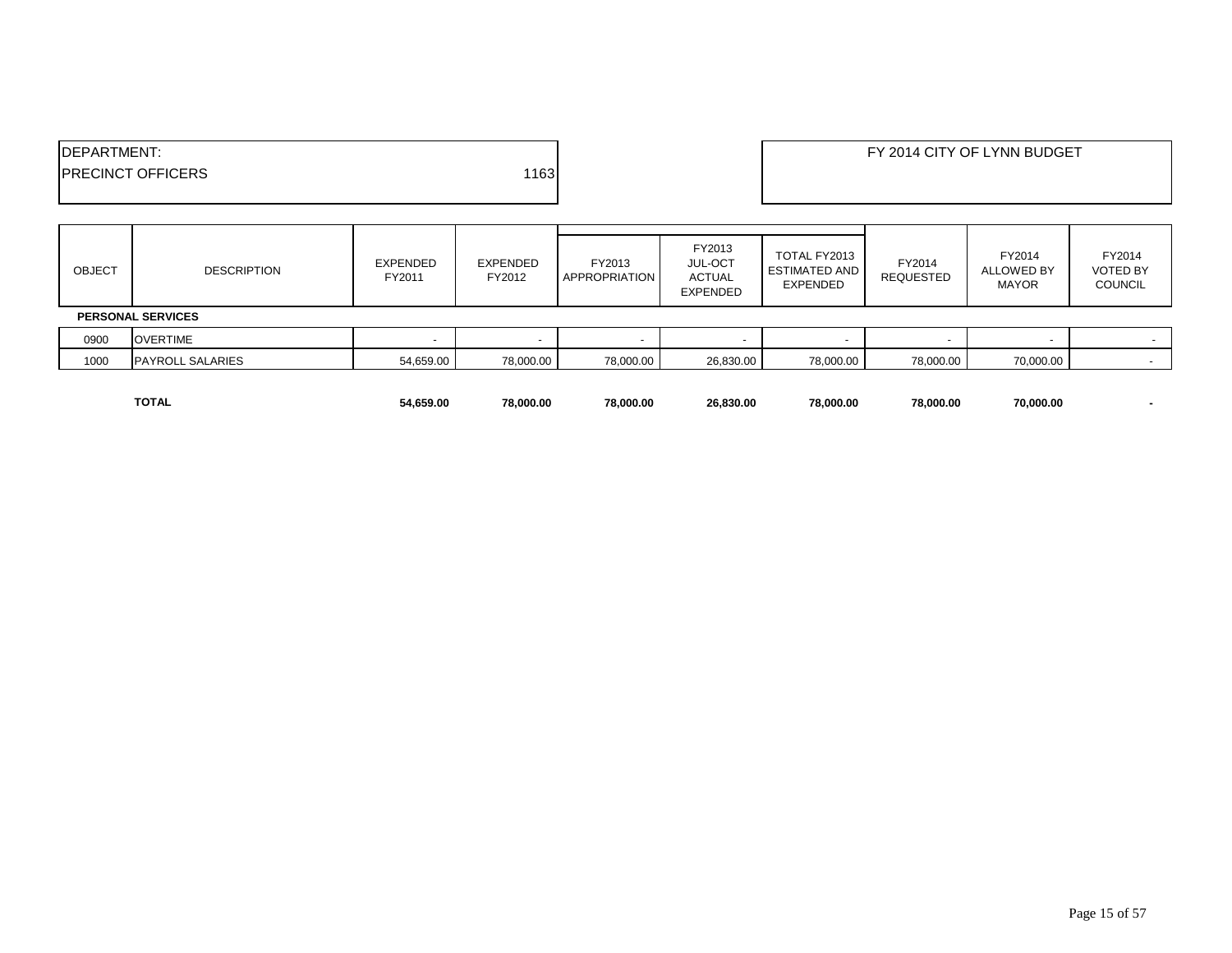| <b>IDEPARTMENT:</b>      |       | FY 2014 CITY OF LYNN BUDGET |
|--------------------------|-------|-----------------------------|
| <b>PRECINCT OFFICERS</b> | 11631 |                             |
|                          |       |                             |

| <b>OBJECT</b> | <b>DESCRIPTION</b>       | EXPENDED<br>FY2011 | EXPENDED<br>FY2012 | FY2013<br><b>APPROPRIATION</b> | FY2013<br><b>JUL-OCT</b><br>ACTUAL<br><b>EXPENDED</b> | TOTAL FY2013<br><b>ESTIMATED AND</b><br><b>EXPENDED</b> | FY2014<br>REQUESTED | FY2014<br>ALLOWED BY<br><b>MAYOR</b> | FY2014<br><b>VOTED BY</b><br><b>COUNCIL</b> |
|---------------|--------------------------|--------------------|--------------------|--------------------------------|-------------------------------------------------------|---------------------------------------------------------|---------------------|--------------------------------------|---------------------------------------------|
|               | <b>PERSONAL SERVICES</b> |                    |                    |                                |                                                       |                                                         |                     |                                      |                                             |
| 0900          | <b>OVERTIME</b>          |                    |                    |                                |                                                       |                                                         |                     |                                      |                                             |
| 1000          | <b>PAYROLL SALARIES</b>  | 54,659.00          | 78,000.00          | 78,000.00                      | 26,830.00                                             | 78,000.00                                               | 78,000.00           | 70,000.00                            |                                             |
|               |                          |                    |                    |                                |                                                       |                                                         |                     |                                      |                                             |

**TOTAL 54,659.00 78,000.00 78,000.00 26,830.00 78,000.00 78,000.00 70,000.00 -**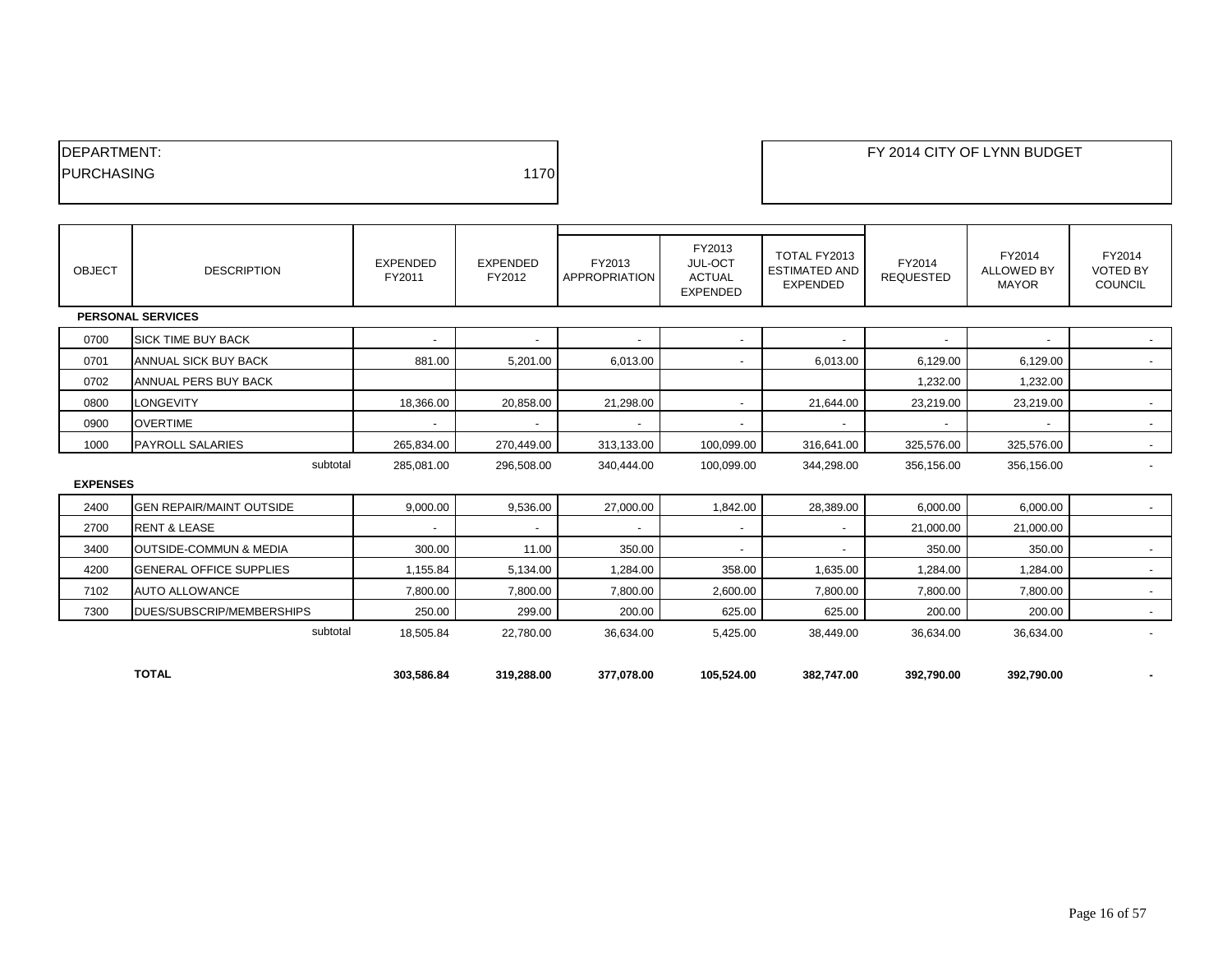| <b>IDEPARTMENT:</b> |      |
|---------------------|------|
| <b>IPURCHASING</b>  | 1170 |
|                     |      |

| OBJECT          | <b>DESCRIPTION</b>                | <b>EXPENDED</b><br>FY2011 | <b>EXPENDED</b><br>FY2012 | FY2013<br><b>APPROPRIATION</b> | FY2013<br>JUL-OCT<br><b>ACTUAL</b><br><b>EXPENDED</b> | TOTAL FY2013<br><b>ESTIMATED AND</b><br><b>EXPENDED</b> | FY2014<br><b>REQUESTED</b> | FY2014<br><b>ALLOWED BY</b><br><b>MAYOR</b> | FY2014<br><b>VOTED BY</b><br><b>COUNCIL</b> |
|-----------------|-----------------------------------|---------------------------|---------------------------|--------------------------------|-------------------------------------------------------|---------------------------------------------------------|----------------------------|---------------------------------------------|---------------------------------------------|
|                 | <b>PERSONAL SERVICES</b>          |                           |                           |                                |                                                       |                                                         |                            |                                             |                                             |
| 0700            | <b>SICK TIME BUY BACK</b>         | $\overline{\phantom{a}}$  |                           | $\overline{\phantom{a}}$       | $\overline{\phantom{a}}$                              |                                                         |                            | $\overline{\phantom{a}}$                    | $\sim$                                      |
| 0701            | ANNUAL SICK BUY BACK              | 881.00                    | 5,201.00                  | 6,013.00                       | $\overline{\phantom{a}}$                              | 6,013.00                                                | 6,129.00                   | 6,129.00                                    | $\sim$                                      |
| 0702            | ANNUAL PERS BUY BACK              |                           |                           |                                |                                                       |                                                         | 1,232.00                   | 1,232.00                                    |                                             |
| 0800            | LONGEVITY                         | 18,366.00                 | 20,858.00                 | 21,298.00                      | $\overline{\phantom{a}}$                              | 21,644.00                                               | 23,219.00                  | 23,219.00                                   | $\sim$                                      |
| 0900            | <b>OVERTIME</b>                   | $\overline{\phantom{a}}$  | $\overline{\phantom{a}}$  | $\sim$                         | $\overline{\phantom{a}}$                              |                                                         |                            | $\overline{\phantom{a}}$                    | $\sim$                                      |
| 1000            | <b>PAYROLL SALARIES</b>           | 265,834.00                | 270,449.00                | 313,133.00                     | 100,099.00                                            | 316,641.00                                              | 325,576.00                 | 325,576.00                                  | $\sim$                                      |
|                 | subtotal                          | 285,081.00                | 296,508.00                | 340,444.00                     | 100,099.00                                            | 344,298.00                                              | 356,156.00                 | 356,156.00                                  |                                             |
| <b>EXPENSES</b> |                                   |                           |                           |                                |                                                       |                                                         |                            |                                             |                                             |
| 2400            | <b>GEN REPAIR/MAINT OUTSIDE</b>   | 9,000.00                  | 9,536.00                  | 27,000.00                      | 1,842.00                                              | 28,389.00                                               | 6,000.00                   | 6,000.00                                    | $\sim$                                      |
| 2700            | <b>RENT &amp; LEASE</b>           | $\overline{\phantom{a}}$  | $\overline{\phantom{a}}$  | $\sim$                         | -                                                     |                                                         | 21,000.00                  | 21,000.00                                   |                                             |
| 3400            | <b>OUTSIDE-COMMUN &amp; MEDIA</b> | 300.00                    | 11.00                     | 350.00                         | $\overline{\phantom{a}}$                              |                                                         | 350.00                     | 350.00                                      | $\sim$                                      |
| 4200            | <b>GENERAL OFFICE SUPPLIES</b>    | 1,155.84                  | 5,134.00                  | 1,284.00                       | 358.00                                                | 1,635.00                                                | 1,284.00                   | 1,284.00                                    | $\sim$                                      |
| 7102            | <b>AUTO ALLOWANCE</b>             | 7,800.00                  | 7,800.00                  | 7,800.00                       | 2,600.00                                              | 7,800.00                                                | 7,800.00                   | 7,800.00                                    | $\sim$                                      |
| 7300            | DUES/SUBSCRIP/MEMBERSHIPS         | 250.00                    | 299.00                    | 200.00                         | 625.00                                                | 625.00                                                  | 200.00                     | 200.00                                      | $\sim$                                      |
|                 | subtotal                          | 18,505.84                 | 22.780.00                 | 36,634.00                      | 5,425.00                                              | 38,449.00                                               | 36,634.00                  | 36,634.00                                   |                                             |
|                 |                                   |                           |                           |                                |                                                       |                                                         |                            |                                             |                                             |
|                 | <b>TOTAL</b>                      | 303,586.84                | 319,288.00                | 377,078.00                     | 105,524.00                                            | 382,747.00                                              | 392,790.00                 | 392,790.00                                  |                                             |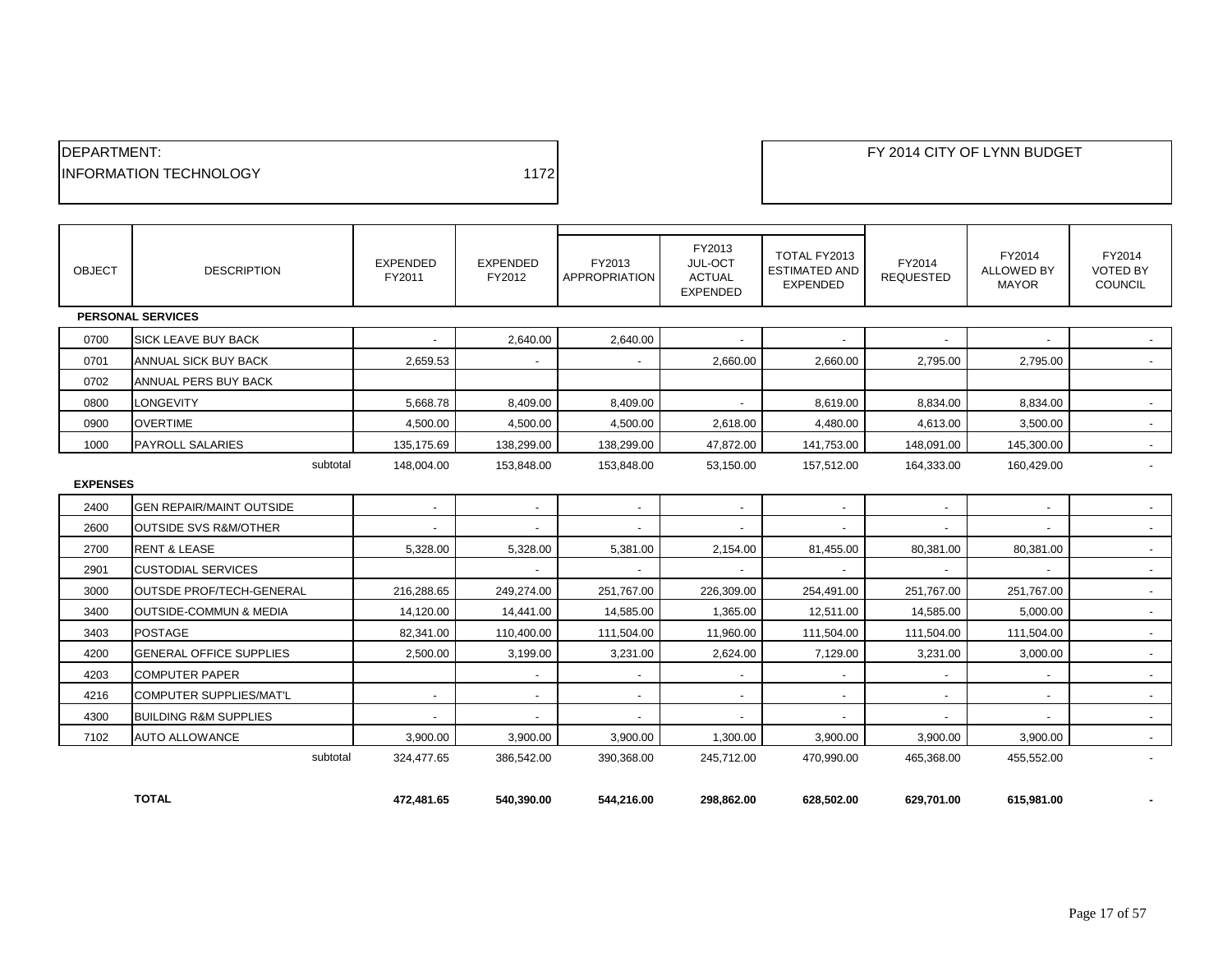| <b>IDEPARTMENT:</b>            |      |
|--------------------------------|------|
| <b>IINFORMATION TECHNOLOGY</b> | 1172 |
|                                |      |

| <b>OBJECT</b>   | <b>DESCRIPTION</b>                | <b>EXPENDED</b><br>FY2011 | <b>EXPENDED</b><br>FY2012 | FY2013<br><b>APPROPRIATION</b> | FY2013<br>JUL-OCT<br><b>ACTUAL</b><br><b>EXPENDED</b> | TOTAL FY2013<br><b>ESTIMATED AND</b><br><b>EXPENDED</b> | FY2014<br><b>REQUESTED</b> | FY2014<br><b>ALLOWED BY</b><br><b>MAYOR</b> | FY2014<br><b>VOTED BY</b><br>COUNCIL |
|-----------------|-----------------------------------|---------------------------|---------------------------|--------------------------------|-------------------------------------------------------|---------------------------------------------------------|----------------------------|---------------------------------------------|--------------------------------------|
|                 | <b>PERSONAL SERVICES</b>          |                           |                           |                                |                                                       |                                                         |                            |                                             |                                      |
| 0700            | <b>SICK LEAVE BUY BACK</b>        |                           | 2,640.00                  | 2,640.00                       |                                                       |                                                         |                            |                                             |                                      |
| 0701            | ANNUAL SICK BUY BACK              | 2,659.53                  |                           |                                | 2,660.00                                              | 2,660.00                                                | 2,795.00                   | 2,795.00                                    |                                      |
| 0702            | ANNUAL PERS BUY BACK              |                           |                           |                                |                                                       |                                                         |                            |                                             |                                      |
| 0800            | <b>LONGEVITY</b>                  | 5.668.78                  | 8,409.00                  | 8.409.00                       |                                                       | 8.619.00                                                | 8.834.00                   | 8.834.00                                    | $\blacksquare$                       |
| 0900            | <b>OVERTIME</b>                   | 4,500.00                  | 4,500.00                  | 4,500.00                       | 2,618.00                                              | 4,480.00                                                | 4,613.00                   | 3,500.00                                    | $\sim$                               |
| 1000            | <b>PAYROLL SALARIES</b>           | 135,175.69                | 138,299.00                | 138,299.00                     | 47,872.00                                             | 141,753.00                                              | 148,091.00                 | 145,300.00                                  | $\sim$                               |
| <b>EXPENSES</b> | subtotal                          | 148,004.00                | 153,848.00                | 153,848.00                     | 53,150.00                                             | 157,512.00                                              | 164,333.00                 | 160,429.00                                  |                                      |
| 2400            | <b>GEN REPAIR/MAINT OUTSIDE</b>   | $\sim$                    | $\sim$                    | $\sim$                         | $\sim$                                                | $\sim$                                                  | $\overline{\phantom{a}}$   | $\overline{\phantom{a}}$                    | $\sim$                               |
| 2600            | <b>OUTSIDE SVS R&amp;M/OTHER</b>  |                           |                           |                                |                                                       |                                                         |                            |                                             | $\blacksquare$                       |
| 2700            | <b>RENT &amp; LEASE</b>           | 5,328.00                  | 5,328.00                  | 5,381.00                       | 2,154.00                                              | 81,455.00                                               | 80,381.00                  | 80,381.00                                   | $\sim$                               |
| 2901            | <b>CUSTODIAL SERVICES</b>         |                           | $\overline{a}$            | $\sim$                         | $\overline{a}$                                        |                                                         | $\overline{a}$             |                                             | $\sim$                               |
| 3000            | OUTSDE PROF/TECH-GENERAL          | 216,288.65                | 249,274.00                | 251,767.00                     | 226,309.00                                            | 254,491.00                                              | 251,767.00                 | 251,767.00                                  | $\sim$                               |
| 3400            | <b>OUTSIDE-COMMUN &amp; MEDIA</b> | 14,120.00                 | 14,441.00                 | 14,585.00                      | 1,365.00                                              | 12,511.00                                               | 14,585.00                  | 5,000.00                                    | $\sim$                               |
| 3403            | <b>POSTAGE</b>                    | 82,341.00                 | 110,400.00                | 111,504.00                     | 11,960.00                                             | 111,504.00                                              | 111,504.00                 | 111,504.00                                  | $\sim$                               |
| 4200            | <b>GENERAL OFFICE SUPPLIES</b>    | 2,500.00                  | 3,199.00                  | 3,231.00                       | 2,624.00                                              | 7,129.00                                                | 3,231.00                   | 3,000.00                                    | $\sim$                               |
| 4203            | <b>COMPUTER PAPER</b>             |                           | $\blacksquare$            | $\sim$                         | $\blacksquare$                                        |                                                         |                            |                                             | $\sim$                               |
| 4216            | COMPUTER SUPPLIES/MAT'L           | $\blacksquare$            | $\overline{a}$            | $\blacksquare$                 |                                                       |                                                         |                            |                                             | $\blacksquare$                       |
| 4300            | <b>BUILDING R&amp;M SUPPLIES</b>  |                           | $\sim$                    | $\blacksquare$                 | $\overline{\phantom{a}}$                              |                                                         | $\overline{\phantom{a}}$   | $\overline{\phantom{a}}$                    | $\sim$                               |
| 7102            | <b>AUTO ALLOWANCE</b>             | 3,900.00                  | 3,900.00                  | 3,900.00                       | 1,300.00                                              | 3,900.00                                                | 3,900.00                   | 3,900.00                                    | $\sim$                               |
|                 | subtotal                          | 324.477.65                | 386.542.00                | 390.368.00                     | 245.712.00                                            | 470,990.00                                              | 465.368.00                 | 455,552.00                                  |                                      |
|                 | <b>TOTAL</b>                      | 472,481.65                | 540,390.00                | 544,216.00                     | 298,862.00                                            | 628,502.00                                              | 629,701.00                 | 615,981.00                                  |                                      |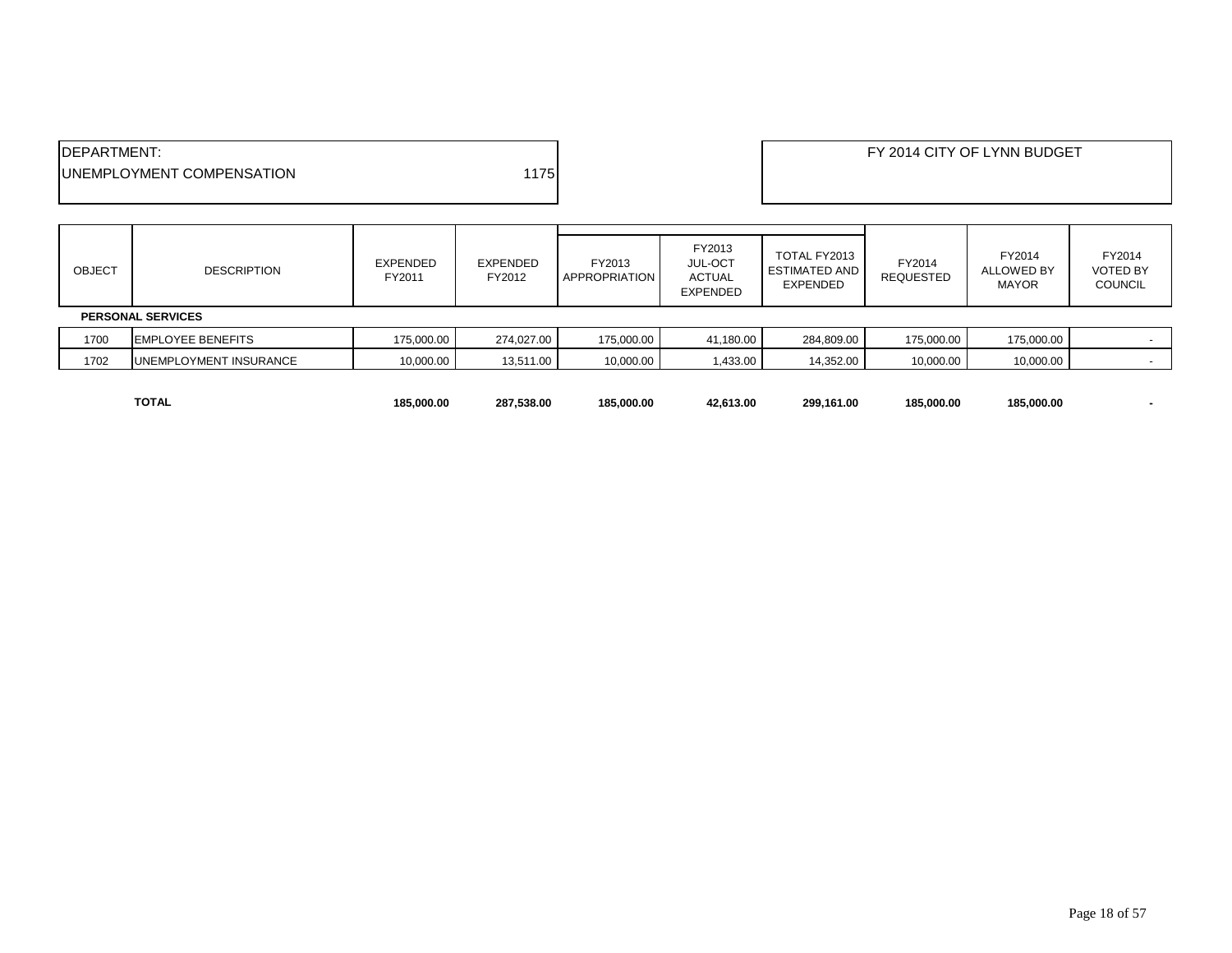| <b>IDEPARTMENT:</b>               |      | FY 2014 CITY OF LYNN BUDGET |
|-----------------------------------|------|-----------------------------|
| <b>IUNEMPLOYMENT COMPENSATION</b> | 1175 |                             |
|                                   |      |                             |

| <b>OBJECT</b> | <b>DESCRIPTION</b>            | EXPENDED<br>FY2011 | EXPENDED<br>FY2012 | FY2013<br><b>APPROPRIATION</b> | FY2013<br>JUL-OCT<br><b>ACTUAL</b><br>EXPENDED | TOTAL FY2013<br><b>ESTIMATED AND</b><br><b>EXPENDED</b> | FY2014<br><b>REQUESTED</b> | FY2014<br>ALLOWED BY<br><b>MAYOR</b> | FY2014<br><b>VOTED BY</b><br><b>COUNCIL</b> |
|---------------|-------------------------------|--------------------|--------------------|--------------------------------|------------------------------------------------|---------------------------------------------------------|----------------------------|--------------------------------------|---------------------------------------------|
|               | <b>PERSONAL SERVICES</b>      |                    |                    |                                |                                                |                                                         |                            |                                      |                                             |
| 1700          | <b>EMPLOYEE BENEFITS</b>      | 175,000.00         | 274,027.00         | 175,000.00                     | 41,180.00                                      | 284,809.00                                              | 175,000.00                 | 175,000.00                           |                                             |
| 1702          | <b>UNEMPLOYMENT INSURANCE</b> | 10,000.00          | 13,511.00          | 10,000.00                      | 1,433.00                                       | 14,352.00                                               | 10,000.00                  | 10,000.00                            |                                             |
|               |                               |                    |                    |                                |                                                |                                                         |                            |                                      |                                             |

**TOTAL 185,000.00 287,538.00 185,000.00 42,613.00 299,161.00 185,000.00 185,000.00 -**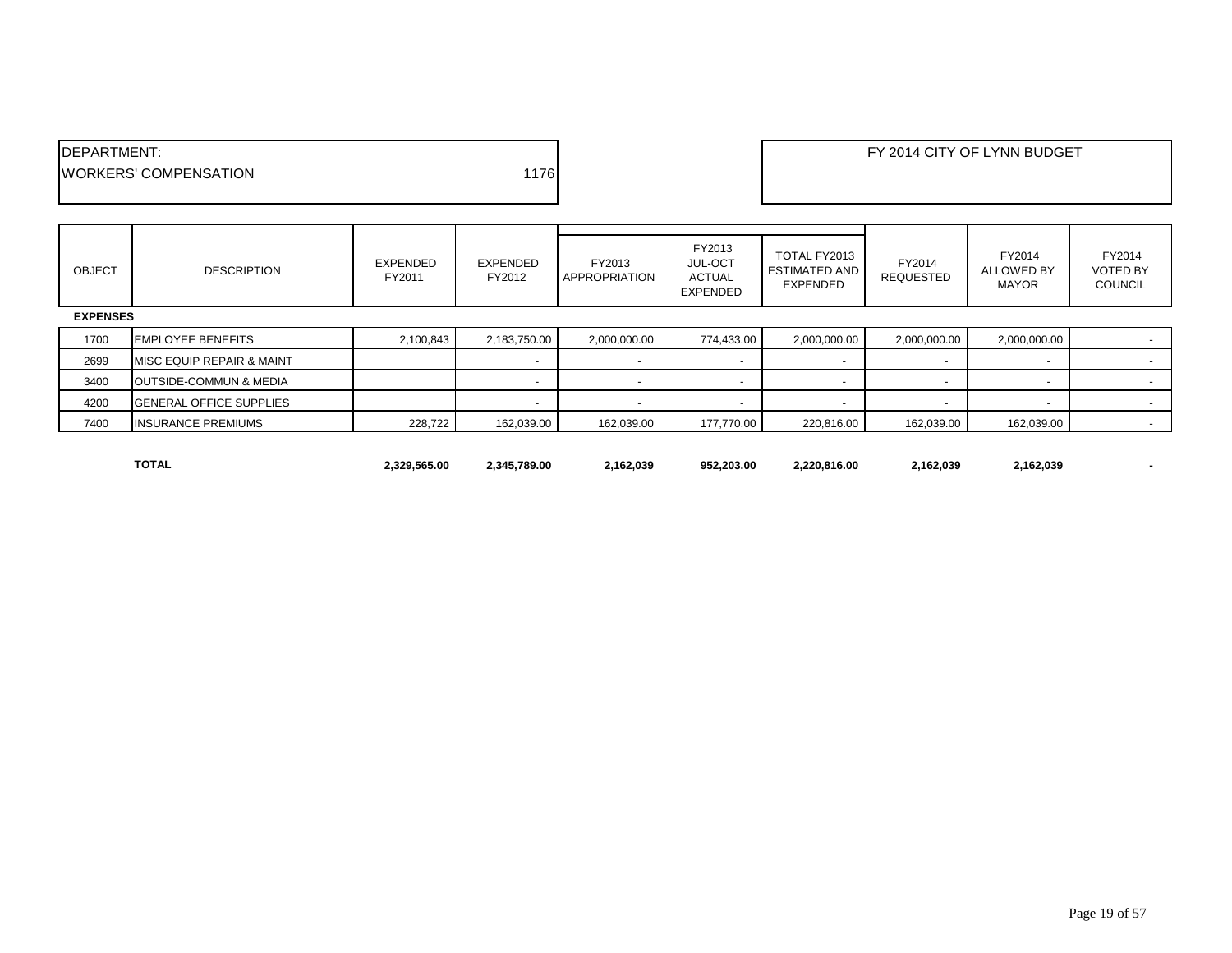| <b>IDEPARTMENT:</b>           |       |
|-------------------------------|-------|
| <b>IWORKERS' COMPENSATION</b> | 11761 |
|                               |       |

| <b>OBJECT</b>   | <b>DESCRIPTION</b>                   | <b>EXPENDED</b><br>FY2011 | EXPENDED<br>FY2012       | FY2013<br><b>APPROPRIATION</b> | FY2013<br><b>JUL-OCT</b><br>ACTUAL<br>EXPENDED | TOTAL FY2013<br><b>ESTIMATED AND</b><br><b>EXPENDED</b> | FY2014<br><b>REQUESTED</b> | FY2014<br><b>ALLOWED BY</b><br><b>MAYOR</b> | FY2014<br><b>VOTED BY</b><br><b>COUNCIL</b> |
|-----------------|--------------------------------------|---------------------------|--------------------------|--------------------------------|------------------------------------------------|---------------------------------------------------------|----------------------------|---------------------------------------------|---------------------------------------------|
| <b>EXPENSES</b> |                                      |                           |                          |                                |                                                |                                                         |                            |                                             |                                             |
| 1700            | <b>EMPLOYEE BENEFITS</b>             | 2,100,843                 | 2,183,750.00             | 2,000,000.00                   | 774,433.00                                     | 2,000,000.00                                            | 2,000,000.00               | 2,000,000.00                                | $\sim$                                      |
| 2699            | <b>MISC EQUIP REPAIR &amp; MAINT</b> |                           | $\overline{\phantom{a}}$ |                                |                                                |                                                         |                            |                                             |                                             |
| 3400            | <b>OUTSIDE-COMMUN &amp; MEDIA</b>    |                           | $\overline{\phantom{a}}$ |                                |                                                |                                                         |                            | $\overline{\phantom{a}}$                    | $\sim$                                      |
| 4200            | <b>IGENERAL OFFICE SUPPLIES</b>      |                           | $\blacksquare$           |                                |                                                |                                                         |                            |                                             |                                             |
| 7400            | <b>INSURANCE PREMIUMS</b>            | 228,722                   | 162,039.00               | 162,039.00                     | 177,770.00                                     | 220,816.00                                              | 162,039.00                 | 162,039.00                                  | $\sim$                                      |
|                 |                                      |                           |                          |                                |                                                |                                                         |                            |                                             |                                             |

**TOTAL 2,329,565.00 2,345,789.00 2,162,039 952,203.00 2,220,816.00 2,162,039 2,162,039 -**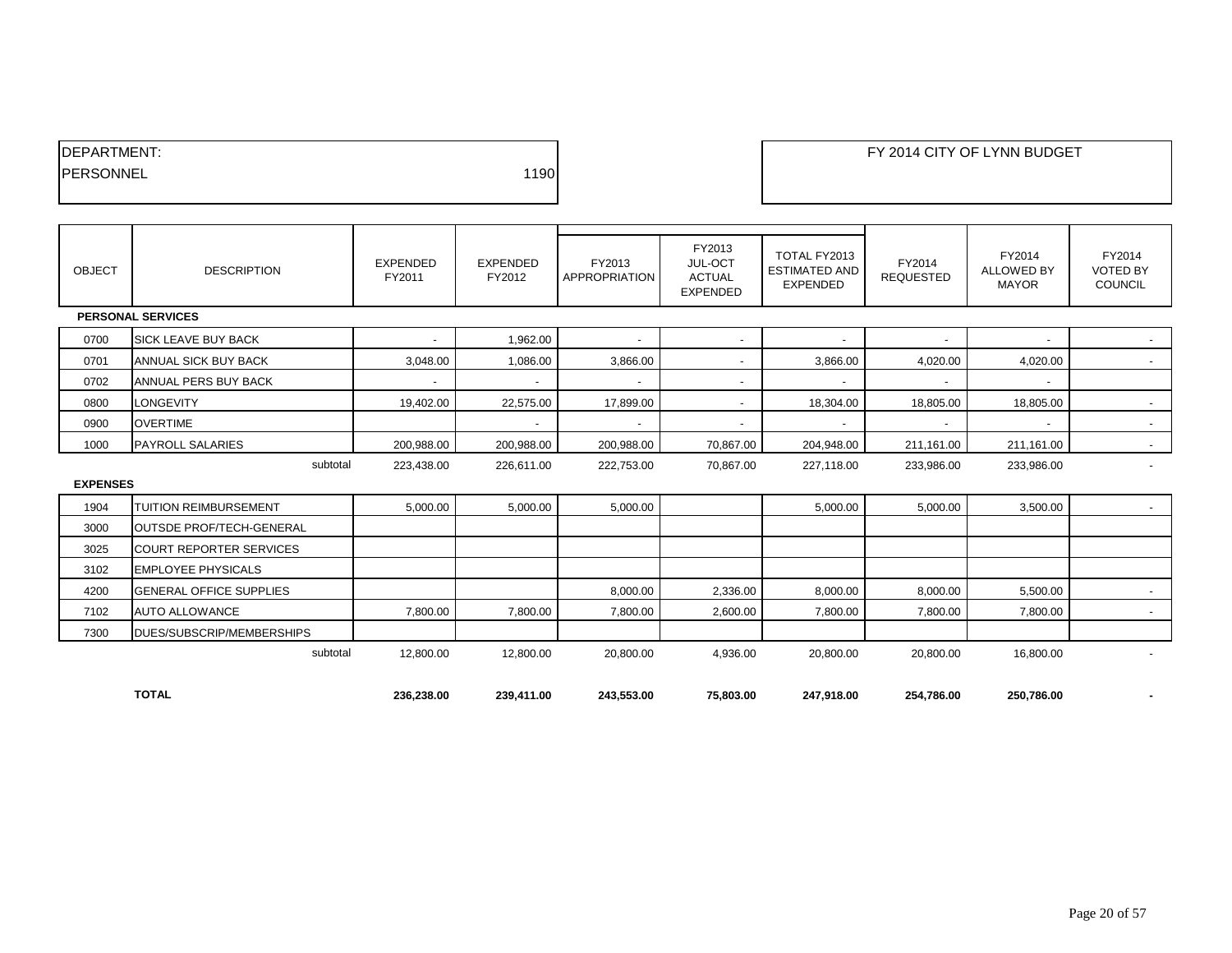| <b>IDEPARTMENT:</b> |      |
|---------------------|------|
| <b>IPERSONNEL</b>   | 1190 |
|                     |      |

| <b>OBJECT</b>   | <b>DESCRIPTION</b>              | <b>EXPENDED</b><br>FY2011 | <b>EXPENDED</b><br>FY2012 | FY2013<br><b>APPROPRIATION</b> | FY2013<br>JUL-OCT<br><b>ACTUAL</b><br><b>EXPENDED</b> | TOTAL FY2013<br><b>ESTIMATED AND</b><br><b>EXPENDED</b> | FY2014<br><b>REQUESTED</b> | FY2014<br><b>ALLOWED BY</b><br><b>MAYOR</b> | FY2014<br><b>VOTED BY</b><br><b>COUNCIL</b> |
|-----------------|---------------------------------|---------------------------|---------------------------|--------------------------------|-------------------------------------------------------|---------------------------------------------------------|----------------------------|---------------------------------------------|---------------------------------------------|
|                 | <b>PERSONAL SERVICES</b>        |                           |                           |                                |                                                       |                                                         |                            |                                             |                                             |
| 0700            | <b>SICK LEAVE BUY BACK</b>      | $\overline{\phantom{a}}$  | 1,962.00                  | $\overline{\phantom{a}}$       | $\overline{\phantom{a}}$                              |                                                         | $\overline{\phantom{a}}$   | $\overline{\phantom{a}}$                    | $\sim$                                      |
| 0701            | ANNUAL SICK BUY BACK            | 3,048.00                  | 1,086.00                  | 3,866.00                       | $\overline{\phantom{a}}$                              | 3,866.00                                                | 4,020.00                   | 4,020.00                                    | $\sim$                                      |
| 0702            | ANNUAL PERS BUY BACK            | $\blacksquare$            | $\overline{\phantom{a}}$  |                                | $\overline{\phantom{a}}$                              |                                                         |                            |                                             |                                             |
| 0800            | <b>LONGEVITY</b>                | 19,402.00                 | 22,575.00                 | 17,899.00                      | $\overline{\phantom{a}}$                              | 18,304.00                                               | 18,805.00                  | 18,805.00                                   | $\sim$                                      |
| 0900            | <b>OVERTIME</b>                 |                           | $\overline{\phantom{a}}$  | $\overline{a}$                 | $\overline{\phantom{a}}$                              |                                                         | $\overline{\phantom{0}}$   |                                             | $\sim$                                      |
| 1000            | <b>PAYROLL SALARIES</b>         | 200,988.00                | 200,988.00                | 200,988.00                     | 70,867.00                                             | 204,948.00                                              | 211,161.00                 | 211,161.00                                  | $\sim$                                      |
|                 | subtotal                        | 223,438.00                | 226,611.00                | 222,753.00                     | 70,867.00                                             | 227,118.00                                              | 233,986.00                 | 233,986.00                                  | $\blacksquare$                              |
| <b>EXPENSES</b> |                                 |                           |                           |                                |                                                       |                                                         |                            |                                             |                                             |
| 1904            | <b>TUITION REIMBURSEMENT</b>    | 5,000.00                  | 5,000.00                  | 5,000.00                       |                                                       | 5,000.00                                                | 5,000.00                   | 3,500.00                                    | $\sim$                                      |
| 3000            | <b>OUTSDE PROF/TECH-GENERAL</b> |                           |                           |                                |                                                       |                                                         |                            |                                             |                                             |
| 3025            | <b>COURT REPORTER SERVICES</b>  |                           |                           |                                |                                                       |                                                         |                            |                                             |                                             |
| 3102            | <b>EMPLOYEE PHYSICALS</b>       |                           |                           |                                |                                                       |                                                         |                            |                                             |                                             |
| 4200            | <b>GENERAL OFFICE SUPPLIES</b>  |                           |                           | 8,000.00                       | 2,336.00                                              | 8,000.00                                                | 8,000.00                   | 5,500.00                                    | $\sim$                                      |
| 7102            | <b>AUTO ALLOWANCE</b>           | 7,800.00                  | 7,800.00                  | 7,800.00                       | 2,600.00                                              | 7,800.00                                                | 7,800.00                   | 7,800.00                                    | $\sim$                                      |
| 7300            | DUES/SUBSCRIP/MEMBERSHIPS       |                           |                           |                                |                                                       |                                                         |                            |                                             |                                             |
|                 | subtotal                        | 12,800.00                 | 12,800.00                 | 20,800.00                      | 4,936.00                                              | 20,800.00                                               | 20,800.00                  | 16,800.00                                   |                                             |
|                 |                                 |                           |                           |                                |                                                       |                                                         |                            |                                             |                                             |
|                 | <b>TOTAL</b>                    | 236,238.00                | 239,411.00                | 243,553.00                     | 75,803.00                                             | 247,918.00                                              | 254,786.00                 | 250,786.00                                  | $\blacksquare$                              |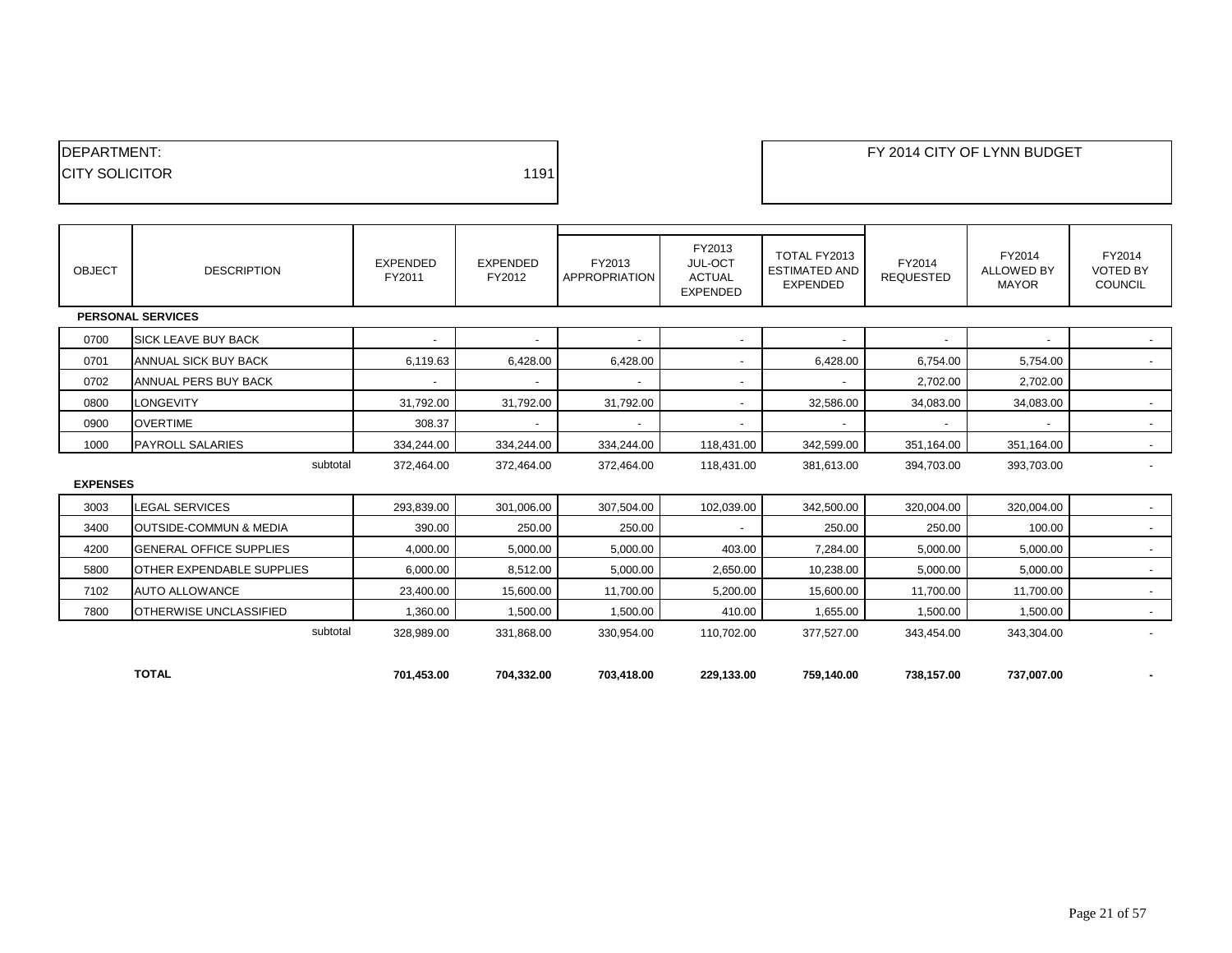| <b>IDEPARTMENT:</b>    |      |
|------------------------|------|
| <b>ICITY SOLICITOR</b> | 1191 |
|                        |      |

| <b>OBJECT</b>   | <b>DESCRIPTION</b>                | <b>EXPENDED</b><br>FY2011 | <b>EXPENDED</b><br>FY2012 | FY2013<br>APPROPRIATION  | FY2013<br>JUL-OCT<br><b>ACTUAL</b><br><b>EXPENDED</b> | TOTAL FY2013<br><b>ESTIMATED AND</b><br><b>EXPENDED</b> | FY2014<br><b>REQUESTED</b> | FY2014<br><b>ALLOWED BY</b><br><b>MAYOR</b> | FY2014<br><b>VOTED BY</b><br><b>COUNCIL</b> |
|-----------------|-----------------------------------|---------------------------|---------------------------|--------------------------|-------------------------------------------------------|---------------------------------------------------------|----------------------------|---------------------------------------------|---------------------------------------------|
|                 | <b>PERSONAL SERVICES</b>          |                           |                           |                          |                                                       |                                                         |                            |                                             |                                             |
| 0700            | <b>SICK LEAVE BUY BACK</b>        |                           |                           |                          | $\sim$                                                |                                                         |                            | $\overline{\phantom{a}}$                    | $\sim$                                      |
| 0701            | ANNUAL SICK BUY BACK              | 6,119.63                  | 6,428.00                  | 6,428.00                 | -                                                     | 6,428.00                                                | 6,754.00                   | 5,754.00                                    | $\sim$                                      |
| 0702            | ANNUAL PERS BUY BACK              | $\overline{\phantom{a}}$  | $\overline{\phantom{a}}$  | $\sim$                   | $\overline{\phantom{a}}$                              |                                                         | 2,702.00                   | 2,702.00                                    |                                             |
| 0800            | <b>LONGEVITY</b>                  | 31,792.00                 | 31,792.00                 | 31,792.00                | $\sim$                                                | 32,586.00                                               | 34,083.00                  | 34,083.00                                   | $\sim$                                      |
| 0900            | <b>OVERTIME</b>                   | 308.37                    | $\overline{\phantom{a}}$  | $\overline{\phantom{a}}$ | $\blacksquare$                                        |                                                         |                            | $\blacksquare$                              | $\sim$                                      |
| 1000            | <b>PAYROLL SALARIES</b>           | 334,244.00                | 334,244.00                | 334,244.00               | 118,431.00                                            | 342,599.00                                              | 351,164.00                 | 351,164.00                                  | $\sim$                                      |
|                 | subtotal                          | 372,464.00                | 372.464.00                | 372,464.00               | 118,431.00                                            | 381,613.00                                              | 394.703.00                 | 393,703.00                                  | $\overline{\phantom{a}}$                    |
| <b>EXPENSES</b> |                                   |                           |                           |                          |                                                       |                                                         |                            |                                             |                                             |
| 3003            | <b>LEGAL SERVICES</b>             | 293,839.00                | 301,006.00                | 307,504.00               | 102,039.00                                            | 342,500.00                                              | 320,004.00                 | 320,004.00                                  | $\sim$                                      |
| 3400            | <b>OUTSIDE-COMMUN &amp; MEDIA</b> | 390.00                    | 250.00                    | 250.00                   | -                                                     | 250.00                                                  | 250.00                     | 100.00                                      | $\sim$                                      |
| 4200            | <b>GENERAL OFFICE SUPPLIES</b>    | 4,000.00                  | 5,000.00                  | 5,000.00                 | 403.00                                                | 7,284.00                                                | 5,000.00                   | 5,000.00                                    | $\sim$                                      |
| 5800            | <b>OTHER EXPENDABLE SUPPLIES</b>  | 6,000.00                  | 8,512.00                  | 5,000.00                 | 2,650.00                                              | 10,238.00                                               | 5,000.00                   | 5,000.00                                    | $\sim$                                      |
| 7102            | <b>AUTO ALLOWANCE</b>             | 23,400.00                 | 15,600.00                 | 11,700.00                | 5,200.00                                              | 15,600.00                                               | 11,700.00                  | 11,700.00                                   | $\sim$                                      |
| 7800            | <b>OTHERWISE UNCLASSIFIED</b>     | 1,360.00                  | 1,500.00                  | 1,500.00                 | 410.00                                                | 1,655.00                                                | 1,500.00                   | 1,500.00                                    | $\sim$                                      |
|                 | subtotal                          | 328,989.00                | 331,868.00                | 330,954.00               | 110,702.00                                            | 377,527.00                                              | 343,454.00                 | 343,304.00                                  | $\blacksquare$                              |
|                 |                                   |                           |                           |                          |                                                       |                                                         |                            |                                             |                                             |
|                 | <b>TOTAL</b>                      | 701,453.00                | 704,332.00                | 703.418.00               | 229,133.00                                            | 759,140.00                                              | 738,157.00                 | 737,007.00                                  |                                             |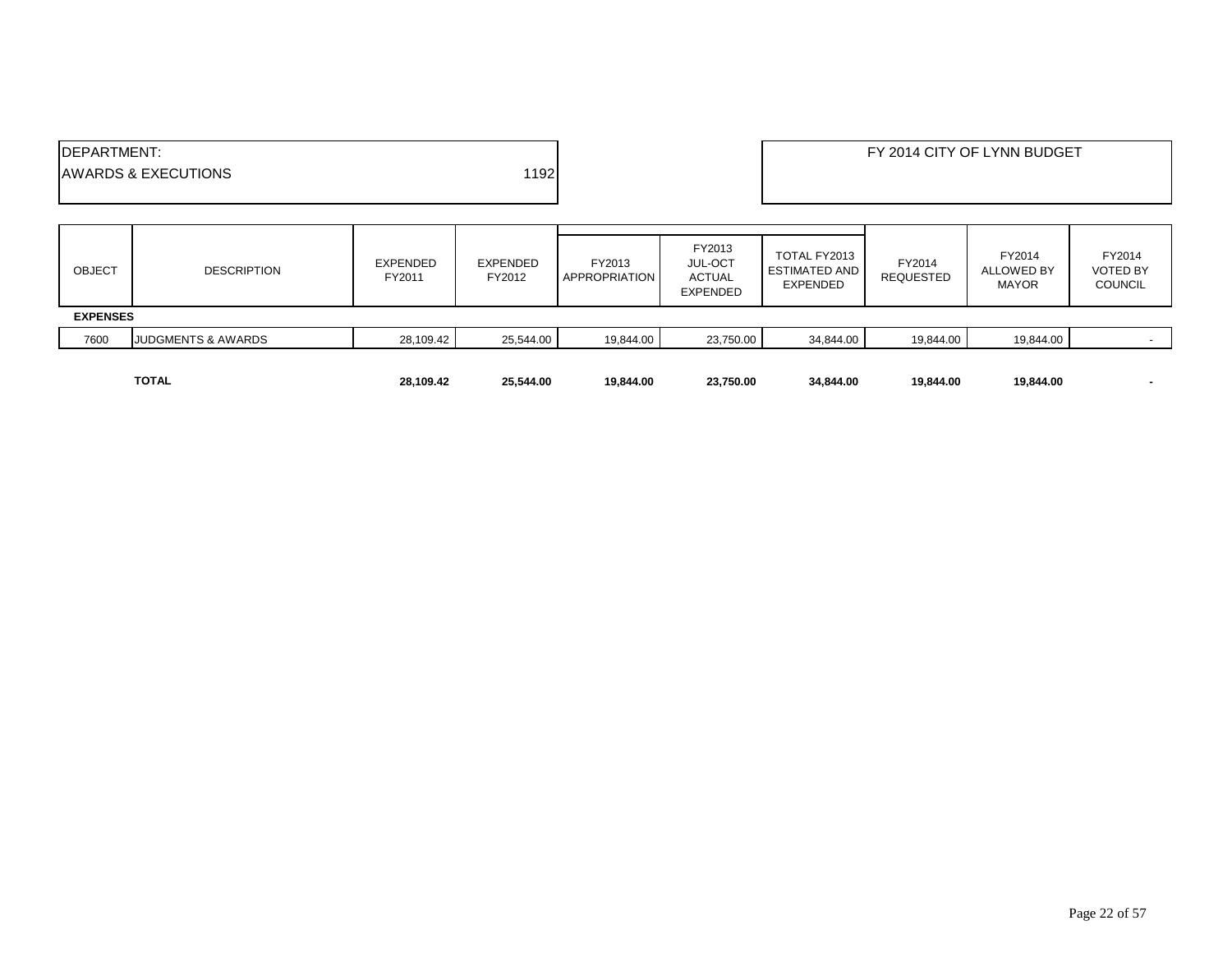| <b>IDEPARTMENT:</b> | <b>AWARDS &amp; EXECUTIONS</b> |                           | 1192               |                         |                                                              |                                                  |                            | FY 2014 CITY OF LYNN BUDGET                 |                                             |
|---------------------|--------------------------------|---------------------------|--------------------|-------------------------|--------------------------------------------------------------|--------------------------------------------------|----------------------------|---------------------------------------------|---------------------------------------------|
| <b>OBJECT</b>       | <b>DESCRIPTION</b>             | <b>EXPENDED</b><br>FY2011 | EXPENDED<br>FY2012 | FY2013<br>APPROPRIATION | FY2013<br><b>JUL-OCT</b><br><b>ACTUAL</b><br><b>EXPENDED</b> | TOTAL FY2013<br><b>ESTIMATED AND</b><br>EXPENDED | FY2014<br><b>REQUESTED</b> | FY2014<br><b>ALLOWED BY</b><br><b>MAYOR</b> | FY2014<br><b>VOTED BY</b><br><b>COUNCIL</b> |
| <b>EXPENSES</b>     |                                |                           |                    |                         |                                                              |                                                  |                            |                                             |                                             |
| 7600                | <b>JUDGMENTS &amp; AWARDS</b>  | 28,109.42                 | 25,544.00          | 19,844.00               | 23,750.00                                                    | 34,844.00                                        | 19,844.00                  | 19,844.00                                   |                                             |
|                     | <b>TOTAL</b>                   | 28,109.42                 | 25,544.00          | 19,844.00               | 23,750.00                                                    | 34,844.00                                        | 19,844.00                  | 19,844.00                                   |                                             |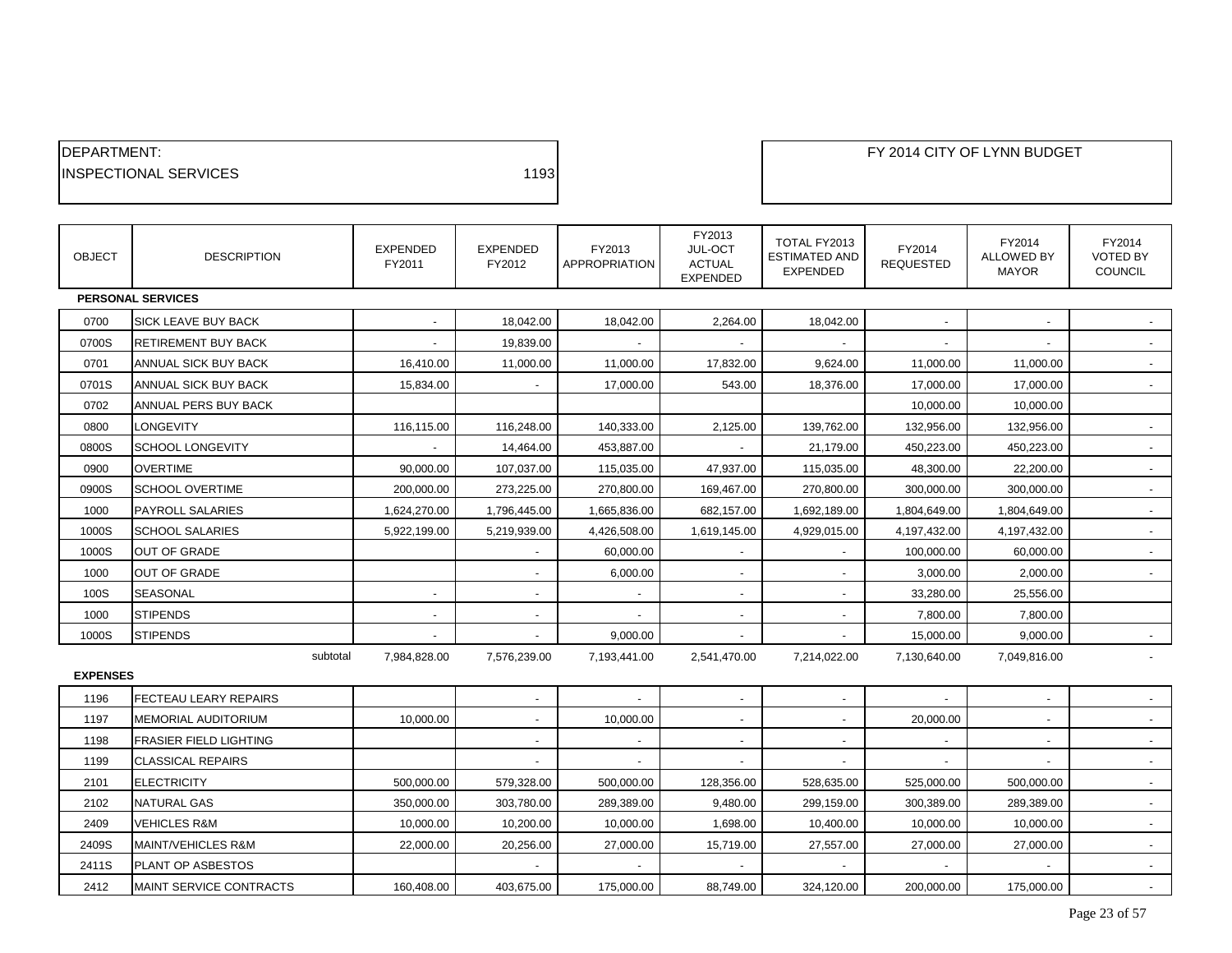| <b>IDEPARTMENT:</b>           |      |
|-------------------------------|------|
| <b>IINSPECTIONAL SERVICES</b> | 1193 |
|                               |      |

| <b>OBJECT</b>   | <b>DESCRIPTION</b>            | EXPENDED<br>FY2011 | <b>EXPENDED</b><br>FY2012 | FY2013<br><b>APPROPRIATION</b> | FY2013<br>JUL-OCT<br><b>ACTUAL</b><br><b>EXPENDED</b> | TOTAL FY2013<br><b>ESTIMATED AND</b><br><b>EXPENDED</b> | FY2014<br><b>REQUESTED</b> | FY2014<br><b>ALLOWED BY</b><br><b>MAYOR</b> | FY2014<br><b>VOTED BY</b><br><b>COUNCIL</b> |
|-----------------|-------------------------------|--------------------|---------------------------|--------------------------------|-------------------------------------------------------|---------------------------------------------------------|----------------------------|---------------------------------------------|---------------------------------------------|
|                 | <b>PERSONAL SERVICES</b>      |                    |                           |                                |                                                       |                                                         |                            |                                             |                                             |
| 0700            | <b>SICK LEAVE BUY BACK</b>    |                    | 18,042.00                 | 18,042.00                      | 2,264.00                                              | 18,042.00                                               |                            |                                             |                                             |
| 0700S           | RETIREMENT BUY BACK           |                    | 19,839.00                 |                                |                                                       |                                                         |                            |                                             |                                             |
| 0701            | ANNUAL SICK BUY BACK          | 16,410.00          | 11,000.00                 | 11,000.00                      | 17,832.00                                             | 9,624.00                                                | 11,000.00                  | 11,000.00                                   |                                             |
| 0701S           | <b>ANNUAL SICK BUY BACK</b>   | 15,834.00          |                           | 17,000.00                      | 543.00                                                | 18,376.00                                               | 17,000.00                  | 17,000.00                                   |                                             |
| 0702            | ANNUAL PERS BUY BACK          |                    |                           |                                |                                                       |                                                         | 10,000.00                  | 10,000.00                                   |                                             |
| 0800            | LONGEVITY                     | 116,115.00         | 116,248.00                | 140,333.00                     | 2,125.00                                              | 139,762.00                                              | 132,956.00                 | 132,956.00                                  |                                             |
| 0800S           | <b>SCHOOL LONGEVITY</b>       |                    | 14,464.00                 | 453,887.00                     |                                                       | 21,179.00                                               | 450,223.00                 | 450,223.00                                  |                                             |
| 0900            | <b>OVERTIME</b>               | 90,000.00          | 107,037.00                | 115,035.00                     | 47,937.00                                             | 115,035.00                                              | 48,300.00                  | 22,200.00                                   | $\sim$                                      |
| 0900S           | <b>SCHOOL OVERTIME</b>        | 200,000.00         | 273,225.00                | 270,800.00                     | 169,467.00                                            | 270,800.00                                              | 300,000.00                 | 300,000.00                                  |                                             |
| 1000            | <b>PAYROLL SALARIES</b>       | 1,624,270.00       | 1,796,445.00              | 1,665,836.00                   | 682,157.00                                            | 1,692,189.00                                            | 1,804,649.00               | 1,804,649.00                                |                                             |
| 1000S           | <b>SCHOOL SALARIES</b>        | 5,922,199.00       | 5,219,939.00              | 4,426,508.00                   | 1,619,145.00                                          | 4,929,015.00                                            | 4,197,432.00               | 4,197,432.00                                |                                             |
| 1000S           | <b>OUT OF GRADE</b>           |                    | $\overline{\phantom{a}}$  | 60,000.00                      |                                                       |                                                         | 100,000.00                 | 60,000.00                                   |                                             |
| 1000            | <b>OUT OF GRADE</b>           |                    |                           | 6,000.00                       |                                                       |                                                         | 3,000.00                   | 2,000.00                                    |                                             |
| 100S            | <b>SEASONAL</b>               | $\blacksquare$     | $\overline{\phantom{a}}$  | $\overline{\phantom{a}}$       | $\sim$                                                | $\blacksquare$                                          | 33,280.00                  | 25,556.00                                   |                                             |
| 1000            | <b>STIPENDS</b>               |                    | $\overline{\phantom{a}}$  |                                | $\overline{\phantom{a}}$                              |                                                         | 7,800.00                   | 7,800.00                                    |                                             |
| 1000S           | <b>STIPENDS</b>               |                    |                           | 9,000.00                       |                                                       |                                                         | 15,000.00                  | 9,000.00                                    |                                             |
|                 | subtotal                      | 7,984,828.00       | 7,576,239.00              | 7,193,441.00                   | 2,541,470.00                                          | 7,214,022.00                                            | 7,130,640.00               | 7,049,816.00                                |                                             |
| <b>EXPENSES</b> |                               |                    |                           |                                |                                                       |                                                         |                            |                                             |                                             |
| 1196            | FECTEAU LEARY REPAIRS         |                    | $\overline{\phantom{a}}$  |                                |                                                       |                                                         |                            |                                             |                                             |
| 1197            | <b>MEMORIAL AUDITORIUM</b>    | 10,000.00          | $\overline{\phantom{a}}$  | 10,000.00                      | $\overline{\phantom{a}}$                              | ٠                                                       | 20,000.00                  | ٠                                           |                                             |
| 1198            | <b>FRASIER FIELD LIGHTING</b> |                    | $\overline{\phantom{a}}$  | $\overline{\phantom{a}}$       | $\overline{\phantom{a}}$                              |                                                         |                            |                                             |                                             |
| 1199            | <b>CLASSICAL REPAIRS</b>      |                    |                           |                                |                                                       |                                                         |                            |                                             |                                             |
| 2101            | <b>ELECTRICITY</b>            | 500,000.00         | 579,328.00                | 500,000.00                     | 128,356.00                                            | 528,635.00                                              | 525,000.00                 | 500,000.00                                  |                                             |
| 2102            | <b>NATURAL GAS</b>            | 350,000.00         | 303,780.00                | 289,389.00                     | 9,480.00                                              | 299,159.00                                              | 300,389.00                 | 289,389.00                                  |                                             |

2409 |VEHICLES R&M | 10,000.00 | 10,200.00 | 1,000.00 | 10,400.00 | 10,000.00 | -2409S MAINT/VEHICLES R&M  $22,000.00$   $20,256.00$   $27,000.00$   $15,719.00$   $27,557.00$   $27,000.00$   $27,000.00$   $27,000.00$ 2411S PLANT OP ASBESTOS A SUBSEX IN THE RELATION OF A SERVER AND THE RELATIONS OF A SUBSEXUAL OF A SUBSEXUAL O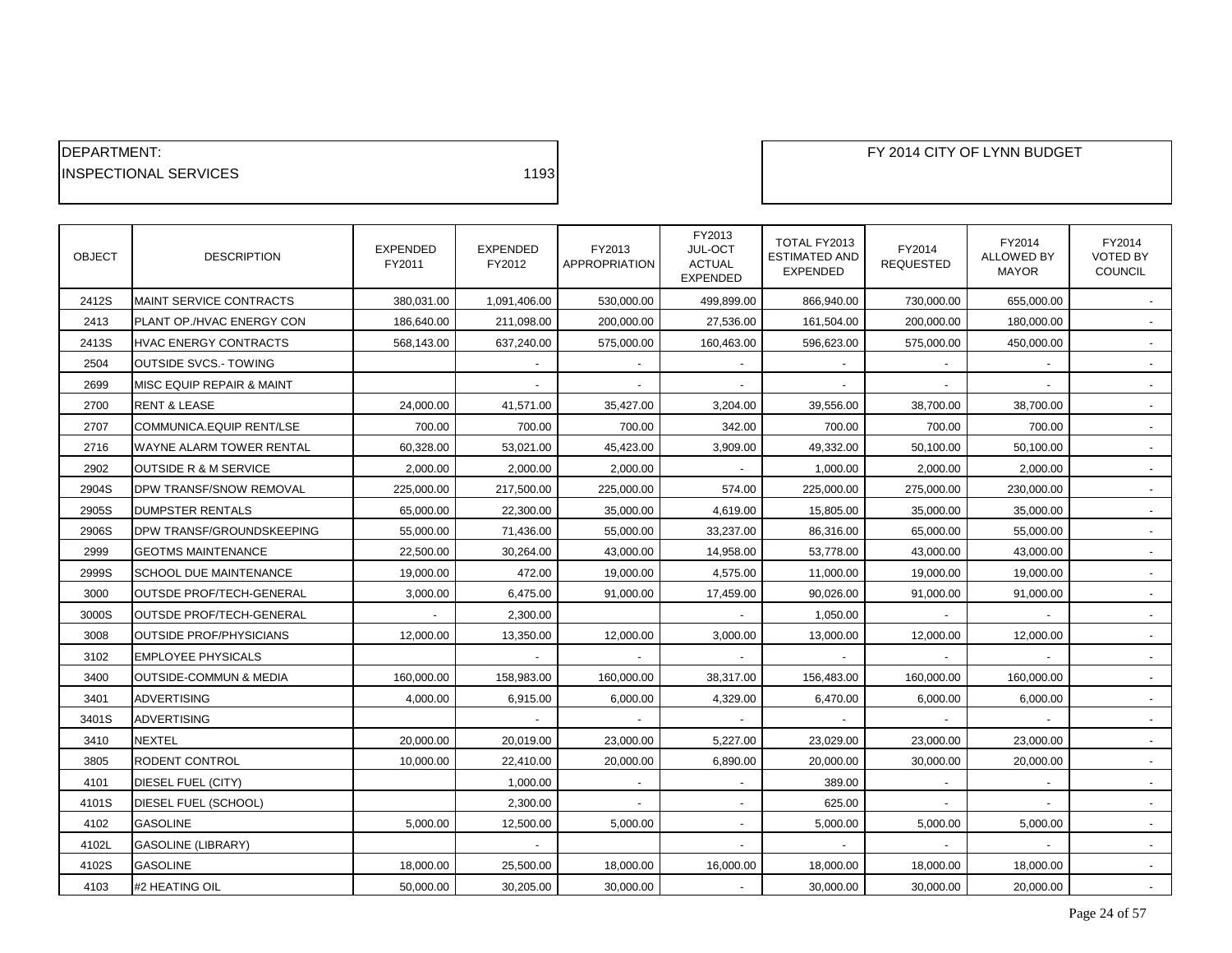| <b>IDEPARTMENT:</b>           |      |
|-------------------------------|------|
| <b>IINSPECTIONAL SERVICES</b> | 1193 |

| <b>OBJECT</b> | <b>DESCRIPTION</b>               | <b>EXPENDED</b><br>FY2011 | <b>EXPENDED</b><br>FY2012 | FY2013<br>APPROPRIATION | FY2013<br>JUL-OCT<br><b>ACTUAL</b><br><b>EXPENDED</b> | TOTAL FY2013<br><b>ESTIMATED AND</b><br><b>EXPENDED</b> | FY2014<br><b>REQUESTED</b> | FY2014<br>ALLOWED BY<br><b>MAYOR</b> | FY2014<br><b>VOTED BY</b><br>COUNCIL |
|---------------|----------------------------------|---------------------------|---------------------------|-------------------------|-------------------------------------------------------|---------------------------------------------------------|----------------------------|--------------------------------------|--------------------------------------|
| 2412S         | MAINT SERVICE CONTRACTS          | 380,031.00                | 1,091,406.00              | 530,000.00              | 499,899.00                                            | 866,940.00                                              | 730,000.00                 | 655,000.00                           |                                      |
| 2413          | PLANT OP./HVAC ENERGY CON        | 186,640.00                | 211,098.00                | 200,000.00              | 27,536.00                                             | 161,504.00                                              | 200,000.00                 | 180,000.00                           |                                      |
| 2413S         | HVAC ENERGY CONTRACTS            | 568,143.00                | 637,240.00                | 575,000.00              | 160,463.00                                            | 596,623.00                                              | 575,000.00                 | 450,000.00                           |                                      |
| 2504          | <b>OUTSIDE SVCS.- TOWING</b>     |                           |                           |                         |                                                       |                                                         |                            |                                      |                                      |
| 2699          | MISC EQUIP REPAIR & MAINT        |                           |                           |                         |                                                       |                                                         |                            |                                      |                                      |
| 2700          | <b>RENT &amp; LEASE</b>          | 24,000.00                 | 41,571.00                 | 35,427.00               | 3,204.00                                              | 39,556.00                                               | 38,700.00                  | 38,700.00                            |                                      |
| 2707          | COMMUNICA.EQUIP RENT/LSE         | 700.00                    | 700.00                    | 700.00                  | 342.00                                                | 700.00                                                  | 700.00                     | 700.00                               |                                      |
| 2716          | WAYNE ALARM TOWER RENTAL         | 60,328.00                 | 53,021.00                 | 45,423.00               | 3,909.00                                              | 49,332.00                                               | 50,100.00                  | 50,100.00                            |                                      |
| 2902          | <b>OUTSIDE R &amp; M SERVICE</b> | 2,000.00                  | 2,000.00                  | 2,000.00                |                                                       | 1,000.00                                                | 2,000.00                   | 2,000.00                             | $\sim$                               |
| 2904S         | DPW TRANSF/SNOW REMOVAL          | 225,000.00                | 217,500.00                | 225,000.00              | 574.00                                                | 225,000.00                                              | 275,000.00                 | 230,000.00                           |                                      |
| 2905S         | DUMPSTER RENTALS                 | 65,000.00                 | 22,300.00                 | 35,000.00               | 4,619.00                                              | 15,805.00                                               | 35,000.00                  | 35,000.00                            |                                      |
| 2906S         | DPW TRANSF/GROUNDSKEEPING        | 55,000.00                 | 71,436.00                 | 55,000.00               | 33,237.00                                             | 86,316.00                                               | 65,000.00                  | 55,000.00                            | $\sim$                               |
| 2999          | <b>GEOTMS MAINTENANCE</b>        | 22,500.00                 | 30,264.00                 | 43,000.00               | 14,958.00                                             | 53,778.00                                               | 43,000.00                  | 43,000.00                            |                                      |
| 2999S         | <b>SCHOOL DUE MAINTENANCE</b>    | 19,000.00                 | 472.00                    | 19,000.00               | 4,575.00                                              | 11,000.00                                               | 19,000.00                  | 19,000.00                            |                                      |
| 3000          | OUTSDE PROF/TECH-GENERAL         | 3,000.00                  | 6,475.00                  | 91,000.00               | 17,459.00                                             | 90,026.00                                               | 91,000.00                  | 91,000.00                            | $\sim$                               |
| 3000S         | OUTSDE PROF/TECH-GENERAL         |                           | 2,300.00                  |                         |                                                       | 1,050.00                                                |                            |                                      |                                      |
| 3008          | <b>OUTSIDE PROF/PHYSICIANS</b>   | 12,000.00                 | 13,350.00                 | 12,000.00               | 3,000.00                                              | 13,000.00                                               | 12,000.00                  | 12,000.00                            |                                      |
| 3102          | <b>EMPLOYEE PHYSICALS</b>        |                           | $\sim$                    | $\sim$                  | $\sim$                                                | $\overline{\phantom{a}}$                                | $\blacksquare$             | $\overline{\phantom{a}}$             | $\sim$                               |
| 3400          | OUTSIDE-COMMUN & MEDIA           | 160,000.00                | 158,983.00                | 160,000.00              | 38,317.00                                             | 156,483.00                                              | 160,000.00                 | 160,000.00                           |                                      |
| 3401          | ADVERTISING                      | 4.000.00                  | 6,915.00                  | 6,000.00                | 4,329.00                                              | 6,470.00                                                | 6,000.00                   | 6,000.00                             |                                      |
| 3401S         | <b>ADVERTISING</b>               |                           |                           |                         |                                                       |                                                         |                            |                                      | $\sim$                               |
| 3410          | NEXTEL                           | 20,000.00                 | 20,019.00                 | 23,000.00               | 5,227.00                                              | 23,029.00                                               | 23,000.00                  | 23,000.00                            |                                      |
| 3805          | RODENT CONTROL                   | 10,000.00                 | 22,410.00                 | 20,000.00               | 6,890.00                                              | 20,000.00                                               | 30,000.00                  | 20,000.00                            |                                      |
| 4101          | DIESEL FUEL (CITY)               |                           | 1,000.00                  |                         | $\blacksquare$                                        | 389.00                                                  |                            |                                      |                                      |
| 4101S         | DIESEL FUEL (SCHOOL)             |                           | 2,300.00                  |                         |                                                       | 625.00                                                  |                            |                                      |                                      |
| 4102          | <b>GASOLINE</b>                  | 5.000.00                  | 12,500.00                 | 5,000.00                |                                                       | 5,000.00                                                | 5,000.00                   | 5,000.00                             |                                      |
| 4102L         | <b>GASOLINE (LIBRARY)</b>        |                           | $\overline{\phantom{a}}$  |                         |                                                       |                                                         |                            |                                      | $\sim$                               |
| 4102S         | <b>GASOLINE</b>                  | 18,000.00                 | 25,500.00                 | 18,000.00               | 16,000.00                                             | 18,000.00                                               | 18,000.00                  | 18,000.00                            |                                      |
| 4103          | #2 HEATING OIL                   | 50,000.00                 | 30,205.00                 | 30,000.00               |                                                       | 30,000.00                                               | 30,000.00                  | 20,000.00                            |                                      |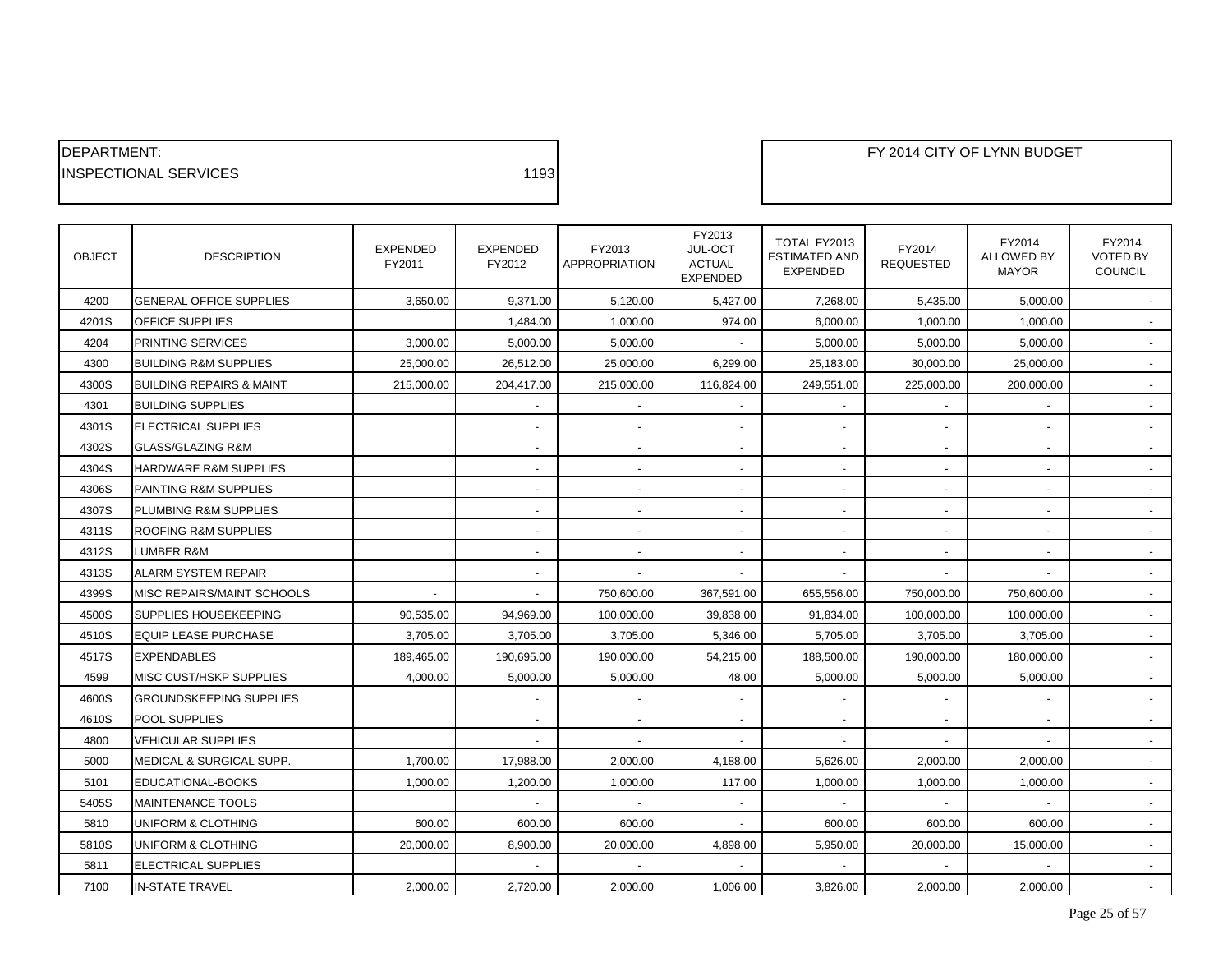| <b>IDEPARTMENT:</b>           |      |
|-------------------------------|------|
| <b>IINSPECTIONAL SERVICES</b> | 1193 |

| <b>OBJECT</b> | <b>DESCRIPTION</b>                  | <b>EXPENDED</b><br>FY2011 | <b>EXPENDED</b><br>FY2012 | FY2013<br><b>APPROPRIATION</b> | FY2013<br>JUL-OCT<br><b>ACTUAL</b><br><b>EXPENDED</b> | TOTAL FY2013<br><b>ESTIMATED AND</b><br><b>EXPENDED</b> | FY2014<br><b>REQUESTED</b> | FY2014<br><b>ALLOWED BY</b><br><b>MAYOR</b> | FY2014<br><b>VOTED BY</b><br>COUNCIL |
|---------------|-------------------------------------|---------------------------|---------------------------|--------------------------------|-------------------------------------------------------|---------------------------------------------------------|----------------------------|---------------------------------------------|--------------------------------------|
| 4200          | <b>GENERAL OFFICE SUPPLIES</b>      | 3,650.00                  | 9,371.00                  | 5,120.00                       | 5,427.00                                              | 7,268.00                                                | 5,435.00                   | 5,000.00                                    |                                      |
| 4201S         | OFFICE SUPPLIES                     |                           | 1,484.00                  | 1,000.00                       | 974.00                                                | 6,000.00                                                | 1,000.00                   | 1,000.00                                    |                                      |
| 4204          | <b>PRINTING SERVICES</b>            | 3,000.00                  | 5,000.00                  | 5,000.00                       |                                                       | 5,000.00                                                | 5,000.00                   | 5,000.00                                    |                                      |
| 4300          | <b>BUILDING R&amp;M SUPPLIES</b>    | 25,000.00                 | 26,512.00                 | 25,000.00                      | 6,299.00                                              | 25,183.00                                               | 30,000.00                  | 25,000.00                                   |                                      |
| 4300S         | <b>BUILDING REPAIRS &amp; MAINT</b> | 215,000.00                | 204,417.00                | 215,000.00                     | 116,824.00                                            | 249,551.00                                              | 225,000.00                 | 200,000.00                                  |                                      |
| 4301          | <b>BUILDING SUPPLIES</b>            |                           | $\blacksquare$            |                                |                                                       |                                                         |                            |                                             |                                      |
| 4301S         | <b>ELECTRICAL SUPPLIES</b>          |                           | $\blacksquare$            |                                | $\overline{\phantom{a}}$                              |                                                         |                            | $\overline{\phantom{m}}$                    |                                      |
| 4302S         | <b>GLASS/GLAZING R&amp;M</b>        |                           | $\overline{\phantom{a}}$  |                                | $\blacksquare$                                        |                                                         |                            |                                             |                                      |
| 4304S         | HARDWARE R&M SUPPLIES               |                           | $\sim$                    | $\overline{\phantom{a}}$       | $\overline{\phantom{a}}$                              |                                                         | $\blacksquare$             | $\overline{\phantom{a}}$                    |                                      |
| 4306S         | PAINTING R&M SUPPLIES               |                           | $\overline{\phantom{a}}$  | $\overline{\phantom{a}}$       | $\overline{\phantom{a}}$                              |                                                         | $\overline{\phantom{a}}$   | $\overline{\phantom{a}}$                    |                                      |
| 4307S         | PLUMBING R&M SUPPLIES               |                           | $\blacksquare$            |                                |                                                       |                                                         |                            |                                             |                                      |
| 4311S         | <b>ROOFING R&amp;M SUPPLIES</b>     |                           | $\overline{\phantom{a}}$  |                                | $\blacksquare$                                        |                                                         |                            | $\overline{\phantom{a}}$                    |                                      |
| 4312S         | LUMBER R&M                          |                           | $\overline{\phantom{a}}$  | $\overline{\phantom{a}}$       | $\overline{\phantom{a}}$                              |                                                         | $\overline{\phantom{a}}$   | $\overline{\phantom{a}}$                    |                                      |
| 4313S         | <b>ALARM SYSTEM REPAIR</b>          |                           | $\overline{\phantom{a}}$  |                                |                                                       |                                                         |                            |                                             |                                      |
| 4399S         | MISC REPAIRS/MAINT SCHOOLS          |                           | $\blacksquare$            | 750,600.00                     | 367,591.00                                            | 655,556.00                                              | 750,000.00                 | 750,600.00                                  |                                      |
| 4500S         | SUPPLIES HOUSEKEEPING               | 90,535.00                 | 94,969.00                 | 100,000.00                     | 39,838.00                                             | 91,834.00                                               | 100,000.00                 | 100,000.00                                  | $\sim$                               |
| 4510S         | <b>EQUIP LEASE PURCHASE</b>         | 3,705.00                  | 3,705.00                  | 3,705.00                       | 5,346.00                                              | 5,705.00                                                | 3,705.00                   | 3,705.00                                    |                                      |
| 4517S         | <b>EXPENDABLES</b>                  | 189,465.00                | 190,695.00                | 190,000.00                     | 54,215.00                                             | 188,500.00                                              | 190,000.00                 | 180,000.00                                  |                                      |
| 4599          | <b>MISC CUST/HSKP SUPPLIES</b>      | 4,000.00                  | 5,000.00                  | 5,000.00                       | 48.00                                                 | 5,000.00                                                | 5,000.00                   | 5,000.00                                    | $\sim$                               |
| 4600S         | <b>GROUNDSKEEPING SUPPLIES</b>      |                           |                           |                                |                                                       |                                                         |                            |                                             |                                      |
| 4610S         | POOL SUPPLIES                       |                           | $\blacksquare$            |                                | $\overline{a}$                                        |                                                         |                            |                                             |                                      |
| 4800          | <b>VEHICULAR SUPPLIES</b>           |                           | $\sim$                    | $\overline{\phantom{a}}$       | $\blacksquare$                                        |                                                         |                            | $\blacksquare$                              | $\sim$                               |
| 5000          | MEDICAL & SURGICAL SUPP.            | 1,700.00                  | 17,988.00                 | 2,000.00                       | 4,188.00                                              | 5,626.00                                                | 2,000.00                   | 2,000.00                                    |                                      |
| 5101          | EDUCATIONAL-BOOKS                   | 1,000.00                  | 1,200.00                  | 1,000.00                       | 117.00                                                | 1,000.00                                                | 1,000.00                   | 1,000.00                                    |                                      |
| 5405S         | <b>MAINTENANCE TOOLS</b>            |                           | $\blacksquare$            | $\overline{\phantom{a}}$       | $\blacksquare$                                        |                                                         |                            | $\overline{\phantom{a}}$                    | $\sim$                               |
| 5810          | UNIFORM & CLOTHING                  | 600.00                    | 600.00                    | 600.00                         |                                                       | 600.00                                                  | 600.00                     | 600.00                                      |                                      |
| 5810S         | UNIFORM & CLOTHING                  | 20,000.00                 | 8,900.00                  | 20,000.00                      | 4,898.00                                              | 5,950.00                                                | 20,000.00                  | 15,000.00                                   |                                      |
| 5811          | <b>ELECTRICAL SUPPLIES</b>          |                           |                           |                                |                                                       |                                                         |                            |                                             |                                      |
| 7100          | <b>IN-STATE TRAVEL</b>              | 2,000.00                  | 2,720.00                  | 2,000.00                       | 1,006.00                                              | 3,826.00                                                | 2,000.00                   | 2,000.00                                    |                                      |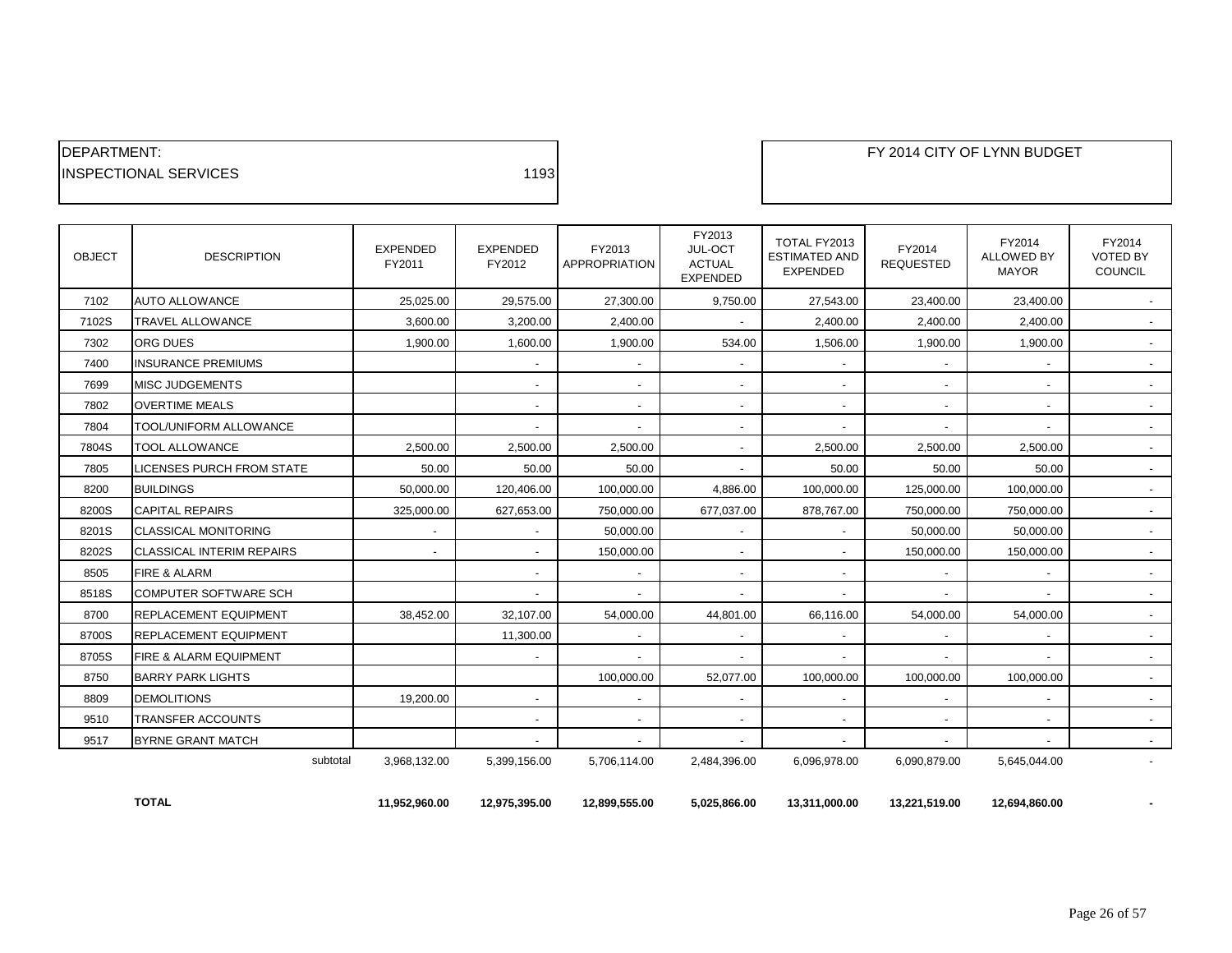| <b>IDEPARTMENT:</b>           |      |
|-------------------------------|------|
| <b>IINSPECTIONAL SERVICES</b> | 1193 |

| <b>OBJECT</b> | <b>DESCRIPTION</b>           | <b>EXPENDED</b><br>FY2011 | <b>EXPENDED</b><br>FY2012 | FY2013<br><b>APPROPRIATION</b> | FY2013<br>JUL-OCT<br><b>ACTUAL</b><br><b>EXPENDED</b> | TOTAL FY2013<br><b>ESTIMATED AND</b><br><b>EXPENDED</b> | FY2014<br><b>REQUESTED</b> | FY2014<br><b>ALLOWED BY</b><br><b>MAYOR</b> | FY2014<br><b>VOTED BY</b><br><b>COUNCIL</b> |
|---------------|------------------------------|---------------------------|---------------------------|--------------------------------|-------------------------------------------------------|---------------------------------------------------------|----------------------------|---------------------------------------------|---------------------------------------------|
| 7102          | <b>AUTO ALLOWANCE</b>        | 25.025.00                 | 29,575.00                 | 27,300.00                      | 9,750.00                                              | 27,543.00                                               | 23,400.00                  | 23,400.00                                   | $\sim$                                      |
| 7102S         | <b>TRAVEL ALLOWANCE</b>      | 3.600.00                  | 3.200.00                  | 2.400.00                       | $\overline{\phantom{a}}$                              | 2.400.00                                                | 2.400.00                   | 2,400.00                                    | $\sim$                                      |
| 7302          | <b>ORG DUES</b>              | 1,900.00                  | 1,600.00                  | 1,900.00                       | 534.00                                                | 1,506.00                                                | 1,900.00                   | 1,900.00                                    | $\sim$                                      |
| 7400          | <b>INSURANCE PREMIUMS</b>    |                           | $\sim$                    | $\sim$                         | $\overline{\phantom{a}}$                              | $\overline{\phantom{a}}$                                | $\overline{\phantom{a}}$   | $\overline{\phantom{a}}$                    | $\sim$                                      |
| 7699          | <b>MISC JUDGEMENTS</b>       |                           | $\overline{\phantom{a}}$  | $\overline{\phantom{a}}$       | $\overline{\phantom{a}}$                              | $\overline{\phantom{a}}$                                | $\blacksquare$             | $\overline{\phantom{a}}$                    | $\sim$                                      |
| 7802          | <b>OVERTIME MEALS</b>        |                           | $\sim$                    | $\sim$                         | $\overline{\phantom{a}}$                              | $\overline{\phantom{a}}$                                | $\blacksquare$             | $\overline{\phantom{a}}$                    | $\sim$                                      |
| 7804          | TOOL/UNIFORM ALLOWANCE       |                           | $\overline{\phantom{a}}$  | $\sim$                         | $\overline{\phantom{a}}$                              | $\overline{\phantom{a}}$                                | $\blacksquare$             | $\overline{\phantom{a}}$                    | $\sim$                                      |
| 7804S         | <b>TOOL ALLOWANCE</b>        | 2.500.00                  | 2,500.00                  | 2,500.00                       | $\overline{\phantom{a}}$                              | 2,500.00                                                | 2,500.00                   | 2,500.00                                    | $\sim$                                      |
| 7805          | LICENSES PURCH FROM STATE    | 50.00                     | 50.00                     | 50.00                          |                                                       | 50.00                                                   | 50.00                      | 50.00                                       | $\sim$                                      |
| 8200          | <b>BUILDINGS</b>             | 50.000.00                 | 120,406.00                | 100,000.00                     | 4.886.00                                              | 100,000.00                                              | 125,000.00                 | 100,000.00                                  | $\sim$                                      |
| 8200S         | <b>CAPITAL REPAIRS</b>       | 325,000.00                | 627,653.00                | 750,000.00                     | 677,037.00                                            | 878,767.00                                              | 750,000.00                 | 750,000.00                                  | $\sim$                                      |
| 8201S         | <b>CLASSICAL MONITORING</b>  | $\sim$                    | $\overline{\phantom{a}}$  | 50,000.00                      | $\overline{\phantom{a}}$                              | $\overline{\phantom{a}}$                                | 50,000.00                  | 50,000.00                                   | $\sim$                                      |
| 8202S         | ICLASSICAL INTERIM REPAIRS   | $\overline{\phantom{a}}$  | $\overline{\phantom{a}}$  | 150.000.00                     | $\overline{\phantom{a}}$                              |                                                         | 150.000.00                 | 150.000.00                                  | $\sim$                                      |
| 8505          | <b>FIRE &amp; ALARM</b>      |                           | $\sim$                    | $\sim$                         | $\overline{\phantom{a}}$                              | $\overline{\phantom{a}}$                                | $\overline{\phantom{a}}$   | $\overline{\phantom{a}}$                    | $\overline{\phantom{a}}$                    |
| 8518S         | <b>COMPUTER SOFTWARE SCH</b> |                           | $\overline{\phantom{a}}$  | $\sim$                         | $\overline{\phantom{a}}$                              |                                                         |                            | $\overline{\phantom{a}}$                    | $\sim$                                      |
| 8700          | REPLACEMENT EQUIPMENT        | 38,452.00                 | 32,107.00                 | 54,000.00                      | 44,801.00                                             | 66,116.00                                               | 54,000.00                  | 54,000.00                                   | $\sim$                                      |
| 8700S         | <b>REPLACEMENT EQUIPMENT</b> |                           | 11,300.00                 | $\overline{\phantom{a}}$       | $\overline{\phantom{a}}$                              |                                                         | $\overline{\phantom{a}}$   | $\overline{\phantom{a}}$                    | $\sim$                                      |
| 8705S         | FIRE & ALARM EQUIPMENT       |                           | $\overline{\phantom{a}}$  | $\overline{\phantom{a}}$       |                                                       |                                                         |                            |                                             | $\sim$                                      |
| 8750          | <b>BARRY PARK LIGHTS</b>     |                           |                           | 100,000.00                     | 52,077.00                                             | 100,000.00                                              | 100.000.00                 | 100,000.00                                  | $\sim$                                      |
| 8809          | <b>DEMOLITIONS</b>           | 19,200.00                 | $\sim$                    | $\overline{\phantom{a}}$       | $\overline{\phantom{a}}$                              | $\overline{\phantom{a}}$                                | $\overline{\phantom{a}}$   | $\overline{\phantom{a}}$                    | $\sim$                                      |
| 9510          | <b>TRANSFER ACCOUNTS</b>     |                           | $\overline{\phantom{a}}$  | $\overline{\phantom{a}}$       | $\overline{\phantom{a}}$                              | $\blacksquare$                                          | $\blacksquare$             | $\overline{\phantom{a}}$                    | $\sim$                                      |
| 9517          | <b>BYRNE GRANT MATCH</b>     |                           | $\overline{\phantom{a}}$  | $\overline{\phantom{a}}$       | $\overline{\phantom{a}}$                              | $\overline{\phantom{a}}$                                | $\overline{\phantom{a}}$   | $\overline{\phantom{a}}$                    |                                             |
|               | subtotal                     | 3,968,132.00              | 5,399,156.00              | 5.706.114.00                   | 2,484,396.00                                          | 6,096,978.00                                            | 6,090,879.00               | 5,645,044.00                                | $\blacksquare$                              |

**TOTAL 11,952,960.00 12,975,395.00 12,899,555.00 5,025,866.00 13,311,000.00 13,221,519.00 12,694,860.00 -**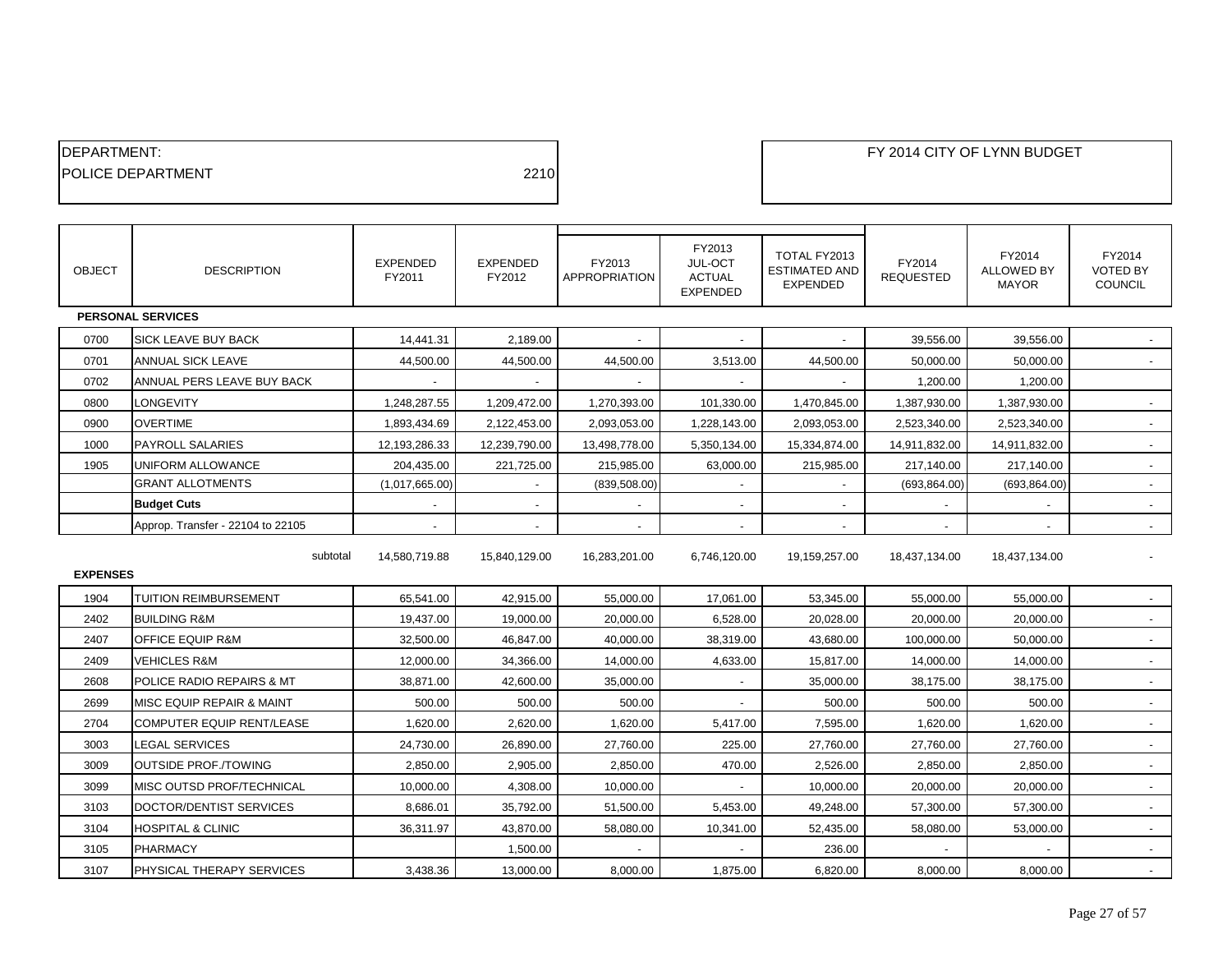| <b>IDEPARTMENT:</b>       |      |
|---------------------------|------|
| <b>IPOLICE DEPARTMENT</b> | 2210 |
|                           |      |

| <b>OBJECT</b> | <b>DESCRIPTION</b>                | EXPENDED<br>FY2011 | <b>EXPENDED</b><br>FY2012 | FY2013<br><b>APPROPRIATION</b> | FY2013<br>JUL-OCT<br><b>ACTUAL</b><br><b>EXPENDED</b> | TOTAL FY2013<br><b>ESTIMATED AND</b><br><b>EXPENDED</b> | FY2014<br><b>REQUESTED</b> | FY2014<br><b>ALLOWED BY</b><br><b>MAYOR</b> | FY2014<br><b>VOTED BY</b><br><b>COUNCIL</b> |
|---------------|-----------------------------------|--------------------|---------------------------|--------------------------------|-------------------------------------------------------|---------------------------------------------------------|----------------------------|---------------------------------------------|---------------------------------------------|
|               | <b>PERSONAL SERVICES</b>          |                    |                           |                                |                                                       |                                                         |                            |                                             |                                             |
| 0700          | SICK LEAVE BUY BACK               | 14,441.31          | 2,189.00                  |                                |                                                       |                                                         | 39,556.00                  | 39,556.00                                   |                                             |
| 0701          | <b>ANNUAL SICK LEAVE</b>          | 44,500.00          | 44,500.00                 | 44,500.00                      | 3,513.00                                              | 44,500.00                                               | 50,000.00                  | 50,000.00                                   |                                             |
| 0702          | ANNUAL PERS LEAVE BUY BACK        |                    |                           |                                |                                                       |                                                         | 1,200.00                   | 1,200.00                                    |                                             |
| 0800          | LONGEVITY                         | 1,248,287.55       | 1,209,472.00              | 1,270,393.00                   | 101,330.00                                            | 1,470,845.00                                            | 1,387,930.00               | 1,387,930.00                                | $\blacksquare$                              |
| 0900          | <b>OVERTIME</b>                   | 1,893,434.69       | 2,122,453.00              | 2,093,053.00                   | 1,228,143.00                                          | 2,093,053.00                                            | 2,523,340.00               | 2,523,340.00                                |                                             |
| 1000          | PAYROLL SALARIES                  | 12,193,286.33      | 12,239,790.00             | 13,498,778.00                  | 5,350,134.00                                          | 15,334,874.00                                           | 14,911,832.00              | 14,911,832.00                               |                                             |
| 1905          | <b>UNIFORM ALLOWANCE</b>          | 204,435.00         | 221,725.00                | 215,985.00                     | 63,000.00                                             | 215,985.00                                              | 217,140.00                 | 217,140.00                                  |                                             |
|               | <b>GRANT ALLOTMENTS</b>           | (1,017,665.00)     |                           | (839, 508.00)                  |                                                       |                                                         | (693, 864.00)              | (693, 864.00)                               |                                             |
|               | <b>Budget Cuts</b>                |                    |                           | $\overline{\phantom{a}}$       |                                                       |                                                         |                            |                                             |                                             |
|               | Approp. Transfer - 22104 to 22105 |                    |                           |                                |                                                       |                                                         |                            |                                             |                                             |
|               | subtotal<br><b>EXPENSES</b>       |                    | 15,840,129.00             | 16,283,201.00                  | 6,746,120.00                                          | 19,159,257.00                                           | 18,437,134.00              | 18,437,134.00                               |                                             |
| 1904          | TUITION REIMBURSEMENT             | 65,541.00          | 42,915.00                 | 55,000.00                      | 17,061.00                                             | 53,345.00                                               | 55,000.00                  | 55,000.00                                   |                                             |
| 2402          | <b>BUILDING R&amp;M</b>           | 19,437.00          | 19,000.00                 | 20,000.00                      | 6,528.00                                              | 20,028.00                                               | 20,000.00                  | 20,000.00                                   |                                             |
| 2407          | OFFICE EQUIP R&M                  | 32,500.00          | 46,847.00                 | 40,000.00                      | 38,319.00                                             | 43,680.00                                               | 100,000.00                 | 50,000.00                                   |                                             |
| 2409          | <b>VEHICLES R&amp;M</b>           | 12,000.00          | 34,366.00                 | 14,000.00                      | 4,633.00                                              | 15,817.00                                               | 14,000.00                  | 14,000.00                                   |                                             |
| 2608          | POLICE RADIO REPAIRS & MT         | 38,871.00          | 42,600.00                 | 35,000.00                      | $\sim$                                                | 35,000.00                                               | 38,175.00                  | 38,175.00                                   | $\blacksquare$                              |
| 2699          | MISC EQUIP REPAIR & MAINT         | 500.00             | 500.00                    | 500.00                         |                                                       | 500.00                                                  | 500.00                     | 500.00                                      |                                             |
| 2704          | COMPUTER EQUIP RENT/LEASE         | 1,620.00           | 2,620.00                  | 1,620.00                       | 5,417.00                                              | 7,595.00                                                | 1,620.00                   | 1,620.00                                    |                                             |
| 3003          | <b>LEGAL SERVICES</b>             | 24,730.00          | 26,890.00                 | 27,760.00                      | 225.00                                                | 27,760.00                                               | 27,760.00                  | 27,760.00                                   |                                             |
| 3009          | <b>OUTSIDE PROF./TOWING</b>       | 2,850.00           | 2,905.00                  | 2,850.00                       | 470.00                                                | 2,526.00                                                | 2,850.00                   | 2,850.00                                    |                                             |
| 3099          | MISC OUTSD PROF/TECHNICAL         | 10,000.00          | 4,308.00                  | 10,000.00                      |                                                       | 10,000.00                                               | 20,000.00                  | 20,000.00                                   | $\overline{\phantom{a}}$                    |
| 3103          | DOCTOR/DENTIST SERVICES           | 8,686.01           | 35,792.00                 | 51,500.00                      | 5,453.00                                              | 49,248.00                                               | 57,300.00                  | 57,300.00                                   |                                             |
| 3104          | <b>HOSPITAL &amp; CLINIC</b>      | 36,311.97          | 43,870.00                 | 58,080.00                      | 10,341.00                                             | 52,435.00                                               | 58,080.00                  | 53,000.00                                   |                                             |
| 3105          | PHARMACY                          |                    | 1,500.00                  |                                |                                                       | 236.00                                                  |                            |                                             |                                             |
| 3107          | PHYSICAL THERAPY SERVICES         | 3,438.36           | 13,000.00                 | 8,000.00                       | 1,875.00                                              | 6,820.00                                                | 8,000.00                   | 8,000.00                                    |                                             |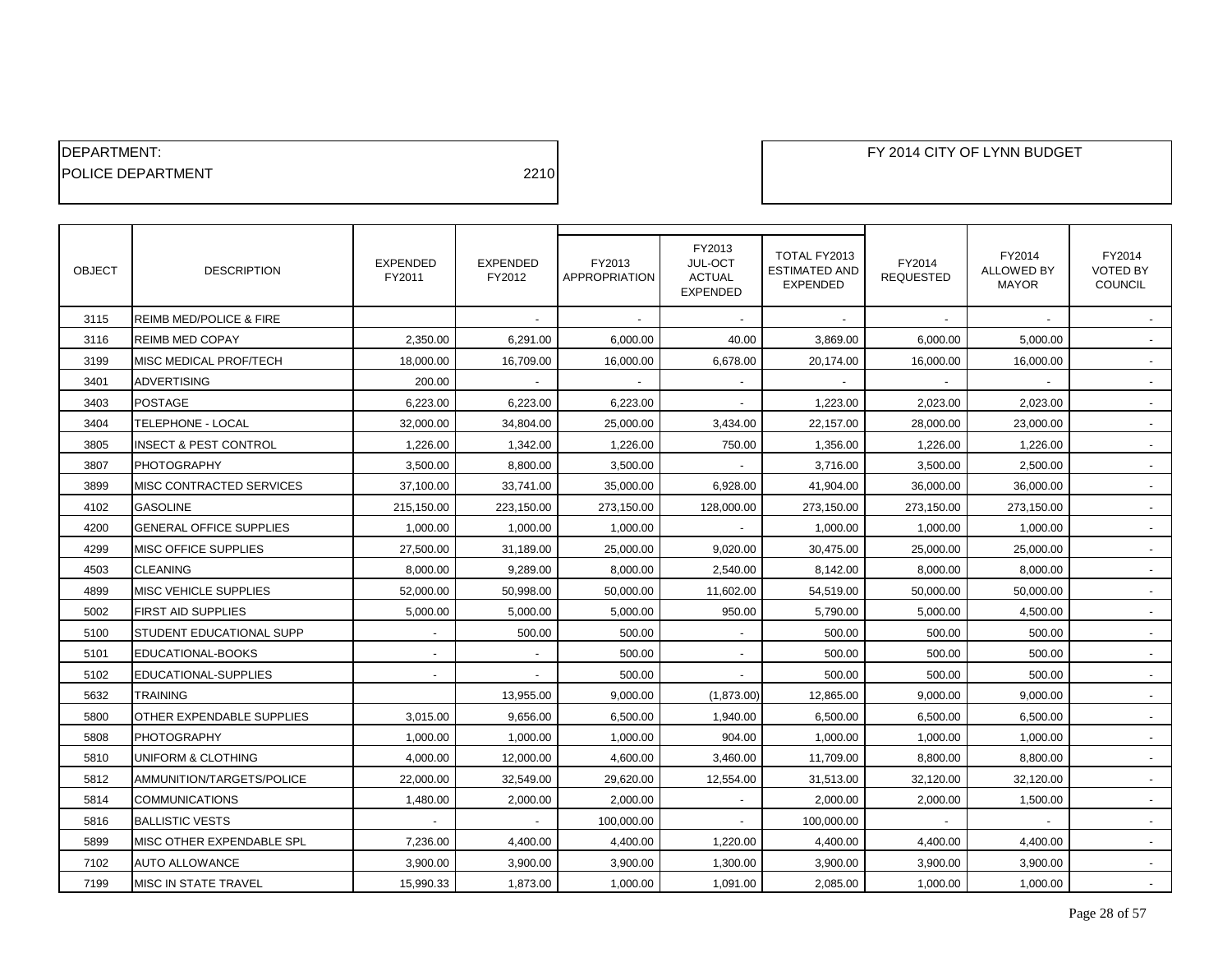| <b>IDEPARTMENT:</b>       |      |
|---------------------------|------|
| <b>IPOLICE DEPARTMENT</b> | 2210 |

| <b>OBJECT</b> | <b>DESCRIPTION</b>                 | <b>EXPENDED</b><br>FY2011 | <b>EXPENDED</b><br>FY2012 | FY2013<br>APPROPRIATION | FY2013<br>JUL-OCT<br><b>ACTUAL</b><br><b>EXPENDED</b> | TOTAL FY2013<br><b>ESTIMATED AND</b><br><b>EXPENDED</b> | FY2014<br><b>REQUESTED</b> | FY2014<br><b>ALLOWED BY</b><br><b>MAYOR</b> | FY2014<br><b>VOTED BY</b><br><b>COUNCIL</b> |
|---------------|------------------------------------|---------------------------|---------------------------|-------------------------|-------------------------------------------------------|---------------------------------------------------------|----------------------------|---------------------------------------------|---------------------------------------------|
| 3115          | <b>REIMB MED/POLICE &amp; FIRE</b> |                           |                           |                         |                                                       |                                                         |                            |                                             |                                             |
| 3116          | <b>REIMB MED COPAY</b>             | 2,350.00                  | 6,291.00                  | 6,000.00                | 40.00                                                 | 3,869.00                                                | 6,000.00                   | 5,000.00                                    |                                             |
| 3199          | MISC MEDICAL PROF/TECH             | 18,000.00                 | 16,709.00                 | 16,000.00               | 6,678.00                                              | 20,174.00                                               | 16,000.00                  | 16,000.00                                   |                                             |
| 3401          | <b>ADVERTISING</b>                 | 200.00                    |                           |                         |                                                       |                                                         |                            |                                             |                                             |
| 3403          | <b>POSTAGE</b>                     | 6,223.00                  | 6,223.00                  | 6,223.00                |                                                       | 1.223.00                                                | 2,023.00                   | 2.023.00                                    |                                             |
| 3404          | TELEPHONE - LOCAL                  | 32,000.00                 | 34,804.00                 | 25,000.00               | 3,434.00                                              | 22,157.00                                               | 28,000.00                  | 23,000.00                                   |                                             |
| 3805          | <b>INSECT &amp; PEST CONTROL</b>   | 1,226.00                  | 1,342.00                  | 1,226.00                | 750.00                                                | 1,356.00                                                | 1,226.00                   | 1,226.00                                    |                                             |
| 3807          | <b>PHOTOGRAPHY</b>                 | 3,500.00                  | 8,800.00                  | 3,500.00                |                                                       | 3.716.00                                                | 3,500.00                   | 2,500.00                                    |                                             |
| 3899          | MISC CONTRACTED SERVICES           | 37,100.00                 | 33,741.00                 | 35,000.00               | 6,928.00                                              | 41,904.00                                               | 36,000.00                  | 36,000.00                                   | $\sim$                                      |
| 4102          | <b>GASOLINE</b>                    | 215,150.00                | 223,150.00                | 273,150.00              | 128,000.00                                            | 273,150.00                                              | 273,150.00                 | 273,150.00                                  |                                             |
| 4200          | <b>GENERAL OFFICE SUPPLIES</b>     | 1,000.00                  | 1,000.00                  | 1,000.00                | $\overline{\phantom{a}}$                              | 1.000.00                                                | 1,000.00                   | 1,000.00                                    |                                             |
| 4299          | MISC OFFICE SUPPLIES               | 27,500.00                 | 31,189.00                 | 25,000.00               | 9,020.00                                              | 30,475.00                                               | 25,000.00                  | 25,000.00                                   |                                             |
| 4503          | <b>CLEANING</b>                    | 8,000.00                  | 9,289.00                  | 8,000.00                | 2,540.00                                              | 8,142.00                                                | 8,000.00                   | 8,000.00                                    |                                             |
| 4899          | <b>MISC VEHICLE SUPPLIES</b>       | 52,000.00                 | 50,998.00                 | 50,000.00               | 11,602.00                                             | 54,519.00                                               | 50,000.00                  | 50,000.00                                   | $\sim$                                      |
| 5002          | <b>FIRST AID SUPPLIES</b>          | 5,000.00                  | 5,000.00                  | 5,000.00                | 950.00                                                | 5,790.00                                                | 5,000.00                   | 4,500.00                                    |                                             |
| 5100          | STUDENT EDUCATIONAL SUPP           |                           | 500.00                    | 500.00                  |                                                       | 500.00                                                  | 500.00                     | 500.00                                      |                                             |
| 5101          | EDUCATIONAL-BOOKS                  | $\overline{\phantom{a}}$  | $\overline{\phantom{a}}$  | 500.00                  | $\overline{\phantom{a}}$                              | 500.00                                                  | 500.00                     | 500.00                                      | $\sim$                                      |
| 5102          | EDUCATIONAL-SUPPLIES               |                           |                           | 500.00                  |                                                       | 500.00                                                  | 500.00                     | 500.00                                      |                                             |
| 5632          | <b>TRAINING</b>                    |                           | 13,955.00                 | 9,000.00                | (1,873.00)                                            | 12,865.00                                               | 9,000.00                   | 9,000.00                                    |                                             |
| 5800          | OTHER EXPENDABLE SUPPLIES          | 3,015.00                  | 9,656.00                  | 6,500.00                | 1,940.00                                              | 6,500.00                                                | 6,500.00                   | 6,500.00                                    | $\sim$                                      |
| 5808          | <b>PHOTOGRAPHY</b>                 | 1,000.00                  | 1,000.00                  | 1,000.00                | 904.00                                                | 1,000.00                                                | 1,000.00                   | 1,000.00                                    |                                             |
| 5810          | UNIFORM & CLOTHING                 | 4,000.00                  | 12,000.00                 | 4,600.00                | 3,460.00                                              | 11,709.00                                               | 8,800.00                   | 8,800.00                                    |                                             |
| 5812          | AMMUNITION/TARGETS/POLICE          | 22,000.00                 | 32,549.00                 | 29,620.00               | 12,554.00                                             | 31,513.00                                               | 32,120.00                  | 32,120.00                                   |                                             |
| 5814          | <b>COMMUNICATIONS</b>              | 1,480.00                  | 2,000.00                  | 2,000.00                |                                                       | 2,000.00                                                | 2,000.00                   | 1,500.00                                    |                                             |
| 5816          | <b>BALLISTIC VESTS</b>             |                           |                           | 100,000.00              |                                                       | 100,000.00                                              |                            |                                             |                                             |
| 5899          | MISC OTHER EXPENDABLE SPL          | 7,236.00                  | 4,400.00                  | 4,400.00                | 1,220.00                                              | 4,400.00                                                | 4,400.00                   | 4,400.00                                    |                                             |
| 7102          | <b>AUTO ALLOWANCE</b>              | 3,900.00                  | 3,900.00                  | 3,900.00                | 1,300.00                                              | 3,900.00                                                | 3,900.00                   | 3,900.00                                    |                                             |
| 7199          | <b>MISC IN STATE TRAVEL</b>        | 15,990.33                 | 1,873.00                  | 1,000.00                | 1,091.00                                              | 2,085.00                                                | 1,000.00                   | 1,000.00                                    |                                             |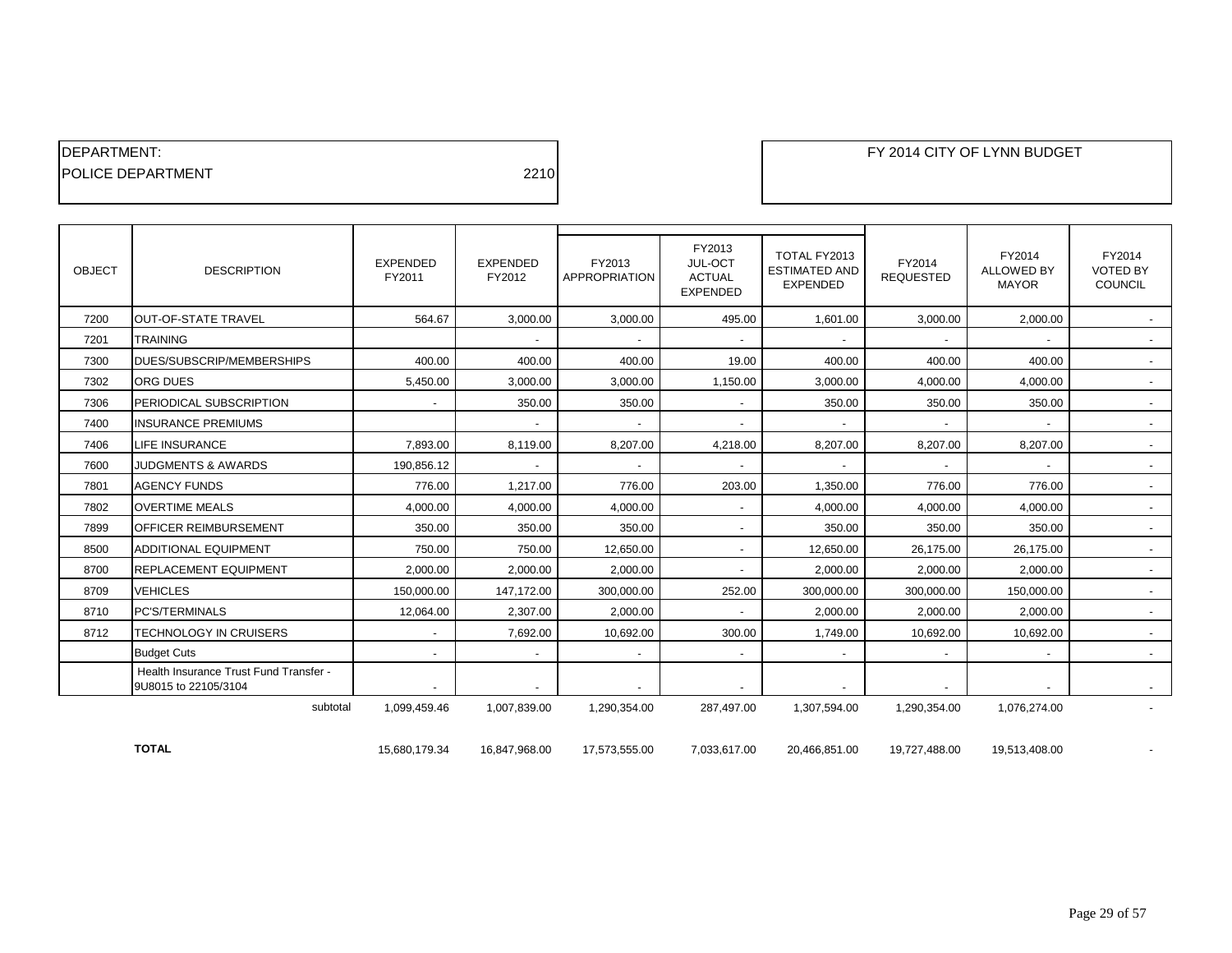| <b>IDEPARTMENT:</b>       |      |
|---------------------------|------|
| <b>IPOLICE DEPARTMENT</b> | 2210 |

| <b>OBJECT</b> | <b>DESCRIPTION</b>                                             | <b>EXPENDED</b><br>FY2011 | <b>EXPENDED</b><br>FY2012 | FY2013<br><b>APPROPRIATION</b> | FY2013<br>JUL-OCT<br><b>ACTUAL</b><br><b>EXPENDED</b> | TOTAL FY2013<br><b>ESTIMATED AND</b><br><b>EXPENDED</b> | FY2014<br><b>REQUESTED</b> | FY2014<br><b>ALLOWED BY</b><br><b>MAYOR</b> | FY2014<br><b>VOTED BY</b><br>COUNCIL |
|---------------|----------------------------------------------------------------|---------------------------|---------------------------|--------------------------------|-------------------------------------------------------|---------------------------------------------------------|----------------------------|---------------------------------------------|--------------------------------------|
| 7200          | <b>OUT-OF-STATE TRAVEL</b>                                     | 564.67                    | 3.000.00                  | 3.000.00                       | 495.00                                                | 1.601.00                                                | 3,000.00                   | 2.000.00                                    |                                      |
| 7201          | <b>TRAINING</b>                                                |                           |                           |                                | $\overline{\phantom{a}}$                              |                                                         |                            |                                             |                                      |
| 7300          | DUES/SUBSCRIP/MEMBERSHIPS                                      | 400.00                    | 400.00                    | 400.00                         | 19.00                                                 | 400.00                                                  | 400.00                     | 400.00                                      | $\overline{\phantom{a}}$             |
| 7302          | <b>ORG DUES</b>                                                | 5,450.00                  | 3,000.00                  | 3,000.00                       | 1,150.00                                              | 3,000.00                                                | 4,000.00                   | 4,000.00                                    | $\blacksquare$                       |
| 7306          | PERIODICAL SUBSCRIPTION                                        | ۰.                        | 350.00                    | 350.00                         | $\overline{\phantom{a}}$                              | 350.00                                                  | 350.00                     | 350.00                                      | $\blacksquare$                       |
| 7400          | <b>INSURANCE PREMIUMS</b>                                      |                           |                           | $\overline{\phantom{a}}$       | $\overline{\phantom{a}}$                              | $\overline{\phantom{0}}$                                |                            | $\overline{\phantom{a}}$                    | $\blacksquare$                       |
| 7406          | <b>LIFE INSURANCE</b>                                          | 7.893.00                  | 8.119.00                  | 8.207.00                       | 4.218.00                                              | 8.207.00                                                | 8,207.00                   | 8.207.00                                    | $\blacksquare$                       |
| 7600          | <b>JUDGMENTS &amp; AWARDS</b>                                  | 190,856.12                | $\overline{\phantom{a}}$  | $\overline{\phantom{a}}$       | $\overline{\phantom{a}}$                              | $\overline{\phantom{a}}$                                |                            | $\overline{\phantom{a}}$                    | $\sim$                               |
| 7801          | <b>AGENCY FUNDS</b>                                            | 776.00                    | 1,217.00                  | 776.00                         | 203.00                                                | 1,350.00                                                | 776.00                     | 776.00                                      | $\overline{\phantom{a}}$             |
| 7802          | <b>OVERTIME MEALS</b>                                          | 4.000.00                  | 4,000.00                  | 4.000.00                       | $\overline{\phantom{a}}$                              | 4,000.00                                                | 4,000.00                   | 4,000.00                                    | $\sim$                               |
| 7899          | <b>OFFICER REIMBURSEMENT</b>                                   | 350.00                    | 350.00                    | 350.00                         | $\overline{\phantom{a}}$                              | 350.00                                                  | 350.00                     | 350.00                                      | $\blacksquare$                       |
| 8500          | <b>ADDITIONAL EQUIPMENT</b>                                    | 750.00                    | 750.00                    | 12.650.00                      | $\sim$                                                | 12,650.00                                               | 26.175.00                  | 26,175.00                                   | $\sim$                               |
| 8700          | <b>REPLACEMENT EQUIPMENT</b>                                   | 2,000.00                  | 2,000.00                  | 2,000.00                       | $\overline{\phantom{a}}$                              | 2,000.00                                                | 2,000.00                   | 2,000.00                                    | $\overline{\phantom{a}}$             |
| 8709          | <b>VEHICLES</b>                                                | 150,000.00                | 147,172.00                | 300.000.00                     | 252.00                                                | 300,000.00                                              | 300.000.00                 | 150,000.00                                  | $\sim$                               |
| 8710          | <b>PC'S/TERMINALS</b>                                          | 12,064.00                 | 2.307.00                  | 2.000.00                       | $\overline{\phantom{a}}$                              | 2.000.00                                                | 2.000.00                   | 2.000.00                                    | $\sim$                               |
| 8712          | <b>TECHNOLOGY IN CRUISERS</b>                                  |                           | 7,692.00                  | 10,692.00                      | 300.00                                                | 1,749.00                                                | 10,692.00                  | 10,692.00                                   | $\sim$                               |
|               | <b>Budget Cuts</b>                                             | ÷.                        | $\overline{a}$            | $\overline{a}$                 | $\overline{a}$                                        | $\overline{a}$                                          | $\overline{\phantom{a}}$   | $\overline{\phantom{a}}$                    | $\overline{\phantom{a}}$             |
|               | Health Insurance Trust Fund Transfer -<br>9U8015 to 22105/3104 |                           | $\overline{\phantom{a}}$  |                                | $\overline{\phantom{a}}$                              | $\overline{\phantom{a}}$                                |                            | $\overline{\phantom{a}}$                    | $\sim$                               |
|               | subtotal                                                       | 1,099,459.46              | 1,007,839.00              | 1,290,354.00                   | 287,497.00                                            | 1,307,594.00                                            | 1,290,354.00               | 1,076,274.00                                |                                      |

**TOTAL** 15,680,179.34 16,847,968.00 17,573,555.00 7,033,617.00 20,466,851.00 19,727,488.00 19,513,408.00 -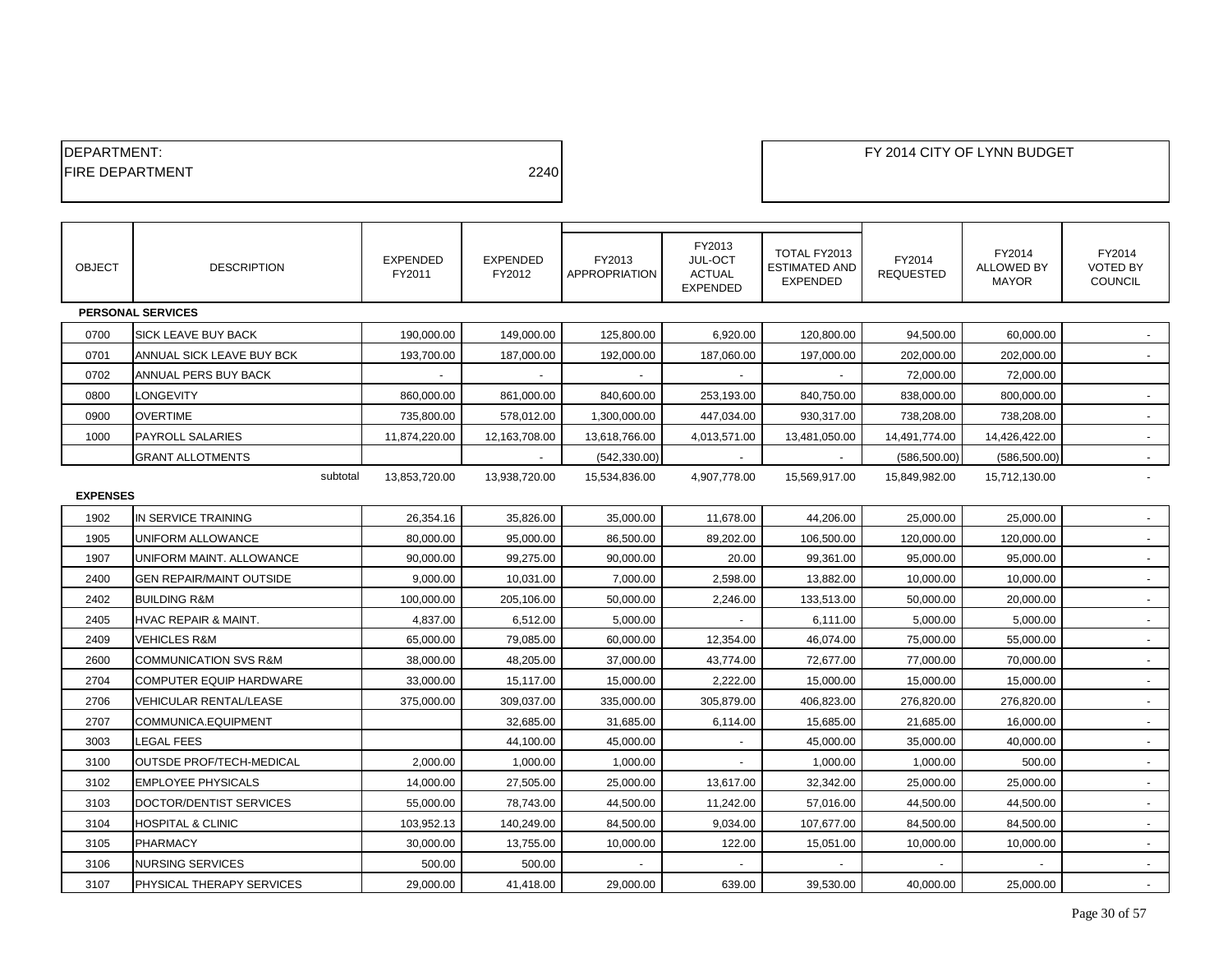| <b>IDEPARTMENT:</b>     |      |  |
|-------------------------|------|--|
| <b>IFIRE DEPARTMENT</b> | 2240 |  |
|                         |      |  |

| <b>OBJECT</b>   | <b>DESCRIPTION</b>               | <b>EXPENDED</b><br>FY2011 | <b>EXPENDED</b><br>FY2012 | FY2013<br><b>APPROPRIATION</b> | FY2013<br>JUL-OCT<br><b>ACTUAL</b><br><b>EXPENDED</b> | TOTAL FY2013<br><b>ESTIMATED AND</b><br><b>EXPENDED</b> | FY2014<br><b>REQUESTED</b> | FY2014<br><b>ALLOWED BY</b><br><b>MAYOR</b> | FY2014<br><b>VOTED BY</b><br><b>COUNCIL</b> |
|-----------------|----------------------------------|---------------------------|---------------------------|--------------------------------|-------------------------------------------------------|---------------------------------------------------------|----------------------------|---------------------------------------------|---------------------------------------------|
|                 | <b>PERSONAL SERVICES</b>         |                           |                           |                                |                                                       |                                                         |                            |                                             |                                             |
| 0700            | SICK LEAVE BUY BACK              | 190,000.00                | 149,000.00                | 125,800.00                     | 6,920.00                                              | 120,800.00                                              | 94,500.00                  | 60,000.00                                   |                                             |
| 0701            | ANNUAL SICK LEAVE BUY BCK        | 193,700.00                | 187,000.00                | 192,000.00                     | 187,060.00                                            | 197,000.00                                              | 202,000.00                 | 202,000.00                                  |                                             |
| 0702            | ANNUAL PERS BUY BACK             |                           |                           |                                |                                                       |                                                         | 72,000.00                  | 72,000.00                                   |                                             |
| 0800            | LONGEVITY                        | 860.000.00                | 861,000.00                | 840,600.00                     | 253,193.00                                            | 840,750.00                                              | 838,000.00                 | 800,000.00                                  |                                             |
| 0900            | <b>OVERTIME</b>                  | 735,800.00                | 578,012.00                | 1,300,000.00                   | 447,034.00                                            | 930,317.00                                              | 738.208.00                 | 738,208.00                                  | $\sim$                                      |
| 1000            | <b>PAYROLL SALARIES</b>          | 11,874,220.00             | 12,163,708.00             | 13,618,766.00                  | 4,013,571.00                                          | 13,481,050.00                                           | 14,491,774.00              | 14,426,422.00                               |                                             |
|                 | <b>GRANT ALLOTMENTS</b>          |                           |                           | (542, 330.00)                  |                                                       |                                                         | (586, 500.00)              | (586, 500.00)                               |                                             |
|                 | subtotal                         | 13,853,720.00             | 13,938,720.00             | 15,534,836.00                  | 4,907,778.00                                          | 15,569,917.00                                           | 15,849,982.00              | 15,712,130.00                               |                                             |
| <b>EXPENSES</b> |                                  |                           |                           |                                |                                                       |                                                         |                            |                                             |                                             |
| 1902            | IN SERVICE TRAINING              | 26,354.16                 | 35,826.00                 | 35,000.00                      | 11,678.00                                             | 44,206.00                                               | 25,000.00                  | 25,000.00                                   |                                             |
| 1905            | UNIFORM ALLOWANCE                | 80,000.00                 | 95,000.00                 | 86,500.00                      | 89,202.00                                             | 106,500.00                                              | 120,000.00                 | 120,000.00                                  | $\overline{\phantom{a}}$                    |
| 1907            | UNIFORM MAINT. ALLOWANCE         | 90,000.00                 | 99,275.00                 | 90,000.00                      | 20.00                                                 | 99,361.00                                               | 95,000.00                  | 95,000.00                                   |                                             |
| 2400            | <b>GEN REPAIR/MAINT OUTSIDE</b>  | 9,000.00                  | 10,031.00                 | 7,000.00                       | 2,598.00                                              | 13,882.00                                               | 10,000.00                  | 10,000.00                                   | $\sim$                                      |
| 2402            | <b>BUILDING R&amp;M</b>          | 100,000.00                | 205,106.00                | 50,000.00                      | 2,246.00                                              | 133,513.00                                              | 50,000.00                  | 20,000.00                                   |                                             |
| 2405            | <b>HVAC REPAIR &amp; MAINT.</b>  | 4,837.00                  | 6,512.00                  | 5,000.00                       |                                                       | 6,111.00                                                | 5,000.00                   | 5,000.00                                    | $\overline{\phantom{a}}$                    |
| 2409            | <b>VEHICLES R&amp;M</b>          | 65,000.00                 | 79,085.00                 | 60,000.00                      | 12,354.00                                             | 46,074.00                                               | 75,000.00                  | 55,000.00                                   |                                             |
| 2600            | <b>COMMUNICATION SVS R&amp;M</b> | 38,000.00                 | 48,205.00                 | 37,000.00                      | 43,774.00                                             | 72,677.00                                               | 77,000.00                  | 70,000.00                                   | $\sim$                                      |
| 2704            | COMPUTER EQUIP HARDWARE          | 33,000.00                 | 15,117.00                 | 15,000.00                      | 2,222.00                                              | 15,000.00                                               | 15,000.00                  | 15,000.00                                   | $\sim$                                      |
| 2706            | VEHICULAR RENTAL/LEASE           | 375,000.00                | 309,037.00                | 335,000.00                     | 305,879.00                                            | 406,823.00                                              | 276,820.00                 | 276,820.00                                  | $\overline{\phantom{a}}$                    |
| 2707            | COMMUNICA.EQUIPMENT              |                           | 32,685.00                 | 31,685.00                      | 6,114.00                                              | 15,685.00                                               | 21,685.00                  | 16,000.00                                   |                                             |
| 3003            | LEGAL FEES                       |                           | 44,100.00                 | 45,000.00                      | $\overline{\phantom{a}}$                              | 45,000.00                                               | 35,000.00                  | 40,000.00                                   | $\blacksquare$                              |
| 3100            | <b>OUTSDE PROF/TECH-MEDICAL</b>  | 2,000.00                  | 1,000.00                  | 1,000.00                       |                                                       | 1,000.00                                                | 1,000.00                   | 500.00                                      | $\blacksquare$                              |
| 3102            | <b>EMPLOYEE PHYSICALS</b>        | 14,000.00                 | 27,505.00                 | 25,000.00                      | 13,617.00                                             | 32,342.00                                               | 25,000.00                  | 25,000.00                                   | $\blacksquare$                              |
| 3103            | DOCTOR/DENTIST SERVICES          | 55,000.00                 | 78,743.00                 | 44,500.00                      | 11,242.00                                             | 57,016.00                                               | 44,500.00                  | 44,500.00                                   |                                             |
| 3104            | <b>HOSPITAL &amp; CLINIC</b>     | 103,952.13                | 140,249.00                | 84,500.00                      | 9,034.00                                              | 107,677.00                                              | 84,500.00                  | 84,500.00                                   | $\sim$                                      |
| 3105            | <b>PHARMACY</b>                  | 30,000.00                 | 13,755.00                 | 10,000.00                      | 122.00                                                | 15,051.00                                               | 10,000.00                  | 10,000.00                                   | $\sim$                                      |
| 3106            | <b>NURSING SERVICES</b>          | 500.00                    | 500.00                    |                                |                                                       |                                                         |                            |                                             |                                             |
| 3107            | PHYSICAL THERAPY SERVICES        | 29,000.00                 | 41,418.00                 | 29,000.00                      | 639.00                                                | 39,530.00                                               | 40,000.00                  | 25,000.00                                   |                                             |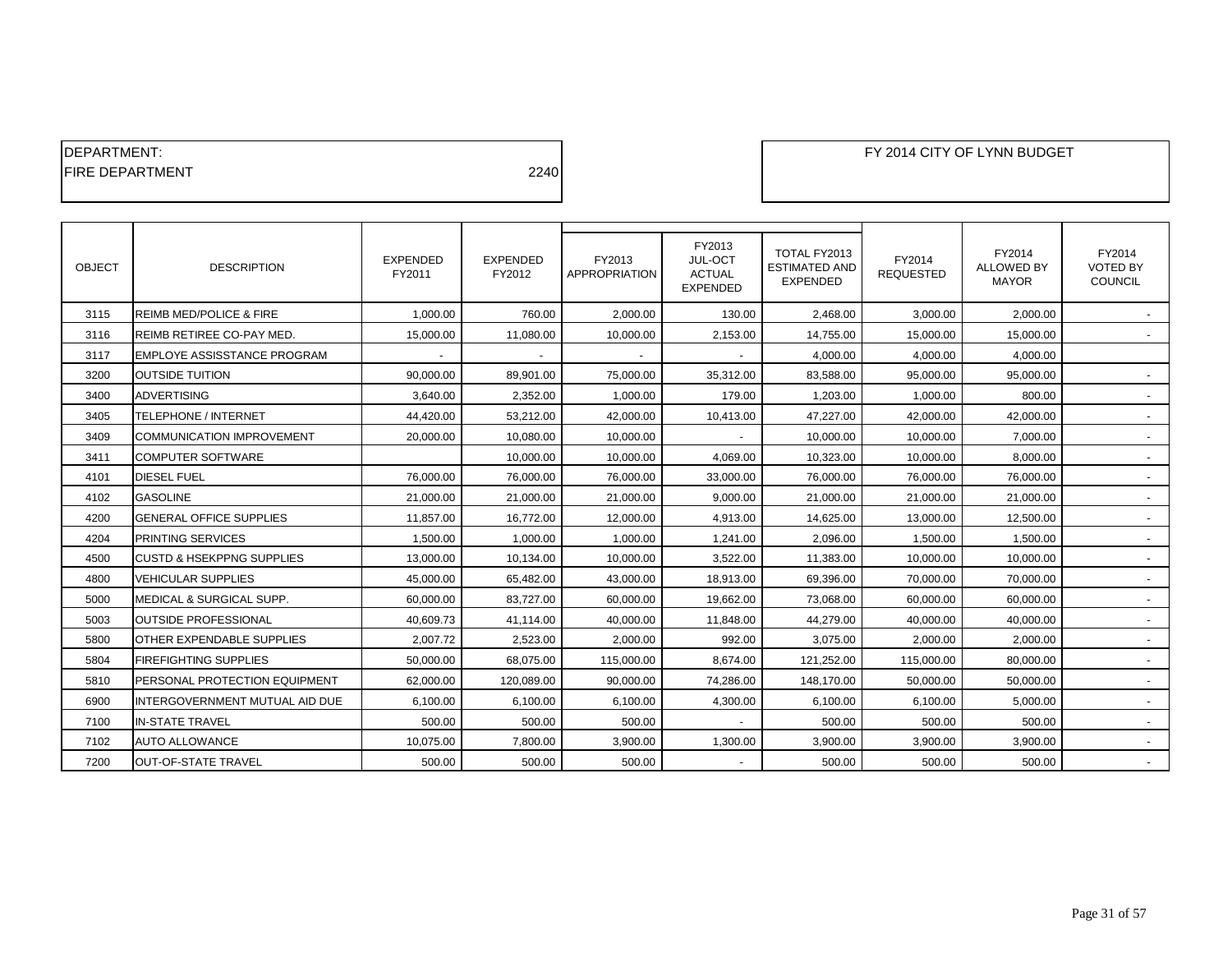# DEPARTMENT: FY 2014 CITY OF LYNN BUDGET FIRE DEPARTMENT 2240

| <b>OBJECT</b> | <b>DESCRIPTION</b>                   | <b>EXPENDED</b><br>FY2011 | <b>EXPENDED</b><br>FY2012 | FY2013<br><b>APPROPRIATION</b> | FY2013<br>JUL-OCT<br><b>ACTUAL</b><br><b>EXPENDED</b> | TOTAL FY2013<br><b>ESTIMATED AND</b><br><b>EXPENDED</b> | FY2014<br><b>REQUESTED</b> | FY2014<br><b>ALLOWED BY</b><br><b>MAYOR</b> | FY2014<br><b>VOTED BY</b><br>COUNCIL |
|---------------|--------------------------------------|---------------------------|---------------------------|--------------------------------|-------------------------------------------------------|---------------------------------------------------------|----------------------------|---------------------------------------------|--------------------------------------|
| 3115          | <b>REIMB MED/POLICE &amp; FIRE</b>   | 1.000.00                  | 760.00                    | 2.000.00                       | 130.00                                                | 2.468.00                                                | 3,000.00                   | 2.000.00                                    |                                      |
| 3116          | REIMB RETIREE CO-PAY MED.            | 15,000.00                 | 11,080.00                 | 10,000.00                      | 2,153.00                                              | 14,755.00                                               | 15,000.00                  | 15,000.00                                   |                                      |
| 3117          | EMPLOYE ASSISSTANCE PROGRAM          | $\sim$                    | $\sim$                    | $\sim$                         | $\sim$                                                | 4,000.00                                                | 4,000.00                   | 4,000.00                                    |                                      |
| 3200          | <b>OUTSIDE TUITION</b>               | 90,000.00                 | 89,901.00                 | 75,000.00                      | 35,312.00                                             | 83,588.00                                               | 95,000.00                  | 95,000.00                                   |                                      |
| 3400          | <b>ADVERTISING</b>                   | 3.640.00                  | 2,352.00                  | 1,000.00                       | 179.00                                                | 1,203.00                                                | 1,000.00                   | 800.00                                      |                                      |
| 3405          | TELEPHONE / INTERNET                 | 44,420.00                 | 53,212.00                 | 42,000.00                      | 10,413.00                                             | 47,227.00                                               | 42,000.00                  | 42,000.00                                   |                                      |
| 3409          | <b>COMMUNICATION IMPROVEMENT</b>     | 20,000.00                 | 10.080.00                 | 10.000.00                      |                                                       | 10,000.00                                               | 10.000.00                  | 7.000.00                                    |                                      |
| 3411          | <b>COMPUTER SOFTWARE</b>             |                           | 10,000.00                 | 10,000.00                      | 4,069.00                                              | 10,323.00                                               | 10,000.00                  | 8.000.00                                    | $\overline{\phantom{a}}$             |
| 4101          | <b>DIESEL FUEL</b>                   | 76,000.00                 | 76,000.00                 | 76,000.00                      | 33,000.00                                             | 76,000.00                                               | 76,000.00                  | 76,000.00                                   |                                      |
| 4102          | <b>GASOLINE</b>                      | 21,000.00                 | 21,000.00                 | 21,000.00                      | 9,000.00                                              | 21,000.00                                               | 21,000.00                  | 21,000.00                                   |                                      |
| 4200          | <b>GENERAL OFFICE SUPPLIES</b>       | 11,857.00                 | 16,772.00                 | 12,000.00                      | 4,913.00                                              | 14,625.00                                               | 13,000.00                  | 12,500.00                                   |                                      |
| 4204          | PRINTING SERVICES                    | 1,500.00                  | 1,000.00                  | 1,000.00                       | 1,241.00                                              | 2.096.00                                                | 1,500.00                   | 1,500.00                                    |                                      |
| 4500          | <b>CUSTD &amp; HSEKPPNG SUPPLIES</b> | 13,000.00                 | 10,134.00                 | 10,000.00                      | 3,522.00                                              | 11,383.00                                               | 10,000.00                  | 10.000.00                                   |                                      |
| 4800          | VEHICULAR SUPPLIES                   | 45,000.00                 | 65,482.00                 | 43,000.00                      | 18,913.00                                             | 69,396.00                                               | 70,000.00                  | 70,000.00                                   |                                      |
| 5000          | <b>MEDICAL &amp; SURGICAL SUPP.</b>  | 60,000.00                 | 83,727.00                 | 60,000.00                      | 19,662.00                                             | 73,068.00                                               | 60,000.00                  | 60,000.00                                   |                                      |
| 5003          | <b>OUTSIDE PROFESSIONAL</b>          | 40,609.73                 | 41,114.00                 | 40,000.00                      | 11,848.00                                             | 44,279.00                                               | 40,000.00                  | 40,000.00                                   |                                      |
| 5800          | OTHER EXPENDABLE SUPPLIES            | 2,007.72                  | 2,523.00                  | 2,000.00                       | 992.00                                                | 3,075.00                                                | 2,000.00                   | 2,000.00                                    |                                      |
| 5804          | FIREFIGHTING SUPPLIES                | 50,000.00                 | 68.075.00                 | 115,000.00                     | 8,674.00                                              | 121,252.00                                              | 115,000.00                 | 80.000.00                                   |                                      |
| 5810          | PERSONAL PROTECTION EQUIPMENT        | 62.000.00                 | 120.089.00                | 90.000.00                      | 74,286.00                                             | 148,170.00                                              | 50,000.00                  | 50.000.00                                   |                                      |
| 6900          | INTERGOVERNMENT MUTUAL AID DUE       | 6,100.00                  | 6,100.00                  | 6,100.00                       | 4,300.00                                              | 6,100.00                                                | 6,100.00                   | 5,000.00                                    | $\sim$                               |
| 7100          | <b>IN-STATE TRAVEL</b>               | 500.00                    | 500.00                    | 500.00                         |                                                       | 500.00                                                  | 500.00                     | 500.00                                      |                                      |
| 7102          | <b>AUTO ALLOWANCE</b>                | 10,075.00                 | 7.800.00                  | 3,900.00                       | 1,300.00                                              | 3,900.00                                                | 3,900.00                   | 3,900.00                                    |                                      |
| 7200          | <b>OUT-OF-STATE TRAVEL</b>           | 500.00                    | 500.00                    | 500.00                         |                                                       | 500.00                                                  | 500.00                     | 500.00                                      |                                      |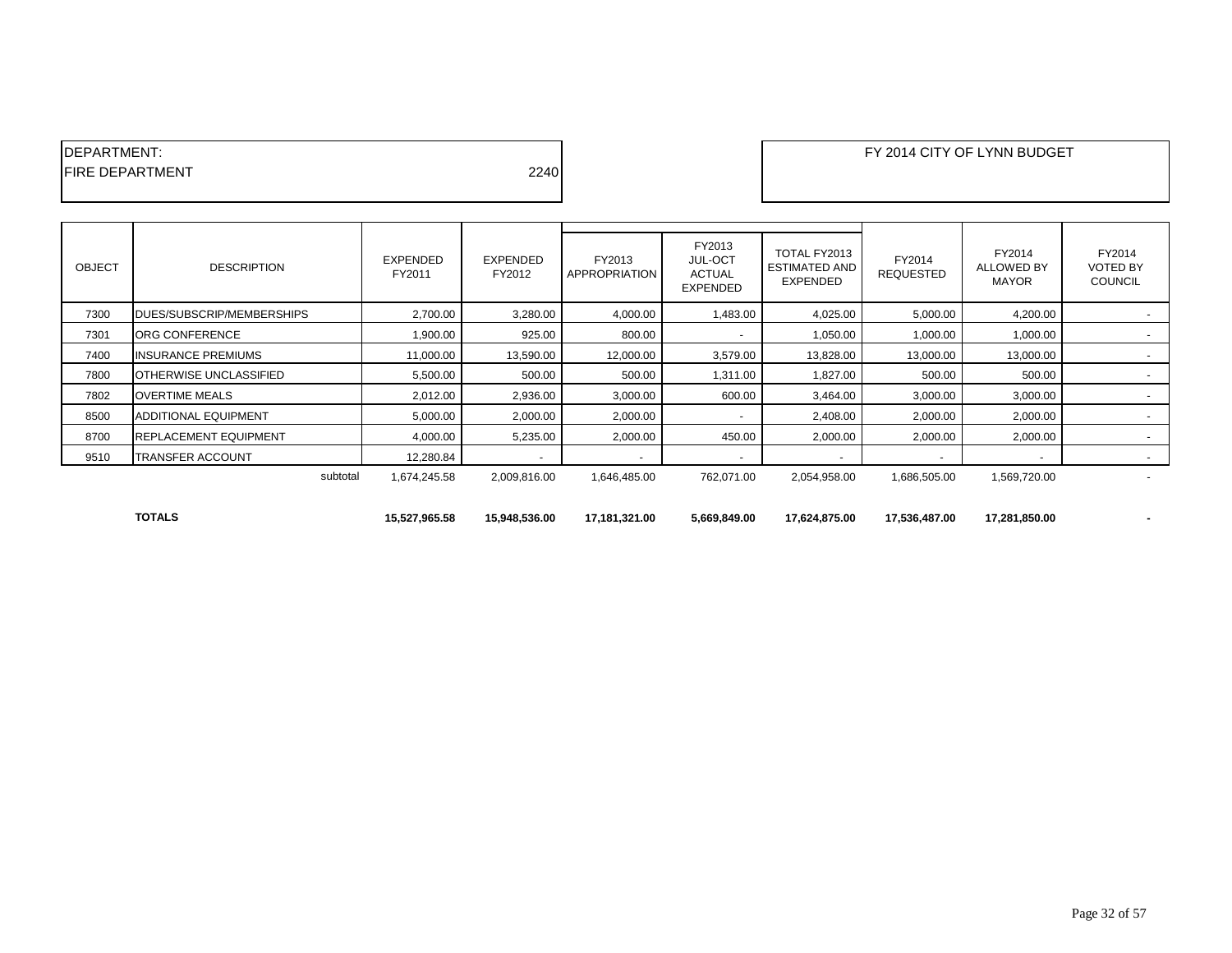| IDEPARTMENT:            |      |
|-------------------------|------|
| <b>IFIRE DEPARTMENT</b> | 2240 |
|                         |      |

| <b>OBJECT</b> | <b>DESCRIPTION</b>                | <b>EXPENDED</b><br>FY2011 | <b>EXPENDED</b><br>FY2012 | FY2013<br>APPROPRIATION | FY2013<br><b>JUL-OCT</b><br><b>ACTUAL</b><br><b>EXPENDED</b> | TOTAL FY2013<br><b>ESTIMATED AND</b><br><b>EXPENDED</b> | FY2014<br><b>REQUESTED</b> | FY2014<br><b>ALLOWED BY</b><br>MAYOR | FY2014<br><b>VOTED BY</b><br><b>COUNCIL</b> |
|---------------|-----------------------------------|---------------------------|---------------------------|-------------------------|--------------------------------------------------------------|---------------------------------------------------------|----------------------------|--------------------------------------|---------------------------------------------|
| 7300          | <b>IDUES/SUBSCRIP/MEMBERSHIPS</b> | 2,700.00                  | 3,280.00                  | 4,000.00                | 1,483.00                                                     | 4,025.00                                                | 5,000.00                   | 4,200.00                             |                                             |
| 7301          | ORG CONFERENCE                    | 1,900.00                  | 925.00                    | 800.00                  |                                                              | 1,050.00                                                | 1,000.00                   | 1,000.00                             |                                             |
| 7400          | <b>INSURANCE PREMIUMS</b>         | 11,000.00                 | 13,590.00                 | 12,000.00               | 3,579.00                                                     | 13,828.00                                               | 13,000.00                  | 13,000.00                            |                                             |
| 7800          | <b>IOTHERWISE UNCLASSIFIED</b>    | 5,500.00                  | 500.00                    | 500.00                  | 1,311.00                                                     | 1,827.00                                                | 500.00                     | 500.00                               |                                             |
| 7802          | <b>OVERTIME MEALS</b>             | 2,012.00                  | 2,936.00                  | 3,000.00                | 600.00                                                       | 3,464.00                                                | 3,000.00                   | 3,000.00                             |                                             |
| 8500          | <b>ADDITIONAL EQUIPMENT</b>       | 5,000.00                  | 2,000.00                  | 2,000.00                |                                                              | 2,408.00                                                | 2,000.00                   | 2,000.00                             |                                             |
| 8700          | <b>REPLACEMENT EQUIPMENT</b>      | 4,000.00                  | 5,235.00                  | 2,000.00                | 450.00                                                       | 2,000.00                                                | 2,000.00                   | 2,000.00                             |                                             |
| 9510          | <b>TRANSFER ACCOUNT</b>           | 12,280.84                 |                           |                         |                                                              |                                                         |                            |                                      |                                             |
|               | subtotal                          | 1,674,245.58              | 2,009,816.00              | 1,646,485.00            | 762,071.00                                                   | 2,054,958.00                                            | 1,686,505.00               | 1,569,720.00                         |                                             |
|               | <b>TOTALS</b>                     | 15,527,965.58             | 15,948,536.00             | 17,181,321.00           | 5,669,849.00                                                 | 17,624,875.00                                           | 17,536,487.00              | 17,281,850.00                        |                                             |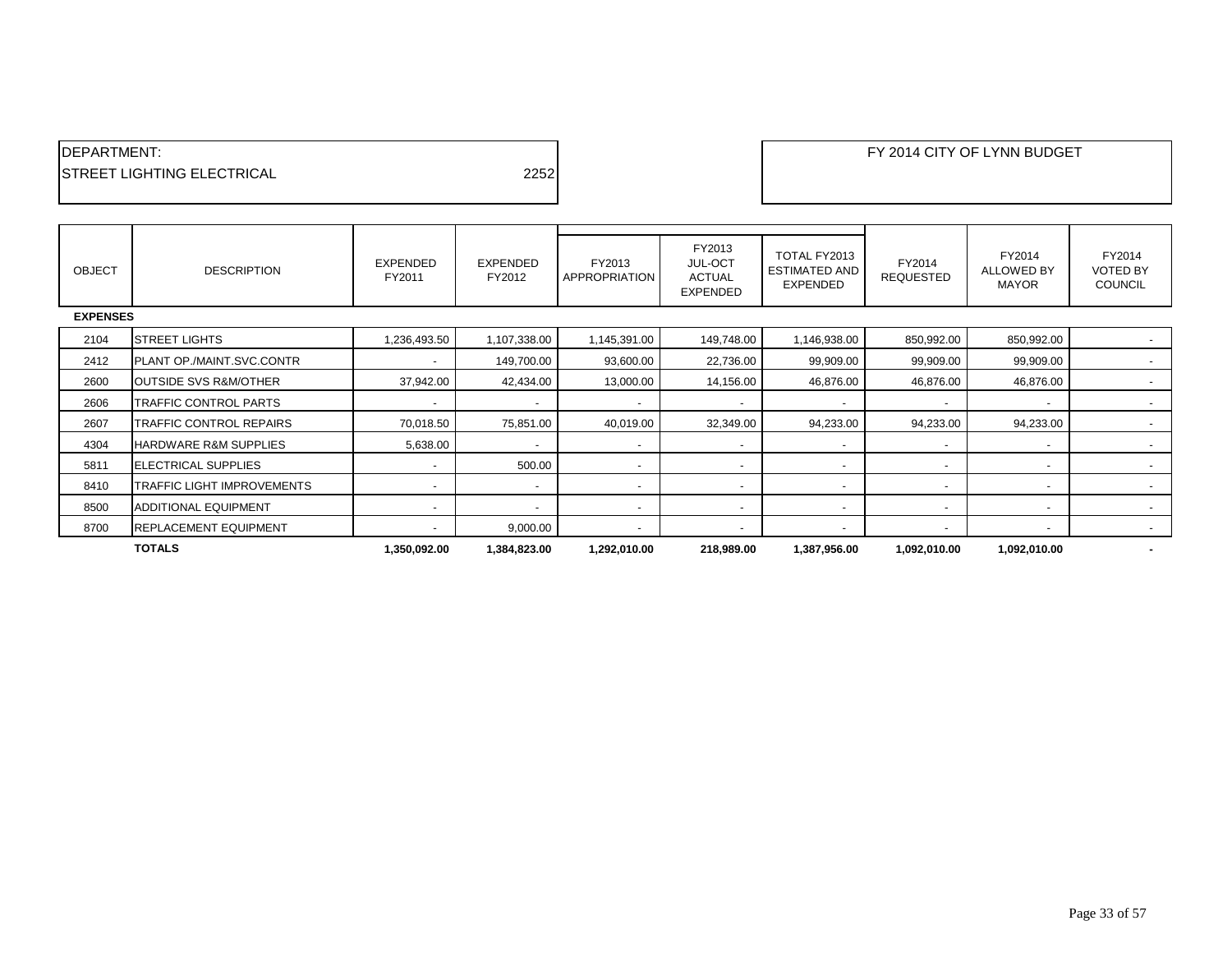| <b>IDEPARTMENT:</b>                |      |
|------------------------------------|------|
| <b>ISTREET LIGHTING ELECTRICAL</b> | 2252 |

| <b>OBJECT</b>   | <b>DESCRIPTION</b>               | EXPENDED<br>FY2011       | <b>EXPENDED</b><br>FY2012 | FY2013<br>APPROPRIATION  | FY2013<br>JUL-OCT<br><b>ACTUAL</b><br><b>EXPENDED</b> | TOTAL FY2013<br><b>ESTIMATED AND</b><br><b>EXPENDED</b> | FY2014<br><b>REQUESTED</b> | FY2014<br>ALLOWED BY<br><b>MAYOR</b> | FY2014<br><b>VOTED BY</b><br><b>COUNCIL</b> |
|-----------------|----------------------------------|--------------------------|---------------------------|--------------------------|-------------------------------------------------------|---------------------------------------------------------|----------------------------|--------------------------------------|---------------------------------------------|
| <b>EXPENSES</b> |                                  |                          |                           |                          |                                                       |                                                         |                            |                                      |                                             |
| 2104            | <b>STREET LIGHTS</b>             | 1,236,493.50             | 1,107,338.00              | 1,145,391.00             | 149,748.00                                            | 1,146,938.00                                            | 850,992.00                 | 850,992.00                           |                                             |
| 2412            | <b>PLANT OP./MAINT.SVC.CONTR</b> | $\overline{\phantom{0}}$ | 149,700.00                | 93,600.00                | 22,736.00                                             | 99,909.00                                               | 99,909.00                  | 99,909.00                            |                                             |
| 2600            | <b>OUTSIDE SVS R&amp;M/OTHER</b> | 37,942.00                | 42,434.00                 | 13,000.00                | 14,156.00                                             | 46,876.00                                               | 46,876.00                  | 46,876.00                            |                                             |
| 2606            | TRAFFIC CONTROL PARTS            | $\overline{\phantom{a}}$ | $\overline{\phantom{a}}$  | $\overline{\phantom{a}}$ |                                                       |                                                         |                            |                                      |                                             |
| 2607            | TRAFFIC CONTROL REPAIRS          | 70,018.50                | 75,851.00                 | 40,019.00                | 32,349.00                                             | 94,233.00                                               | 94,233.00                  | 94,233.00                            |                                             |
| 4304            | <b>HARDWARE R&amp;M SUPPLIES</b> | 5,638.00                 | $\overline{\phantom{a}}$  | $\sim$                   | $\sim$                                                | $\overline{\phantom{a}}$                                | $\overline{\phantom{a}}$   | $\overline{\phantom{a}}$             | $\overline{\phantom{a}}$                    |
| 5811            | <b>ELECTRICAL SUPPLIES</b>       | $\overline{\phantom{0}}$ | 500.00                    | $\overline{\phantom{a}}$ | $\overline{\phantom{a}}$                              | $\overline{\phantom{0}}$                                |                            |                                      |                                             |
| 8410            | TRAFFIC LIGHT IMPROVEMENTS       | $\overline{\phantom{a}}$ | $\overline{\phantom{a}}$  | $\overline{\phantom{a}}$ | $\overline{\phantom{a}}$                              |                                                         |                            |                                      |                                             |
| 8500            | <b>ADDITIONAL EQUIPMENT</b>      | $\overline{\phantom{a}}$ | $\overline{\phantom{a}}$  | $\blacksquare$           | $\overline{\phantom{a}}$                              | $\overline{\phantom{a}}$                                | $\overline{\phantom{0}}$   | $\overline{\phantom{a}}$             | $\overline{\phantom{a}}$                    |
| 8700            | <b>REPLACEMENT EQUIPMENT</b>     | $\overline{\phantom{0}}$ | 9,000.00                  | $\overline{\phantom{a}}$ | $\overline{\phantom{a}}$                              | $\overline{\phantom{a}}$                                |                            |                                      |                                             |
|                 | <b>TOTALS</b>                    | 1,350,092.00             | 1,384,823.00              | 1,292,010.00             | 218,989.00                                            | 1,387,956.00                                            | 1,092,010.00               | 1,092,010.00                         |                                             |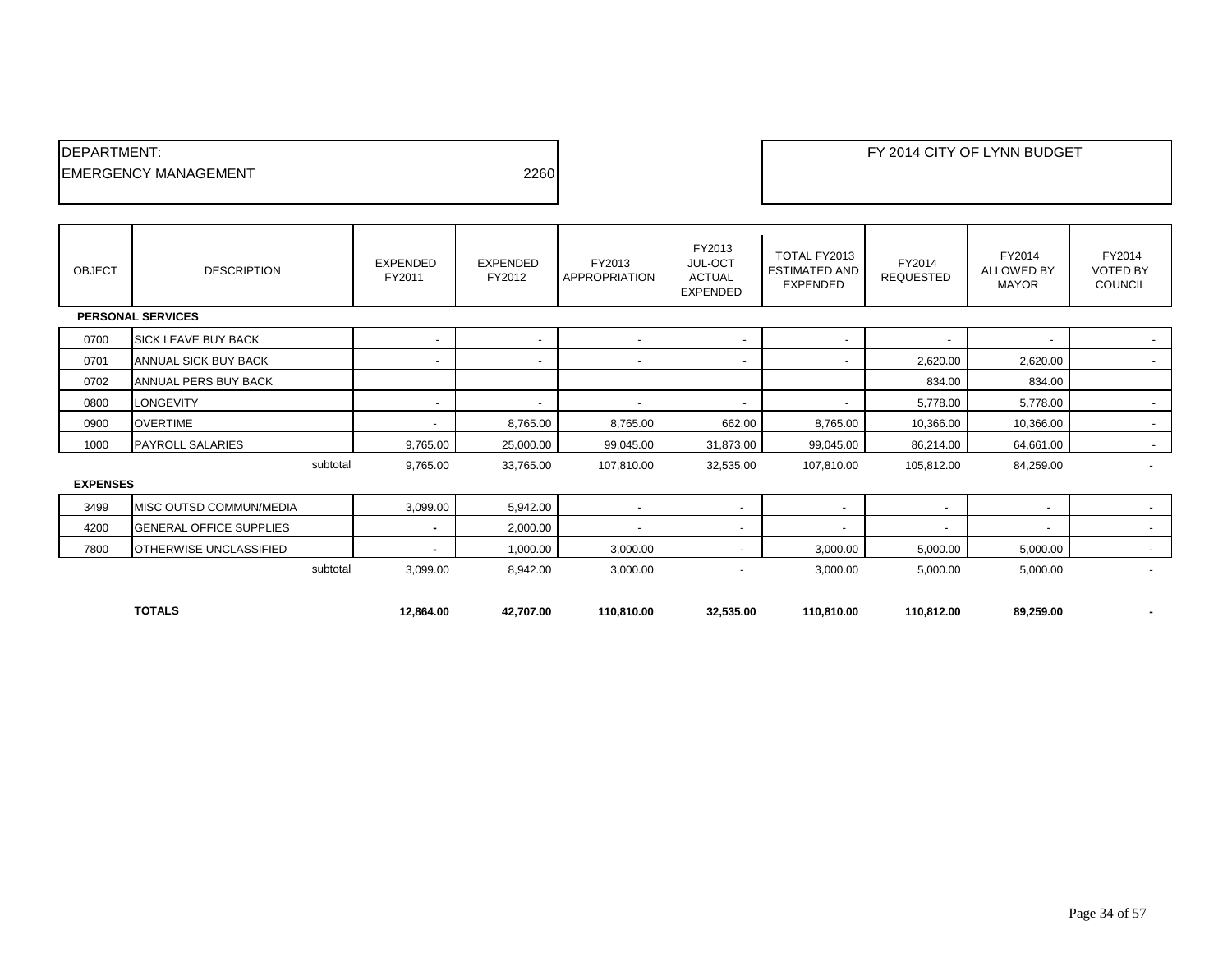| <b>IDEPARTMENT:</b>          |      |  |
|------------------------------|------|--|
| <b>IEMERGENCY MANAGEMENT</b> | 2260 |  |
|                              |      |  |

OBJECT DESCRIPTION EXPENDED FY2011 EXPENDED FY2012 FY2013 APPROPRIATION FY2013 JUL-OCT ACTUAL EXPENDED TOTAL FY2013 ESTIMATED AND EXPENDED FY2014 REQUESTED FY2014 ALLOWED BY MAYOR FY2014 VOTED BY COUNCIL  **PERSONAL SERVICES** 0700 SICK LEAVE BUY BACK - - - - - - - - 0701 ANNUAL SICK BUY BACK - - - - - 2,620.00 2,620.00 - 0702 ANNUAL PERS BUY BACK 834.00 834.00 0800 LONGEVITY - - - - - 5,778.00 5,778.00 - 0900 OVERTIME - 8,765.00 8,765.00 662.00 8,765.00 10,366.00 10,366.00 - 1000 PAYROLL SALARIES 9,765.00 | 25,000.00 | 99,045.00 | 99,045.00 | 86,214.00 | 64,661.00 | subtotal 9,765.00 33,765.00 107,810.00 32,535.00 107,810.00 105,812.00 84,259.00 -

#### **EXPENSES**

|      | <b>TOTALS</b>                   | 12.864.00 | 42.707.00 | 110.810.00 | 32,535.00 | 110.810.00 | 110.812.00 | 89,259.00 | $\overline{\phantom{a}}$ |
|------|---------------------------------|-----------|-----------|------------|-----------|------------|------------|-----------|--------------------------|
|      | subtotal                        | 3,099.00  | 8,942.00  | 3,000.00   |           | 3,000.00   | 5,000.00   | 5,000.00  |                          |
| 7800 | <b>OTHERWISE UNCLASSIFIED</b>   |           | 1,000.00  | 3,000.00   |           | 3,000.00   | 5,000.00   | 5,000.00  |                          |
| 4200 | <b>IGENERAL OFFICE SUPPLIES</b> |           | 2,000.00  |            |           |            |            |           |                          |
| 3499 | <b>MISC OUTSD COMMUN/MEDIA</b>  | 3,099.00  | 5,942.00  |            |           |            |            |           |                          |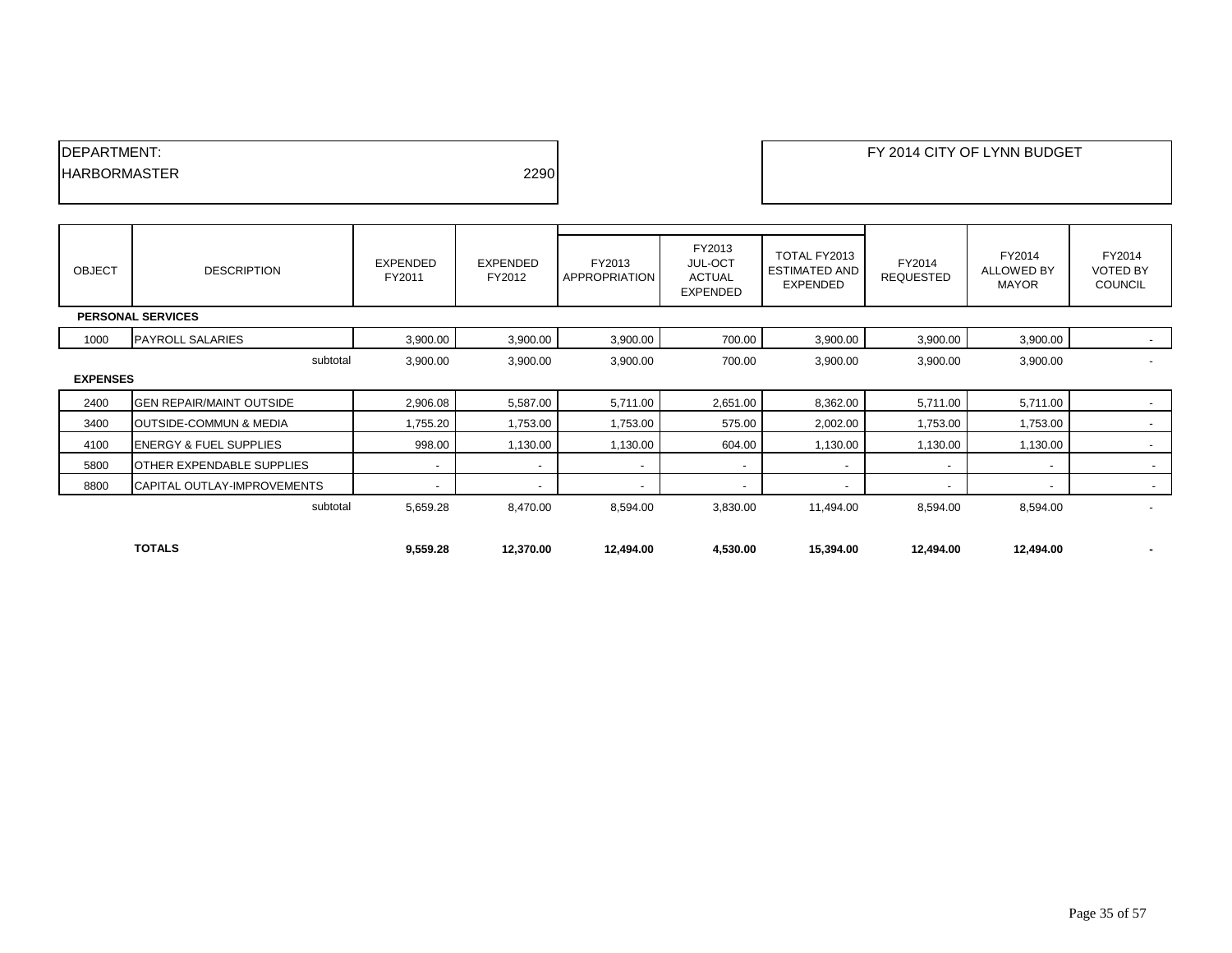| <b>IDEPARTMENT:</b>  |      |
|----------------------|------|
| <b>IHARBORMASTER</b> | 2290 |
|                      |      |

| <b>OBJECT</b>            | <b>DESCRIPTION</b>                | EXPENDED<br>FY2011 | EXPENDED<br>FY2012       | FY2013<br>APPROPRIATION | FY2013<br><b>JUL-OCT</b><br><b>ACTUAL</b><br><b>EXPENDED</b> | TOTAL FY2013<br><b>ESTIMATED AND</b><br><b>EXPENDED</b> | FY2014<br><b>REQUESTED</b> | FY2014<br><b>ALLOWED BY</b><br><b>MAYOR</b> | FY2014<br><b>VOTED BY</b><br><b>COUNCIL</b> |  |  |
|--------------------------|-----------------------------------|--------------------|--------------------------|-------------------------|--------------------------------------------------------------|---------------------------------------------------------|----------------------------|---------------------------------------------|---------------------------------------------|--|--|
| <b>PERSONAL SERVICES</b> |                                   |                    |                          |                         |                                                              |                                                         |                            |                                             |                                             |  |  |
| 1000                     | <b>PAYROLL SALARIES</b>           | 3,900.00           | 3,900.00                 | 3,900.00                | 700.00                                                       | 3,900.00                                                | 3,900.00                   | 3,900.00                                    | $\sim$                                      |  |  |
|                          | subtotal                          | 3,900.00           | 3,900.00                 | 3,900.00                | 700.00                                                       | 3,900.00                                                | 3,900.00                   | 3,900.00                                    | $\overline{\phantom{0}}$                    |  |  |
| <b>EXPENSES</b>          |                                   |                    |                          |                         |                                                              |                                                         |                            |                                             |                                             |  |  |
| 2400                     | <b>GEN REPAIR/MAINT OUTSIDE</b>   | 2,906.08           | 5,587.00                 | 5,711.00                | 2,651.00                                                     | 8,362.00                                                | 5,711.00                   | 5,711.00                                    | $\sim$                                      |  |  |
| 3400                     | OUTSIDE-COMMUN & MEDIA            | 1,755.20           | 1,753.00                 | 1,753.00                | 575.00                                                       | 2,002.00                                                | 1,753.00                   | 1,753.00                                    | $\sim$                                      |  |  |
| 4100                     | <b>ENERGY &amp; FUEL SUPPLIES</b> | 998.00             | 1,130.00                 | 1,130.00                | 604.00                                                       | 1,130.00                                                | 1,130.00                   | 1,130.00                                    | $\sim$                                      |  |  |
| 5800                     | <b>OTHER EXPENDABLE SUPPLIES</b>  |                    | $\overline{\phantom{a}}$ |                         | $\overline{\phantom{a}}$                                     |                                                         | $\overline{\phantom{a}}$   |                                             | $\sim$                                      |  |  |
| 8800                     | CAPITAL OUTLAY-IMPROVEMENTS       |                    | $\overline{\phantom{a}}$ |                         | $\overline{\phantom{a}}$                                     |                                                         | $\overline{\phantom{a}}$   |                                             | $\sim$                                      |  |  |
|                          | subtotal                          | 5,659.28           | 8,470.00                 | 8,594.00                | 3,830.00                                                     | 11,494.00                                               | 8,594.00                   | 8,594.00                                    | $\overline{\phantom{a}}$                    |  |  |
|                          |                                   |                    |                          |                         |                                                              |                                                         |                            |                                             |                                             |  |  |
|                          | <b>TOTALS</b>                     | 9,559.28           | 12,370.00                | 12,494.00               | 4,530.00                                                     | 15,394.00                                               | 12,494.00                  | 12,494.00                                   | н.                                          |  |  |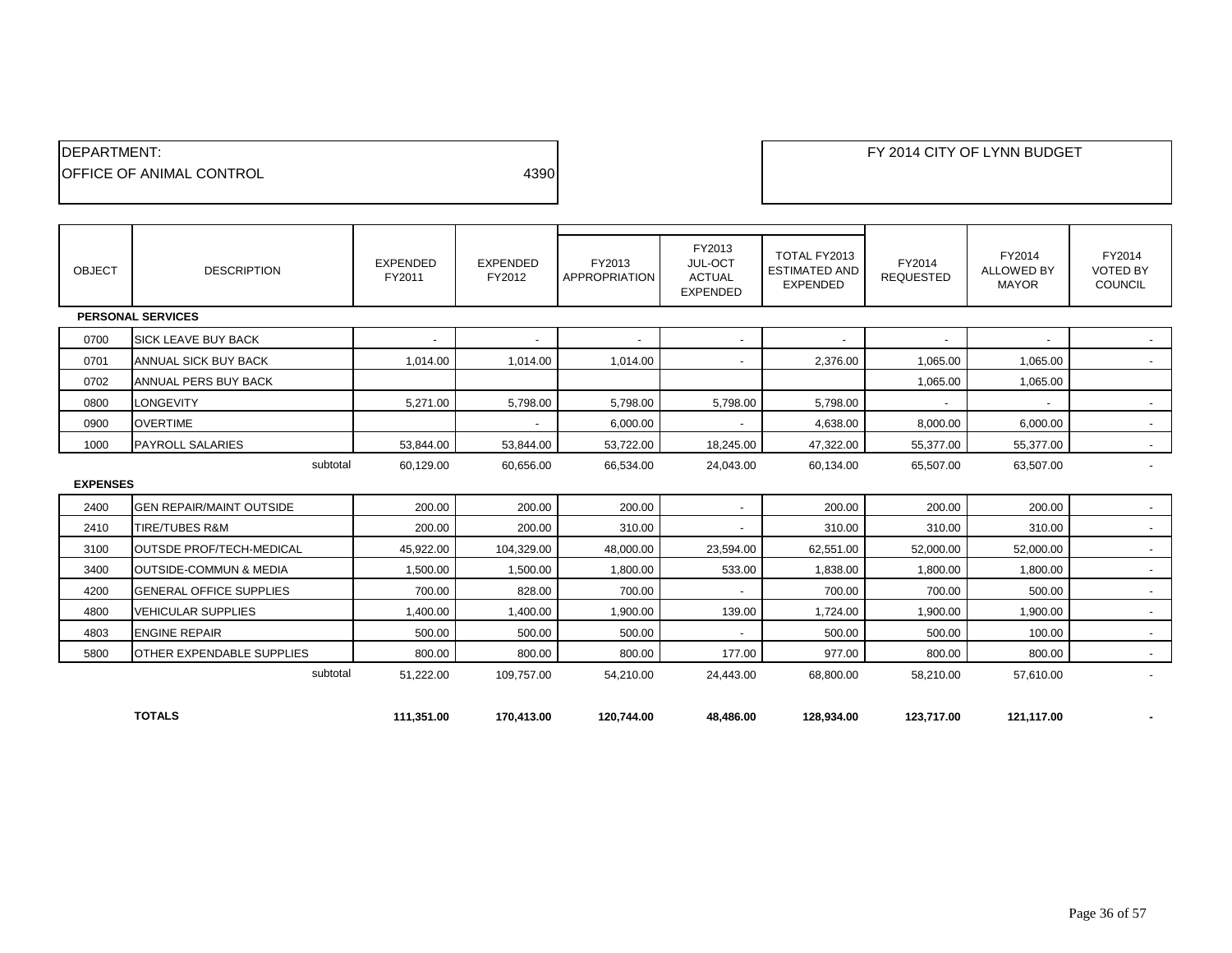| <b>IDEPARTMENT:</b>              |      |
|----------------------------------|------|
| <b>IOFFICE OF ANIMAL CONTROL</b> | 4390 |
|                                  |      |

| <b>OBJECT</b>   | <b>DESCRIPTION</b>                | <b>EXPENDED</b><br>FY2011 | <b>EXPENDED</b><br>FY2012 | FY2013<br><b>APPROPRIATION</b> | FY2013<br>JUL-OCT<br><b>ACTUAL</b><br><b>EXPENDED</b> | TOTAL FY2013<br><b>ESTIMATED AND</b><br><b>EXPENDED</b> | FY2014<br><b>REQUESTED</b> | FY2014<br><b>ALLOWED BY</b><br><b>MAYOR</b> | FY2014<br><b>VOTED BY</b><br><b>COUNCIL</b> |
|-----------------|-----------------------------------|---------------------------|---------------------------|--------------------------------|-------------------------------------------------------|---------------------------------------------------------|----------------------------|---------------------------------------------|---------------------------------------------|
|                 | <b>PERSONAL SERVICES</b>          |                           |                           |                                |                                                       |                                                         |                            |                                             |                                             |
| 0700            | <b>SICK LEAVE BUY BACK</b>        |                           |                           |                                |                                                       |                                                         |                            |                                             |                                             |
| 0701            | ANNUAL SICK BUY BACK              | 1,014.00                  | 1,014.00                  | 1,014.00                       | $\overline{\phantom{a}}$                              | 2.376.00                                                | 1,065.00                   | 1,065.00                                    |                                             |
| 0702            | ANNUAL PERS BUY BACK              |                           |                           |                                |                                                       |                                                         | 1.065.00                   | 1,065.00                                    |                                             |
| 0800            | <b>LONGEVITY</b>                  | 5,271.00                  | 5,798.00                  | 5,798.00                       | 5,798.00                                              | 5,798.00                                                |                            |                                             | $\sim$                                      |
| 0900            | <b>OVERTIME</b>                   |                           | $\overline{a}$            | 6,000.00                       | $\overline{\phantom{a}}$                              | 4,638.00                                                | 8,000.00                   | 6,000.00                                    | $\sim$                                      |
| 1000            | <b>PAYROLL SALARIES</b>           | 53,844.00                 | 53,844.00                 | 53,722.00                      | 18,245.00                                             | 47,322.00                                               | 55,377.00                  | 55,377.00                                   | $\sim$                                      |
|                 | subtotal                          | 60,129.00                 | 60,656.00                 | 66,534.00                      | 24,043.00                                             | 60,134.00                                               | 65,507.00                  | 63,507.00                                   | $\blacksquare$                              |
| <b>EXPENSES</b> |                                   |                           |                           |                                |                                                       |                                                         |                            |                                             |                                             |
| 2400            | <b>GEN REPAIR/MAINT OUTSIDE</b>   | 200.00                    | 200.00                    | 200.00                         | $\overline{\phantom{a}}$                              | 200.00                                                  | 200.00                     | 200.00                                      |                                             |
| 2410            | <b>TIRE/TUBES R&amp;M</b>         | 200.00                    | 200.00                    | 310.00                         | $\overline{a}$                                        | 310.00                                                  | 310.00                     | 310.00                                      | $\sim$                                      |
| 3100            | <b>OUTSDE PROF/TECH-MEDICAL</b>   | 45,922.00                 | 104,329.00                | 48,000.00                      | 23,594.00                                             | 62,551.00                                               | 52,000.00                  | 52,000.00                                   | $\sim$                                      |
| 3400            | <b>OUTSIDE-COMMUN &amp; MEDIA</b> | 1,500.00                  | 1,500.00                  | 1,800.00                       | 533.00                                                | 1,838.00                                                | 1,800.00                   | 1,800.00                                    | $\sim$                                      |
| 4200            | <b>GENERAL OFFICE SUPPLIES</b>    | 700.00                    | 828.00                    | 700.00                         |                                                       | 700.00                                                  | 700.00                     | 500.00                                      | $\sim$                                      |
| 4800            | <b>VEHICULAR SUPPLIES</b>         | 1.400.00                  | 1.400.00                  | 1,900.00                       | 139.00                                                | 1,724.00                                                | 1,900.00                   | 1,900.00                                    | $\sim$                                      |
| 4803            | <b>ENGINE REPAIR</b>              | 500.00                    | 500.00                    | 500.00                         | $\overline{a}$                                        | 500.00                                                  | 500.00                     | 100.00                                      | $\sim$                                      |
| 5800            | <b>OTHER EXPENDABLE SUPPLIES</b>  | 800.00                    | 800.00                    | 800.00                         | 177.00                                                | 977.00                                                  | 800.00                     | 800.00                                      | $\sim$                                      |
|                 | subtotal                          | 51,222.00                 | 109.757.00                | 54,210.00                      | 24,443.00                                             | 68,800.00                                               | 58,210.00                  | 57,610.00                                   |                                             |
|                 | <b>TOTALS</b>                     | 111,351.00                | 170.413.00                | 120.744.00                     | 48.486.00                                             | 128.934.00                                              | 123.717.00                 | 121,117.00                                  |                                             |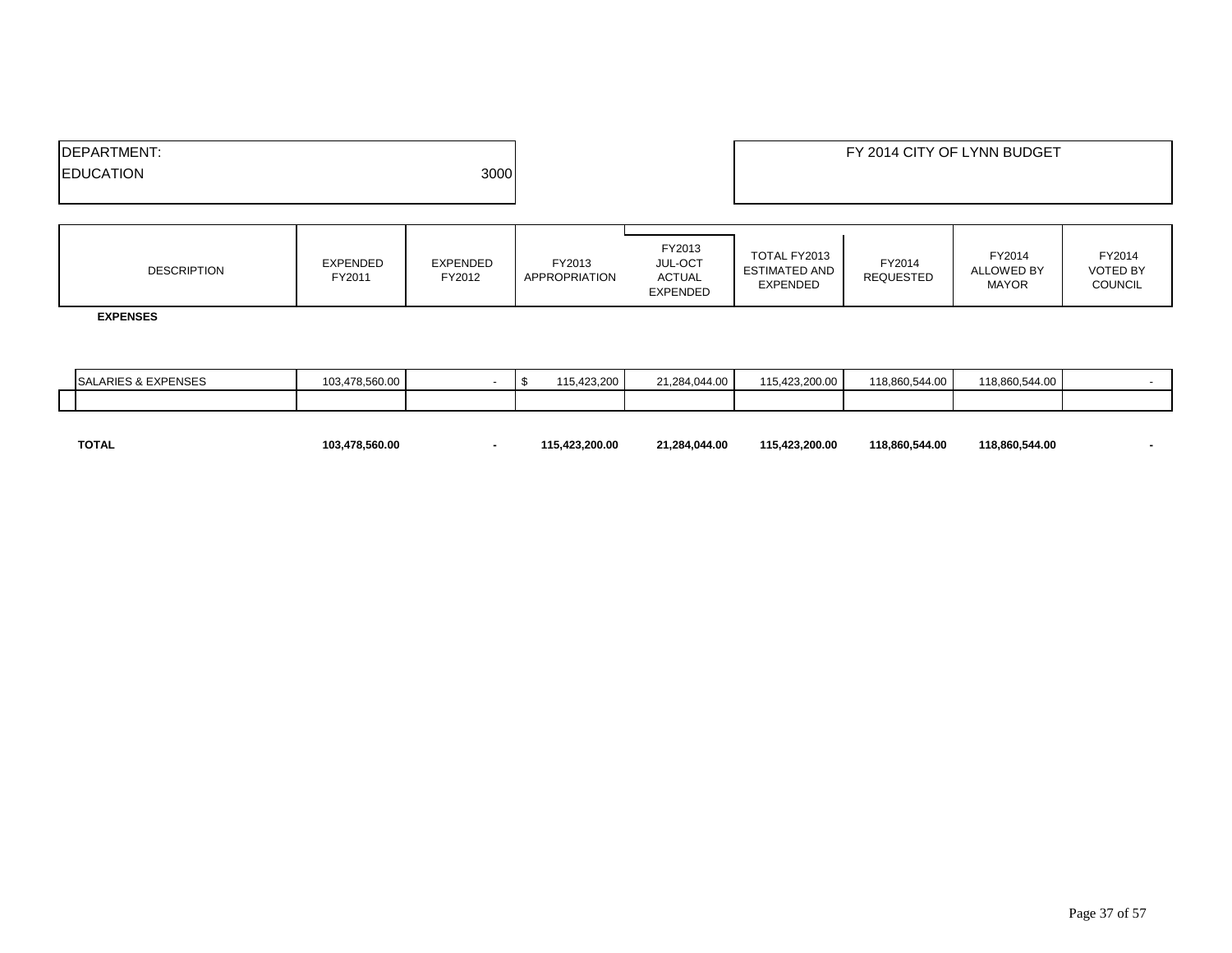| 3000<br><b>IEDUCATION</b> | <b>IDEPARTMENT:</b> | FY 2014 CITY OF LYNN BUDGET |
|---------------------------|---------------------|-----------------------------|
|                           |                     |                             |
|                           |                     |                             |

| <b>DESCRIPTION</b> | <b>EXPENDED</b><br>FY2011 | EXPENDED<br>FY2012 | FY2013<br>APPROPRIATION | FY2013<br>JUL-OCT<br><b>ACTUAL</b><br><b>EXPENDED</b> | TOTAL FY2013<br><b>ESTIMATED AND</b><br><b>EXPENDED</b> | FY2014<br><b>REQUESTED</b> | FY2014<br><b>ALLOWED BY</b><br><b>MAYOR</b> | FY2014<br><b>VOTED BY</b><br><b>COUNCIL</b> |
|--------------------|---------------------------|--------------------|-------------------------|-------------------------------------------------------|---------------------------------------------------------|----------------------------|---------------------------------------------|---------------------------------------------|
|--------------------|---------------------------|--------------------|-------------------------|-------------------------------------------------------|---------------------------------------------------------|----------------------------|---------------------------------------------|---------------------------------------------|

 **EXPENSES**

|  | <b>EVBENOED</b><br><b>SAL</b><br>ES & EXPENSES | 103.478.560.00 |  | 115.423.200 | 21.284.044.00 | 115.423.200.00 | 118.860.544.00 | 118.860.544.00 |  |
|--|------------------------------------------------|----------------|--|-------------|---------------|----------------|----------------|----------------|--|
|  |                                                |                |  |             |               |                |                |                |  |

| <b>TOTAL</b> | 103.478.560.00 | 115.423.200.00 | 21.284.044.00 | 115.423.200.00 | 118.860.544.00 | 118.860.544.00 |  |
|--------------|----------------|----------------|---------------|----------------|----------------|----------------|--|
|              |                |                |               |                |                |                |  |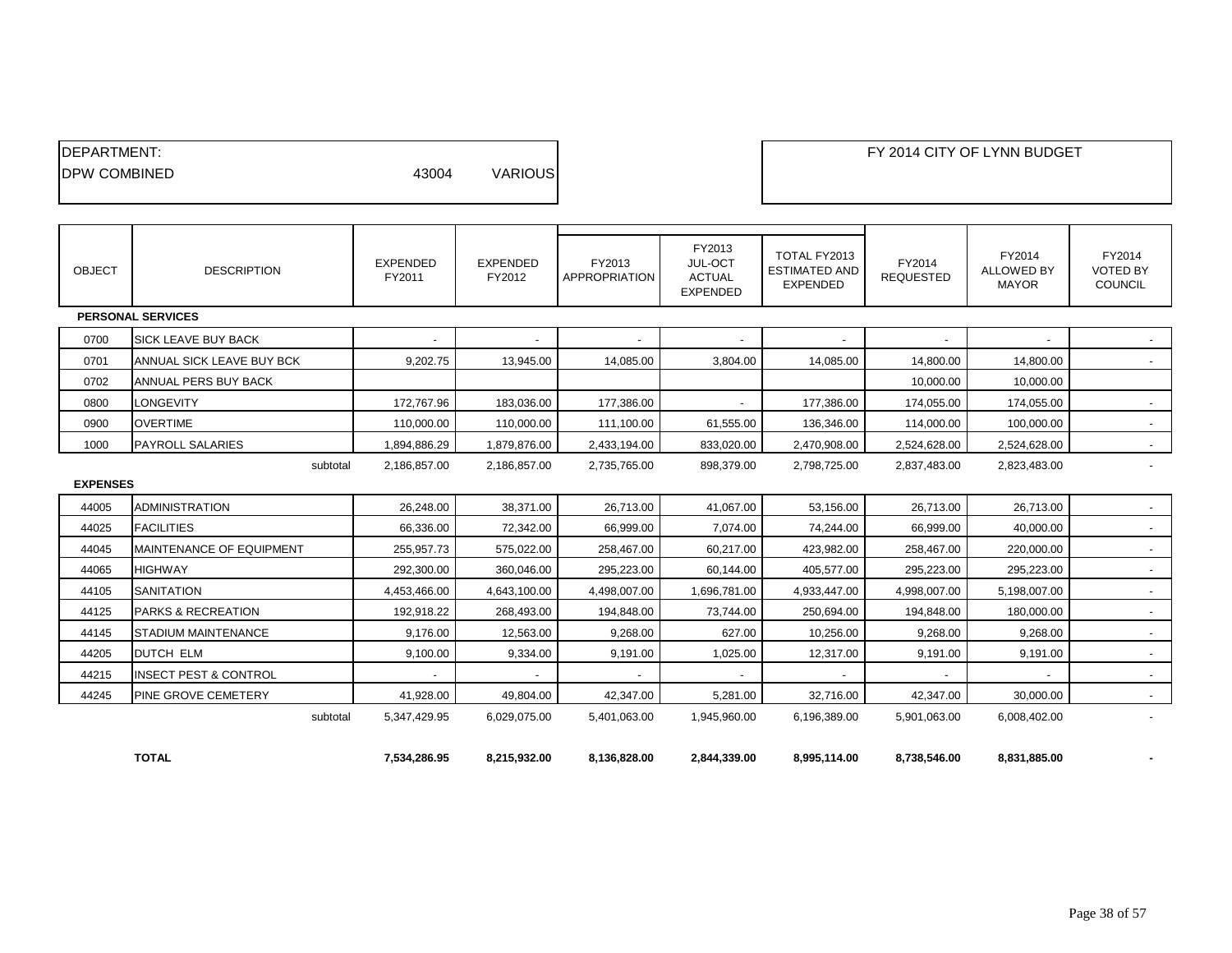| <b>DEPARTMENT:</b><br><b>IDPW COMBINED</b> |                                  | 43004                     | <b>VARIOUS</b>            |                         |                                                       |                                                         |                            | FY 2014 CITY OF LYNN BUDGET                 |                                             |
|--------------------------------------------|----------------------------------|---------------------------|---------------------------|-------------------------|-------------------------------------------------------|---------------------------------------------------------|----------------------------|---------------------------------------------|---------------------------------------------|
| <b>OBJECT</b>                              | <b>DESCRIPTION</b>               | <b>EXPENDED</b><br>FY2011 | <b>EXPENDED</b><br>FY2012 | FY2013<br>APPROPRIATION | FY2013<br>JUL-OCT<br><b>ACTUAL</b><br><b>EXPENDED</b> | TOTAL FY2013<br><b>ESTIMATED AND</b><br><b>EXPENDED</b> | FY2014<br><b>REQUESTED</b> | FY2014<br><b>ALLOWED BY</b><br><b>MAYOR</b> | FY2014<br><b>VOTED BY</b><br><b>COUNCIL</b> |
|                                            | <b>PERSONAL SERVICES</b>         |                           |                           |                         |                                                       |                                                         |                            |                                             |                                             |
| 0700                                       | <b>SICK LEAVE BUY BACK</b>       |                           |                           |                         |                                                       |                                                         |                            |                                             |                                             |
| 0701                                       | ANNUAL SICK LEAVE BUY BCK        | 9,202.75                  | 13,945.00                 | 14,085.00               | 3,804.00                                              | 14,085.00                                               | 14,800.00                  | 14,800.00                                   | $\sim$                                      |
| 0702                                       | ANNUAL PERS BUY BACK             |                           |                           |                         |                                                       |                                                         | 10,000.00                  | 10,000.00                                   |                                             |
| 0800                                       | <b>LONGEVITY</b>                 | 172,767.96                | 183,036.00                | 177,386.00              | $\overline{\phantom{a}}$                              | 177,386.00                                              | 174,055.00                 | 174,055.00                                  | $\sim$                                      |
| 0900                                       | <b>OVERTIME</b>                  | 110,000.00                | 110,000.00                | 111,100.00              | 61,555.00                                             | 136,346.00                                              | 114,000.00                 | 100,000.00                                  | $\sim$                                      |
| 1000                                       | <b>PAYROLL SALARIES</b>          | 1,894,886.29              | 1,879,876.00              | 2,433,194.00            | 833,020.00                                            | 2,470,908.00                                            | 2,524,628.00               | 2,524,628.00                                | $\sim$                                      |
| <b>EXPENSES</b>                            | subtotal                         | 2,186,857.00              | 2,186,857.00              | 2,735,765.00            | 898,379.00                                            | 2,798,725.00                                            | 2,837,483.00               | 2,823,483.00                                |                                             |
| 44005                                      | <b>ADMINISTRATION</b>            | 26,248.00                 | 38,371.00                 | 26,713.00               | 41,067.00                                             | 53,156.00                                               | 26,713.00                  | 26,713.00                                   |                                             |
| 44025                                      | <b>FACILITIES</b>                | 66,336.00                 | 72,342.00                 | 66,999.00               | 7,074.00                                              | 74,244.00                                               | 66,999.00                  | 40,000.00                                   | $\sim$                                      |
| 44045                                      | <b>MAINTENANCE OF EQUIPMENT</b>  | 255,957.73                | 575,022.00                | 258,467.00              | 60,217.00                                             | 423,982.00                                              | 258,467.00                 | 220,000.00                                  | $\overline{\phantom{a}}$                    |
| 44065                                      | <b>HIGHWAY</b>                   | 292,300.00                | 360,046.00                | 295,223.00              | 60,144.00                                             | 405,577.00                                              | 295,223.00                 | 295,223.00                                  | $\sim$                                      |
| 44105                                      | <b>SANITATION</b>                | 4,453,466.00              | 4,643,100.00              | 4,498,007.00            | 1,696,781.00                                          | 4,933,447.00                                            | 4,998,007.00               | 5,198,007.00                                | $\sim$                                      |
| 44125                                      | <b>PARKS &amp; RECREATION</b>    | 192,918.22                | 268,493.00                | 194,848.00              | 73,744.00                                             | 250,694.00                                              | 194,848.00                 | 180,000.00                                  | $\sim$                                      |
| 44145                                      | <b>STADIUM MAINTENANCE</b>       | 9,176.00                  | 12,563.00                 | 9,268.00                | 627.00                                                | 10,256.00                                               | 9,268.00                   | 9,268.00                                    | $\sim$                                      |
| 44205                                      | <b>DUTCH ELM</b>                 | 9,100.00                  | 9,334.00                  | 9,191.00                | 1,025.00                                              | 12,317.00                                               | 9,191.00                   | 9,191.00                                    | $\sim$                                      |
| 44215                                      | <b>INSECT PEST &amp; CONTROL</b> |                           |                           |                         |                                                       |                                                         |                            |                                             | $\sim$                                      |
| 44245                                      | PINE GROVE CEMETERY              | 41,928.00                 | 49,804.00                 | 42,347.00               | 5,281.00                                              | 32,716.00                                               | 42,347.00                  | 30,000.00                                   | $\sim$                                      |
|                                            | subtotal                         | 5,347,429.95              | 6,029,075.00              | 5,401,063.00            | 1,945,960.00                                          | 6,196,389.00                                            | 5,901,063.00               | 6,008,402.00                                |                                             |
|                                            | <b>TOTAL</b>                     | 7,534,286.95              | 8,215,932.00              | 8,136,828.00            | 2,844,339.00                                          | 8,995,114.00                                            | 8,738,546.00               | 8,831,885.00                                |                                             |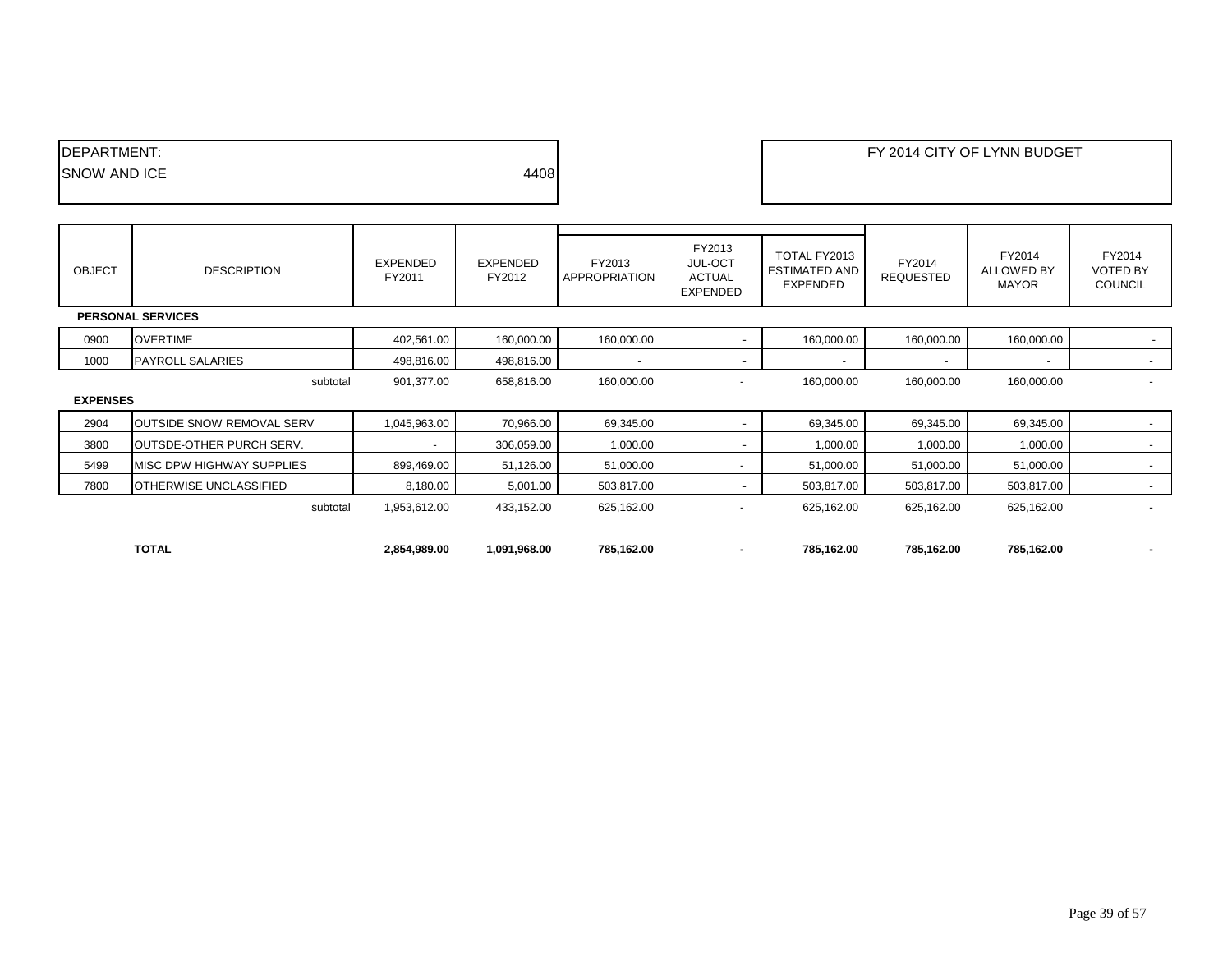| <b>IDEPARTMENT:</b> |      |
|---------------------|------|
| <b>SNOW AND ICE</b> | 4408 |
|                     |      |

| <b>OBJECT</b>   | <b>DESCRIPTION</b>               | EXPENDED<br>FY2011       | EXPENDED<br>FY2012 | FY2013<br>APPROPRIATION  | FY2013<br><b>JUL-OCT</b><br><b>ACTUAL</b><br><b>EXPENDED</b> | TOTAL FY2013<br><b>ESTIMATED AND</b><br><b>EXPENDED</b> | FY2014<br><b>REQUESTED</b> | FY2014<br><b>ALLOWED BY</b><br><b>MAYOR</b> | FY2014<br><b>VOTED BY</b><br><b>COUNCIL</b> |  |
|-----------------|----------------------------------|--------------------------|--------------------|--------------------------|--------------------------------------------------------------|---------------------------------------------------------|----------------------------|---------------------------------------------|---------------------------------------------|--|
|                 | <b>PERSONAL SERVICES</b>         |                          |                    |                          |                                                              |                                                         |                            |                                             |                                             |  |
| 0900            | <b>OVERTIME</b>                  | 402,561.00               | 160,000.00         | 160,000.00               | $\overline{\phantom{a}}$                                     | 160,000.00                                              | 160,000.00                 | 160,000.00                                  | $\sim$                                      |  |
| 1000            | <b>PAYROLL SALARIES</b>          | 498,816.00               | 498,816.00         | $\overline{\phantom{a}}$ | $\overline{\phantom{a}}$                                     |                                                         |                            | $\overline{\phantom{a}}$                    | $\sim$                                      |  |
|                 | subtotal                         | 901,377.00               | 658,816.00         | 160,000.00               | $\overline{\phantom{a}}$                                     | 160,000.00                                              | 160,000.00                 | 160,000.00                                  | $\overline{\phantom{0}}$                    |  |
| <b>EXPENSES</b> |                                  |                          |                    |                          |                                                              |                                                         |                            |                                             |                                             |  |
| 2904            | <b>OUTSIDE SNOW REMOVAL SERV</b> | 1,045,963.00             | 70,966.00          | 69,345.00                | $\overline{\phantom{0}}$                                     | 69,345.00                                               | 69,345.00                  | 69,345.00                                   | $\sim$                                      |  |
| 3800            | OUTSDE-OTHER PURCH SERV.         | $\overline{\phantom{0}}$ | 306,059.00         | 1,000.00                 | $\overline{\phantom{a}}$                                     | 1,000.00                                                | 1,000.00                   | 1,000.00                                    | $\overline{\phantom{a}}$                    |  |
| 5499            | MISC DPW HIGHWAY SUPPLIES        | 899,469.00               | 51,126.00          | 51,000.00                | $\overline{\phantom{a}}$                                     | 51,000.00                                               | 51,000.00                  | 51,000.00                                   | $\sim$                                      |  |
| 7800            | OTHERWISE UNCLASSIFIED           | 8,180.00                 | 5,001.00           | 503,817.00               | $\overline{\phantom{a}}$                                     | 503,817.00                                              | 503,817.00                 | 503,817.00                                  | $\sim$                                      |  |
|                 | subtotal                         | 1,953,612.00             | 433,152.00         | 625,162.00               |                                                              | 625,162.00                                              | 625,162.00                 | 625,162.00                                  | $\overline{\phantom{a}}$                    |  |
|                 |                                  |                          |                    |                          |                                                              |                                                         |                            |                                             |                                             |  |
|                 | <b>TOTAL</b>                     | 2,854,989.00             | 1,091,968.00       | 785,162.00               | ٠                                                            | 785,162.00                                              | 785,162.00                 | 785,162.00                                  | $\blacksquare$                              |  |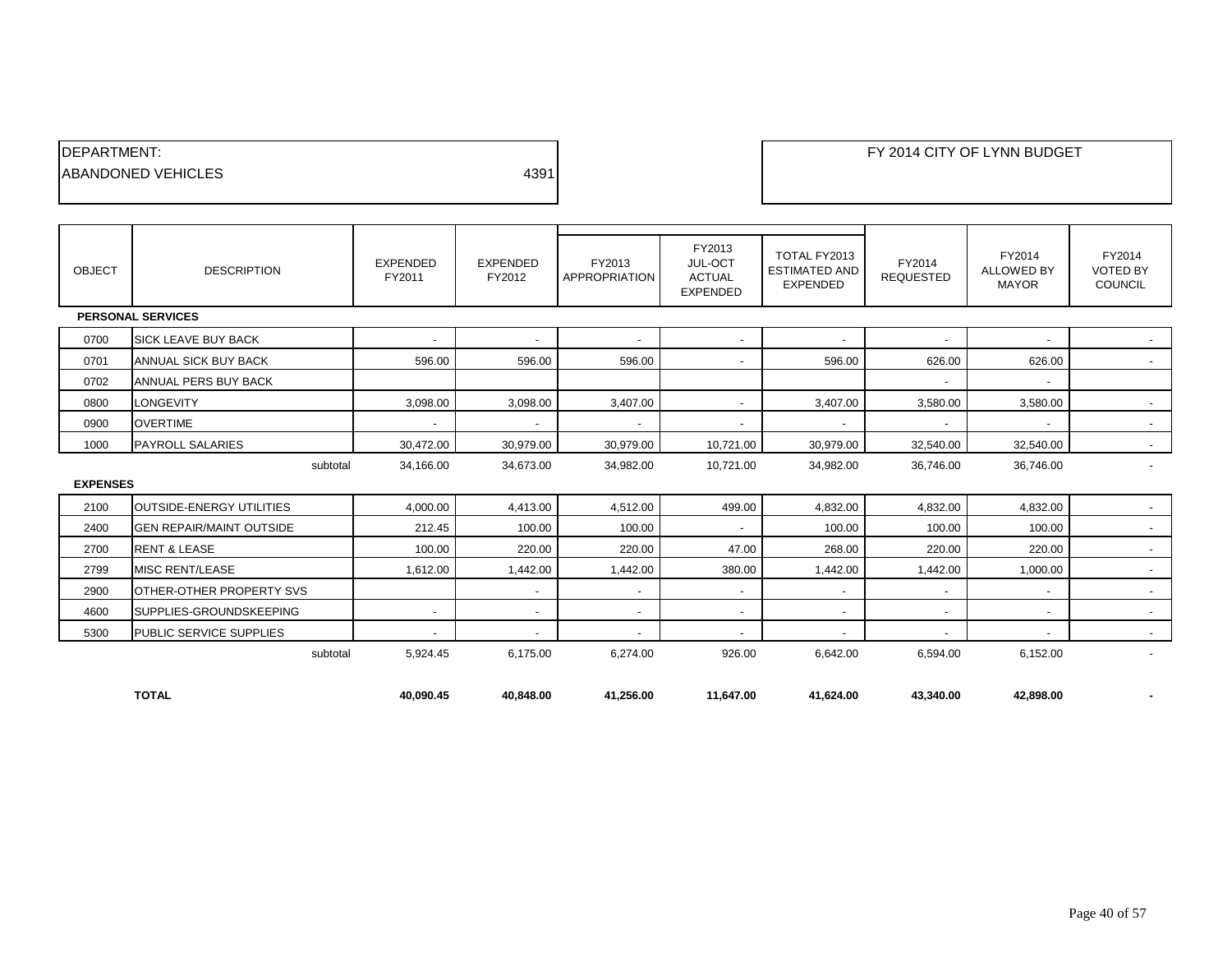| <b>IDEPARTMENT:</b>        |      |
|----------------------------|------|
| <b>IABANDONED VEHICLES</b> | 4391 |
|                            |      |

| <b>OBJECT</b>   | <b>DESCRIPTION</b>              | <b>EXPENDED</b><br>FY2011 | <b>EXPENDED</b><br>FY2012 | FY2013<br><b>APPROPRIATION</b> | FY2013<br>JUL-OCT<br><b>ACTUAL</b><br><b>EXPENDED</b> | TOTAL FY2013<br><b>ESTIMATED AND</b><br><b>EXPENDED</b> | FY2014<br><b>REQUESTED</b> | FY2014<br><b>ALLOWED BY</b><br><b>MAYOR</b> | FY2014<br><b>VOTED BY</b><br>COUNCIL |
|-----------------|---------------------------------|---------------------------|---------------------------|--------------------------------|-------------------------------------------------------|---------------------------------------------------------|----------------------------|---------------------------------------------|--------------------------------------|
|                 | <b>PERSONAL SERVICES</b>        |                           |                           |                                |                                                       |                                                         |                            |                                             |                                      |
| 0700            | <b>SICK LEAVE BUY BACK</b>      | $\overline{\phantom{a}}$  | $\overline{\phantom{a}}$  | $\overline{\phantom{a}}$       | $\blacksquare$                                        |                                                         | $\overline{\phantom{a}}$   | $\overline{\phantom{a}}$                    | $\sim$                               |
| 0701            | ANNUAL SICK BUY BACK            | 596.00                    | 596.00                    | 596.00                         | $\overline{\phantom{a}}$                              | 596.00                                                  | 626.00                     | 626.00                                      | $\sim$                               |
| 0702            | ANNUAL PERS BUY BACK            |                           |                           |                                |                                                       |                                                         | $\overline{\phantom{a}}$   | $\overline{\phantom{a}}$                    |                                      |
| 0800            | <b>LONGEVITY</b>                | 3,098.00                  | 3,098.00                  | 3,407.00                       |                                                       | 3,407.00                                                | 3,580.00                   | 3,580.00                                    | $\overline{\phantom{a}}$             |
| 0900            | <b>OVERTIME</b>                 | $\blacksquare$            | $\overline{\phantom{a}}$  | $\overline{\phantom{a}}$       | $\overline{a}$                                        |                                                         | $\overline{a}$             |                                             | $\sim$                               |
| 1000            | <b>PAYROLL SALARIES</b>         | 30,472.00                 | 30,979.00                 | 30,979.00                      | 10,721.00                                             | 30,979.00                                               | 32,540.00                  | 32,540.00                                   | $\sim$                               |
|                 | subtotal                        | 34,166.00                 | 34,673.00                 | 34,982.00                      | 10,721.00                                             | 34,982.00                                               | 36,746.00                  | 36,746.00                                   | $\blacksquare$                       |
| <b>EXPENSES</b> |                                 |                           |                           |                                |                                                       |                                                         |                            |                                             |                                      |
| 2100            | <b>OUTSIDE-ENERGY UTILITIES</b> | 4.000.00                  | 4,413.00                  | 4,512.00                       | 499.00                                                | 4.832.00                                                | 4,832.00                   | 4.832.00                                    | $\sim$                               |
| 2400            | <b>GEN REPAIR/MAINT OUTSIDE</b> | 212.45                    | 100.00                    | 100.00                         | $\blacksquare$                                        | 100.00                                                  | 100.00                     | 100.00                                      | $\sim$                               |
| 2700            | <b>RENT &amp; LEASE</b>         | 100.00                    | 220.00                    | 220.00                         | 47.00                                                 | 268.00                                                  | 220.00                     | 220.00                                      | $\sim$                               |
| 2799            | <b>MISC RENT/LEASE</b>          | 1,612.00                  | 1,442.00                  | 1,442.00                       | 380.00                                                | 1,442.00                                                | 1,442.00                   | 1,000.00                                    | $\sim$                               |
| 2900            | <b>OTHER-OTHER PROPERTY SVS</b> |                           | $\overline{\phantom{a}}$  | $\overline{\phantom{a}}$       | $\overline{\phantom{a}}$                              | $\overline{\phantom{a}}$                                | $\overline{\phantom{a}}$   | $\overline{\phantom{a}}$                    | $\sim$                               |
| 4600            | SUPPLIES-GROUNDSKEEPING         | $\overline{\phantom{a}}$  | $\sim$                    | $\overline{\phantom{a}}$       | $\overline{\phantom{a}}$                              |                                                         | $\overline{\phantom{a}}$   | $\overline{\phantom{a}}$                    | $\sim$                               |
| 5300            | <b>PUBLIC SERVICE SUPPLIES</b>  | $\overline{\phantom{a}}$  | $\overline{\phantom{a}}$  | $\overline{\phantom{a}}$       | $\overline{\phantom{a}}$                              |                                                         | $\overline{a}$             |                                             | $\sim$                               |
|                 | subtotal                        | 5,924.45                  | 6,175.00                  | 6,274.00                       | 926.00                                                | 6,642.00                                                | 6,594.00                   | 6,152.00                                    | $\overline{\phantom{a}}$             |
|                 | <b>TOTAL</b>                    | 40,090.45                 | 40.848.00                 | 41,256.00                      | 11,647.00                                             | 41,624.00                                               | 43,340.00                  | 42,898.00                                   | ٠                                    |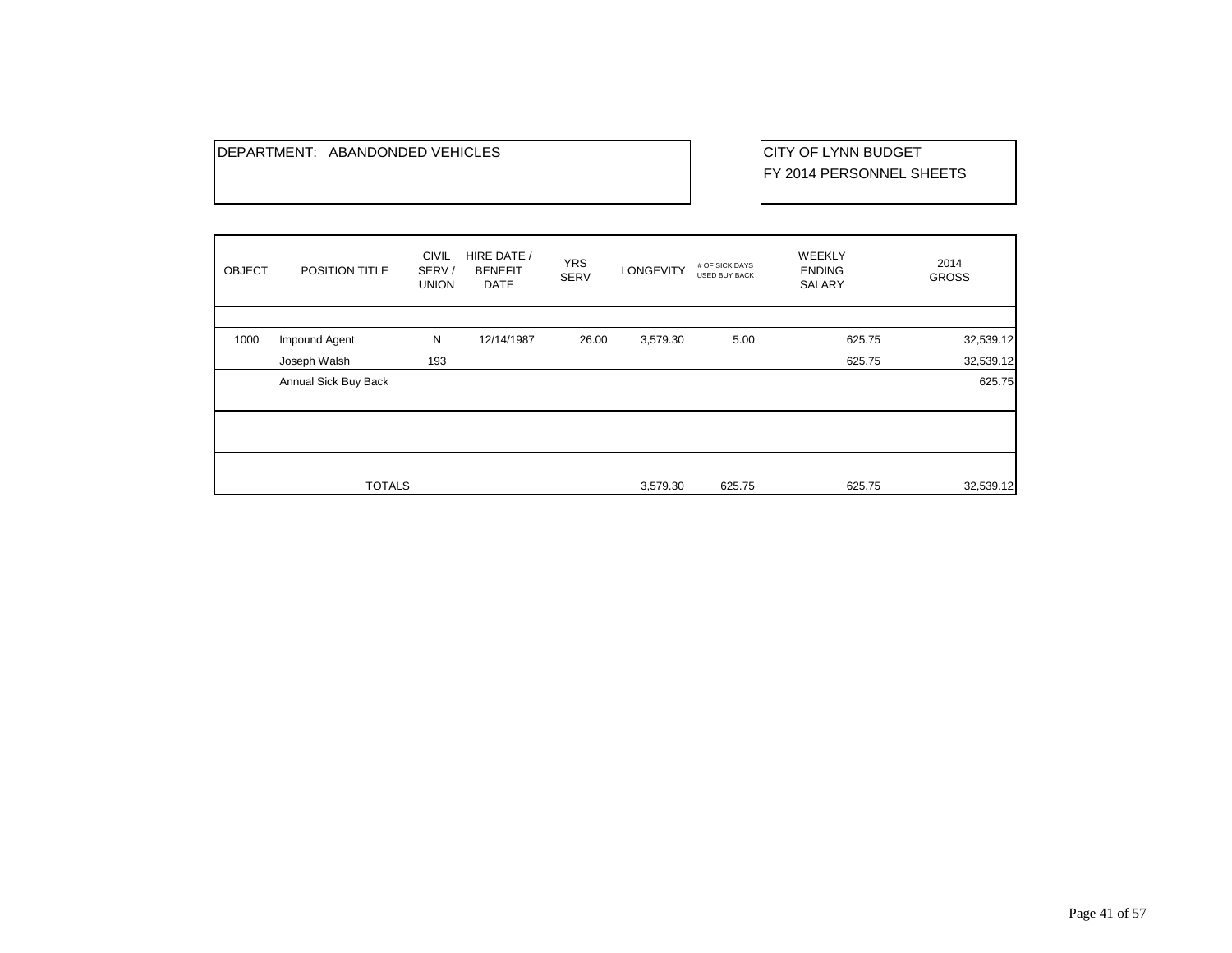## DEPARTMENT: ABANDONDED VEHICLES CHARGES CITY OF LYNN BUDGET

FY 2014 PERSONNEL SHEETS

| <b>OBJECT</b> | POSITION TITLE       | <b>CIVIL</b><br>SERV/<br><b>UNION</b> | HIRE DATE /<br><b>BENEFIT</b><br><b>DATE</b> | <b>YRS</b><br><b>SERV</b> | <b>LONGEVITY</b> | # OF SICK DAYS<br><b>USED BUY BACK</b> | <b>WEEKLY</b><br><b>ENDING</b><br>SALARY | 2014<br><b>GROSS</b> |
|---------------|----------------------|---------------------------------------|----------------------------------------------|---------------------------|------------------|----------------------------------------|------------------------------------------|----------------------|
|               |                      |                                       |                                              |                           |                  |                                        |                                          |                      |
| 1000          | Impound Agent        | N                                     | 12/14/1987                                   | 26.00                     | 3,579.30         | 5.00                                   | 625.75                                   | 32,539.12            |
|               | Joseph Walsh         | 193                                   |                                              |                           |                  |                                        | 625.75                                   | 32,539.12            |
|               | Annual Sick Buy Back |                                       |                                              |                           |                  |                                        |                                          | 625.75               |
|               |                      |                                       |                                              |                           |                  |                                        |                                          |                      |
|               |                      |                                       |                                              |                           |                  |                                        |                                          |                      |
|               |                      |                                       |                                              |                           |                  |                                        |                                          |                      |
|               |                      |                                       |                                              |                           |                  |                                        |                                          |                      |
|               | <b>TOTALS</b>        |                                       |                                              |                           | 3,579.30         | 625.75                                 | 625.75                                   | 32,539.12            |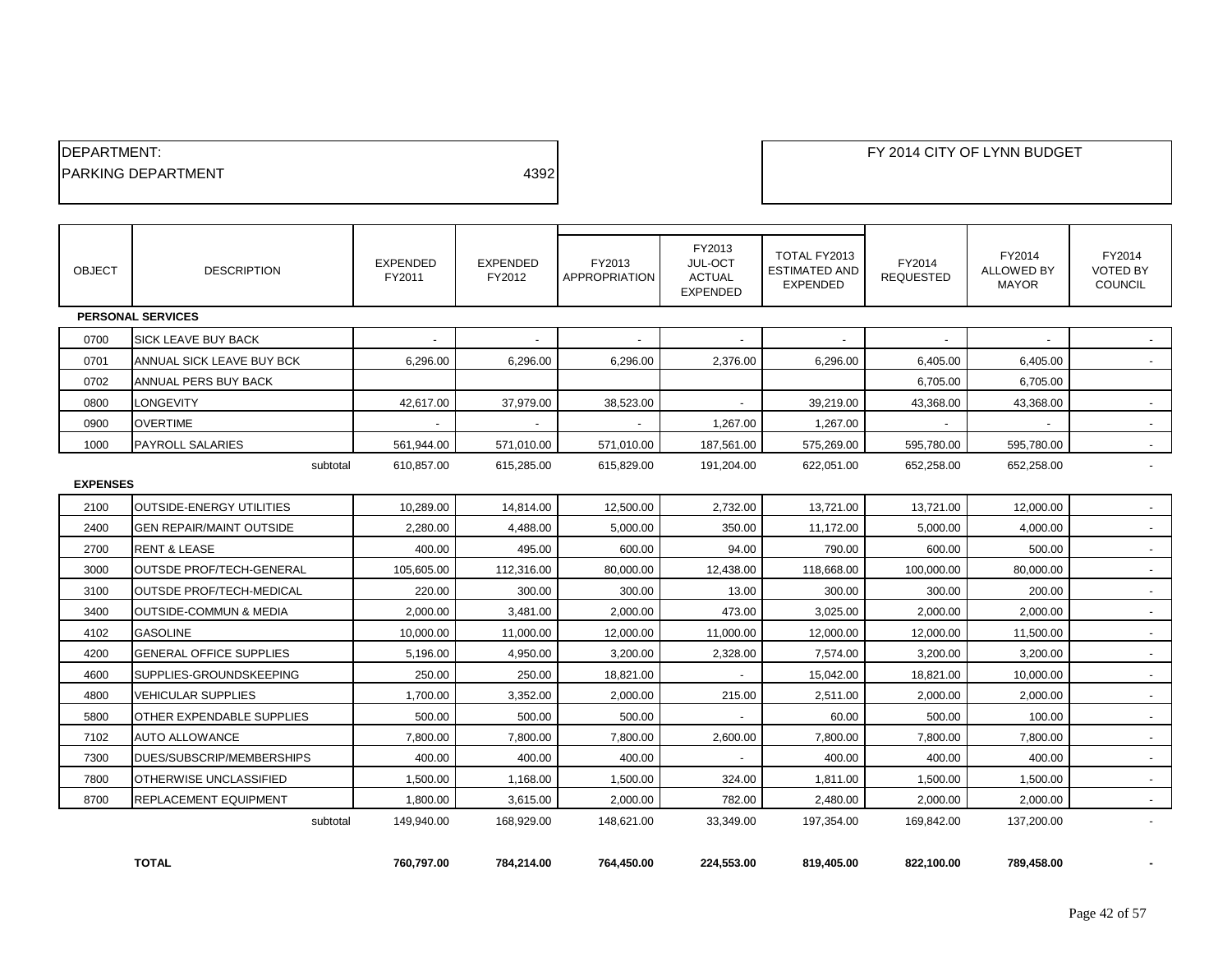| <b>IDEPARTMENT:</b>        |      |
|----------------------------|------|
| <b>IPARKING DEPARTMENT</b> | 4392 |
|                            |      |

| <b>OBJECT</b>   | <b>DESCRIPTION</b>             | <b>EXPENDED</b><br>FY2011 | <b>EXPENDED</b><br>FY2012 | FY2013<br><b>APPROPRIATION</b> | FY2013<br>JUL-OCT<br><b>ACTUAL</b><br><b>EXPENDED</b> | TOTAL FY2013<br><b>ESTIMATED AND</b><br><b>EXPENDED</b> | FY2014<br><b>REQUESTED</b> | FY2014<br><b>ALLOWED BY</b><br><b>MAYOR</b> | FY2014<br><b>VOTED BY</b><br>COUNCIL |
|-----------------|--------------------------------|---------------------------|---------------------------|--------------------------------|-------------------------------------------------------|---------------------------------------------------------|----------------------------|---------------------------------------------|--------------------------------------|
|                 | <b>PERSONAL SERVICES</b>       |                           |                           |                                |                                                       |                                                         |                            |                                             |                                      |
| 0700            | <b>SICK LEAVE BUY BACK</b>     |                           |                           |                                |                                                       |                                                         |                            |                                             |                                      |
| 0701            | ANNUAL SICK LEAVE BUY BCK      | 6.296.00                  | 6.296.00                  | 6.296.00                       | 2,376.00                                              | 6.296.00                                                | 6,405.00                   | 6.405.00                                    |                                      |
| 0702            | ANNUAL PERS BUY BACK           |                           |                           |                                |                                                       |                                                         | 6,705.00                   | 6,705.00                                    |                                      |
| 0800            | <b>LONGEVITY</b>               | 42.617.00                 | 37.979.00                 | 38,523.00                      |                                                       | 39.219.00                                               | 43,368.00                  | 43,368.00                                   | $\sim$                               |
| 0900            | <b>OVERTIME</b>                |                           |                           |                                | 1,267.00                                              | 1,267.00                                                |                            |                                             |                                      |
| 1000            | <b>PAYROLL SALARIES</b>        | 561,944.00                | 571.010.00                | 571.010.00                     | 187,561.00                                            | 575,269.00                                              | 595,780.00                 | 595,780.00                                  |                                      |
|                 | subtotal                       | 610.857.00                | 615,285.00                | 615.829.00                     | 191,204.00                                            | 622,051.00                                              | 652,258.00                 | 652,258.00                                  | $\overline{a}$                       |
| <b>EXPENSES</b> |                                |                           |                           |                                |                                                       |                                                         |                            |                                             |                                      |
| 2100            | OUTSIDE-ENERGY UTILITIES       | 10.289.00                 | 14.814.00                 | 12.500.00                      | 2,732.00                                              | 13.721.00                                               | 13,721.00                  | 12.000.00                                   |                                      |
| 2400            | GEN REPAIR/MAINT OUTSIDE       | 2,280.00                  | 4.488.00                  | 5.000.00                       | 350.00                                                | 11,172.00                                               | 5,000.00                   | 4,000.00                                    | $\blacksquare$                       |
| 2700            | <b>RENT &amp; LEASE</b>        | 400.00                    | 495.00                    | 600.00                         | 94.00                                                 | 790.00                                                  | 600.00                     | 500.00                                      | $\overline{\phantom{a}}$             |
| 3000            | OUTSDE PROF/TECH-GENERAL       | 105,605.00                | 112,316.00                | 80,000.00                      | 12,438.00                                             | 118,668.00                                              | 100,000.00                 | 80,000.00                                   | $\blacksquare$                       |
| 3100            | OUTSDE PROF/TECH-MEDICAL       | 220.00                    | 300.00                    | 300.00                         | 13.00                                                 | 300.00                                                  | 300.00                     | 200.00                                      | $\overline{\phantom{a}}$             |
| 3400            | OUTSIDE-COMMUN & MEDIA         | 2,000.00                  | 3,481.00                  | 2,000.00                       | 473.00                                                | 3,025.00                                                | 2,000.00                   | 2,000.00                                    | $\blacksquare$                       |
| 4102            | <b>GASOLINE</b>                | 10,000.00                 | 11,000.00                 | 12,000.00                      | 11,000.00                                             | 12,000.00                                               | 12,000.00                  | 11,500.00                                   | $\overline{a}$                       |
| 4200            | <b>GENERAL OFFICE SUPPLIES</b> | 5,196.00                  | 4,950.00                  | 3,200.00                       | 2,328.00                                              | 7,574.00                                                | 3,200.00                   | 3,200.00                                    |                                      |
| 4600            | SUPPLIES-GROUNDSKEEPING        | 250.00                    | 250.00                    | 18,821.00                      |                                                       | 15,042.00                                               | 18,821.00                  | 10,000.00                                   |                                      |
| 4800            | VEHICULAR SUPPLIES             | 1,700.00                  | 3,352.00                  | 2,000.00                       | 215.00                                                | 2,511.00                                                | 2,000.00                   | 2,000.00                                    |                                      |
| 5800            | OTHER EXPENDABLE SUPPLIES      | 500.00                    | 500.00                    | 500.00                         |                                                       | 60.00                                                   | 500.00                     | 100.00                                      | $\overline{a}$                       |
| 7102            | <b>AUTO ALLOWANCE</b>          | 7,800.00                  | 7,800.00                  | 7,800.00                       | 2,600.00                                              | 7,800.00                                                | 7,800.00                   | 7,800.00                                    | $\blacksquare$                       |
| 7300            | DUES/SUBSCRIP/MEMBERSHIPS      | 400.00                    | 400.00                    | 400.00                         |                                                       | 400.00                                                  | 400.00                     | 400.00                                      | $\overline{\phantom{a}}$             |
| 7800            | OTHERWISE UNCLASSIFIED         | 1,500.00                  | 1,168.00                  | 1,500.00                       | 324.00                                                | 1,811.00                                                | 1,500.00                   | 1,500.00                                    | $\overline{a}$                       |
| 8700            | REPLACEMENT EQUIPMENT          | 1,800.00                  | 3,615.00                  | 2,000.00                       | 782.00                                                | 2,480.00                                                | 2,000.00                   | 2,000.00                                    | $\sim$                               |
|                 | subtotal                       | 149,940.00                | 168,929.00                | 148,621.00                     | 33,349.00                                             | 197,354.00                                              | 169,842.00                 | 137,200.00                                  |                                      |
|                 |                                |                           |                           |                                |                                                       |                                                         |                            |                                             |                                      |

**TOTAL 760,797.00 784,214.00 764,450.00 224,553.00 819,405.00 822,100.00 789,458.00 -**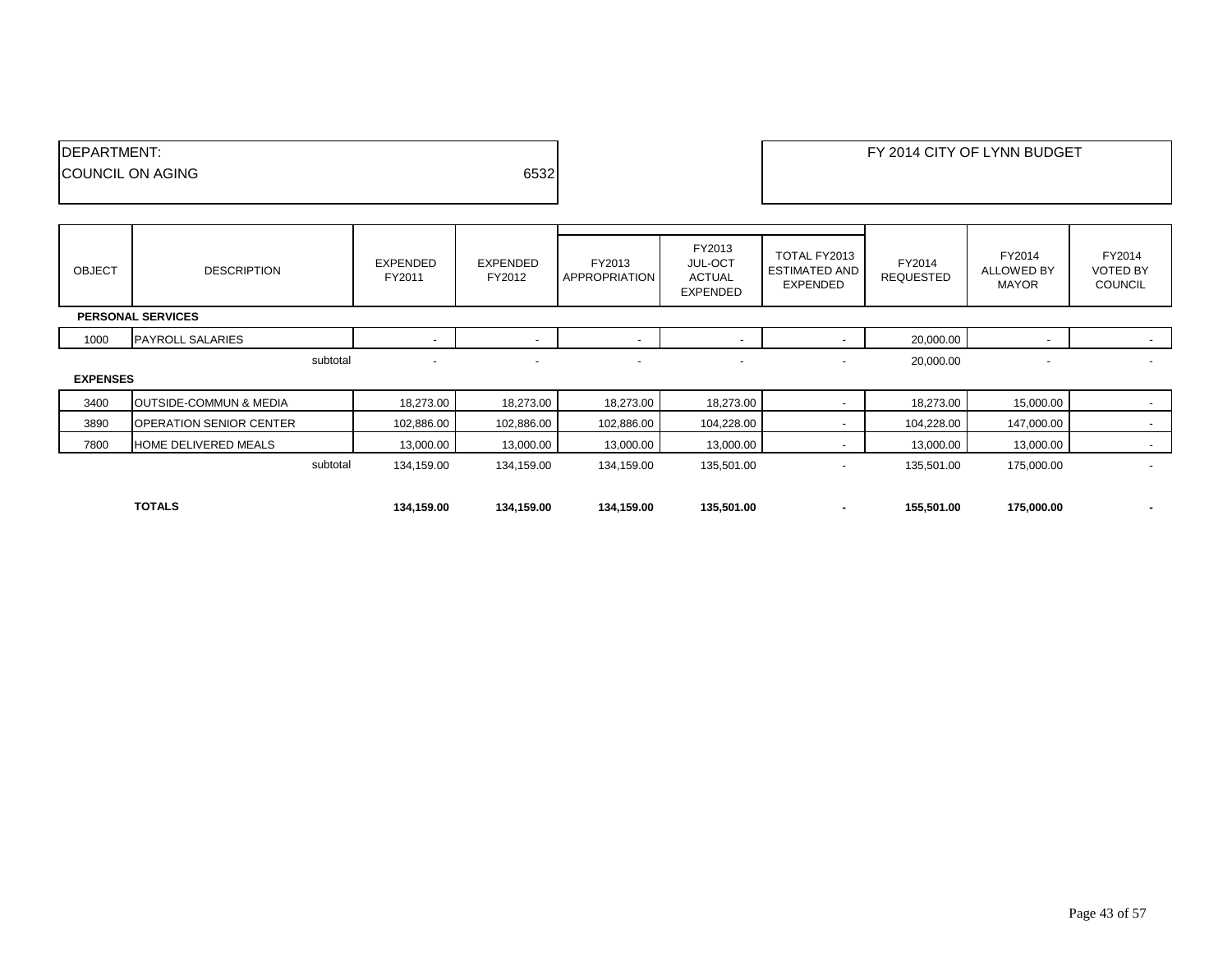| DEPARTMENT:      |      | FY 2014 CITY OF LYNN BUDGET |
|------------------|------|-----------------------------|
| COUNCIL ON AGING | 6532 |                             |
|                  |      |                             |

| <b>OBJECT</b>   | <b>DESCRIPTION</b>                | EXPENDED<br>FY2011 | EXPENDED<br>FY2012       | FY2013<br>APPROPRIATION  | FY2013<br><b>JUL-OCT</b><br><b>ACTUAL</b><br>EXPENDED | TOTAL FY2013<br><b>ESTIMATED AND</b><br><b>EXPENDED</b> | FY2014<br><b>REQUESTED</b> | FY2014<br><b>ALLOWED BY</b><br><b>MAYOR</b> | FY2014<br><b>VOTED BY</b><br><b>COUNCIL</b> |  |
|-----------------|-----------------------------------|--------------------|--------------------------|--------------------------|-------------------------------------------------------|---------------------------------------------------------|----------------------------|---------------------------------------------|---------------------------------------------|--|
|                 | <b>PERSONAL SERVICES</b>          |                    |                          |                          |                                                       |                                                         |                            |                                             |                                             |  |
| 1000            | <b>PAYROLL SALARIES</b>           |                    | $\overline{\phantom{a}}$ | $\overline{\phantom{0}}$ | $\overline{\phantom{a}}$                              |                                                         | 20,000.00                  | $\overline{\phantom{a}}$                    | $\sim$                                      |  |
|                 | subtotal                          |                    | $\overline{\phantom{a}}$ | $\overline{\phantom{a}}$ | $\overline{\phantom{a}}$                              | $\sim$                                                  | 20,000.00                  | $\overline{\phantom{a}}$                    | $\overline{\phantom{a}}$                    |  |
| <b>EXPENSES</b> |                                   |                    |                          |                          |                                                       |                                                         |                            |                                             |                                             |  |
| 3400            | <b>OUTSIDE-COMMUN &amp; MEDIA</b> | 18,273.00          | 18,273.00                | 18,273.00                | 18,273.00                                             |                                                         | 18,273.00                  | 15,000.00                                   | $\sim$                                      |  |
| 3890            | <b>OPERATION SENIOR CENTER</b>    | 102,886.00         | 102,886.00               | 102,886.00               | 104,228.00                                            |                                                         | 104,228.00                 | 147,000.00                                  | $\sim$                                      |  |
| 7800            | HOME DELIVERED MEALS              | 13,000.00          | 13,000.00                | 13,000.00                | 13,000.00                                             |                                                         | 13,000.00                  | 13,000.00                                   |                                             |  |
|                 | subtotal                          | 134,159.00         | 134,159.00               | 134,159.00               | 135,501.00                                            | $\overline{\phantom{a}}$                                | 135,501.00                 | 175,000.00                                  | $\overline{\phantom{a}}$                    |  |
|                 |                                   |                    |                          |                          |                                                       |                                                         |                            |                                             |                                             |  |
|                 | <b>TOTALS</b>                     | 134,159.00         | 134,159.00               | 134,159.00               | 135,501.00                                            |                                                         | 155,501.00                 | 175,000.00                                  | ۰.                                          |  |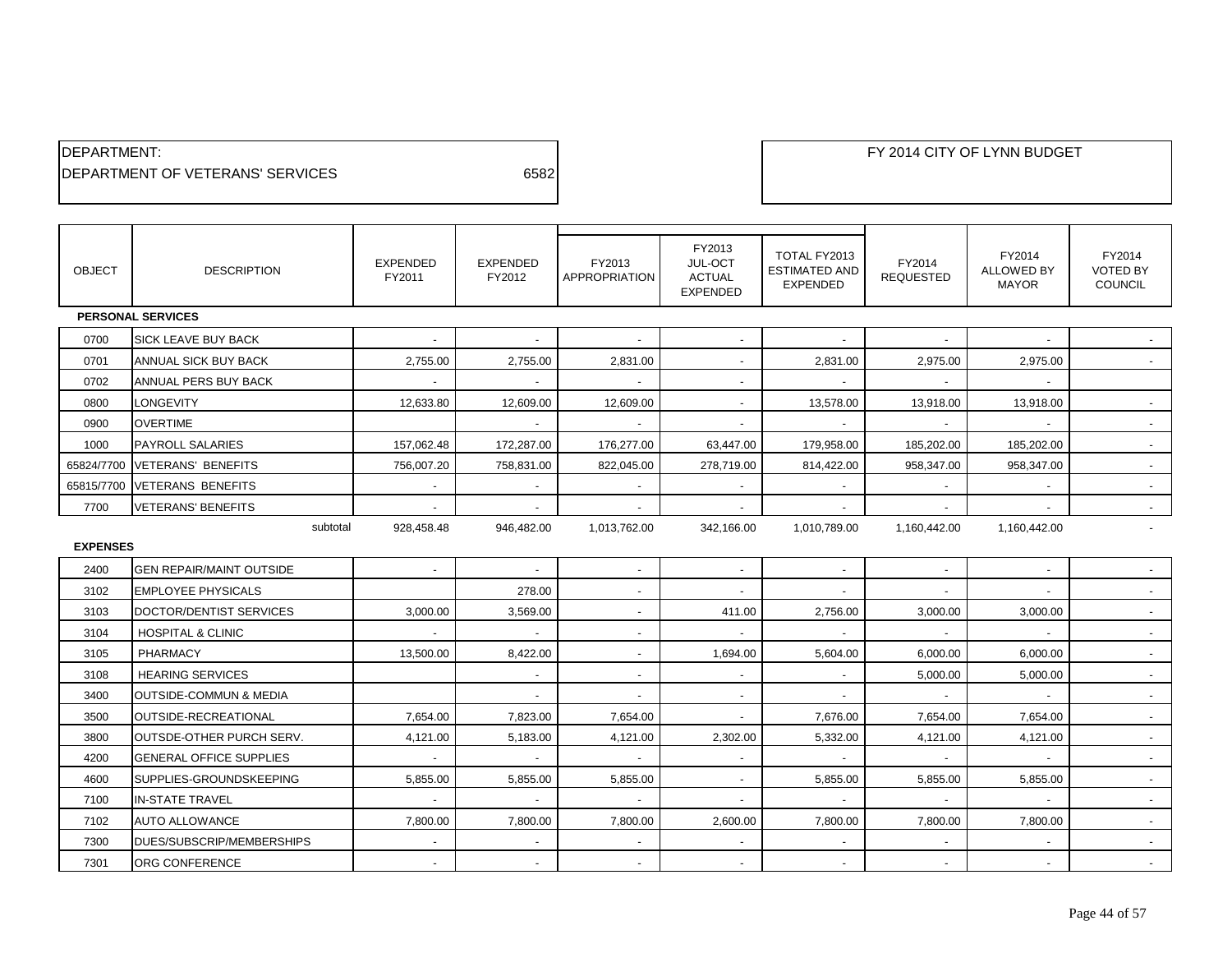| <b>IDEPARTMENT:</b>                      |      |
|------------------------------------------|------|
| <b>IDEPARTMENT OF VETERANS' SERVICES</b> | 6582 |

| <b>OBJECT</b>   | <b>DESCRIPTION</b>              | <b>EXPENDED</b><br>FY2011 | <b>EXPENDED</b><br>FY2012 | FY2013<br><b>APPROPRIATION</b> | FY2013<br>JUL-OCT<br><b>ACTUAL</b><br><b>EXPENDED</b> | TOTAL FY2013<br><b>ESTIMATED AND</b><br><b>EXPENDED</b> | FY2014<br><b>REQUESTED</b> | FY2014<br><b>ALLOWED BY</b><br><b>MAYOR</b> | FY2014<br><b>VOTED BY</b><br>COUNCIL |
|-----------------|---------------------------------|---------------------------|---------------------------|--------------------------------|-------------------------------------------------------|---------------------------------------------------------|----------------------------|---------------------------------------------|--------------------------------------|
|                 | <b>PERSONAL SERVICES</b>        |                           |                           |                                |                                                       |                                                         |                            |                                             |                                      |
| 0700            | <b>SICK LEAVE BUY BACK</b>      |                           | $\overline{a}$            |                                | $\blacksquare$                                        |                                                         |                            |                                             |                                      |
| 0701            | ANNUAL SICK BUY BACK            | 2,755.00                  | 2,755.00                  | 2,831.00                       | $\overline{\phantom{a}}$                              | 2,831.00                                                | 2,975.00                   | 2,975.00                                    |                                      |
| 0702            | ANNUAL PERS BUY BACK            | $\sim$                    | $\sim$                    | $\sim$                         | $\sim$                                                |                                                         | $\sim$                     | $\overline{\phantom{a}}$                    |                                      |
| 0800            | LONGEVITY                       | 12,633.80                 | 12,609.00                 | 12,609.00                      | $\sim$                                                | 13,578.00                                               | 13,918.00                  | 13,918.00                                   |                                      |
| 0900            | <b>OVERTIME</b>                 |                           |                           | $\sim$                         | $\sim$                                                |                                                         |                            |                                             |                                      |
| 1000            | <b>PAYROLL SALARIES</b>         | 157,062.48                | 172,287.00                | 176,277.00                     | 63,447.00                                             | 179,958.00                                              | 185,202.00                 | 185,202.00                                  |                                      |
| 65824/7700      | <b>VETERANS' BENEFITS</b>       | 756,007.20                | 758,831.00                | 822,045.00                     | 278,719.00                                            | 814,422.00                                              | 958,347.00                 | 958,347.00                                  |                                      |
| 65815/7700      | <b>VETERANS BENEFITS</b>        |                           | $\blacksquare$            | $\blacksquare$                 | $\sim$                                                |                                                         |                            | $\overline{a}$                              |                                      |
| 7700            | <b>VETERANS' BENEFITS</b>       |                           |                           |                                |                                                       |                                                         |                            |                                             |                                      |
|                 | subtotal                        | 928,458.48                | 946,482.00                | 1,013,762.00                   | 342,166.00                                            | 1,010,789.00                                            | 1,160,442.00               | 1,160,442.00                                |                                      |
| <b>EXPENSES</b> |                                 |                           |                           |                                |                                                       |                                                         |                            |                                             |                                      |
| 2400            | <b>GEN REPAIR/MAINT OUTSIDE</b> |                           |                           | $\blacksquare$                 | $\sim$                                                |                                                         |                            |                                             |                                      |
| 3102            | <b>EMPLOYEE PHYSICALS</b>       |                           | 278.00                    | $\overline{a}$                 | $\overline{\phantom{a}}$                              |                                                         |                            |                                             |                                      |
| 3103            | DOCTOR/DENTIST SERVICES         | 3,000.00                  | 3,569.00                  | $\overline{a}$                 | 411.00                                                | 2,756.00                                                | 3,000.00                   | 3,000.00                                    |                                      |
| 3104            | <b>HOSPITAL &amp; CLINIC</b>    |                           | $\overline{\phantom{a}}$  | $\blacksquare$                 | $\overline{a}$                                        |                                                         |                            |                                             | $\sim$                               |
| 3105            | PHARMACY                        | 13,500.00                 | 8,422.00                  | $\blacksquare$                 | 1,694.00                                              | 5,604.00                                                | 6,000.00                   | 6,000.00                                    | $\sim$                               |
| 3108            | <b>HEARING SERVICES</b>         |                           | $\sim$                    | $\sim$                         | $\sim$                                                | $\sim$                                                  | 5,000.00                   | 5,000.00                                    | $\sim$                               |
| 3400            | OUTSIDE-COMMUN & MEDIA          |                           |                           | $\blacksquare$                 | $\overline{\phantom{a}}$                              |                                                         |                            |                                             |                                      |
| 3500            | OUTSIDE-RECREATIONAL            | 7,654.00                  | 7,823.00                  | 7,654.00                       | $\blacksquare$                                        | 7,676.00                                                | 7,654.00                   | 7,654.00                                    |                                      |
| 3800            | OUTSDE-OTHER PURCH SERV.        | 4,121.00                  | 5,183.00                  | 4,121.00                       | 2,302.00                                              | 5,332.00                                                | 4,121.00                   | 4,121.00                                    |                                      |
| 4200            | <b>GENERAL OFFICE SUPPLIES</b>  | $\sim$                    | $\blacksquare$            | $\sim$                         | $\sim$                                                | $\overline{\phantom{a}}$                                | $\sim$                     | $\overline{\phantom{a}}$                    |                                      |
| 4600            | SUPPLIES-GROUNDSKEEPING         | 5,855.00                  | 5,855.00                  | 5,855.00                       | $\sim$                                                | 5,855.00                                                | 5,855.00                   | 5,855.00                                    | $\sim$                               |
| 7100            | <b>IN-STATE TRAVEL</b>          |                           | $\overline{\phantom{a}}$  |                                | $\overline{\phantom{a}}$                              |                                                         |                            |                                             |                                      |
| 7102            | <b>AUTO ALLOWANCE</b>           | 7,800.00                  | 7,800.00                  | 7,800.00                       | 2,600.00                                              | 7,800.00                                                | 7,800.00                   | 7,800.00                                    | $\sim$                               |
| 7300            | DUES/SUBSCRIP/MEMBERSHIPS       |                           |                           |                                |                                                       |                                                         |                            |                                             |                                      |
| 7301            | ORG CONFERENCE                  |                           |                           |                                |                                                       |                                                         |                            |                                             |                                      |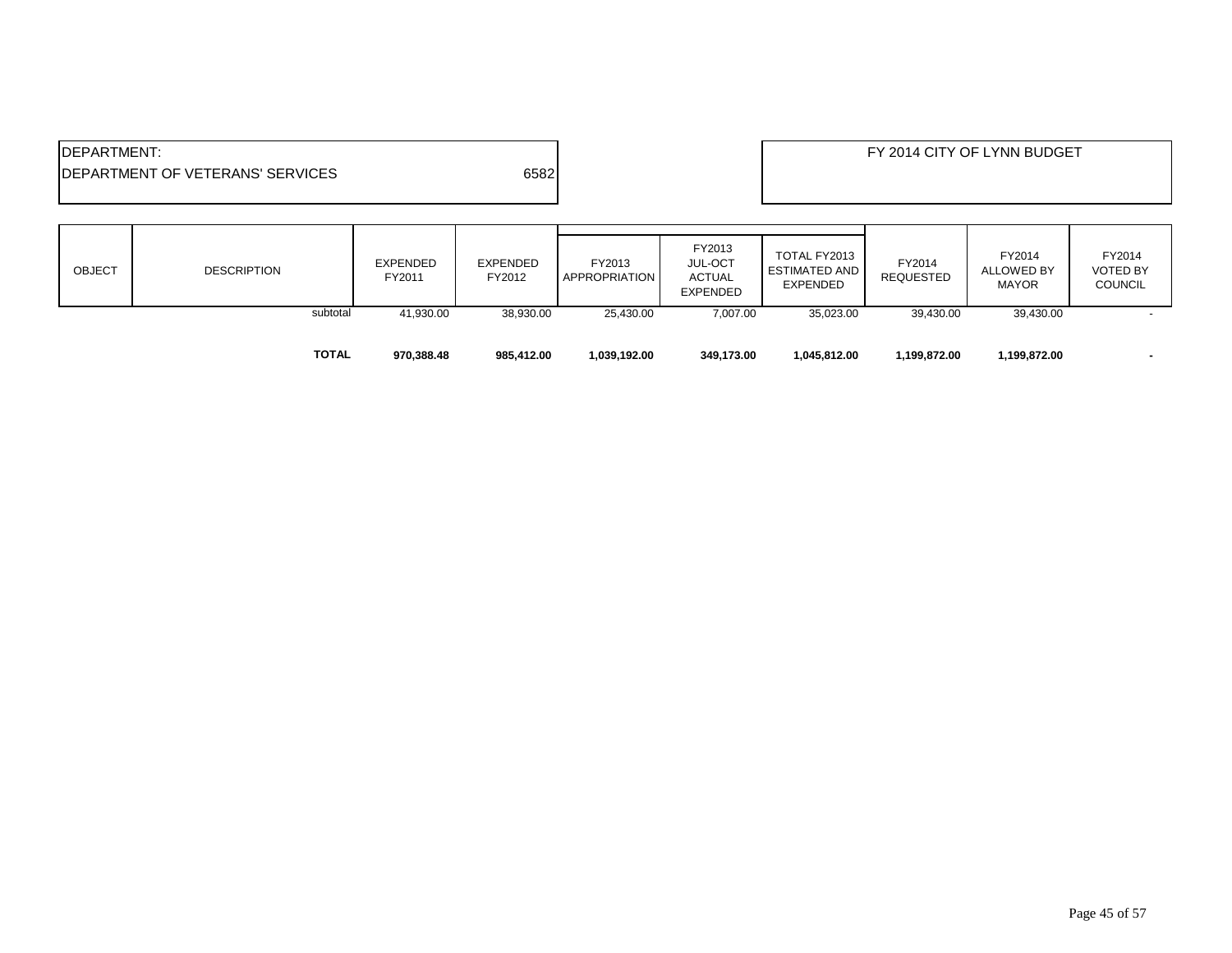| <b>IDEPARTMENT:</b><br>6582<br><b>IDEPARTMENT OF VETERANS' SERVICES</b> |                    |          |                           |                    |                                |                                                       |                                                  | FY 2014 CITY OF LYNN BUDGET |                                      |                                             |
|-------------------------------------------------------------------------|--------------------|----------|---------------------------|--------------------|--------------------------------|-------------------------------------------------------|--------------------------------------------------|-----------------------------|--------------------------------------|---------------------------------------------|
| OBJECT                                                                  | <b>DESCRIPTION</b> |          | <b>EXPENDED</b><br>FY2011 | EXPENDED<br>FY2012 | FY2013<br><b>APPROPRIATION</b> | FY2013<br><b>JUL-OCT</b><br>ACTUAL<br><b>EXPENDED</b> | TOTAL FY2013<br><b>ESTIMATED AND</b><br>EXPENDED | FY2014<br>REQUESTED         | FY2014<br>ALLOWED BY<br><b>MAYOR</b> | FY2014<br><b>VOTED BY</b><br><b>COUNCIL</b> |
|                                                                         |                    | subtotal | 41,930.00                 | 38,930.00          | 25,430.00                      | 7,007.00                                              | 35,023.00                                        | 39,430.00                   | 39,430.00                            |                                             |

**TOTAL 970,388.48 985,412.00 1,039,192.00 349,173.00 1,045,812.00 1,199,872.00 1,199,872.00 -**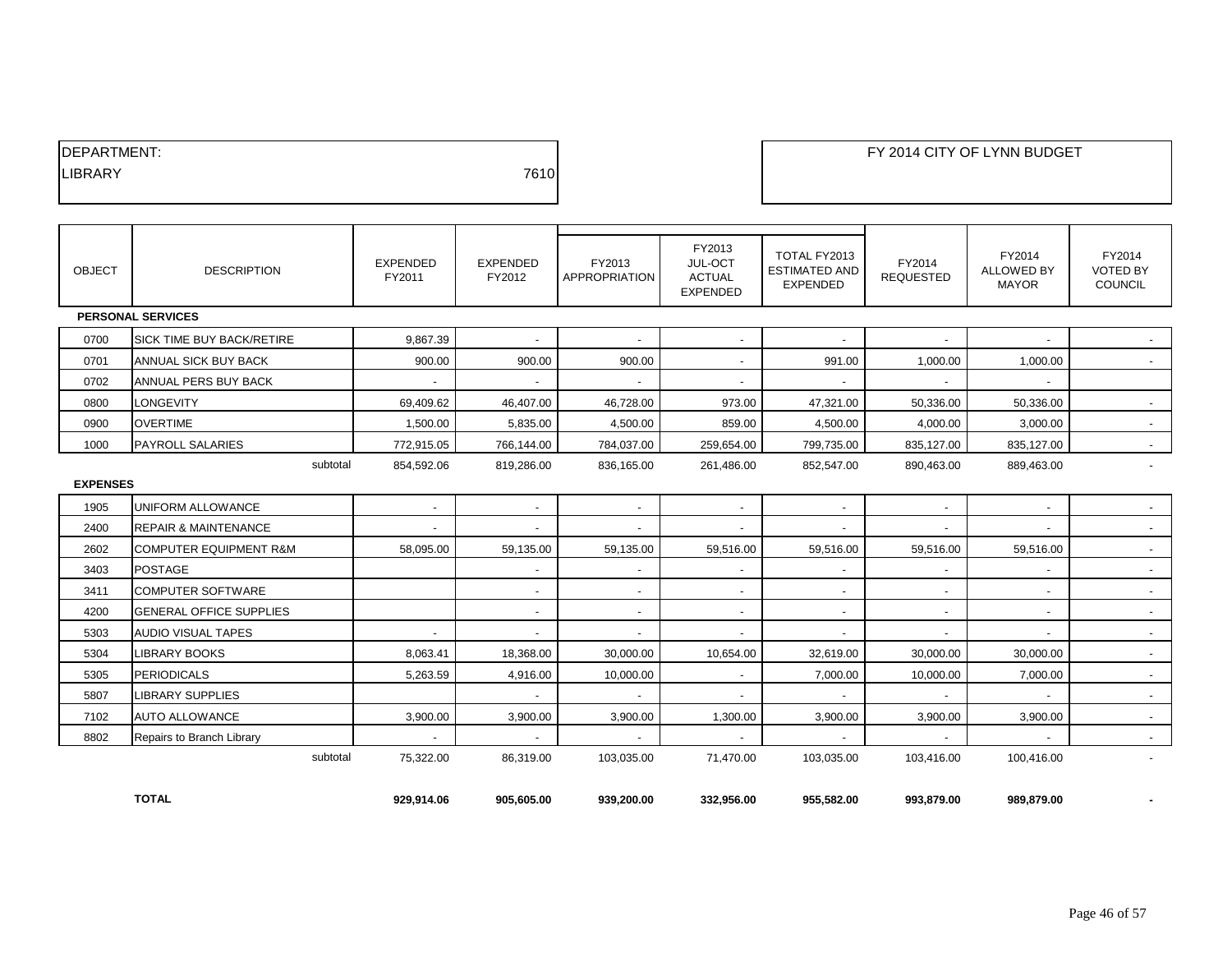| DEPARTMENT:    |      |
|----------------|------|
| <b>LIBRARY</b> | 7610 |
|                |      |

| <b>OBJECT</b>   | <b>DESCRIPTION</b>                | EXPENDED<br>FY2011 | <b>EXPENDED</b><br>FY2012 | FY2013<br><b>APPROPRIATION</b> | FY2013<br>JUL-OCT<br><b>ACTUAL</b><br><b>EXPENDED</b> | TOTAL FY2013<br><b>ESTIMATED AND</b><br>EXPENDED | FY2014<br><b>REQUESTED</b> | FY2014<br><b>ALLOWED BY</b><br><b>MAYOR</b> | FY2014<br><b>VOTED BY</b><br><b>COUNCIL</b> |
|-----------------|-----------------------------------|--------------------|---------------------------|--------------------------------|-------------------------------------------------------|--------------------------------------------------|----------------------------|---------------------------------------------|---------------------------------------------|
|                 | <b>PERSONAL SERVICES</b>          |                    |                           |                                |                                                       |                                                  |                            |                                             |                                             |
| 0700            | <b>SICK TIME BUY BACK/RETIRE</b>  | 9,867.39           | $\sim$                    | $\sim$                         | $\overline{\phantom{a}}$                              | $\sim$                                           | $\sim$                     | $\sim$                                      |                                             |
| 0701            | <b>ANNUAL SICK BUY BACK</b>       | 900.00             | 900.00                    | 900.00                         | $\overline{\phantom{a}}$                              | 991.00                                           | 1,000.00                   | 1,000.00                                    | $\sim$                                      |
| 0702            | ANNUAL PERS BUY BACK              |                    | $\overline{\phantom{a}}$  | $\overline{\phantom{a}}$       | $\overline{\phantom{a}}$                              | $\sim$                                           | $\overline{a}$             | $\overline{\phantom{a}}$                    |                                             |
| 0800            | <b>LONGEVITY</b>                  | 69,409.62          | 46,407.00                 | 46,728.00                      | 973.00                                                | 47,321.00                                        | 50,336.00                  | 50,336.00                                   | $\sim$                                      |
| 0900            | <b>OVERTIME</b>                   | 1,500.00           | 5,835.00                  | 4,500.00                       | 859.00                                                | 4,500.00                                         | 4,000.00                   | 3,000.00                                    | $\sim$                                      |
| 1000            | <b>PAYROLL SALARIES</b>           | 772,915.05         | 766,144.00                | 784,037.00                     | 259,654.00                                            | 799,735.00                                       | 835,127.00                 | 835,127.00                                  | $\sim$                                      |
|                 | subtotal                          | 854,592.06         | 819,286.00                | 836,165.00                     | 261,486.00                                            | 852,547.00                                       | 890,463.00                 | 889,463.00                                  |                                             |
| <b>EXPENSES</b> |                                   |                    |                           |                                |                                                       |                                                  |                            |                                             |                                             |
| 1905            | UNIFORM ALLOWANCE                 | $\sim$             | $\sim$                    | $\sim$                         | $\sim$                                                | $\sim$                                           | $\sim$                     | $\sim$                                      | $\sim$                                      |
| 2400            | <b>REPAIR &amp; MAINTENANCE</b>   | $\sim$             | $\sim$                    | $\sim$                         | $\sim$                                                | $\sim$                                           | $\sim$                     | $\sim$                                      | $\sim$                                      |
| 2602            | <b>COMPUTER EQUIPMENT R&amp;M</b> | 58,095.00          | 59,135.00                 | 59,135.00                      | 59,516.00                                             | 59,516.00                                        | 59,516.00                  | 59,516.00                                   | $\sim$                                      |
| 3403            | <b>POSTAGE</b>                    |                    | $\sim$                    | $\sim$                         | $\blacksquare$                                        | $\blacksquare$                                   | $\sim$                     | $\sim$                                      | $\sim$                                      |
| 3411            | <b>COMPUTER SOFTWARE</b>          |                    | $\overline{\phantom{a}}$  | $\sim$                         | $\overline{\phantom{a}}$                              |                                                  |                            | $\overline{\phantom{a}}$                    | $\sim$                                      |
| 4200            | <b>GENERAL OFFICE SUPPLIES</b>    |                    | $\sim$                    | $\sim$                         | $\sim$                                                | $\sim$                                           | $\sim$                     | $\sim$                                      | $\sim$                                      |
| 5303            | AUDIO VISUAL TAPES                | $\sim$             | $\overline{\phantom{a}}$  | $\overline{\phantom{a}}$       | $\overline{\phantom{a}}$                              | $\overline{a}$                                   | $\overline{a}$             | $\overline{\phantom{a}}$                    | $\sim$                                      |
| 5304            | <b>LIBRARY BOOKS</b>              | 8,063.41           | 18,368.00                 | 30,000.00                      | 10.654.00                                             | 32,619.00                                        | 30,000.00                  | 30,000.00                                   | $\sim$                                      |
| 5305            | <b>PERIODICALS</b>                | 5,263.59           | 4,916.00                  | 10,000.00                      | $\overline{\phantom{a}}$                              | 7,000.00                                         | 10,000.00                  | 7,000.00                                    | $\sim$                                      |
| 5807            | <b>LIBRARY SUPPLIES</b>           |                    | $\sim$                    | $\sim$                         | $\sim$                                                | $\sim$                                           | $\sim$                     | $\sim$                                      | $\sim$                                      |
| 7102            | <b>AUTO ALLOWANCE</b>             | 3,900.00           | 3,900.00                  | 3,900.00                       | 1,300.00                                              | 3,900.00                                         | 3,900.00                   | 3,900.00                                    | $\sim$                                      |
| 8802            | Repairs to Branch Library         | $\sim$             | $\sim$                    | $\sim$                         | $\overline{\phantom{a}}$                              |                                                  |                            | $\sim$                                      |                                             |
|                 | subtotal                          | 75,322.00          | 86.319.00                 | 103.035.00                     | 71.470.00                                             | 103.035.00                                       | 103.416.00                 | 100,416.00                                  |                                             |
|                 |                                   |                    |                           |                                |                                                       |                                                  |                            |                                             |                                             |

**TOTAL 929,914.06 905,605.00 939,200.00 332,956.00 955,582.00 993,879.00 989,879.00 -**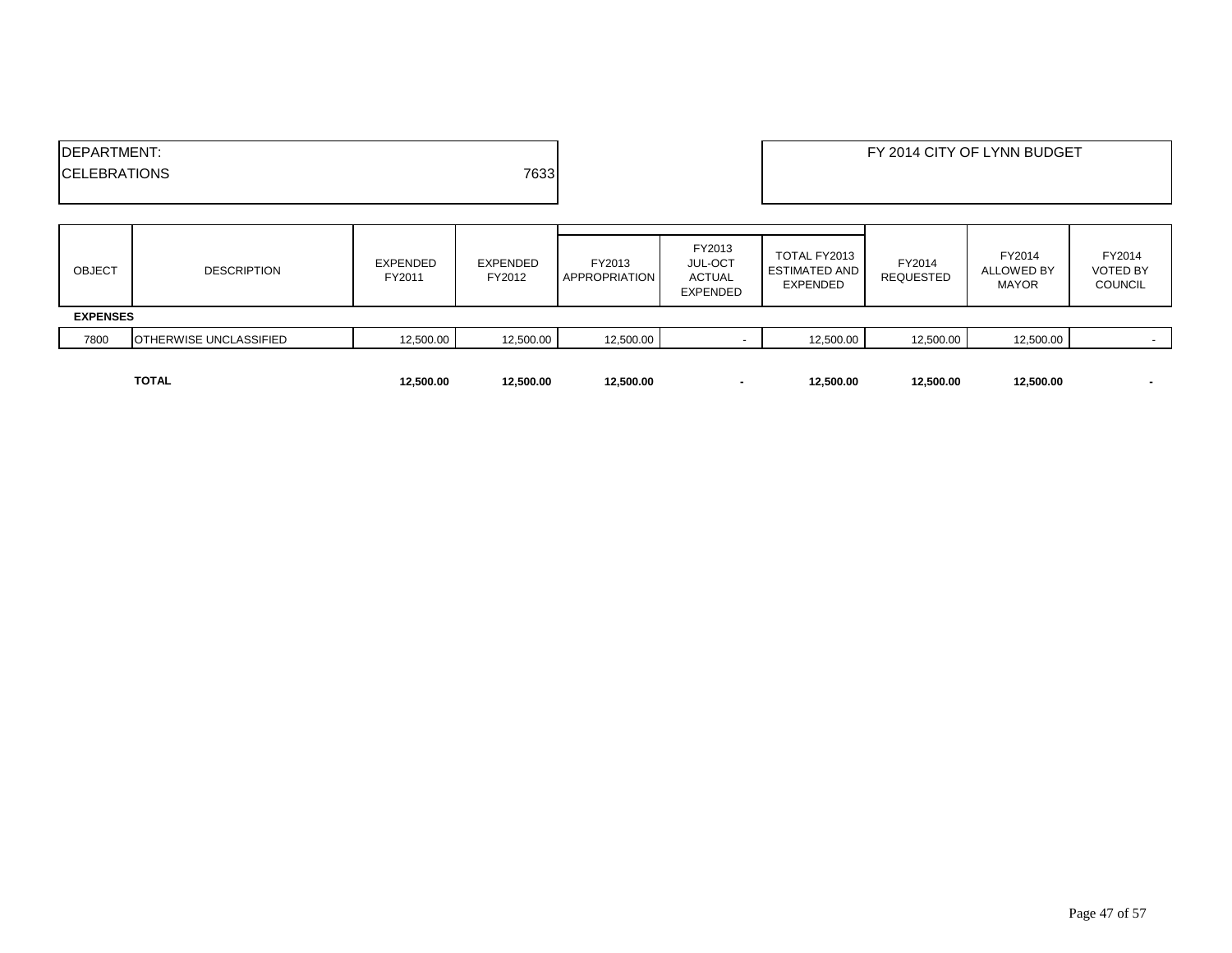| <b>IDEPARTMENT:</b><br>7633<br><b>ICELEBRATIONS</b> |                        |                    |                    |                                |                                                       |                                                         |                            | FY 2014 CITY OF LYNN BUDGET                 |                                             |
|-----------------------------------------------------|------------------------|--------------------|--------------------|--------------------------------|-------------------------------------------------------|---------------------------------------------------------|----------------------------|---------------------------------------------|---------------------------------------------|
| <b>OBJECT</b>                                       | <b>DESCRIPTION</b>     | EXPENDED<br>FY2011 | EXPENDED<br>FY2012 | FY2013<br><b>APPROPRIATION</b> | FY2013<br><b>JUL-OCT</b><br>ACTUAL<br><b>EXPENDED</b> | TOTAL FY2013<br><b>ESTIMATED AND</b><br><b>EXPENDED</b> | FY2014<br><b>REQUESTED</b> | FY2014<br><b>ALLOWED BY</b><br><b>MAYOR</b> | FY2014<br><b>VOTED BY</b><br><b>COUNCIL</b> |
| <b>EXPENSES</b>                                     |                        |                    |                    |                                |                                                       |                                                         |                            |                                             |                                             |
| 7800                                                | OTHERWISE UNCLASSIFIED | 12,500.00          | 12,500.00          | 12,500.00                      |                                                       | 12,500.00                                               | 12,500.00                  | 12,500.00                                   |                                             |
|                                                     | <b>TOTAL</b>           | 12,500.00          | 12,500.00          | 12,500.00                      |                                                       | 12,500.00                                               | 12,500.00                  | 12,500.00                                   |                                             |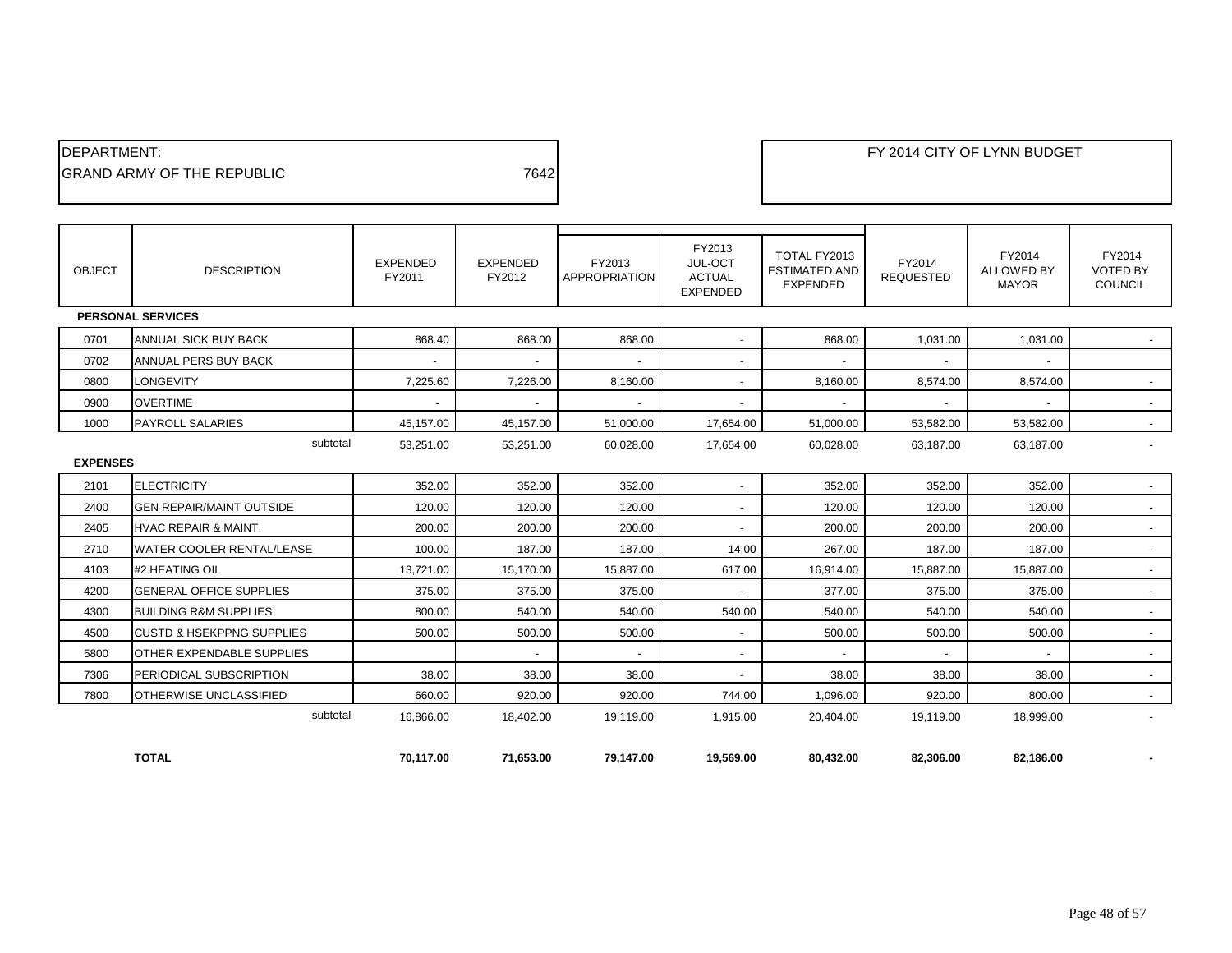| 7642 |
|------|
|      |

| OBJECT          | <b>DESCRIPTION</b>                   | <b>EXPENDED</b><br>FY2011 | <b>EXPENDED</b><br>FY2012 | FY2013<br><b>APPROPRIATION</b> | FY2013<br>JUL-OCT<br><b>ACTUAL</b><br><b>EXPENDED</b> | TOTAL FY2013<br><b>ESTIMATED AND</b><br><b>EXPENDED</b> | FY2014<br><b>REQUESTED</b> | FY2014<br><b>ALLOWED BY</b><br><b>MAYOR</b> | FY2014<br><b>VOTED BY</b><br><b>COUNCIL</b> |
|-----------------|--------------------------------------|---------------------------|---------------------------|--------------------------------|-------------------------------------------------------|---------------------------------------------------------|----------------------------|---------------------------------------------|---------------------------------------------|
|                 | <b>PERSONAL SERVICES</b>             |                           |                           |                                |                                                       |                                                         |                            |                                             |                                             |
| 0701            | <b>ANNUAL SICK BUY BACK</b>          | 868.40                    | 868.00                    | 868.00                         | $\overline{\phantom{a}}$                              | 868.00                                                  | 1,031.00                   | 1.031.00                                    |                                             |
| 0702            | ANNUAL PERS BUY BACK                 |                           | $\overline{\phantom{a}}$  | $\blacksquare$                 | $\sim$                                                | $\blacksquare$                                          |                            |                                             |                                             |
| 0800            | <b>LONGEVITY</b>                     | 7,225.60                  | 7,226.00                  | 8,160.00                       | $\overline{\phantom{a}}$                              | 8,160.00                                                | 8,574.00                   | 8,574.00                                    | $\sim$                                      |
| 0900            | <b>OVERTIME</b>                      |                           |                           |                                |                                                       |                                                         |                            |                                             | $\sim$                                      |
| 1000            | <b>PAYROLL SALARIES</b>              | 45,157.00                 | 45,157.00                 | 51,000.00                      | 17,654.00                                             | 51,000.00                                               | 53,582.00                  | 53,582.00                                   | $\sim$                                      |
|                 | subtotal                             | 53,251.00                 | 53,251.00                 | 60,028.00                      | 17,654.00                                             | 60.028.00                                               | 63.187.00                  | 63,187.00                                   |                                             |
| <b>EXPENSES</b> |                                      |                           |                           |                                |                                                       |                                                         |                            |                                             |                                             |
| 2101            | <b>ELECTRICITY</b>                   | 352.00                    | 352.00                    | 352.00                         | $\sim$                                                | 352.00                                                  | 352.00                     | 352.00                                      | $\sim$                                      |
| 2400            | <b>GEN REPAIR/MAINT OUTSIDE</b>      | 120.00                    | 120.00                    | 120.00                         | $\overline{\phantom{a}}$                              | 120.00                                                  | 120.00                     | 120.00                                      | $\sim$                                      |
| 2405            | <b>HVAC REPAIR &amp; MAINT.</b>      | 200.00                    | 200.00                    | 200.00                         | $\sim$                                                | 200.00                                                  | 200.00                     | 200.00                                      | $\sim$                                      |
| 2710            | <b>WATER COOLER RENTAL/LEASE</b>     | 100.00                    | 187.00                    | 187.00                         | 14.00                                                 | 267.00                                                  | 187.00                     | 187.00                                      | $\sim$                                      |
| 4103            | #2 HEATING OIL                       | 13,721.00                 | 15.170.00                 | 15,887.00                      | 617.00                                                | 16.914.00                                               | 15,887.00                  | 15,887.00                                   | $\overline{\phantom{a}}$                    |
| 4200            | <b>GENERAL OFFICE SUPPLIES</b>       | 375.00                    | 375.00                    | 375.00                         |                                                       | 377.00                                                  | 375.00                     | 375.00                                      | $\sim$                                      |
| 4300            | <b>BUILDING R&amp;M SUPPLIES</b>     | 800.00                    | 540.00                    | 540.00                         | 540.00                                                | 540.00                                                  | 540.00                     | 540.00                                      | $\sim$                                      |
| 4500            | <b>CUSTD &amp; HSEKPPNG SUPPLIES</b> | 500.00                    | 500.00                    | 500.00                         | $\overline{\phantom{a}}$                              | 500.00                                                  | 500.00                     | 500.00                                      | $\overline{\phantom{a}}$                    |
| 5800            | OTHER EXPENDABLE SUPPLIES            |                           | $\overline{\phantom{a}}$  | $\blacksquare$                 | $\sim$                                                |                                                         |                            |                                             | $\sim$                                      |
| 7306            | PERIODICAL SUBSCRIPTION              | 38.00                     | 38.00                     | 38.00                          | $\overline{\phantom{a}}$                              | 38.00                                                   | 38.00                      | 38.00                                       | $\sim$                                      |
| 7800            | OTHERWISE UNCLASSIFIED               | 660.00                    | 920.00                    | 920.00                         | 744.00                                                | 1,096.00                                                | 920.00                     | 800.00                                      | $\sim$                                      |
|                 | subtotal                             | 16.866.00                 | 18,402.00                 | 19.119.00                      | 1,915.00                                              | 20.404.00                                               | 19,119.00                  | 18,999.00                                   | $\overline{\phantom{a}}$                    |
|                 | <b>TOTAL</b>                         | 70.117.00                 | 71.653.00                 | 79.147.00                      | 19.569.00                                             | 80,432.00                                               | 82.306.00                  | 82,186.00                                   |                                             |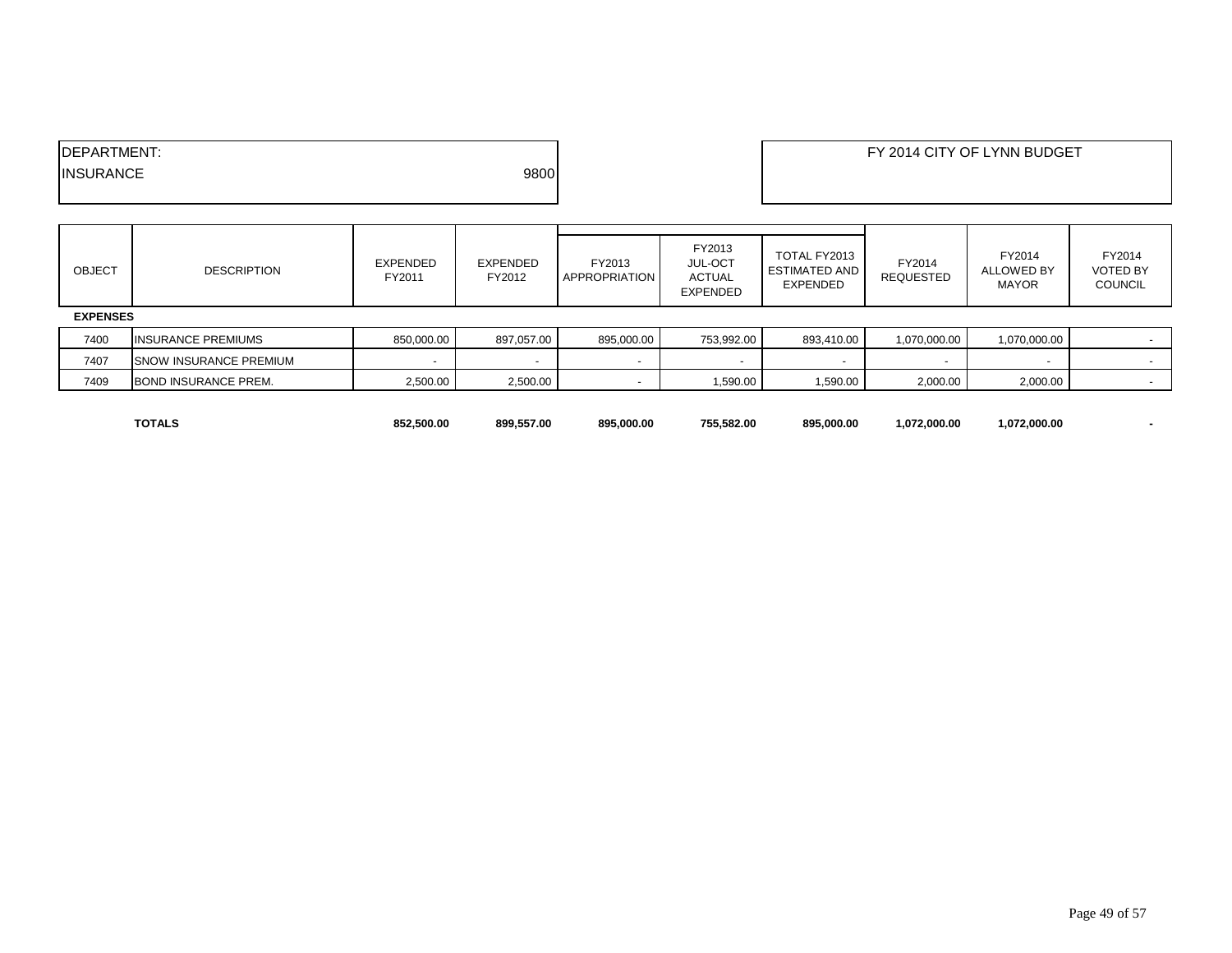| <b>IDEPARTMENT:</b> |      | FY 2014 CITY OF LYNN BUDGET |
|---------------------|------|-----------------------------|
| <b>INSURANCE</b>    | 9800 |                             |
|                     |      |                             |

| <b>OBJECT</b>   | <b>DESCRIPTION</b>             | EXPENDED<br>FY2011 | <b>EXPENDED</b><br>FY2012 | FY2013<br><b>APPROPRIATION</b> | FY2013<br>JUL-OCT<br><b>ACTUAL</b><br><b>EXPENDED</b> | TOTAL FY2013<br>ESTIMATED AND<br><b>EXPENDED</b> | FY2014<br>REQUESTED | FY2014<br><b>ALLOWED BY</b><br><b>MAYOR</b> | FY2014<br><b>VOTED BY</b><br><b>COUNCIL</b> |
|-----------------|--------------------------------|--------------------|---------------------------|--------------------------------|-------------------------------------------------------|--------------------------------------------------|---------------------|---------------------------------------------|---------------------------------------------|
| <b>EXPENSES</b> |                                |                    |                           |                                |                                                       |                                                  |                     |                                             |                                             |
| 7400            | <b>INSURANCE PREMIUMS</b>      | 850.000.00         | 897,057.00                | 895,000.00                     | 753,992.00                                            | 893.410.00                                       | 1,070,000.00        | 1,070,000.00                                |                                             |
| 7407            | <b>ISNOW INSURANCE PREMIUM</b> |                    |                           |                                |                                                       |                                                  |                     |                                             |                                             |
| 7409            | <b>BOND INSURANCE PREM.</b>    | 2,500.00           | 2,500.00                  |                                | 1,590.00                                              | 1,590.00                                         | 2,000.00            | 2,000.00                                    |                                             |

| <b>TOTALS</b> | 852,500.00 | 899.557.00 | 895,000.00 | 755.582.00 | 895,000.00                    | 1.072.000.00 | ,072,000.00 |  |
|---------------|------------|------------|------------|------------|-------------------------------|--------------|-------------|--|
|               |            |            |            |            | $\mathbf{r}$ and $\mathbf{r}$ |              |             |  |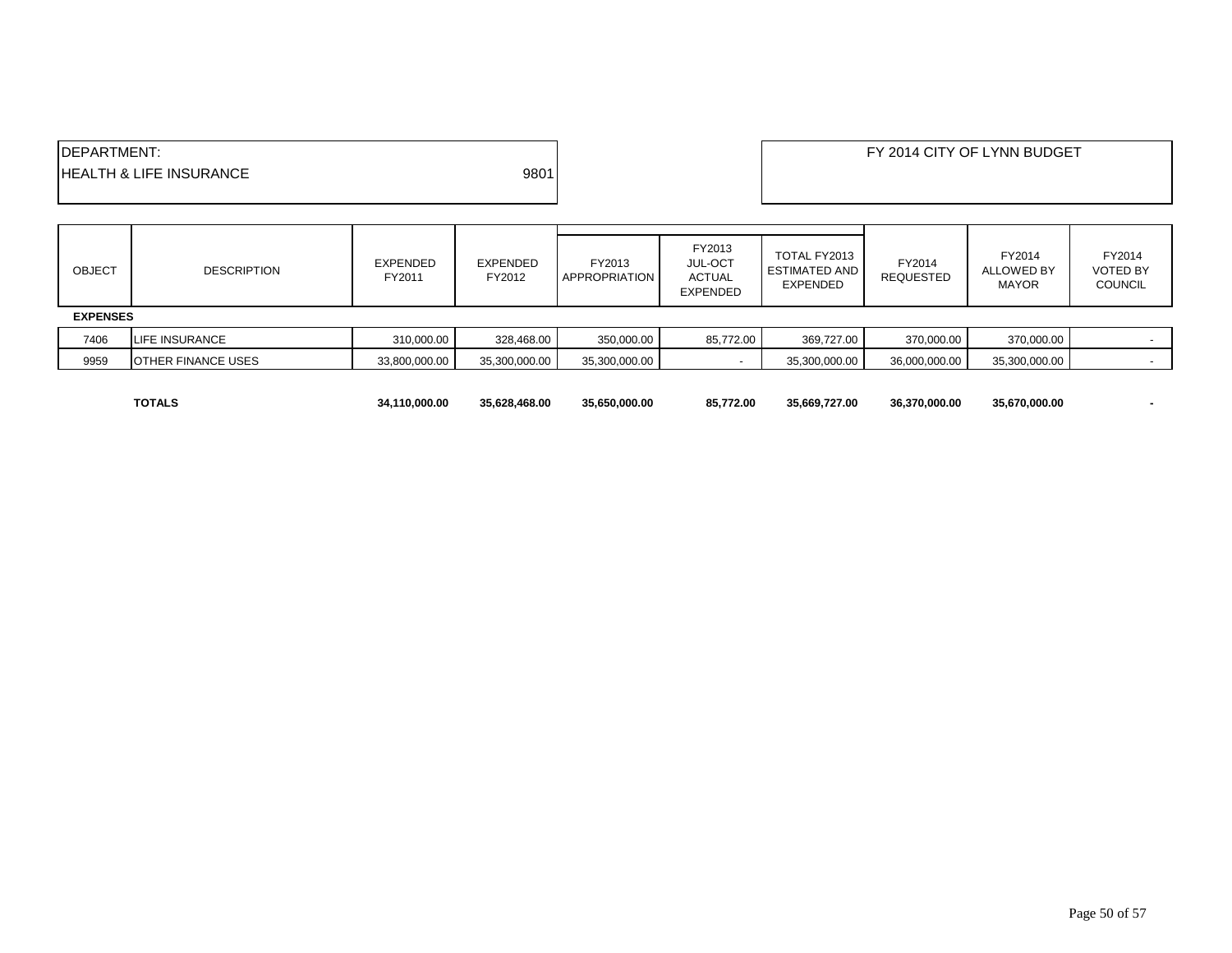| <b>IDEPARTMENT:</b>                |      | FY 2014 CITY OF LYNN BUDGET |
|------------------------------------|------|-----------------------------|
| <b>HEALTH &amp; LIFE INSURANCE</b> | 9801 |                             |
|                                    |      |                             |

| <b>OBJECT</b>   | <b>DESCRIPTION</b>        | <b>EXPENDED</b><br>FY2011 | <b>EXPENDED</b><br>FY2012 | FY2013<br><b>APPROPRIATION</b> | FY2013<br>JUL-OCT<br><b>ACTUAL</b><br>EXPENDED | TOTAL FY2013<br><b>ESTIMATED AND</b><br><b>EXPENDED</b> | FY2014<br><b>REQUESTED</b> | FY2014<br>ALLOWED BY<br><b>MAYOR</b> | FY2014<br><b>VOTED BY</b><br><b>COUNCIL</b> |
|-----------------|---------------------------|---------------------------|---------------------------|--------------------------------|------------------------------------------------|---------------------------------------------------------|----------------------------|--------------------------------------|---------------------------------------------|
| <b>EXPENSES</b> |                           |                           |                           |                                |                                                |                                                         |                            |                                      |                                             |
| 7406            | LIFE INSURANCE            | 310,000.00                | 328,468.00                | 350,000.00                     | 85,772.00                                      | 369,727.00                                              | 370,000.00                 | 370,000.00                           |                                             |
| 9959            | <b>OTHER FINANCE USES</b> | 33,800,000.00             | 35,300,000.00             | 35,300,000.00                  |                                                | 35,300,000.00                                           | 36,000,000.00              | 35,300,000.00                        |                                             |
|                 |                           |                           |                           |                                |                                                |                                                         |                            |                                      |                                             |

| <b>TOTALS</b> | 34.110.000.00 | 35.628.468.00 | 35.650.000.00 | 85.772.00 | 35.669.727.00 | 36.370.000.00 | 35.670.000.00 |  |
|---------------|---------------|---------------|---------------|-----------|---------------|---------------|---------------|--|
|               |               |               |               |           |               |               |               |  |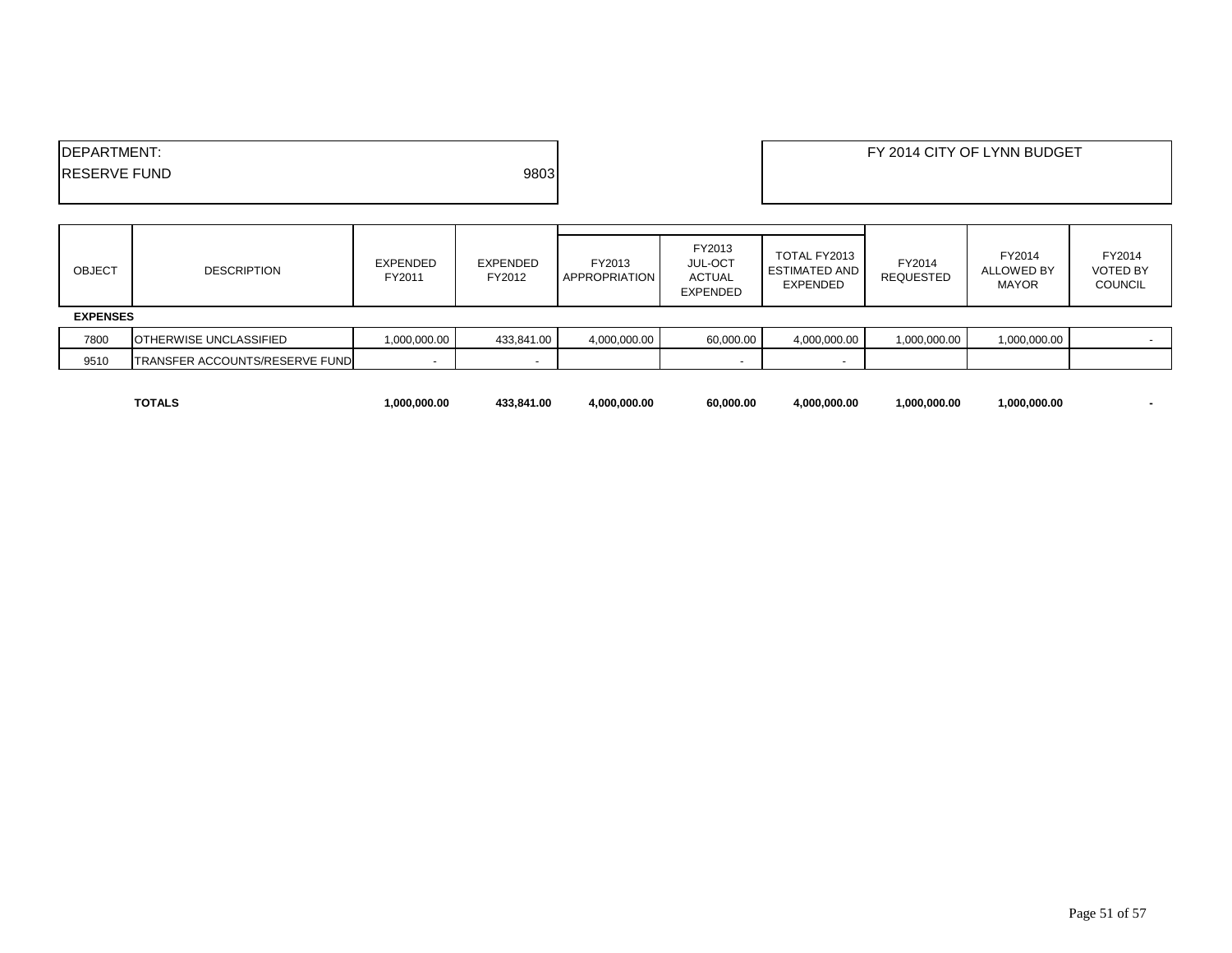| DEPARTMENT:         |      | FY 2014 CITY OF LYNN BUDGET |
|---------------------|------|-----------------------------|
| <b>RESERVE FUND</b> | 9803 |                             |
|                     |      |                             |

| OBJECT          | <b>DESCRIPTION</b>                    | EXPENDED<br>FY2011 | EXPENDED<br>FY2012       | FY2013<br><b>APPROPRIATION</b> | FY2013<br>JUL-OCT<br><b>ACTUAL</b><br><b>EXPENDED</b> | TOTAL FY2013<br><b>ESTIMATED AND</b><br><b>EXPENDED</b> | FY2014<br>REQUESTED | FY2014<br><b>ALLOWED BY</b><br><b>MAYOR</b> | FY2014<br><b>VOTED BY</b><br><b>COUNCIL</b> |
|-----------------|---------------------------------------|--------------------|--------------------------|--------------------------------|-------------------------------------------------------|---------------------------------------------------------|---------------------|---------------------------------------------|---------------------------------------------|
| <b>EXPENSES</b> |                                       |                    |                          |                                |                                                       |                                                         |                     |                                             |                                             |
| 7800            | <b>OTHERWISE UNCLASSIFIED</b>         | 1,000,000.00       | 433.841.00               | 4,000,000.00                   | 60,000.00                                             | 4,000,000.00                                            | 1,000,000.00        | 1,000,000.00                                |                                             |
| 9510            | <b>TRANSFER ACCOUNTS/RESERVE FUND</b> |                    | $\overline{\phantom{a}}$ |                                |                                                       | . .                                                     |                     |                                             |                                             |

| TOTALS | .000.000.00 | 133.841.00<br>4.3.5 | 4.000.000.00 | 60.000.00 | 0.000.00<br>.000 | 1.000.000.00 | 1.000.000.00 |  |
|--------|-------------|---------------------|--------------|-----------|------------------|--------------|--------------|--|
| .      |             |                     |              |           |                  |              |              |  |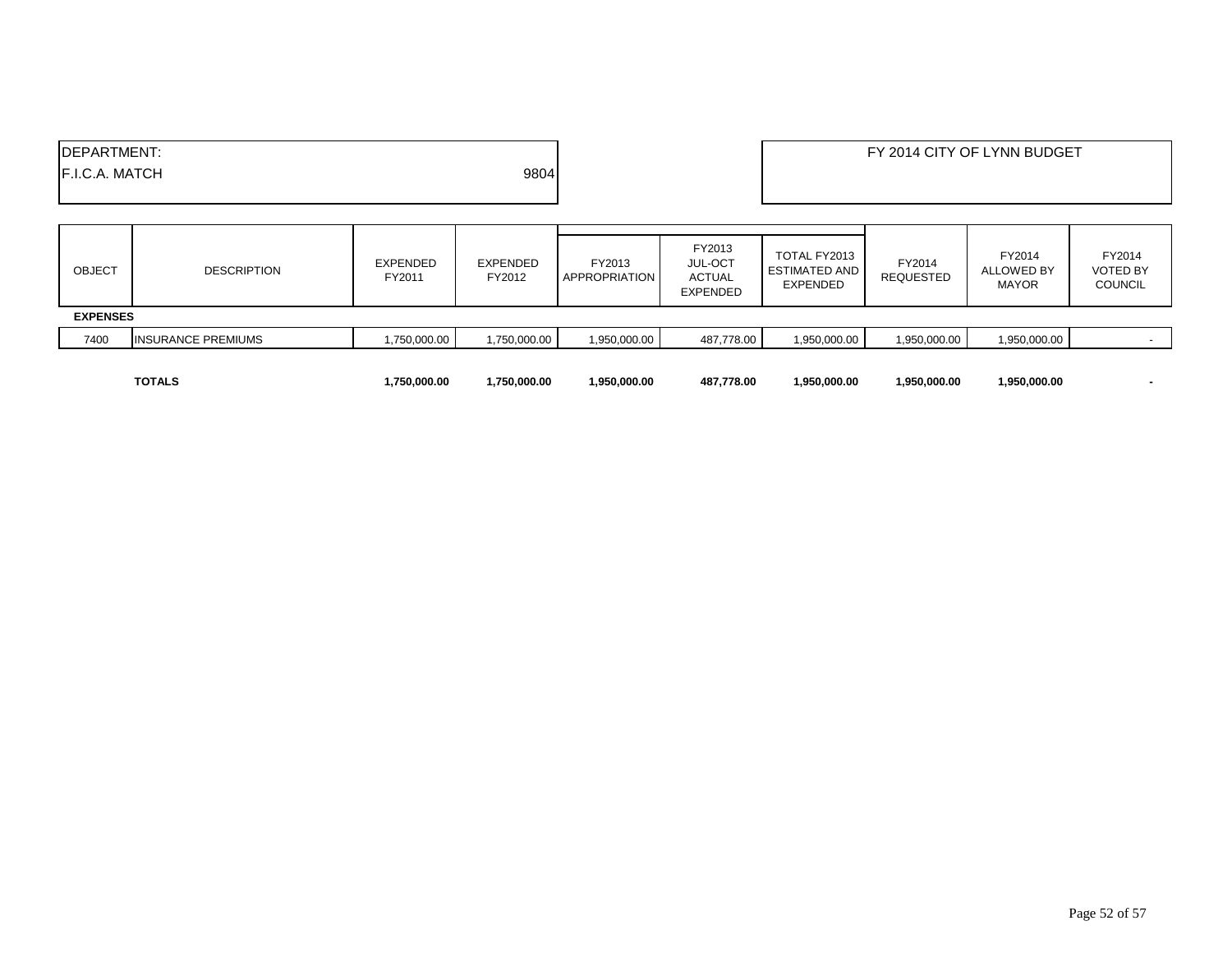| <b>IDEPARTMENT:</b><br><b>F.I.C.A. MATCH</b> |                           |                           | 9804               |                         |                                                              |                                                         |                            | FY 2014 CITY OF LYNN BUDGET                 |                                             |
|----------------------------------------------|---------------------------|---------------------------|--------------------|-------------------------|--------------------------------------------------------------|---------------------------------------------------------|----------------------------|---------------------------------------------|---------------------------------------------|
| <b>OBJECT</b>                                | <b>DESCRIPTION</b>        | <b>EXPENDED</b><br>FY2011 | EXPENDED<br>FY2012 | FY2013<br>APPROPRIATION | FY2013<br><b>JUL-OCT</b><br><b>ACTUAL</b><br><b>EXPENDED</b> | TOTAL FY2013<br><b>ESTIMATED AND</b><br><b>EXPENDED</b> | FY2014<br><b>REQUESTED</b> | FY2014<br><b>ALLOWED BY</b><br><b>MAYOR</b> | FY2014<br><b>VOTED BY</b><br><b>COUNCIL</b> |
| <b>EXPENSES</b>                              |                           |                           |                    |                         |                                                              |                                                         |                            |                                             |                                             |
| 7400                                         | <b>INSURANCE PREMIUMS</b> | 1,750,000.00              | 1,750,000.00       | 1,950,000.00            | 487,778.00                                                   | 1,950,000.00                                            | 1,950,000.00               | 1,950,000.00                                |                                             |
|                                              | <b>TOTALS</b>             | 1,750,000.00              | 1,750,000.00       | 1,950,000.00            | 487,778.00                                                   | 1,950,000.00                                            | 1,950,000.00               | 1,950,000.00                                |                                             |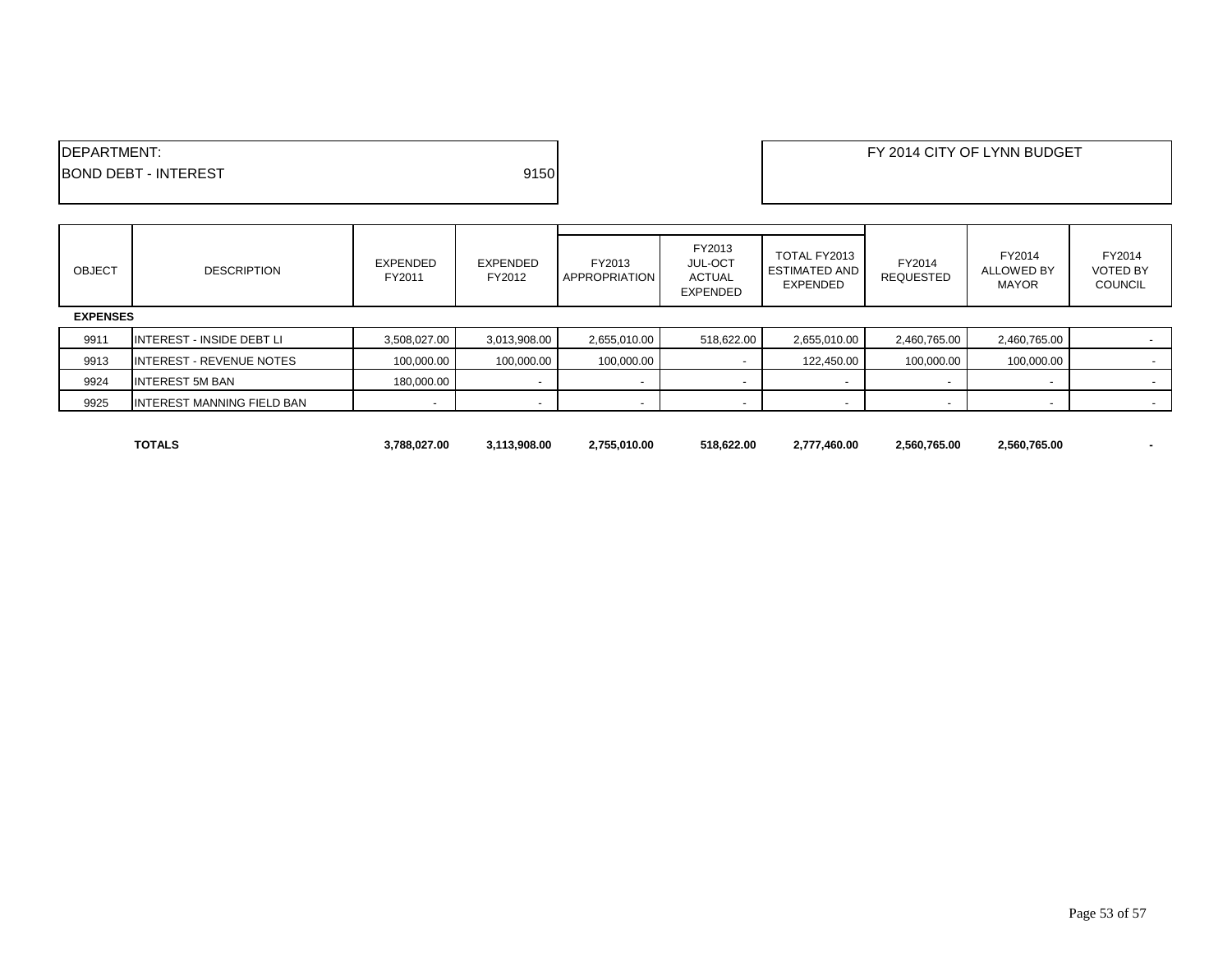| <b>IDEPARTMENT:</b>                 | FY 2014 CITY OF LYNN BUDGET |
|-------------------------------------|-----------------------------|
| 9150<br><b>BOND DEBT - INTEREST</b> |                             |
|                                     |                             |

| <b>OBJECT</b> | <b>DESCRIPTION</b>                | <b>EXPENDED</b><br>FY2011 | EXPENDED<br>FY2012       | FY2013<br><b>APPROPRIATION</b> | FY2013<br><b>JUL-OCT</b><br><b>ACTUAL</b><br>EXPENDED | TOTAL FY2013<br><b>ESTIMATED AND</b><br><b>EXPENDED</b> | FY2014<br><b>REQUESTED</b> | FY2014<br><b>ALLOWED BY</b><br><b>MAYOR</b> | FY2014<br><b>VOTED BY</b><br><b>COUNCIL</b> |  |
|---------------|-----------------------------------|---------------------------|--------------------------|--------------------------------|-------------------------------------------------------|---------------------------------------------------------|----------------------------|---------------------------------------------|---------------------------------------------|--|
|               | <b>EXPENSES</b>                   |                           |                          |                                |                                                       |                                                         |                            |                                             |                                             |  |
| 9911          | <b>INTEREST - INSIDE DEBT LI</b>  | 3,508,027.00              | 3,013,908.00             | 2,655,010.00                   | 518,622.00                                            | 2,655,010.00                                            | 2,460,765.00               | 2,460,765.00                                |                                             |  |
| 9913          | <b>INTEREST - REVENUE NOTES</b>   | 100,000.00                | 100,000.00               | 100,000.00                     | $\sim$                                                | 122,450.00                                              | 100,000.00                 | 100,000.00                                  | $\sim$                                      |  |
| 9924          | <b>INTEREST 5M BAN</b>            | 180,000.00                | $\overline{\phantom{a}}$ | $\overline{\phantom{0}}$       | $\overline{\phantom{a}}$                              | $\overline{\phantom{a}}$                                |                            |                                             |                                             |  |
| 9925          | <b>INTEREST MANNING FIELD BAN</b> |                           | $\overline{\phantom{a}}$ |                                | $\overline{\phantom{a}}$                              |                                                         |                            |                                             | $\sim$                                      |  |

**TOTALS 3,788,027.00 3,113,908.00 2,755,010.00 518,622.00 2,777,460.00 2,560,765.00 2,560,765.00 -**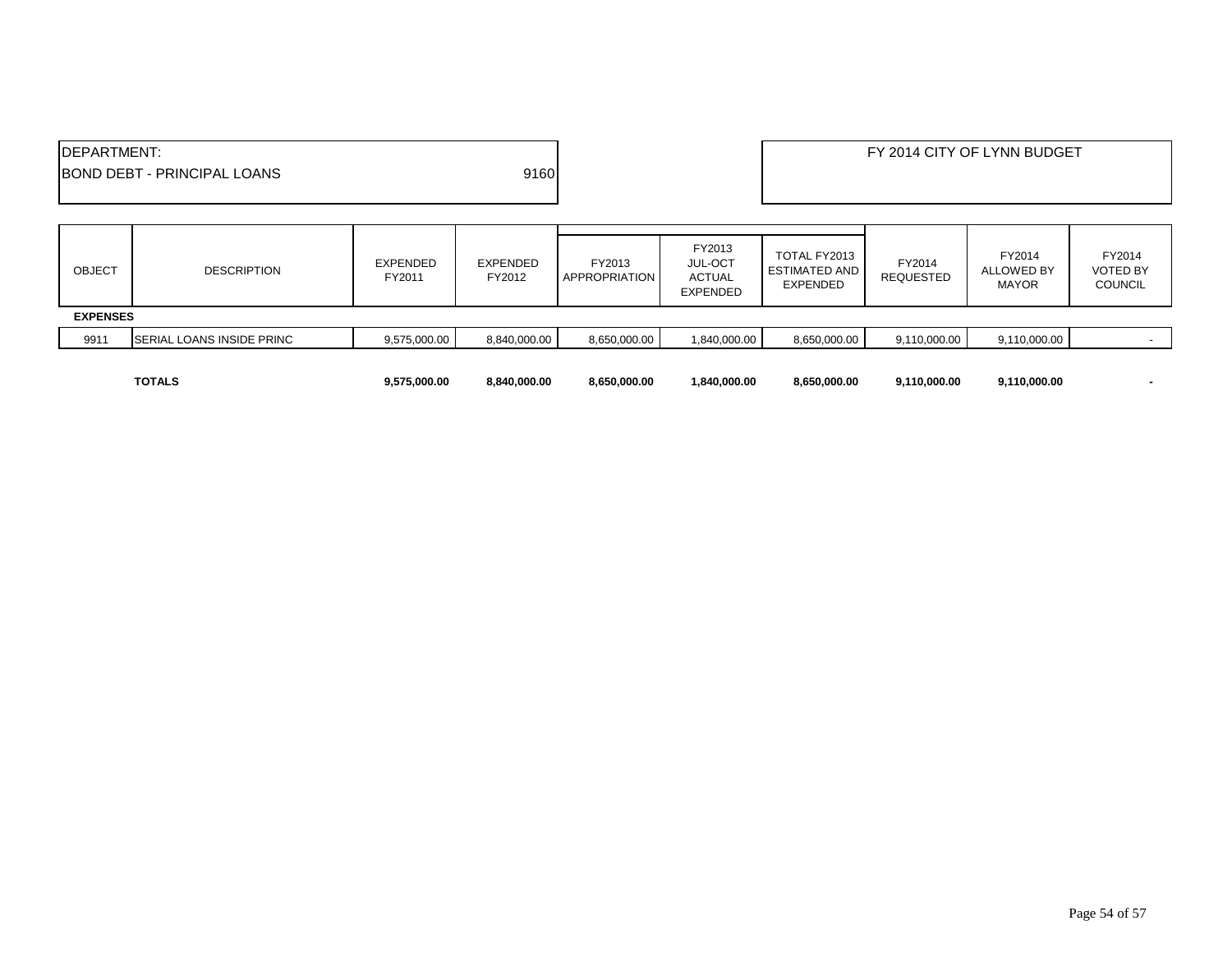| <b>IDEPARTMENT:</b> | <b>IBOND DEBT - PRINCIPAL LOANS</b> |                           | 9160                      |                                |                                                              |                                                  | FY 2014 CITY OF LYNN BUDGET<br>FY2014<br>FY2014<br><b>ALLOWED BY</b><br><b>REQUESTED</b><br><b>MAYOR</b> |              |                                             |
|---------------------|-------------------------------------|---------------------------|---------------------------|--------------------------------|--------------------------------------------------------------|--------------------------------------------------|----------------------------------------------------------------------------------------------------------|--------------|---------------------------------------------|
| <b>OBJECT</b>       | <b>DESCRIPTION</b>                  | <b>EXPENDED</b><br>FY2011 | <b>EXPENDED</b><br>FY2012 | FY2013<br><b>APPROPRIATION</b> | FY2013<br><b>JUL-OCT</b><br><b>ACTUAL</b><br><b>EXPENDED</b> | TOTAL FY2013<br><b>ESTIMATED AND</b><br>EXPENDED |                                                                                                          |              | FY2014<br><b>VOTED BY</b><br><b>COUNCIL</b> |
| <b>EXPENSES</b>     |                                     |                           |                           |                                |                                                              |                                                  |                                                                                                          |              |                                             |
| 9911                | SERIAL LOANS INSIDE PRINC           | 9,575,000.00              | 8,840,000.00              | 8,650,000.00                   | 1,840,000.00                                                 | 8,650,000.00                                     | 9,110,000.00                                                                                             | 9,110,000.00 |                                             |
|                     | <b>TOTALS</b>                       | 9,575,000.00              | 8,840,000.00              | 8,650,000.00                   | 1,840,000.00                                                 | 8,650,000.00                                     | 9,110,000.00                                                                                             | 9,110,000.00 |                                             |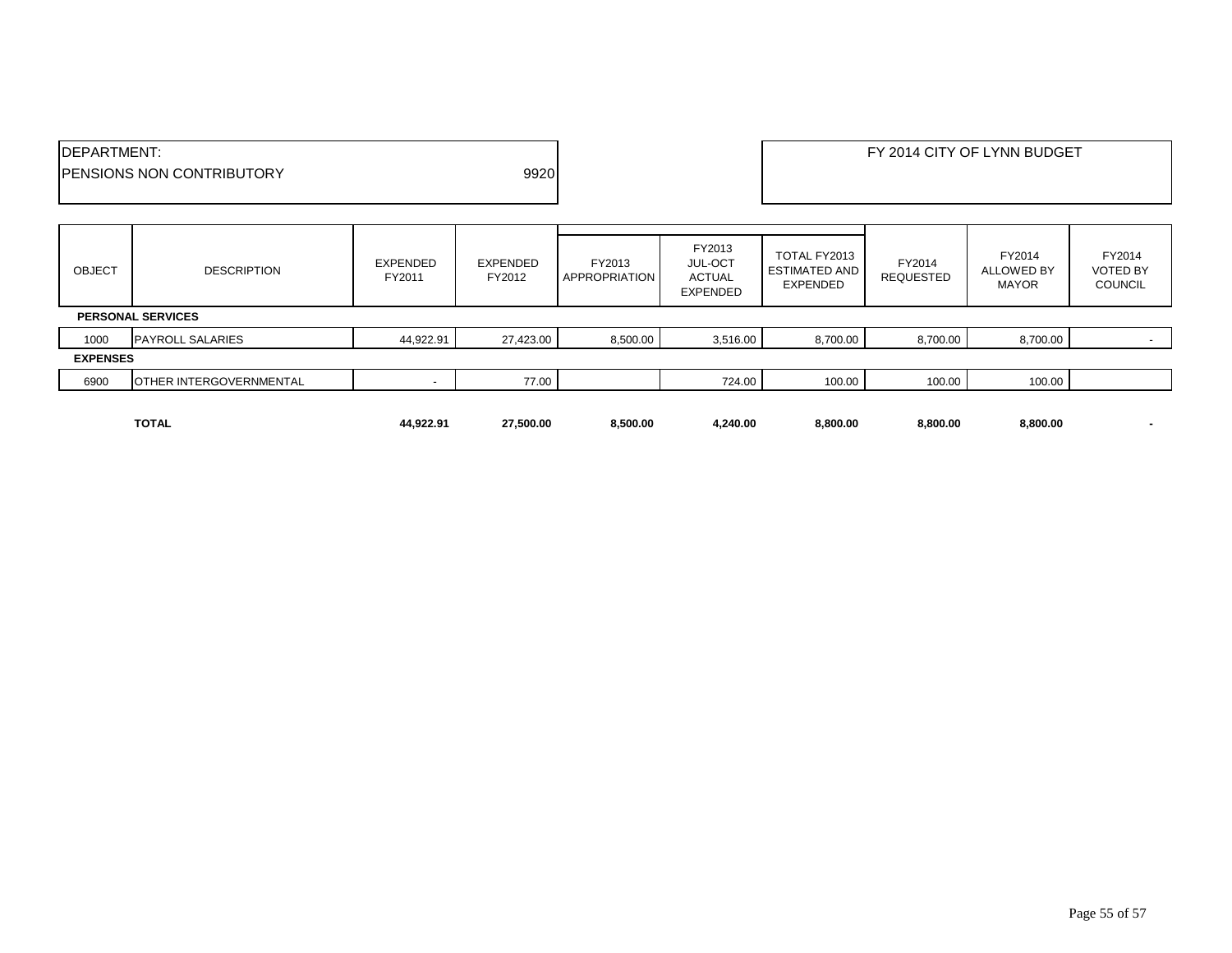|                     | <b>TOTAL</b>                      | 44,922.91          | 27,500.00          | 8,500.00                | 4,240.00                                                     | 8,800.00                                         | 8,800.00                   | 8,800.00                                    | ٠                                           |  |
|---------------------|-----------------------------------|--------------------|--------------------|-------------------------|--------------------------------------------------------------|--------------------------------------------------|----------------------------|---------------------------------------------|---------------------------------------------|--|
| 6900                | OTHER INTERGOVERNMENTAL           |                    | 77.00              |                         | 724.00                                                       | 100.00                                           | 100.00                     | 100.00                                      |                                             |  |
|                     |                                   |                    |                    |                         |                                                              |                                                  |                            |                                             |                                             |  |
| <b>EXPENSES</b>     |                                   |                    |                    |                         |                                                              |                                                  |                            |                                             |                                             |  |
| 1000                | <b>PAYROLL SALARIES</b>           | 44,922.91          | 27,423.00          | 8,500.00                | 3,516.00                                                     | 8,700.00                                         | 8,700.00                   | 8,700.00                                    |                                             |  |
|                     | <b>PERSONAL SERVICES</b>          |                    |                    |                         |                                                              |                                                  |                            |                                             |                                             |  |
| <b>OBJECT</b>       | <b>DESCRIPTION</b>                | EXPENDED<br>FY2011 | EXPENDED<br>FY2012 | FY2013<br>APPROPRIATION | FY2013<br><b>JUL-OCT</b><br><b>ACTUAL</b><br><b>EXPENDED</b> | TOTAL FY2013<br><b>ESTIMATED AND</b><br>EXPENDED | FY2014<br><b>REQUESTED</b> | FY2014<br><b>ALLOWED BY</b><br><b>MAYOR</b> | FY2014<br><b>VOTED BY</b><br><b>COUNCIL</b> |  |
|                     |                                   |                    |                    |                         |                                                              |                                                  |                            |                                             |                                             |  |
|                     | <b>IPENSIONS NON CONTRIBUTORY</b> |                    | 9920               |                         |                                                              |                                                  |                            |                                             |                                             |  |
| <b>IDEPARTMENT:</b> |                                   |                    |                    |                         |                                                              | FY 2014 CITY OF LYNN BUDGET                      |                            |                                             |                                             |  |